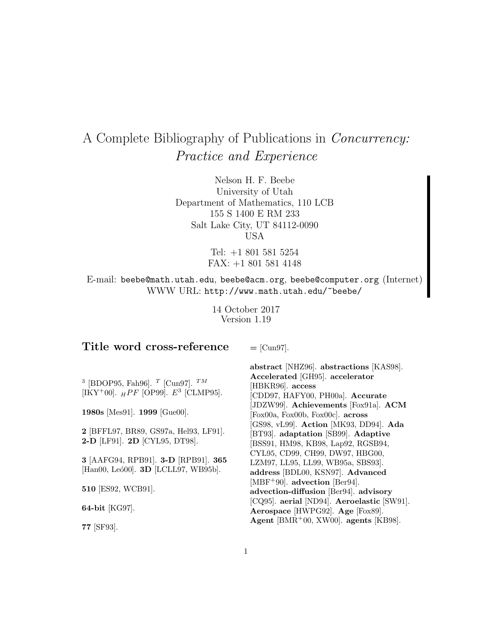# A Complete Bibliography of Publications in Concurrency: Practice and Experience

Nelson H. F. Beebe University of Utah Department of Mathematics, 110 LCB 155 S 1400 E RM 233 Salt Lake City, UT 84112-0090 USA

> Tel: +1 801 581 5254 FAX: +1 801 581 4148

E-mail: beebe@math.utah.edu, beebe@acm.org, beebe@computer.org (Internet) WWW URL: http://www.math.utah.edu/~beebe/

> 14 October 2017 Version 1.19

# **Title word cross-reference**

**=** [Cun97].

<sup>3</sup> [BDOP95, Fah96]. <sup>T</sup> [Cun97]. <sup>TM</sup> [IKY+00].  $_{H}$ PF [OP99].  $E^3$  [CLMP95].

**1980s** [Mes91]. **1999** [Gue00].

**2** [BFFL97, BR89, GS97a, Hel93, LF91]. **2-D** [LF91]. **2D** [CYL95, DT98].

**3** [AAFG94, RPB91]. **3-D** [RPB91]. **365** [Han00, Leó00]. **3D** [LCLL97, WB95b].

**510** [ES92, WCB91].

**64-bit** [KG97].

**77** [SF93].

**abstract** [NHZ96]. **abstractions** [KAS98]. **Accelerated** [GH95]. **accelerator** [HBKR96]. **access** [CDD97, HAFY00, PH00a]. **Accurate** [JDZW99]. **Achievements** [Fox91a]. **ACM** [Fox00a, Fox00b, Fox00c]. **across** [GS98, vL99]. **Action** [MK93, DD94]. **Ada** [BT93]. **adaptation** [SB99]. **Adaptive** [BSS91, HM98, KB98, Lap92, RGSB94, CYL95, CD99, CH99, DW97, HBG00, LZM97, LL95, LL99, WB95a, SBS93]. **address** [BDL00, KSN97]. **Advanced** [MBF<sup>+</sup>90]. **advection** [Ber94]. **advection-diffusion** [Ber94]. **advisory** [CQ95]. **aerial** [ND94]. **Aeroelastic** [SW91]. **Aerospace** [HWPG92]. **Age** [Fox89]. **Agent** [BMR<sup>+</sup>00, XW00]. **agents** [KB98].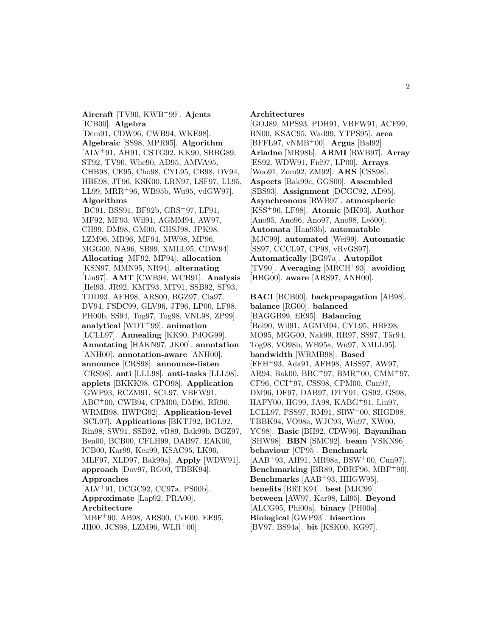**Aircraft** [TV90, KWB<sup>+</sup>99]. **Ajents** [ICB00]. **Algebra** [Dem91, CDW96, CWB94, WKE98]. **Algebraic** [SS98, MPR95]. **Algorithm** [ALV<sup>+</sup>91, AH91, CSTG92, KK90, SBBG89, ST92, TV90, Whe90, AD95, AMVA95, CHB98, CE95, Cho98, CYL95, CB98, DV94, HBE98, JT96, KSK00, LRN97, LSF97, LL95, LL99, MRR<sup>+</sup>96, WB95b, Wu95, vdGW97]. **Algorithms** [BC91, BSS91, BF92b, GRS<sup>+</sup>97, LF91, MF92, MF93, Wil91, AGMM94, AW97, CH99, DM98, GM00, GHSJ98, JPK98, LZM96, MR96, MF94, MW98, MP96, MGG00, NA96, SB99, XMLL95, CDW94]. **Allocating** [MF92, MF94]. **allocation** [KSN97, MMN95, NR94]. **alternating** [Lin97]. **AMT** [CWB94, WCB91]. **Analysis** [Hel93, JR92, KMT93, MT91, SSB92, SF93, TDD93, AFH98, ARS00, BGZ97, Cla97, DV94, FSDC99, GLV96, JT96, LP00, LF98, PH00b, SS94, Tog97, Tog98, VNL98, ZP99]. **analytical** [WDT<sup>+</sup>99]. **animation** [LCLL97]. **Annealing** [KK90, PdOG99]. **Annotating** [HAKN97, JK00]. **annotation** [ANH00]. **annotation-aware** [ANH00]. **announce** [CRS98]. **announce-listen** [CRS98]. **anti** [LLL98]. **anti-tasks** [LLL98]. **applets** [BKKK98, GPO98]. **Application** [GWP93, RCZM91, SCL97, VBFW91, ABC<sup>+</sup>00, CWB94, CPM00, DM96, RR96, WRMB98, HWPG92]. **Application-level** [SCL97]. **Applications** [BKTJ92, BGL92, Rin98, SW91, SSB92, vR89, Bak99b, BGZ97,

Ben00, BCB00, CFLH99, DAB97, EAK00, ICB00, Kar99, Kea99, KSAC95, LK96, MLF97, XLD97, Bak99a]. **Apply** [WDW91].

**approach** [Dav97, RG00, TBBK94].

[ALV<sup>+</sup>91, DCGC92, CC97a, PS00b]. **Approximate** [Lap92, PRA00].

[MBF<sup>+</sup>90, AB98, ARS00, CvE00, EE95, JH00, JCS98, LZM96, WLR<sup>+</sup>00].

**Approaches**

**Architecture**

# **Architectures**

[GOJ89, MPS93, PDH91, VBFW91, ACF99, BN00, KSAC95, Wad99, YTPS95]. **area** [BFFL97, vNMB<sup>+</sup>00]. **Argus** [Bal92]. **Ariadne** [MR98b]. **ARMI** [RWB97]. **Array** [ES92, WDW91, Fid97, LP00]. **Arrays** [Woo91, Zom92, ZM92]. **ARS** [CSS98]. **Aspects** [Bak99c, GGS00]. **Assembled** [SBS93]. **Assignment** [DCGC92, AD95]. **Asynchronous** [RWB97]. **atmospheric** [KSS<sup>+</sup>96, LF98]. **Atomic** [MK93]. **Author** [Ano95, Ano96, Ano97, Ano98, Leó00]. **Automata** [Han93b]. **automatable** [MJC99]. **automated** [Wei99]. **Automatic** [SS97, CCCL97, CP98, vRvGS97]. **Automatically** [BG97a]. **Autopilot** [TV90]. **Averaging** [MRCH<sup>+</sup>93]. **avoiding** [HBG00]. **aware** [ARS97, ANH00].

**BACI** [BCB00]. **backpropagation** [AB98]. **balance** [RG00]. **balanced** [BAGGB99, EE95]. **Balancing** [Boi90, Wil91, AGMM94, CYL95, HBE98, MO95, MGG00, Nak99, RR97, SS97, Tär94, Tog98, VO98b, WB95a, Wu97, XMLL95]. **bandwidth** [WRMB98]. **Based** [FFH<sup>+</sup>93, Ada91, AFH98, AISS97, AW97, AR94, Bak00, BBC<sup>+</sup>97, BMR<sup>+</sup>00, CMM<sup>+</sup>97, CF96, CCI<sup>+</sup>97, CSS98, CPM00, Cun97, DM96, DF97, DAB97, DTY91, GS92, GS98, HAFY00, HG99, JA98, KABG<sup>+</sup>91, Lin97, LCLL97, PSS97, RM91, SRW<sup>+</sup>00, SHGD98, TBBK94, VO98a, WJC93, Wu97, XW00, YC98]. **Basic** [BH92, CDW96]. **Bayanihan** [SHW98]. **BBN** [SMC92]. **beam** [VSKN96]. **behaviour** [CP95]. **Benchmark** [AAB<sup>+</sup>93, AH91, MR98a, BSW<sup>+</sup>00, Cun97]. **Benchmarking** [BR89, DBRF96, MBF<sup>+</sup>90]. **Benchmarks** [AAB<sup>+</sup>93, HHGW95]. **benefits** [BRTK94]. **best** [MJC99]. **between** [AW97, Kar98, Lil95]. **Beyond** [ALCG95, Phi00a]. **binary** [PH00a]. **Biological** [GWP93]. **bisection** [BV97, BS94a]. **bit** [KSK00, KG97].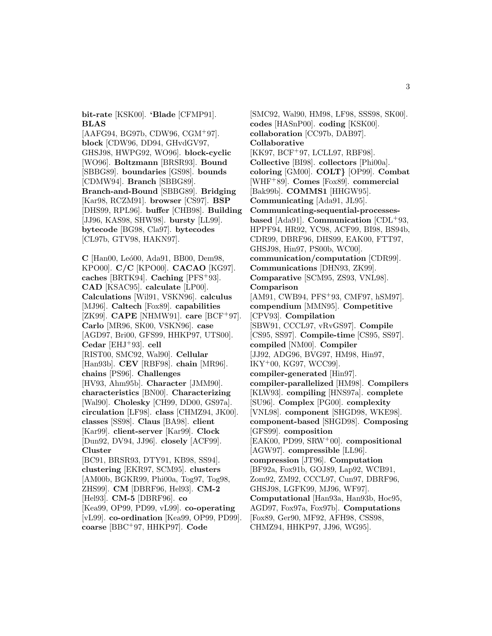**bit-rate** [KSK00]. **'Blade** [CFMP91]. **BLAS**

[AAFG94, BG97b, CDW96, CGM<sup>+</sup>97]. **block** [CDW96, DD94, GHvdGV97, GHSJ98, HWPG92, WO96]. **block-cyclic** [WO96]. **Boltzmann** [BRSR93]. **Bound** [SBBG89]. **boundaries** [GS98]. **bounds** [CDMW94]. **Branch** [SBBG89]. **Branch-and-Bound** [SBBG89]. **Bridging** [Kar98, RCZM91]. **browser** [CS97]. **BSP** [DHS99, RPL96]. **buffer** [CHB98]. **Building** [JJ96, KAS98, SHW98]. **bursty** [LL99]. **bytecode** [BG98, Cla97]. **bytecodes** [CL97b, GTV98, HAKN97].

**C** [Han00, Leó00, Ada91, BB00, Dem98, KPO00]. **C/C** [KPO00]. **CACAO** [KG97]. **caches** [BRTK94]. **Caching** [PFS<sup>+</sup>93]. **CAD** [KSAC95]. **calculate** [LP00]. **Calculations** [Wil91, VSKN96]. **calculus** [MJ96]. **Caltech** [Fox89]. **capabilities** [ZK99]. **CAPE** [NHMW91]. **care** [BCF<sup>+</sup>97]. **Carlo** [MR96, SK00, VSKN96]. **case** [AGD97, Bri00, GFS99, HHKP97, UTS00]. **Cedar** [EHJ<sup>+</sup>93]. **cell** [RIST00, SMC92, Wal90]. **Cellular** [Han93b]. **CEV** [RBF98]. **chain** [MR96]. **chains** [PS96]. **Challenges** [HV93, Ahm95b]. **Character** [JMM90]. **characteristics** [BN00]. **Characterizing** [Wal90]. **Cholesky** [CH99, DD00, GS97a]. **circulation** [LF98]. **class** [CHMZ94, JK00]. **classes** [SS98]. **Claus** [BA98]. **client** [Kar99]. **client-server** [Kar99]. **Clock** [Dun92, DV94, JJ96]. **closely** [ACF99]. **Cluster** [BC91, BRSR93, DTY91, KB98, SS94]. **clustering** [EKR97, SCM95]. **clusters** [AM00b, BGKR99, Phi00a, Tog97, Tog98, ZHS99]. **CM** [DBRF96, Hel93]. **CM-2** [Hel93]. **CM-5** [DBRF96]. **co** [Kea99, OP99, PD99, vL99]. **co-operating**

[vL99]. **co-ordination** [Kea99, OP99, PD99]. **coarse** [BBC<sup>+</sup>97, HHKP97]. **Code**

[SMC92, Wal90, HM98, LF98, SSS98, SK00]. **codes** [HASnP00]. **coding** [KSK00]. **collaboration** [CC97b, DAB97]. **Collaborative** [KK97, BCF<sup>+</sup>97, LCLL97, RBF98]. **Collective** [BI98]. **collectors** [Phi00a]. **coloring** [GM00]. **COLT***}* [OP99]. **Combat** [WHF<sup>+</sup>89]. **Comes** [Fox89]. **commercial** [Bak99b]. **COMMS1** [HHGW95]. **Communicating** [Ada91, JL95]. **Communicating-sequential-processesbased** [Ada91]. **Communication** [CDL<sup>+</sup>93, HPPF94, HR92, YC98, ACF99, BI98, BS94b, CDR99, DBRF96, DHS99, EAK00, FTT97, GHSJ98, Hin97, PS00b, WC00]. **communication/computation** [CDR99]. **Communications** [DHN93, ZK99]. **Comparative** [SCM95, ZS93, VNL98]. **Comparison** [AM91, CWB94, PFS<sup>+</sup>93, CMF97, hSM97]. **compendium** [MMN95]. **Competitive** [CPV93]. **Compilation** [SBW91, CCCL97, vRvGS97]. **Compile** [CS95, SS97]. **Compile-time** [CS95, SS97]. **compiled** [NM00]. **Compiler** [JJ92, ADG96, BVG97, HM98, Hin97, IKY<sup>+</sup>00, KG97, WCC99]. **compiler-generated** [Hin97]. **compiler-parallelized** [HM98]. **Compilers** [KLW93]. **compiling** [HNS97a]. **complete** [SU96]. **Complex** [PG00]. **complexity** [VNL98]. **component** [SHGD98, WKE98]. **component-based** [SHGD98]. **Composing** [GFS99]. **composition** [EAK00, PD99, SRW<sup>+</sup>00]. **compositional** [AGW97]. **compressible** [LL96]. **compression** [JT96]. **Computation** [BF92a, Fox91b, GOJ89, Lap92, WCB91, Zom92, ZM92, CCCL97, Cun97, DBRF96, GHSJ98, LGFK99, MJ96, WF97]. **Computational** [Han93a, Han93b, Hoc95, AGD97, Fox97a, Fox97b]. **Computations** [Fox89, Ger90, MF92, AFH98, CSS98, CHMZ94, HHKP97, JJ96, WG95].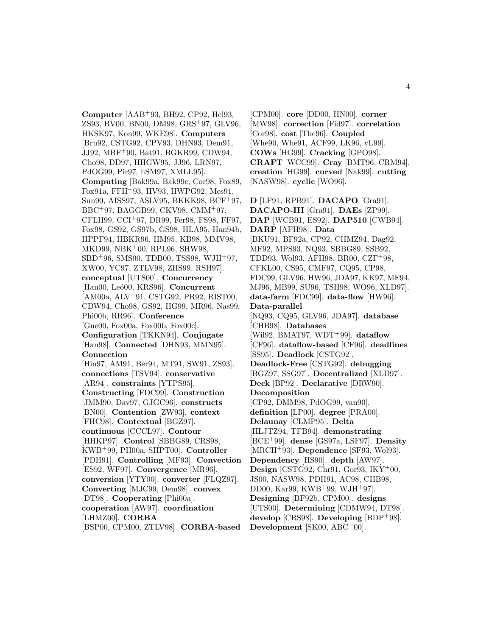**Computer** [AAB<sup>+</sup>93, BH92, CP92, Hel93, ZS93, BV00, BN00, DM98, GRS<sup>+</sup>97, GLV96, HKSK97, Kon99, WKE98]. **Computers** [Bru92, CSTG92, CPV93, DHN93, Dem91, JJ92, MBF<sup>+</sup>90, Bat91, BGKR99, CDW94, Cho98, DD97, HHGW95, JJ96, LRN97, PdOG99, Pir97, hSM97, XMLL95]. **Computing** [Bak99a, Bak99c, Cor98, Fox89, Fox91a, FFH<sup>+</sup>93, HV93, HWPG92, Mes91, Sun90, AISS97, ASLV95, BKKK98, BCF<sup>+</sup>97, BBC<sup>+</sup>97, BAGGB99, CKV98, CMM<sup>+</sup>97, CFLH99, CCI<sup>+</sup>97, DR99, Fer98, FS98, FF97, Fox98, GS92, GS97b, GS98, HLA95, Han94b, HPPF94, HBKR96, HM95, KB98, MMV98, MKD99, NBK<sup>+</sup>00, RPL96, SHW98, SBD<sup>+</sup>96, SMS00, TDB00, TSS98, WJH<sup>+</sup>97, XW00, YC97, ZTLV98, ZHS99, RSH97]. **conceptual** [UTS00]. **Concurrency** [Han00, Leó00, KRS96]. **Concurrent** [AM00a, ALV<sup>+</sup>91, CSTG92, PR92, RIST00, CDW94, Cho98, GS92, HG99, MR96, Nas99, Phi00b, RR96]. **Conference** [Gue00, Fox00a, Fox00b, Fox00c]. **Configuration** [TKKN94]. **Conjugate** [Han98]. **Connected** [DHN93, MMN95]. **Connection** [Hin97, AM91, Ber94, MT91, SW91, ZS93]. **connections** [TSV94]. **conservative** [AR94]. **constraints** [YTPS95]. **Constructing** [FDC99]. **Construction** [JMM90, Dav97, GJGC96]. **constructs** [BN00]. **Contention** [ZW93]. **context** [FHC98]. **Contextual** [BGZ97]. **continuous** [CCCL97]. **Contour** [HHKP97]. **Control** [SBBG89, CRS98, KWB<sup>+</sup>99, PH00a, SHPT00]. **Controller** [PDH91]. **Controlling** [MF93]. **Convection** [ES92, WF97]. **Convergence** [MR96]. **conversion** [YTY00]. **converter** [FLQZ97]. **Converting** [MJC99, Dem98]. **convex** [DT98]. **Cooperating** [Phi00a]. **cooperation** [AW97]. **coordination** [LHMZ00]. **CORBA** [BSP00, CPM00, ZTLV98]. **CORBA-based**

[CPM00]. **core** [DD00, HN00]. **corner** [MW98]. **correction** [Fid97]. **correlation** [Cor98]. **cost** [The96]. **Coupled** [Whe90, Whe91, ACF99, LK96, vL99]. **COWs** [HG99]. **Cracking** [GPO98]. **CRAFT** [WCC99]. **Cray** [BMT96, CRM94]. **creation** [HG99]. **curved** [Nak99]. **cutting** [NASW98]. **cyclic** [WO96].

**D** [LF91, RPB91]. **DACAPO** [Gra91]. **DACAPO-III** [Gra91]. **DAEs** [ZP99]. **DAP** [WCB91, ES92]. **DAP510** [CWB94]. **DARP** [AFH98]. **Data** [BKU91, BF92a, CP92, CHMZ94, Dag92, MF92, MPS93, NQ93, SBBG89, SSB92, TDD93, Wol93, AFH98, BR00, CZF<sup>+</sup>98, CFKL00, CS95, CMF97, CQ95, CP98, FDC99, GLV96, HW96, JDA97, KK97, MF94, MJ96, MB99, SU96, TSH98, WO96, XLD97]. **data-farm** [FDC99]. **data-flow** [HW96]. **Data-parallel** [NQ93, CQ95, GLV96, JDA97]. **database** [CHB98]. **Databases** [Wil92, BMAT97, WDT<sup>+</sup>99]. **dataflow** [CF96]. **dataflow-based** [CF96]. **deadlines** [SS95]. **Deadlock** [CSTG92]. **Deadlock-Free** [CSTG92]. **debugging** [BGZ97, SSG97]. **Decentralized** [XLD97]. **Deck** [BP92]. **Declarative** [DRW90]. **Decomposition** [CP92, DMM98, PdOG99, van90]. **definition** [LP00]. **degree** [PRA00]. **Delaunay** [CLMP95]. **Delta** [HLJTZ94, TFB94]. **demonstrating** [BCE<sup>+</sup>99]. **dense** [GS97a, LSF97]. **Density** [MRCH<sup>+</sup>93]. **Dependence** [SF93, Wol93]. **Dependency** [HS90]. **depth** [AW97]. **Design** [CSTG92, Chr91, Gor93, IKY<sup>+</sup>00, JS00, NASW98, PDH91, AC98, CHB98, DD00, Kar99, KWB<sup>+</sup>99, WJH<sup>+</sup>97]. **Designing** [BF92b, CPM00]. **designs** [UTS00]. **Determining** [CDMW94, DT98]. **develop** [CRS98]. **Developing** [BDP<sup>+</sup>98]. **Development** [SK00, ABC<sup>+</sup>00].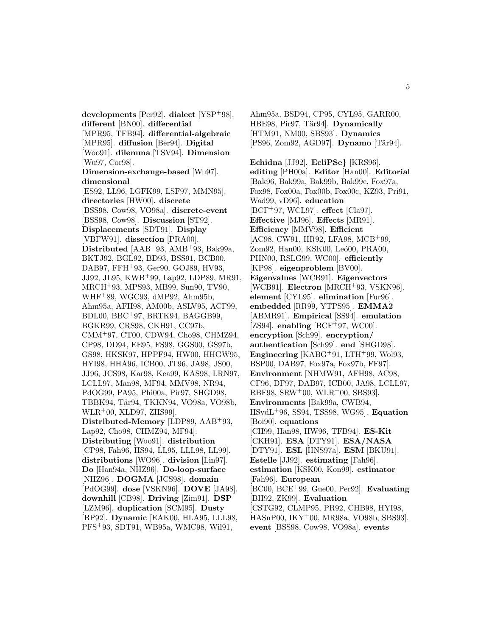**developments** [Per92]. **dialect** [YSP<sup>+</sup>98]. **different** [BN00]. **differential** [MPR95, TFB94]. **differential-algebraic** [MPR95]. **diffusion** [Ber94]. **Digital** [Woo91]. **dilemma** [TSV94]. **Dimension** [Wu97, Cor98]. **Dimension-exchange-based** [Wu97]. **dimensional** [ES92, LL96, LGFK99, LSF97, MMN95]. **directories** [HW00]. **discrete** [BSS98, Cow98, VO98a]. **discrete-event** [BSS98, Cow98]. **Discussion** [ST92]. **Displacements** [SDT91]. **Display** [VBFW91]. **dissection** [PRA00]. **Distributed** [AAB<sup>+</sup>93, AMB<sup>+</sup>93, Bak99a, BKTJ92, BGL92, BD93, BSS91, BCB00, DAB97, FFH<sup>+</sup>93, Ger90, GOJ89, HV93, JJ92, JL95, KWB<sup>+</sup>99, Lap92, LDP89, MR91, MRCH<sup>+</sup>93, MPS93, MB99, Sun90, TV90, WHF<sup>+</sup>89, WGC93, dMP92, Ahm95b, Ahm95a, AFH98, AM00b, ASLV95, ACF99, BDL00, BBC<sup>+</sup>97, BRTK94, BAGGB99, BGKR99, CRS98, CKH91, CC97b, CMM<sup>+</sup>97, CT00, CDW94, Cho98, CHMZ94, CP98, DD94, EE95, FS98, GGS00, GS97b, GS98, HKSK97, HPPF94, HW00, HHGW95, HYI98, HHA96, ICB00, JT96, JA98, JS00, JJ96, JCS98, Kar98, Kea99, KAS98, LRN97, LCLL97, Man98, MF94, MMV98, NR94, PdOG99, PA95, Phi00a, Pir97, SHGD98, TBBK94, Tär94, TKKN94, VO98a, VO98b, WLR<sup>+</sup>00, XLD97, ZHS99]. **Distributed-Memory** [LDP89, AAB<sup>+</sup>93, Lap92, Cho98, CHMZ94, MF94]. **Distributing** [Woo91]. **distribution** [CP98, Fah96, HS94, LL95, LLL98, LL99]. **distributions** [WO96]. **division** [Lin97]. **Do** [Han94a, NHZ96]. **Do-loop-surface** [NHZ96]. **DOGMA** [JCS98]. **domain** [PdOG99]. **dose** [VSKN96]. **DOVE** [JA98]. **downhill** [CB98]. **Driving** [Zim91]. **DSP** [LZM96]. **duplication** [SCM95]. **Dusty** [BP92]. **Dynamic** [EAK00, HLA95, LLL98, PFS<sup>+</sup>93, SDT91, WB95a, WMC98, Wil91,

Ahm95a, BSD94, CP95, CYL95, GARR00, HBE98, Pir97, Tär94]. **Dynamically** [HTM91, NM00, SBS93]. **Dynamics** [PS96, Zom92, AGD97]. **Dynamo** [Tär94].

**Echidna** [JJ92]. **EcliPSe***}* [KRS96]. **editing** [PH00a]. **Editor** [Han00]. **Editorial** [Bak96, Bak99a, Bak99b, Bak99c, Fox97a, Fox98, Fox00a, Fox00b, Fox00c, KZ93, Pri91, Wad99, vD96]. **education** [BCF<sup>+</sup>97, WCL97]. **effect** [Cla97]. **Effective** [MJ96]. **Effects** [MR91]. **Efficiency** [MMV98]. **Efficient** [AC98, CW91, HR92, LFA98, MCB<sup>+</sup>99, Zom92, Han00, KSK00, Leó00, PRA00, PHN00, RSLG99, WC00]. **efficiently** [KP98]. **eigenproblem** [BV00]. **Eigenvalues** [WCB91]. **Eigenvectors** [WCB91]. **Electron** [MRCH<sup>+</sup>93, VSKN96]. **element** [CYL95]. **elimination** [Fur96]. **embedded** [RR99, YTPS95]. **EMMA2** [ABMR91]. **Empirical** [SS94]. **emulation** [ $ZS94$ ]. **enabling** [ $BCF+97$ , WC00]. **encryption** [Sch99]. **encryption/ authentication** [Sch99]. **end** [SHGD98]. **Engineering** [KABG<sup>+</sup>91, LTH<sup>+</sup>99, Wol93, BSP00, DAB97, Fox97a, Fox97b, FF97]. **Environment** [NHMW91, AFH98, AC98, CF96, DF97, DAB97, ICB00, JA98, LCLL97, RBF98, SRW<sup>+</sup>00, WLR<sup>+</sup>00, SBS93]. **Environments** [Bak99a, CWB94, HSvdL<sup>+</sup>96, SS94, TSS98, WG95]. **Equation** [Boi90]. **equations** [CH99, Han98, HW96, TFB94]. **ES-Kit** [CKH91]. **ESA** [DTY91]. **ESA/NASA** [DTY91]. **ESL** [HNS97a]. **ESM** [BKU91]. **Estelle** [JJ92]. **estimating** [Fah96]. **estimation** [KSK00, Kon99]. **estimator** [Fah96]. **European** [BC00, BCE<sup>+</sup>99, Gue00, Per92]. **Evaluating** [BH92, ZK99]. **Evaluation** [CSTG92, CLMP95, PR92, CHB98, HYI98, HASnP00, IKY<sup>+</sup>00, MR98a, VO98b, SBS93]. **event** [BSS98, Cow98, VO98a]. **events**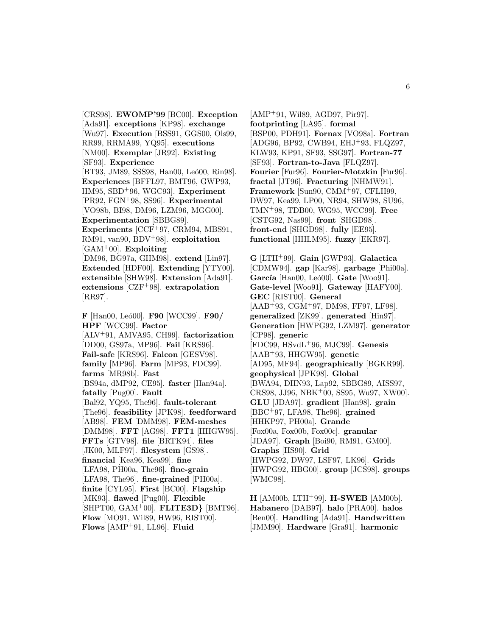[CRS98]. **EWOMP'99** [BC00]. **Exception** [Ada91]. **exceptions** [KP98]. **exchange** [Wu97]. **Execution** [BSS91, GGS00, Ols99, RR99, RRMA99, YQ95]. **executions** [NM00]. **Exemplar** [JR92]. **Existing** [SF93]. **Experience** [BT93, JM89, SSS98, Han00, Leó00, Rin98]. **Experiences** [BFFL97, BMT96, GWP93, HM95, SBD<sup>+</sup>96, WGC93]. **Experiment** [PR92, FGN<sup>+</sup>98, SS96]. **Experimental** [VO98b, BI98, DM96, LZM96, MGG00]. **Experimentation** [SBBG89]. **Experiments** [CCF<sup>+</sup>97, CRM94, MBS91, RM91, van90, BDV<sup>+</sup>98]. **exploitation** [GAM<sup>+</sup>00]. **Exploiting** [DM96, BG97a, GHM98]. **extend** [Lin97]. **Extended** [HDF00]. **Extending** [YTY00]. **extensible** [SHW98]. **Extension** [Ada91]. **extensions** [CZF<sup>+</sup>98]. **extrapolation** [RR97]. **F** [Han00, Le´o00]. **F90** [WCC99]. **F90/ HPF** [WCC99]. **Factor**

[ALV<sup>+</sup>91, AMVA95, CH99]. **factorization** [DD00, GS97a, MP96]. **Fail** [KRS96]. **Fail-safe** [KRS96]. **Falcon** [GESV98]. **family** [MP96]. **Farm** [MP93, FDC99]. **farms** [MR98b]. **Fast** [BS94a, dMP92, CE95]. **faster** [Han94a]. **fatally** [Pug00]. **Fault** [Bal92, YQ95, The96]. **fault-tolerant** [The96]. **feasibility** [JPK98]. **feedforward** [AB98]. **FEM** [DMM98]. **FEM-meshes** [DMM98]. **FFT** [AG98]. **FFT1** [HHGW95]. **FFTs** [GTV98]. **file** [BRTK94]. **files** [JK00, MLF97]. **filesystem** [GS98]. **financial** [Kea96, Kea99]. **fine** [LFA98, PH00a, The96]. **fine-grain** [LFA98, The96]. **fine-grained** [PH00a]. **finite** [CYL95]. **First** [BC00]. **Flagship** [MK93]. **flawed** [Pug00]. **Flexible** [SHPT00, GAM<sup>+</sup>00]. **FLITE3D***}* [BMT96]. **Flow** [MO91, Wil89, HW96, RIST00]. **Flows** [AMP<sup>+</sup>91, LL96]. **Fluid**

[AMP<sup>+</sup>91, Wil89, AGD97, Pir97]. **footprinting** [LA95]. **formal** [BSP00, PDH91]. **Fornax** [VO98a]. **Fortran** [ADG96, BP92, CWB94, EHJ<sup>+</sup>93, FLQZ97, KLW93, KP91, SF93, SSG97]. **Fortran-77** [SF93]. **Fortran-to-Java** [FLQZ97]. **Fourier** [Fur96]. **Fourier-Motzkin** [Fur96]. **fractal** [JT96]. **Fracturing** [NHMW91]. **Framework** [Sun90, CMM<sup>+</sup>97, CFLH99, DW97, Kea99, LP00, NR94, SHW98, SU96, TMN<sup>+</sup>98, TDB00, WG95, WCC99]. **Free** [CSTG92, Nas99]. **front** [SHGD98]. **front-end** [SHGD98]. **fully** [EE95]. **functional** [HHLM95]. **fuzzy** [EKR97].

**G** [LTH<sup>+</sup>99]. **Gain** [GWP93]. **Galactica** [CDMW94]. **gap** [Kar98]. **garbage** [Phi00a]. **García** [Han00, Leó00]. **Gate** [Woo91]. **Gate-level** [Woo91]. **Gateway** [HAFY00]. **GEC** [RIST00]. **General** [AAB<sup>+</sup>93, CGM<sup>+</sup>97, DM98, FF97, LF98]. **generalized** [ZK99]. **generated** [Hin97]. **Generation** [HWPG92, LZM97]. **generator** [CP98]. **generic** [FDC99, HSvdL<sup>+</sup>96, MJC99]. **Genesis** [AAB<sup>+</sup>93, HHGW95]. **genetic** [AD95, MF94]. **geographically** [BGKR99]. **geophysical** [JPK98]. **Global** [BWA94, DHN93, Lap92, SBBG89, AISS97, CRS98, JJ96, NBK<sup>+</sup>00, SS95, Wu97, XW00]. **GLU** [JDA97]. **gradient** [Han98]. **grain** [BBC<sup>+</sup>97, LFA98, The96]. **grained** [HHKP97, PH00a]. **Grande** [Fox00a, Fox00b, Fox00c]. **granular** [JDA97]. **Graph** [Boi90, RM91, GM00]. **Graphs** [HS90]. **Grid** [HWPG92, DW97, LSF97, LK96]. **Grids** [HWPG92, HBG00]. **group** [JCS98]. **groups** [WMC98].

**H** [AM00b, LTH<sup>+</sup>99]. **H-SWEB** [AM00b]. **Habanero** [DAB97]. **halo** [PRA00]. **halos** [Ben00]. **Handling** [Ada91]. **Handwritten** [JMM90]. **Hardware** [Gra91]. **harmonic**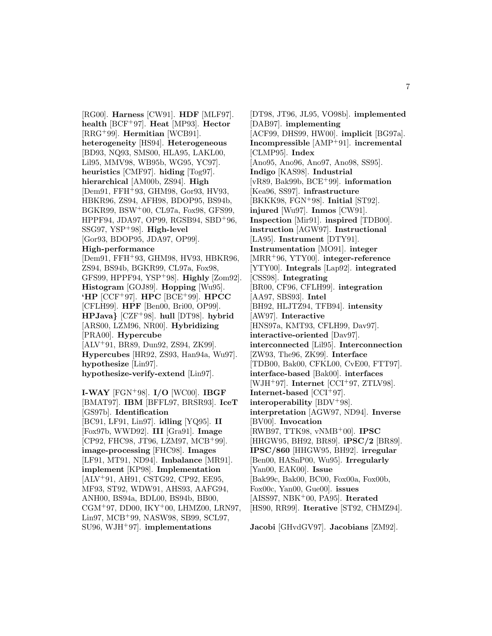[RG00]. **Harness** [CW91]. **HDF** [MLF97]. **health** [BCF<sup>+</sup>97]. **Heat** [MP93]. **Hector** [RRG<sup>+</sup>99]. **Hermitian** [WCB91]. **heterogeneity** [HS94]. **Heterogeneous** [BD93, NQ93, SMS00, HLA95, LAKL00, Lil95, MMV98, WB95b, WG95, YC97]. **heuristics** [CMF97]. **hiding** [Tog97]. **hierarchical** [AM00b, ZS94]. **High** [Dem91, FFH<sup>+</sup>93, GHM98, Gor93, HV93, HBKR96, ZS94, AFH98, BDOP95, BS94b, BGKR99, BSW<sup>+</sup>00, CL97a, Fox98, GFS99, HPPF94, JDA97, OP99, RGSB94, SBD<sup>+</sup>96, SSG97, YSP<sup>+</sup>98]. **High-level** [Gor93, BDOP95, JDA97, OP99]. **High-performance** [Dem91, FFH<sup>+</sup>93, GHM98, HV93, HBKR96, ZS94, BS94b, BGKR99, CL97a, Fox98, GFS99, HPPF94, YSP<sup>+</sup>98]. **Highly** [Zom92]. **Histogram** [GOJ89]. **Hopping** [Wu95]. **'HP** [CCF<sup>+</sup>97]. **HPC** [BCE<sup>+</sup>99]. **HPCC** [CFLH99]. **HPF** [Ben00, Bri00, OP99]. **HPJava***}* [CZF<sup>+</sup>98]. **hull** [DT98]. **hybrid** [ARS00, LZM96, NR00]. **Hybridizing** [PRA00]. **Hypercube** [ALV<sup>+</sup>91, BR89, Dun92, ZS94, ZK99]. **Hypercubes** [HR92, ZS93, Han94a, Wu97]. **hypothesize** [Lin97]. **hypothesize-verify-extend** [Lin97].

**I-WAY** [FGN<sup>+</sup>98]. **I/O** [WC00]. **IBGF** [BMAT97]. **IBM** [BFFL97, BRSR93]. **IceT** [GS97b]. **Identification** [BC91, LF91, Lin97]. **idling** [YQ95]. **II** [Fox97b, WWD92]. **III** [Gra91]. **Image** [CP92, FHC98, JT96, LZM97, MCB<sup>+</sup>99]. **image-processing** [FHC98]. **Images** [LF91, MT91, ND94]. **Imbalance** [MR91]. **implement** [KP98]. **Implementation** [ALV<sup>+</sup>91, AH91, CSTG92, CP92, EE95, MF93, ST92, WDW91, AHS93, AAFG94, ANH00, BS94a, BDL00, BS94b, BB00, CGM<sup>+</sup>97, DD00, IKY<sup>+</sup>00, LHMZ00, LRN97, Lin97, MCB<sup>+</sup>99, NASW98, SB99, SCL97, SU96, WJH<sup>+</sup>97]. **implementations**

[DT98, JT96, JL95, VO98b]. **implemented** [DAB97]. **implementing** [ACF99, DHS99, HW00]. **implicit** [BG97a]. **Incompressible** [AMP<sup>+</sup>91]. **incremental** [CLMP95]. **Index** [Ano95, Ano96, Ano97, Ano98, SS95]. **Indigo** [KAS98]. **Industrial** [vR89, Bak99b, BCE<sup>+</sup>99]. **information** [Kea96, SS97]. **infrastructure** [BKKK98, FGN<sup>+</sup>98]. **Initial** [ST92]. **injured** [Wu97]. **Inmos** [CW91]. **Inspection** [Mir91]. **inspired** [TDB00]. **instruction** [AGW97]. **Instructional** [LA95]. **Instrument** [DTY91]. **Instrumentation** [MO91]. **integer** [MRR<sup>+</sup>96, YTY00]. **integer-reference** [YTY00]. **Integrals** [Lap92]. **integrated** [CSS98]. **Integrating** [BR00, CF96, CFLH99]. **integration** [AA97, SBS93]. **Intel** [BH92, HLJTZ94, TFB94]. **intensity** [AW97]. **Interactive** [HNS97a, KMT93, CFLH99, Dav97]. **interactive-oriented** [Dav97]. **interconnected** [Lil95]. **Interconnection** [ZW93, The96, ZK99]. **Interface** [TDB00, Bak00, CFKL00, CvE00, FTT97]. **interface-based** [Bak00]. **interfaces** [WJH<sup>+</sup>97]. **Internet** [CCI<sup>+</sup>97, ZTLV98]. **Internet-based** [CCI<sup>+</sup>97]. **interoperability** [BDV<sup>+</sup>98]. **interpretation** [AGW97, ND94]. **Inverse** [BV00]. **Invocation** [RWB97, TTK98, vNMB<sup>+</sup>00]. **IPSC** [HHGW95, BH92, BR89]. **iPSC/2** [BR89]. **IPSC/860** [HHGW95, BH92]. **irregular** [Ben00, HASnP00, Wu95]. **Irregularly** [Yan00, EAK00]. **Issue** [Bak99c, Bak00, BC00, Fox00a, Fox00b, Fox00c, Yan00, Gue00]. **issues** [AISS97, NBK<sup>+</sup>00, PA95]. **Iterated** [HS90, RR99]. **Iterative** [ST92, CHMZ94].

**Jacobi** [GHvdGV97]. **Jacobians** [ZM92].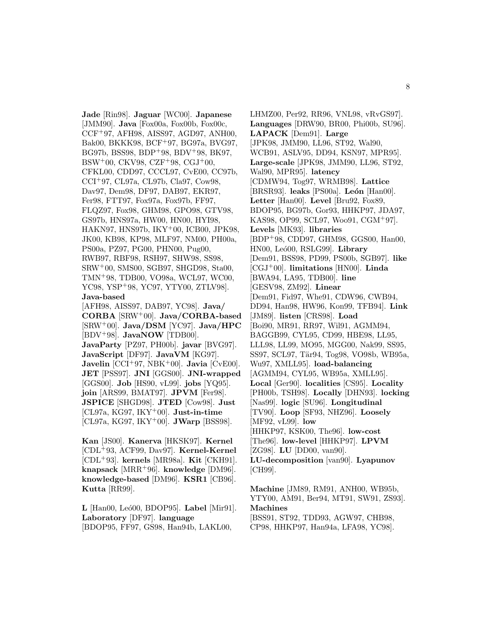**Jade** [Rin98]. **Jaguar** [WC00]. **Japanese** [JMM90]. **Java** [Fox00a, Fox00b, Fox00c, CCF<sup>+</sup>97, AFH98, AISS97, AGD97, ANH00, Bak00, BKKK98, BCF<sup>+</sup>97, BG97a, BVG97, BG97b, BSS98, BDP<sup>+</sup>98, BDV<sup>+</sup>98, BK97, BSW<sup>+</sup>00, CKV98, CZF<sup>+</sup>98, CGJ<sup>+</sup>00, CFKL00, CDD97, CCCL97, CvE00, CC97b, CCI<sup>+</sup>97, CL97a, CL97b, Cla97, Cow98, Dav97, Dem98, DF97, DAB97, EKR97, Fer98, FTT97, Fox97a, Fox97b, FF97, FLQZ97, Fox98, GHM98, GPO98, GTV98, GS97b, HNS97a, HW00, HN00, HYI98, HAKN97, HNS97b, IKY<sup>+</sup>00, ICB00, JPK98, JK00, KB98, KP98, MLF97, NM00, PH00a, PS00a, PZ97, PG00, PHN00, Pug00, RWB97, RBF98, RSH97, SHW98, SS98, SRW<sup>+</sup>00, SMS00, SGB97, SHGD98, Sta00, TMN<sup>+</sup>98, TDB00, VO98a, WCL97, WC00, YC98, YSP<sup>+</sup>98, YC97, YTY00, ZTLV98]. **Java-based** [AFH98, AISS97, DAB97, YC98]. **Java/ CORBA** [SRW<sup>+</sup>00]. **Java/CORBA-based** [SRW<sup>+</sup>00]. **Java/DSM** [YC97]. **Java/HPC** [BDV<sup>+</sup>98]. **JavaNOW** [TDB00]. **JavaParty** [PZ97, PH00b]. **javar** [BVG97]. **JavaScript** [DF97]. **JavaVM** [KG97]. **Javelin** [CCI<sup>+</sup>97, NBK<sup>+</sup>00]. **Javia** [CvE00]. **JET** [PSS97]. **JNI** [GGS00]. **JNI-wrapped** [GGS00]. **Job** [HS90, vL99]. **jobs** [YQ95]. **join** [ARS99, BMAT97]. **JPVM** [Fer98]. **JSPICE** [SHGD98]. **JTED** [Cow98]. **Just**

**Kan** [JS00]. **Kanerva** [HKSK97]. **Kernel** [CDL<sup>+</sup>93, ACF99, Dav97]. **Kernel-Kernel** [CDL<sup>+</sup>93]. **kernels** [MR98a]. **Kit** [CKH91]. **knapsack** [MRR<sup>+</sup>96]. **knowledge** [DM96]. **knowledge-based** [DM96]. **KSR1** [CB96]. **Kutta** [RR99].

[CL97a, KG97, IKY<sup>+</sup>00]. **Just-in-time** [CL97a, KG97, IKY<sup>+</sup>00]. **JWarp** [BSS98].

**L** [Han00, Le´o00, BDOP95]. **Label** [Mir91]. **Laboratory** [DF97]. **language** [BDOP95, FF97, GS98, Han94b, LAKL00,

LHMZ00, Per92, RR96, VNL98, vRvGS97]. **Languages** [DRW90, BR00, Phi00b, SU96]. **LAPACK** [Dem91]. **Large** [JPK98, JMM90, LL96, ST92, Wal90, WCB91, ASLV95, DD94, KSN97, MPR95]. **Large-scale** [JPK98, JMM90, LL96, ST92, Wal90, MPR95]. **latency** [CDMW94, Tog97, WRMB98]. **Lattice** [BRSR93]. **leaks** [PS00a]. **León** [Han00]. **Letter** [Han00]. **Level** [Bru92, Fox89, BDOP95, BG97b, Gor93, HHKP97, JDA97, KAS98, OP99, SCL97, Woo91, CGM<sup>+</sup>97]. **Levels** [MK93]. **libraries** [BDP<sup>+</sup>98, CDD97, GHM98, GGS00, Han00, HN00, Leó00, RSLG99. Library [Dem91, BSS98, PD99, PS00b, SGB97]. **like** [CGJ<sup>+</sup>00]. **limitations** [HN00]. **Linda** [BWA94, LA95, TDB00]. **line** [GESV98, ZM92]. **Linear** [Dem91, Fid97, Whe91, CDW96, CWB94, DD94, Han98, HW96, Kon99, TFB94]. **Link** [JM89]. **listen** [CRS98]. **Load** [Boi90, MR91, RR97, Wil91, AGMM94, BAGGB99, CYL95, CD99, HBE98, LL95, LLL98, LL99, MO95, MGG00, Nak99, SS95, SS97, SCL97, Tär94, Tog98, VO98b, WB95a, Wu97, XMLL95]. **load-balancing** [AGMM94, CYL95, WB95a, XMLL95]. **Local** [Ger90]. **localities** [CS95]. **Locality** [PH00b, TSH98]. **Locally** [DHN93]. **locking** [Nas99]. **logic** [SU96]. **Longitudinal** [TV90]. **Loop** [SF93, NHZ96]. **Loosely** [MF92, vL99]. **low** [HHKP97, KSK00, The96]. **low-cost** [The96]. **low-level** [HHKP97]. **LPVM** [ZG98]. **LU** [DD00, van90]. **LU-decomposition** [van90]. **Lyapunov** [CH99].

**Machine** [JM89, RM91, ANH00, WB95b, YTY00, AM91, Ber94, MT91, SW91, ZS93]. **Machines** [BSS91, ST92, TDD93, AGW97, CHB98, CP98, HHKP97, Han94a, LFA98, YC98].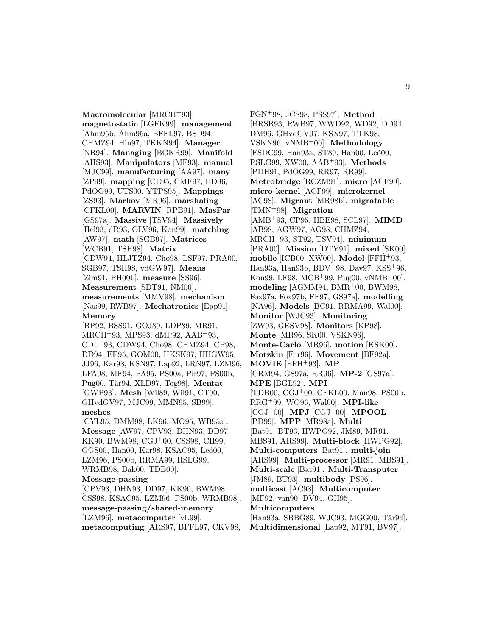**Macromolecular** [MRCH<sup>+</sup>93]. **magnetostatic** [LGFK99]. **management** [Ahm95b, Ahm95a, BFFL97, BSD94, CHMZ94, Hin97, TKKN94]. **Manager** [NR94]. **Managing** [BGKR99]. **Manifold** [AHS93]. **Manipulators** [MF93]. **manual** [MJC99]. **manufacturing** [AA97]. **many** [ZP99]. **mapping** [CE95, CMF97, HD96, PdOG99, UTS00, YTPS95]. **Mappings** [ZS93]. **Markov** [MR96]. **marshaling** [CFKL00]. **MARVIN** [RPB91]. **MasPar** [GS97a]. **Massive** [TSV94]. **Massively** [Hel93, dR93, GLV96, Kon99]. **matching** [AW97]. **math** [SGB97]. **Matrices** [WCB91, TSH98]. **Matrix** [CDW94, HLJTZ94, Cho98, LSF97, PRA00, SGB97, TSH98, vdGW97]. **Means** [Zim91, PH00b]. **measure** [SS96]. **Measurement** [SDT91, NM00]. **measurements** [MMV98]. **mechanism** [Nas99, RWB97]. **Mechatronics** [Epp91]. **Memory** [BP92, BSS91, GOJ89, LDP89, MR91, MRCH<sup>+</sup>93, MPS93, dMP92, AAB<sup>+</sup>93, CDL<sup>+</sup>93, CDW94, Cho98, CHMZ94, CP98, DD94, EE95, GOM00, HKSK97, HHGW95, JJ96, Kar98, KSN97, Lap92, LRN97, LZM96, LFA98, MF94, PA95, PS00a, Pir97, PS00b, Pug00, Tär94, XLD97, Tog98. **Mentat** [GWP93]. **Mesh** [Wil89, Wil91, CT00, GHvdGV97, MJC99, MMN95, SB99]. **meshes** [CYL95, DMM98, LK96, MO95, WB95a]. **Message** [AW97, CPV93, DHN93, DD97, KK90, BWM98, CGJ<sup>+</sup>00, CSS98, CH99, GGS00, Han00, Kar98, KSAC95, Leó00, LZM96, PS00b, RRMA99, RSLG99, WRMB98, Bak00, TDB00]. **Message-passing** [CPV93, DHN93, DD97, KK90, BWM98, CSS98, KSAC95, LZM96, PS00b, WRMB98].

**message-passing/shared-memory** [LZM96]. **metacomputer** [vL99]. **metacomputing** [ARS97, BFFL97, CKV98,

FGN<sup>+</sup>98, JCS98, PSS97]. **Method** [BRSR93, RWB97, WWD92, WD92, DD94, DM96, GHvdGV97, KSN97, TTK98, VSKN96, vNMB<sup>+</sup>00]. **Methodology** [FSDC99, Han93a, ST89, Han00, Leó00, RSLG99, XW00, AAB<sup>+</sup>93]. **Methods** [PDH91, PdOG99, RR97, RR99]. **Metrobridge** [RCZM91]. **micro** [ACF99]. **micro-kernel** [ACF99]. **microkernel** [AC98]. **Migrant** [MR98b]. **migratable** [TMN<sup>+</sup>98]. **Migration** [AMB<sup>+</sup>93, CP95, HBE98, SCL97]. **MIMD** [AB98, AGW97, AG98, CHMZ94, MRCH<sup>+</sup>93, ST92, TSV94]. **minimum** [PRA00]. **Mission** [DTY91]. **mixed** [SK00]. **mobile** [ICB00, XW00]. **Model** [FFH<sup>+</sup>93, Han93a, Han93b, BDV<sup>+</sup>98, Dav97, KSS<sup>+</sup>96, Kon99, LF98, MCB<sup>+</sup>99, Pug00, vNMB<sup>+</sup>00]. **modeling** [AGMM94, BMR<sup>+</sup>00, BWM98, Fox97a, Fox97b, FF97, GS97a]. **modelling** [NA96]. **Models** [BC91, RRMA99, Wal00]. **Monitor** [WJC93]. **Monitoring** [ZW93, GESV98]. **Monitors** [KP98]. **Monte** [MR96, SK00, VSKN96]. **Monte-Carlo** [MR96]. **motion** [KSK00]. **Motzkin** [Fur96]. **Movement** [BF92a]. **MOVIE** [FFH<sup>+</sup>93]. **MP** [CRM94, GS97a, RR96]. **MP-2** [GS97a]. **MPE** [BGL92]. **MPI** [TDB00, CGJ<sup>+</sup>00, CFKL00, Man98, PS00b, RRG<sup>+</sup>99, WO96, Wal00]. **MPI-like** [CGJ<sup>+</sup>00]. **MPJ** [CGJ<sup>+</sup>00]. **MPOOL** [PD99]. **MPP** [MR98a]. **Multi** [Bat91, BT93, HWPG92, JM89, MR91, MBS91, ARS99]. **Multi-block** [HWPG92]. **Multi-computers** [Bat91]. **multi-join** [ARS99]. **Multi-processor** [MR91, MBS91]. **Multi-scale** [Bat91]. **Multi-Transputer** [JM89, BT93]. **multibody** [PS96]. **multicast** [AC98]. **Multicomputer** [MF92, van90, DV94, GH95]. **Multicomputers** [Han93a, SBBG89, WJC93, MGG00, Tär94]. **Multidimensional** [Lap92, MT91, BV97].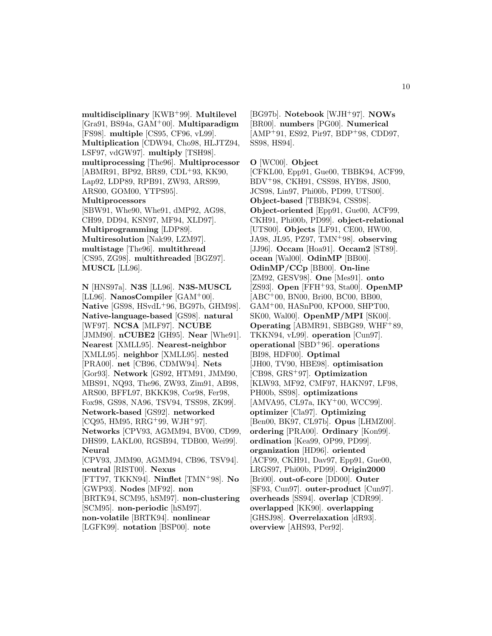**multidisciplinary** [KWB<sup>+</sup>99]. **Multilevel** [Gra91, BS94a, GAM<sup>+</sup>00]. **Multiparadigm** [FS98]. **multiple** [CS95, CF96, vL99]. **Multiplication** [CDW94, Cho98, HLJTZ94, LSF97, vdGW97]. **multiply** [TSH98]. **multiprocessing** [The96]. **Multiprocessor** [ABMR91, BP92, BR89, CDL+93, KK90, Lap92, LDP89, RPB91, ZW93, ARS99, ARS00, GOM00, YTPS95]. **Multiprocessors** [SBW91, Whe90, Whe91, dMP92, AG98, CH99, DD94, KSN97, MF94, XLD97]. **Multiprogramming** [LDP89]. **Multiresolution** [Nak99, LZM97]. **multistage** [The96]. **multithread** [CS95, ZG98]. **multithreaded** [BGZ97]. **MUSCL** [LL96].

**N** [HNS97a]. **N3S** [LL96]. **N3S-MUSCL** [LL96]. **NanosCompiler** [GAM<sup>+</sup>00]. **Native** [GS98, HSvdL<sup>+</sup>96, BG97b, GHM98]. **Native-language-based** [GS98]. **natural** [WF97]. **NCSA** [MLF97]. **NCUBE** [JMM90]. **nCUBE2** [GH95]. **Near** [Whe91]. **Nearest** [XMLL95]. **Nearest-neighbor** [XMLL95]. **neighbor** [XMLL95]. **nested** [PRA00]. **net** [CB96, CDMW94]. **Nets** [Gor93]. **Network** [GS92, HTM91, JMM90, MBS91, NQ93, The96, ZW93, Zim91, AB98, ARS00, BFFL97, BKKK98, Cor98, Fer98, Fox98, GS98, NA96, TSV94, TSS98, ZK99]. **Network-based** [GS92]. **networked**  $[CO95, HM95, RRG+99, WJH+97]$ . **Networks** [CPV93, AGMM94, BV00, CD99, DHS99, LAKL00, RGSB94, TDB00, Wei99]. **Neural** [CPV93, JMM90, AGMM94, CB96, TSV94]. **neutral** [RIST00]. **Nexus** [FTT97, TKKN94]. **Ninflet** [TMN<sup>+</sup>98]. **No** [GWP93]. **Nodes** [MF92]. **non** [BRTK94, SCM95, hSM97]. **non-clustering** [SCM95]. **non-periodic** [hSM97]. **non-volatile** [BRTK94]. **nonlinear** [LGFK99]. **notation** [BSP00]. **note**

[BG97b]. **Notebook** [WJH<sup>+</sup>97]. **NOWs** [BR00]. **numbers** [PG00]. **Numerical**  $[AMP<sup>+</sup>91, ES92, Pir97, BDP<sup>+</sup>98, CDD97,$ SS98, HS94].

**O** [WC00]. **Object**

[CFKL00, Epp91, Gue00, TBBK94, ACF99, BDV<sup>+</sup>98, CKH91, CSS98, HYI98, JS00, JCS98, Lin97, Phi00b, PD99, UTS00]. **Object-based** [TBBK94, CSS98]. **Object-oriented** [Epp91, Gue00, ACF99, CKH91, Phi00b, PD99]. **object-relational** [UTS00]. **Objects** [LF91, CE00, HW00, JA98, JL95, PZ97, TMN<sup>+</sup>98]. **observing** [JJ96]. **Occam** [Hoa91]. **Occam2** [ST89]. **ocean** [Wal00]. **OdinMP** [BB00]. **OdinMP/CCp** [BB00]. **On-line** [ZM92, GESV98]. **One** [Mes91]. **onto** [ZS93]. **Open** [FFH<sup>+</sup>93, Sta00]. **OpenMP** [ABC<sup>+</sup>00, BN00, Bri00, BC00, BB00, GAM<sup>+</sup>00, HASnP00, KPO00, SHPT00, SK00, Wal00]. **OpenMP/MPI** [SK00]. **Operating** [ABMR91, SBBG89, WHF<sup>+</sup>89, TKKN94, vL99]. **operation** [Cun97]. **operational** [SBD<sup>+</sup>96]. **operations** [BI98, HDF00]. **Optimal** [JH00, TV90, HBE98]. **optimisation** [CB98, GRS<sup>+</sup>97]. **Optimization** [KLW93, MF92, CMF97, HAKN97, LF98, PH00b, SS98]. **optimizations** [AMVA95, CL97a, IKY<sup>+</sup>00, WCC99]. **optimizer** [Cla97]. **Optimizing** [Ben00, BK97, CL97b]. **Opus** [LHMZ00]. **ordering** [PRA00]. **Ordinary** [Kon99]. **ordination** [Kea99, OP99, PD99]. **organization** [HD96]. **oriented** [ACF99, CKH91, Dav97, Epp91, Gue00, LRGS97, Phi00b, PD99]. **Origin2000** [Bri00]. **out-of-core** [DD00]. **Outer** [SF93, Cun97]. **outer-product** [Cun97]. **overheads** [SS94]. **overlap** [CDR99]. **overlapped** [KK90]. **overlapping** [GHSJ98]. **Overrelaxation** [dR93]. **overview** [AHS93, Per92].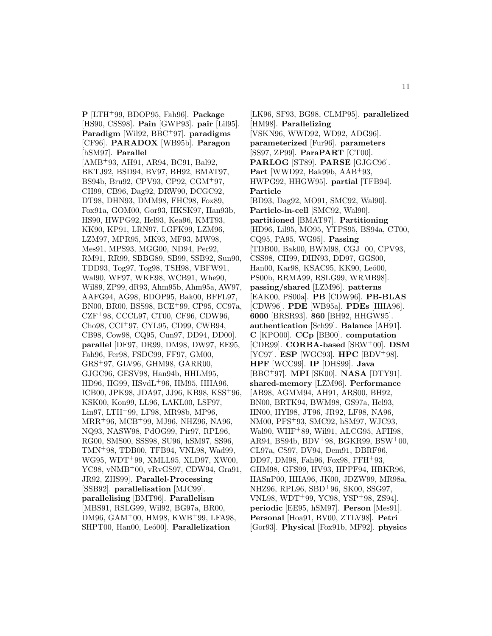**P** [LTH<sup>+</sup>99, BDOP95, Fah96]. **Package** [HS90, CSS98]. **Pain** [GWP93]. **pair** [Lil95]. **Paradigm** [Wil92, BBC<sup>+</sup>97]. **paradigms** [CF96]. **PARADOX** [WB95b]. **Paragon** [hSM97]. **Parallel** [AMB<sup>+</sup>93, AH91, AR94, BC91, Bal92, BKTJ92, BSD94, BV97, BH92, BMAT97, BS94b, Bru92, CPV93, CP92, CGM<sup>+</sup>97, CH99, CB96, Dag92, DRW90, DCGC92, DT98, DHN93, DMM98, FHC98, Fox89, Fox91a, GOM00, Gor93, HKSK97, Han93b, HS90, HWPG92, Hel93, Kea96, KMT93, KK90, KP91, LRN97, LGFK99, LZM96, LZM97, MPR95, MK93, MF93, MW98, Mes91, MPS93, MGG00, ND94, Per92, RM91, RR99, SBBG89, SB99, SSB92, Sun90, TDD93, Tog97, Tog98, TSH98, VBFW91, Wal90, WF97, WKE98, WCB91, Whe90, Wil89, ZP99, dR93, Ahm95b, Ahm95a, AW97, AAFG94, AG98, BDOP95, Bak00, BFFL97, BN00, BR00, BSS98, BCE<sup>+</sup>99, CP95, CC97a, CZF<sup>+</sup>98, CCCL97, CT00, CF96, CDW96, Cho98, CCI<sup>+</sup>97, CYL95, CD99, CWB94, CB98, Cow98, CQ95, Cun97, DD94, DD00]. **parallel** [DF97, DR99, DM98, DW97, EE95, Fah96, Fer98, FSDC99, FF97, GM00, GRS<sup>+</sup>97, GLV96, GHM98, GARR00, GJGC96, GESV98, Han94b, HHLM95, HD96, HG99, HSvdL<sup>+</sup>96, HM95, HHA96, ICB00, JPK98, JDA97, JJ96, KB98, KSS<sup>+</sup>96, KSK00, Kon99, LL96, LAKL00, LSF97, Lin97, LTH<sup>+</sup>99, LF98, MR98b, MP96, MRR<sup>+</sup>96, MCB<sup>+</sup>99, MJ96, NHZ96, NA96, NQ93, NASW98, PdOG99, Pir97, RPL96, RG00, SMS00, SSS98, SU96, hSM97, SS96, TMN<sup>+</sup>98, TDB00, TFB94, VNL98, Wad99, WG95, WDT<sup>+</sup>99, XMLL95, XLD97, XW00, YC98, vNMB<sup>+</sup>00, vRvGS97, CDW94, Gra91, JR92, ZHS99]. **Parallel-Processing** [SSB92]. **parallelisation** [MJC99]. **parallelising** [BMT96]. **Parallelism** [MBS91, RSLG99, Wil92, BG97a, BR00, DM96, GAM<sup>+</sup>00, HM98, KWB<sup>+</sup>99, LFA98, SHPT00, Han00, Leó00]. Parallelization

[LK96, SF93, BG98, CLMP95]. **parallelized** [HM98]. **Parallelizing** [VSKN96, WWD92, WD92, ADG96]. **parameterized** [Fur96]. **parameters** [SS97, ZP99]. **ParaPART** [CT00]. **PARLOG** [ST89]. **PARSE** [GJGC96]. **Part** [WWD92, Bak99b, AAB<sup>+</sup>93, HWPG92, HHGW95]. **partial** [TFB94]. **Particle** [BD93, Dag92, MO91, SMC92, Wal90]. **Particle-in-cell** [SMC92, Wal90]. **partitioned** [BMAT97]. **Partitioning** [HD96, Lil95, MO95, YTPS95, BS94a, CT00, CQ95, PA95, WG95]. **Passing** [TDB00, Bak00, BWM98, CGJ<sup>+</sup>00, CPV93, CSS98, CH99, DHN93, DD97, GGS00, Han00, Kar98, KSAC95, KK90, Leó00, PS00b, RRMA99, RSLG99, WRMB98]. **passing/shared** [LZM96]. **patterns** [EAK00, PS00a]. **PB** [CDW96]. **PB-BLAS** [CDW96]. **PDE** [WB95a]. **PDEs** [HHA96]. **6000** [BRSR93]. **860** [BH92, HHGW95]. **authentication** [Sch99]. **Balance** [AH91]. **C** [KPO00]. **CCp** [BB00]. **computation** [CDR99]. **CORBA-based** [SRW<sup>+</sup>00]. **DSM** [YC97]. **ESP** [WGC93]. **HPC** [BDV<sup>+</sup>98]. **HPF** [WCC99]. **IP** [DHS99]. **Java** [BBC<sup>+</sup>97]. **MPI** [SK00]. **NASA** [DTY91]. **shared-memory** [LZM96]. **Performance** [AB98, AGMM94, AH91, ARS00, BH92, BN00, BRTK94, BWM98, GS97a, Hel93, HN00, HYI98, JT96, JR92, LF98, NA96, NM00, PFS<sup>+</sup>93, SMC92, hSM97, WJC93, Wal90, WHF<sup>+</sup>89, Wil91, ALCG95, AFH98, AR94, BS94b, BDV<sup>+</sup>98, BGKR99, BSW<sup>+</sup>00, CL97a, CS97, DV94, Dem91, DBRF96, DD97, DM98, Fah96, Fox98, FFH<sup>+</sup>93, GHM98, GFS99, HV93, HPPF94, HBKR96, HASnP00, HHA96, JK00, JDZW99, MR98a, NHZ96, RPL96, SBD<sup>+</sup>96, SK00, SSG97, VNL98, WDT<sup>+</sup>99, YC98, YSP<sup>+</sup>98, ZS94]. **periodic** [EE95, hSM97]. **Person** [Mes91]. **Personal** [Hoa91, BV00, ZTLV98]. **Petri** [Gor93]. **Physical** [Fox91b, MF92]. **physics**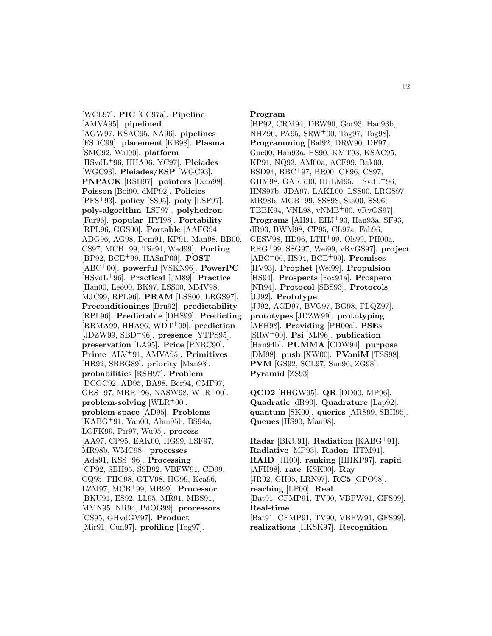[WCL97]. **PIC** [CC97a]. **Pipeline** [AMVA95]. **pipelined** [AGW97, KSAC95, NA96]. **pipelines** [FSDC99]. **placement** [KB98]. **Plasma** [SMC92, Wal90]. **platform** [HSvdL<sup>+</sup>96, HHA96, YC97]. **Pleiades** [WGC93]. **Pleiades/ESP** [WGC93]. **PNPACK** [RSH97]. **pointers** [Dem98]. **Poisson** [Boi90, dMP92]. **Policies** [PFS<sup>+</sup>93]. **policy** [SS95]. **poly** [LSF97]. **poly-algorithm** [LSF97]. **polyhedron** [Fur96]. **popular** [HYI98]. **Portability** [RPL96, GGS00]. **Portable** [AAFG94, ADG96, AG98, Dem91, KP91, Man98, BB00, CS97, MCB<sup>+</sup>99, Tär94, Wad99]. **Porting** [BP92, BCE<sup>+</sup>99, HASnP00]. **POST** [ABC<sup>+</sup>00]. **powerful** [VSKN96]. **PowerPC** [HSvdL<sup>+</sup>96]. **Practical** [JM89]. **Practice** [Han00, Leó00, BK97, LSS00, MMV98, MJC99, RPL96]. **PRAM** [LSS00, LRGS97]. **Preconditionings** [Bru92]. **predictability** [RPL96]. **Predictable** [DHS99]. **Predicting** [RRMA99, HHA96, WDT<sup>+</sup>99]. **prediction** [JDZW99, SBD<sup>+</sup>96]. **presence** [YTPS95]. **preservation** [LA95]. **Price** [PNRC90]. **Prime** [ALV<sup>+</sup>91, AMVA95]. **Primitives** [HR92, SBBG89]. **priority** [Man98]. **probabilities** [RSH97]. **Problem** [DCGC92, AD95, BA98, Ber94, CMF97,  $GRS+97$ ,  $MRR+96$ , NASW98, WLR+00]. **problem-solving** [WLR<sup>+</sup>00]. **problem-space** [AD95]. **Problems** [KABG<sup>+</sup>91, Yan00, Ahm95b, BS94a, LGFK99, Pir97, Wu95]. **process** [AA97, CP95, EAK00, HG99, LSF97, MR98b, WMC98]. **processes** [Ada91, KSS<sup>+</sup>96]. **Processing** [CP92, SBH95, SSB92, VBFW91, CD99, CQ95, FHC98, GTV98, HG99, Kea96, LZM97, MCB<sup>+</sup>99, MB99]. **Processor** [BKU91, ES92, LL95, MR91, MBS91, MMN95, NR94, PdOG99]. **processors** [CS95, GHvdGV97]. **Product** [Mir91, Cun97]. **profiling** [Tog97].

#### **Program**

[BP92, CRM94, DRW90, Gor93, Han93b, NHZ96, PA95, SRW<sup>+</sup>00, Tog97, Tog98]. **Programming** [Bal92, DRW90, DF97, Gue00, Han93a, HS90, KMT93, KSAC95, KP91, NQ93, AM00a, ACF99, Bak00, BSD94, BBC<sup>+</sup>97, BR00, CF96, CS97, GHM98, GARR00, HHLM95, HSvdL<sup>+</sup>96, HNS97b, JDA97, LAKL00, LSS00, LRGS97, MR98b, MCB<sup>+</sup>99, SSS98, Sta00, SS96, TBBK94, VNL98, vNMB<sup>+</sup>00, vRvGS97]. **Programs** [AH91, EHJ<sup>+</sup>93, Han93a, SF93, dR93, BWM98, CP95, CL97a, Fah96, GESV98, HD96, LTH<sup>+</sup>99, Ols99, PH00a, RRG<sup>+</sup>99, SSG97, Wei99, vRvGS97]. **project** [ABC<sup>+</sup>00, HS94, BCE<sup>+</sup>99]. **Promises** [HV93]. **Prophet** [Wei99]. **Propulsion** [HS94]. **Prospects** [Fox91a]. **Prospero** [NR94]. **Protocol** [SBS93]. **Protocols** [JJ92]. **Prototype** [JJ92, AGD97, BVG97, BG98, FLQZ97]. **prototypes** [JDZW99]. **prototyping** [AFH98]. **Providing** [PH00a]. **PSEs** [SRW<sup>+</sup>00]. **Psi** [MJ96]. **publication** [Han94b]. **PUMMA** [CDW94]. **purpose** [DM98]. **push** [XW00]. **PVaniM** [TSS98]. **PVM** [GS92, SCL97, Sun90, ZG98]. **Pyramid** [ZS93].

**QCD2** [HHGW95]. **QR** [DD00, MP96]. **Quadratic** [dR93]. **Quadrature** [Lap92]. **quantum** [SK00]. **queries** [ARS99, SBH95]. **Queues** [HS90, Man98].

**Radar** [BKU91]. **Radiation** [KABG<sup>+</sup>91]. **Radiative** [MP93]. **Radon** [HTM91]. **RAID** [JH00]. **ranking** [HHKP97]. **rapid** [AFH98]. **rate** [KSK00]. **Ray** [JR92, GH95, LRN97]. **RC5** [GPO98]. **reaching** [LP00]. **Real** [Bat91, CFMP91, TV90, VBFW91, GFS99]. **Real-time** [Bat91, CFMP91, TV90, VBFW91, GFS99]. **realizations** [HKSK97]. **Recognition**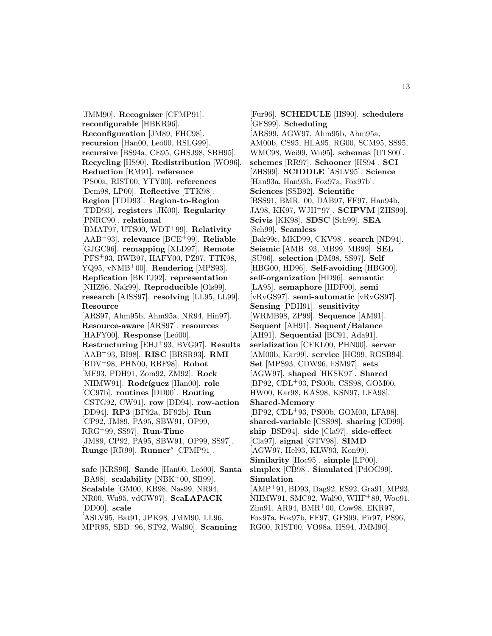[JMM90]. **Recognizer** [CFMP91]. **reconfigurable** [HBKR96]. **Reconfiguration** [JM89, FHC98]. **recursion** [Han00, Leó00, RSLG99]. **recursive** [BS94a, CE95, GHSJ98, SBH95]. **Recycling** [HS90]. **Redistribution** [WO96]. **Reduction** [RM91]. **reference** [PS00a, RIST00, YTY00]. **references** [Dem98, LP00]. **Reflective** [TTK98]. **Region** [TDD93]. **Region-to-Region** [TDD93]. **registers** [JK00]. **Regularity** [PNRC90]. **relational** [BMAT97, UTS00, WDT<sup>+</sup>99]. **Relativity** [AAB<sup>+</sup>93]. **relevance** [BCE<sup>+</sup>99]. **Reliable** [GJGC96]. **remapping** [XLD97]. **Remote** [PFS<sup>+</sup>93, RWB97, HAFY00, PZ97, TTK98, YQ95, vNMB<sup>+</sup>00]. **Rendering** [MPS93]. **Replication** [BKTJ92]. **representation** [NHZ96, Nak99]. **Reproducible** [Ols99]. **research** [AISS97]. **resolving** [LL95, LL99]. **Resource** [ARS97, Ahm95b, Ahm95a, NR94, Hin97]. **Resource-aware** [ARS97]. **resources** [HAFY00]. **Response** [Leó00]. **Restructuring** [EHJ<sup>+</sup>93, BVG97]. **Results** [AAB<sup>+</sup>93, BI98]. **RISC** [BRSR93]. **RMI** [BDV<sup>+</sup>98, PHN00, RBF98]. **Robot** [MF93, PDH91, Zom92, ZM92]. **Rock** [NHMW91]. **Rodríguez** [Han00]. **role** [CC97b]. **routines** [DD00]. **Routing** [CSTG92, CW91]. **row** [DD94]. **row-action** [DD94]. **RP3** [BF92a, BF92b]. **Run** [CP92, JM89, PA95, SBW91, OP99, RRG<sup>+</sup>99, SS97]. **Run-Time** [JM89, CP92, PA95, SBW91, OP99, SS97]. **Runge** [RR99]. **Runner'** [CFMP91]. **safe** [KRS96]. **Sande** [Han00, Le´o00]. **Santa**

[BA98]. **scalability** [NBK<sup>+</sup>00, SB99]. **Scalable** [GM00, KB98, Nas99, NR94, NR00, Wu95, vdGW97]. **ScaLAPACK** [DD00]. **scale** [ASLV95, Bat91, JPK98, JMM90, LL96,

MPR95, SBD<sup>+</sup>96, ST92, Wal90]. **Scanning**

[Fur96]. **SCHEDULE** [HS90]. **schedulers** [GFS99]. **Scheduling** [ARS99, AGW97, Ahm95b, Ahm95a, AM00b, CS95, HLA95, RG00, SCM95, SS95, WMC98, Wei99, Wu95]. **schemas** [UTS00]. **schemes** [RR97]. **Schooner** [HS94]. **SCI** [ZHS99]. **SCIDDLE** [ASLV95]. **Science** [Han93a, Han93b, Fox97a, Fox97b]. **Sciences** [SSB92]. **Scientific** [BSS91, BMR<sup>+</sup>00, DAB97, FF97, Han94b, JA98, KK97, WJH<sup>+</sup>97]. **SCIPVM** [ZHS99]. **Scivis** [KK98]. **SDSC** [Sch99]. **SEA** [Sch99]. **Seamless** [Bak99c, MKD99, CKV98]. **search** [ND94]. **Seismic** [AMB<sup>+</sup>93, MB99, MB99]. **SEL** [SU96]. **selection** [DM98, SS97]. **Self** [HBG00, HD96]. **Self-avoiding** [HBG00]. **self-organization** [HD96]. **semantic** [LA95]. **semaphore** [HDF00]. **semi** [vRvGS97]. **semi-automatic** [vRvGS97]. **Sensing** [PDH91]. **sensitivity** [WRMB98, ZP99]. **Sequence** [AM91]. **Sequent** [AH91]. **Sequent/Balance** [AH91]. **Sequential** [BC91, Ada91]. **serialization** [CFKL00, PHN00]. **server** [AM00b, Kar99]. **service** [HG99, RGSB94]. **Set** [MPS93, CDW96, hSM97]. **sets** [AGW97]. **shaped** [HKSK97]. **Shared** [BP92, CDL<sup>+</sup>93, PS00b, CSS98, GOM00, HW00, Kar98, KAS98, KSN97, LFA98]. **Shared-Memory** [BP92, CDL<sup>+</sup>93, PS00b, GOM00, LFA98]. **shared-variable** [CSS98]. **sharing** [CD99]. **ship** [BSD94]. **side** [Cla97]. **side-effect** [Cla97]. **signal** [GTV98]. **SIMD** [AGW97, Hel93, KLW93, Kon99]. **Similarity** [Hoc95]. **simple** [LP00]. **simplex** [CB98]. **Simulated** [PdOG99]. **Simulation** [AMP<sup>+</sup>91, BD93, Dag92, ES92, Gra91, MP93, NHMW91, SMC92, Wal90, WHF<sup>+</sup>89, Woo91, Zim91, AR94, BMR<sup>+</sup>00, Cow98, EKR97, Fox97a, Fox97b, FF97, GFS99, Pir97, PS96, RG00, RIST00, VO98a, HS94, JMM90].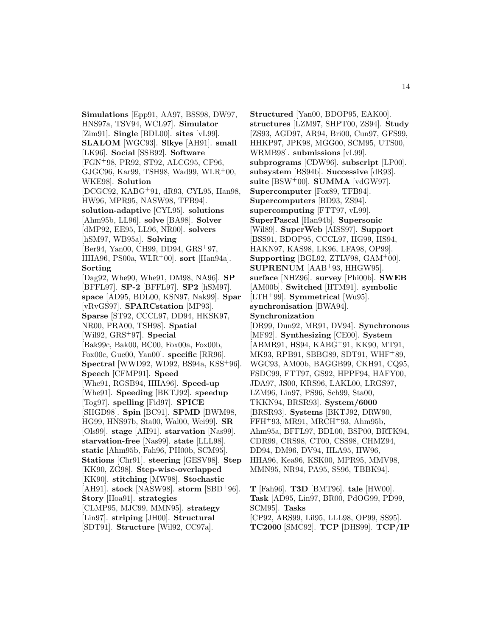**Simulations** [Epp91, AA97, BSS98, DW97, HNS97a, TSV94, WCL97]. **Simulator** [Zim91]. **Single** [BDL00]. **sites** [vL99]. **SLALOM** [WGC93]. **Slkye** [AH91]. **small** [LK96]. **Social** [SSB92]. **Software** [FGN<sup>+</sup>98, PR92, ST92, ALCG95, CF96, GJGC96, Kar99, TSH98, Wad99, WLR<sup>+</sup>00, WKE98]. **Solution** [DCGC92, KABG<sup>+</sup>91, dR93, CYL95, Han98, HW96, MPR95, NASW98, TFB94]. **solution-adaptive** [CYL95]. **solutions** [Ahm95b, LL96]. **solve** [BA98]. **Solver** [dMP92, EE95, LL96, NR00]. **solvers** [hSM97, WB95a]. **Solving** [Ber94, Yan00, CH99, DD94, GRS<sup>+</sup>97, HHA96, PS00a, WLR<sup>+</sup>00]. **sort** [Han94a]. **Sorting** [Dag92, Whe90, Whe91, DM98, NA96]. **SP** [BFFL97]. **SP-2** [BFFL97]. **SP2** [hSM97]. **space** [AD95, BDL00, KSN97, Nak99]. **Spar** [vRvGS97]. **SPARCstation** [MP93]. **Sparse** [ST92, CCCL97, DD94, HKSK97, NR00, PRA00, TSH98]. **Spatial** [Wil92, GRS<sup>+</sup>97]. **Special** [Bak99c, Bak00, BC00, Fox00a, Fox00b, Fox00c, Gue00, Yan00]. **specific** [RR96]. **Spectral** [WWD92, WD92, BS94a, KSS<sup>+</sup>96]. **Speech** [CFMP91]. **Speed** [Whe91, RGSB94, HHA96]. **Speed-up** [Whe91]. **Speeding** [BKTJ92]. **speedup** [Tog97]. **spelling** [Fid97]. **SPICE** [SHGD98]. **Spin** [BC91]. **SPMD** [BWM98, HG99, HNS97b, Sta00, Wal00, Wei99]. **SR** [Ols99]. **stage** [AH91]. **starvation** [Nas99]. **starvation-free** [Nas99]. **state** [LLL98]. **static** [Ahm95b, Fah96, PH00b, SCM95]. **Stations** [Chr91]. **steering** [GESV98]. **Step** [KK90, ZG98]. **Step-wise-overlapped** [KK90]. **stitching** [MW98]. **Stochastic** [AH91]. **stock** [NASW98]. **storm** [SBD<sup>+</sup>96]. **Story** [Hoa91]. **strategies** [CLMP95, MJC99, MMN95]. **strategy** [Lin97]. **striping** [JH00]. **Structural** [SDT91]. **Structure** [Wil92, CC97a].

**Structured** [Yan00, BDOP95, EAK00]. **structures** [LZM97, SHPT00, ZS94]. **Study** [ZS93, AGD97, AR94, Bri00, Cun97, GFS99, HHKP97, JPK98, MGG00, SCM95, UTS00, WRMB98]. **submissions** [vL99]. **subprograms** [CDW96]. **subscript** [LP00]. **subsystem** [BS94b]. **Successive** [dR93]. **suite** [BSW<sup>+</sup>00]. **SUMMA** [vdGW97]. **Supercomputer** [Fox89, TFB94]. **Supercomputers** [BD93, ZS94]. **supercomputing** [FTT97, vL99]. **SuperPascal** [Han94b]. **Supersonic** [Wil89]. **SuperWeb** [AISS97]. **Support** [BSS91, BDOP95, CCCL97, HG99, HS94, HAKN97, KAS98, LK96, LFA98, OP99]. **Supporting** [BGL92, ZTLV98, GAM<sup>+</sup>00]. **SUPRENUM** [AAB<sup>+</sup>93, HHGW95]. **surface** [NHZ96]. **survey** [Phi00b]. **SWEB** [AM00b]. **Switched** [HTM91]. **symbolic** [LTH<sup>+</sup>99]. **Symmetrical** [Wu95]. **synchronisation** [BWA94]. **Synchronization** [DR99, Dun92, MR91, DV94]. **Synchronous** [MF92]. **Synthesizing** [CE00]. **System** [ABMR91, HS94, KABG<sup>+</sup>91, KK90, MT91, MK93, RPB91, SBBG89, SDT91, WHF<sup>+</sup>89, WGC93, AM00b, BAGGB99, CKH91, CQ95, FSDC99, FTT97, GS92, HPPF94, HAFY00, JDA97, JS00, KRS96, LAKL00, LRGS97, LZM96, Lin97, PS96, Sch99, Sta00, TKKN94, BRSR93]. **System/6000** [BRSR93]. **Systems** [BKTJ92, DRW90, FFH<sup>+</sup>93, MR91, MRCH<sup>+</sup>93, Ahm95b, Ahm95a, BFFL97, BDL00, BSP00, BRTK94, CDR99, CRS98, CT00, CSS98, CHMZ94, DD94, DM96, DV94, HLA95, HW96, HHA96, Kea96, KSK00, MPR95, MMV98, MMN95, NR94, PA95, SS96, TBBK94].

**T** [Fah96]. **T3D** [BMT96]. **tale** [HW00]. **Task** [AD95, Lin97, BR00, PdOG99, PD99, SCM95]. **Tasks** [CP92, ARS99, Lil95, LLL98, OP99, SS95]. **TC2000** [SMC92]. **TCP** [DHS99]. **TCP/IP**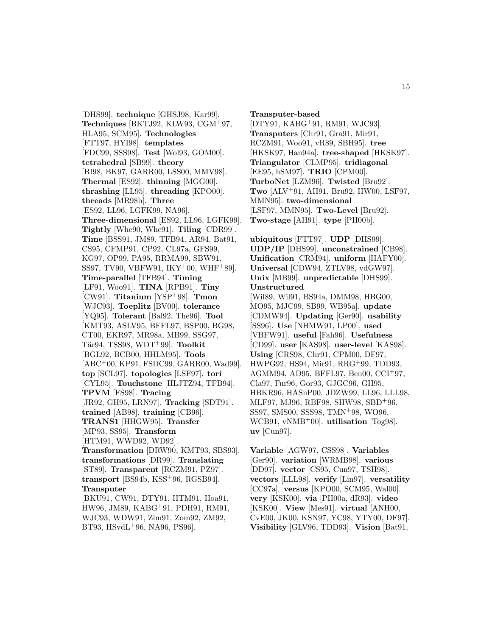[DHS99]. **technique** [GHSJ98, Kar99]. **Techniques** [BKTJ92, KLW93, CGM<sup>+</sup>97, HLA95, SCM95]. **Technologies** [FTT97, HYI98]. **templates** [FDC99, SSS98]. **Test** [Wol93, GOM00]. **tetrahedral** [SB99]. **theory** [BI98, BK97, GARR00, LSS00, MMV98]. **Thermal** [ES92]. **thinning** [MGG00]. **thrashing** [LL95]. **threading** [KPO00]. **threads** [MR98b]. **Three** [ES92, LL96, LGFK99, NA96]. **Three-dimensional** [ES92, LL96, LGFK99]. **Tightly** [Whe90, Whe91]. **Tiling** [CDR99]. **Time** [BSS91, JM89, TFB94, AR94, Bat91, CS95, CFMP91, CP92, CL97a, GFS99, KG97, OP99, PA95, RRMA99, SBW91, SS97, TV90, VBFW91,  $IKY^+00$ , WHF<sup>+</sup>89. **Time-parallel** [TFB94]. **Timing** [LF91, Woo91]. **TINA** [RPB91]. **Tiny** [CW91]. **Titanium** [YSP<sup>+</sup>98]. **Tmon** [WJC93]. **Toeplitz** [BV00]. **tolerance** [YQ95]. **Tolerant** [Bal92, The96]. **Tool** [KMT93, ASLV95, BFFL97, BSP00, BG98, CT00, EKR97, MR98a, MB99, SSG97, T¨ar94, TSS98, WDT<sup>+</sup>99]. **Toolkit** [BGL92, BCB00, HHLM95]. **Tools** [ABC<sup>+</sup>00, KP91, FSDC99, GARR00, Wad99]. **top** [SCL97]. **topologies** [LSF97]. **tori** [CYL95]. **Touchstone** [HLJTZ94, TFB94]. **TPVM** [FS98]. **Tracing** [JR92, GH95, LRN97]. **Tracking** [SDT91]. **trained** [AB98]. **training** [CB96]. **TRANS1** [HHGW95]. **Transfer** [MP93, SS95]. **Transform** [HTM91, WWD92, WD92]. **Transformation** [DRW90, KMT93, SBS93]. **transformations** [DR99]. **Translating** [ST89]. **Transparent** [RCZM91, PZ97]. **transport** [BS94b, KSS<sup>+</sup>96, RGSB94]. **Transputer** [BKU91, CW91, DTY91, HTM91, Hoa91, HW96, JM89, KABG<sup>+</sup>91, PDH91, RM91, WJC93, WDW91, Zim91, Zom92, ZM92, BT93, HSvdL<sup>+</sup>96, NA96, PS96].

**Transputer-based** [DTY91, KABG<sup>+</sup>91, RM91, WJC93]. **Transputers** [Chr91, Gra91, Mir91, RCZM91, Woo91, vR89, SBH95]. **tree** [HKSK97, Han94a]. **tree-shaped** [HKSK97]. **Triangulator** [CLMP95]. **tridiagonal** [EE95, hSM97]. **TRIO** [CPM00]. **TurboNet** [LZM96]. **Twisted** [Bru92]. **Two** [ALV<sup>+</sup>91, AH91, Bru92, HW00, LSF97, MMN95]. **two-dimensional** [LSF97, MMN95]. **Two-Level** [Bru92]. **Two-stage** [AH91]. **type** [PH00b].

**ubiquitous** [FTT97]. **UDP** [DHS99]. **UDP/IP** [DHS99]. **unconstrained** [CB98]. **Unification** [CRM94]. **uniform** [HAFY00]. **Universal** [CDW94, ZTLV98, vdGW97]. **Unix** [MB99]. **unpredictable** [DHS99]. **Unstructured** [Wil89, Wil91, BS94a, DMM98, HBG00, MO95, MJC99, SB99, WB95a]. **update** [CDMW94]. **Updating** [Ger90]. **usability** [SS96]. **Use** [NHMW91, LP00]. **used** [VBFW91]. **useful** [Fah96]. **Usefulness** [CD99]. **user** [KAS98]. **user-level** [KAS98]. **Using** [CRS98, Chr91, CPM00, DF97, HWPG92, HS94, Mir91, RRG<sup>+</sup>99, TDD93, AGMM94, AD95, BFFL97, Ben00, CCI<sup>+</sup>97, Cla97, Fur96, Gor93, GJGC96, GH95, HBKR96, HASnP00, JDZW99, LL96, LLL98, MLF97, MJ96, RBF98, SHW98, SBD<sup>+</sup>96, SS97, SMS00, SSS98, TMN<sup>+</sup>98, WO96, WCB91, vNMB<sup>+</sup>00]. **utilisation** [Tog98]. **uv** [Cun97].

**Variable** [AGW97, CSS98]. **Variables** [Ger90]. **variation** [WRMB98]. **various** [DD97]. **vector** [CS95, Cun97, TSH98]. **vectors** [LLL98]. **verify** [Lin97]. **versatility** [CC97a]. **versus** [KPO00, SCM95, Wal00]. **very** [KSK00]. **via** [PH00a, dR93]. **video** [KSK00]. **View** [Mes91]. **virtual** [ANH00, CvE00, JK00, KSN97, YC98, YTY00, DF97]. **Visibility** [GLV96, TDD93]. **Vision** [Bat91,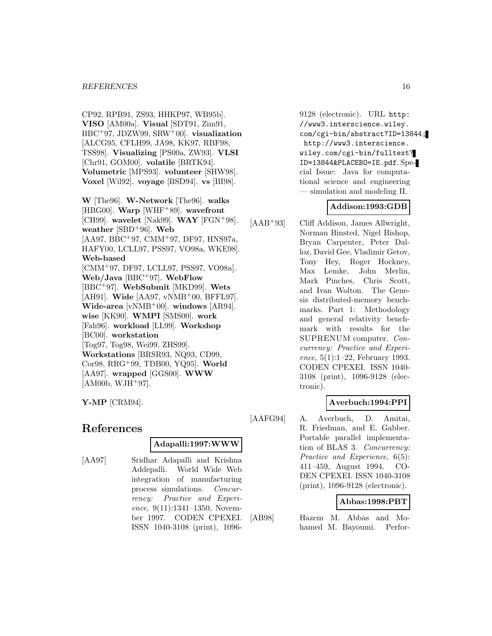#### *REFERENCES* 16

CP92, RPB91, ZS93, HHKP97, WB95b]. **VISO** [AM00a]. **Visual** [SDT91, Zim91, BBC<sup>+</sup>97, JDZW99, SRW<sup>+</sup>00]. **visualization** [ALCG95, CFLH99, JA98, KK97, RBF98, TSS98]. **Visualizing** [PS00a, ZW93]. **VLSI** [Chr91, GOM00]. **volatile** [BRTK94]. **Volumetric** [MPS93]. **volunteer** [SHW98]. **Voxel** [Wil92]. **voyage** [BSD94]. **vs** [BI98].

**W** [The96]. **W-Network** [The96]. **walks** [HBG00]. **Warp** [WHF<sup>+</sup>89]. **wavefront** [CH99]. **wavelet** [Nak99]. **WAY** [FGN<sup>+</sup>98]. **weather** [SBD<sup>+</sup>96]. **Web** [AA97, BBC<sup>+</sup>97, CMM<sup>+</sup>97, DF97, HNS97a, HAFY00, LCLL97, PSS97, VO98a, WKE98]. **Web-based** [CMM<sup>+</sup>97, DF97, LCLL97, PSS97, VO98a]. **Web/Java** [BBC<sup>+</sup>97]. **WebFlow** [BBC<sup>+</sup>97]. **WebSubmit** [MKD99]. **Wets** [AH91]. **Wide** [AA97, vNMB<sup>+</sup>00, BFFL97]. **Wide-area** [vNMB<sup>+</sup>00]. **windows** [AR94]. **wise** [KK90]. **WMPI** [SMS00]. **work** [Fah96]. **workload** [LL99]. **Workshop** [BC00]. **workstation** [Tog97, Tog98, Wei99, ZHS99]. **Workstations** [BRSR93, NQ93, CD99, Cor98, RRG<sup>+</sup>99, TDB00, YQ95]. **World** [AA97]. **wrapped** [GGS00]. **WWW**  $[AM00b, WJH+97]$ .

**Y-MP** [CRM94].

# **References**

#### **Adapalli:1997:WWW**

[AA97] Sridhar Adapalli and Krishna Addepalli. World Wide Web integration of manufacturing process simulations. Concurrency: Practice and Experience, 9(11):1341-1350, November 1997. CODEN CPEXEI. ISSN 1040-3108 (print), 10969128 (electronic). URL http: //www3.interscience.wiley. com/cgi-bin/abstract?ID=13844; http://www3.interscience. wiley.com/cgi-bin/fulltext? ID=13844&PLACEBO=IE.pdf. Special Issue: Java for computational science and engineering — simulation and modeling II.

#### **Addison:1993:GDB**

[AAB<sup>+</sup>93] Cliff Addison, James Allwright, Norman Binsted, Nigel Bishop, Bryan Carpenter, Peter Dalloz, David Gee, Vladimir Getov, Tony Hey, Roger Hockney, Max Lemke, John Merlin, Mark Pinches, Chris Scott, and Ivan Wolton. The Genesis distributed-memory benchmarks. Part 1: Methodology and general relativity benchmark with results for the SUPRENUM computer. Concurrency: Practice and Experience, 5(1):1–22, February 1993. CODEN CPEXEI. ISSN 1040- 3108 (print), 1096-9128 (electronic).

## **Averbuch:1994:PPI**

[AAFG94] A. Averbuch, D. Amitai, R. Friedman, and E. Gabber. Portable parallel implementation of BLAS 3. Concurrency: Practice and Experience, 6(5): 411–459, August 1994. CO-DEN CPEXEI. ISSN 1040-3108 (print), 1096-9128 (electronic).

#### **Abbas:1998:PBT**

[AB98] Hazem M. Abbas and Mohamed M. Bayoumi. Perfor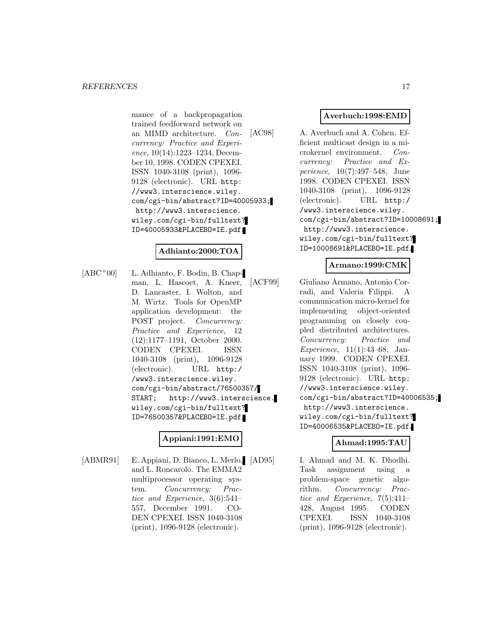mance of a backpropagation trained feedforward network on an MIMD architecture. Concurrency: Practice and Experience, 10(14):1223–1234, December 10, 1998. CODEN CPEXEI. ISSN 1040-3108 (print), 1096- 9128 (electronic). URL http: //www3.interscience.wiley. com/cgi-bin/abstract?ID=40005933; http://www3.interscience. wiley.com/cgi-bin/fulltext? ID=40005933&PLACEBO=IE.pdf.

# **Adhianto:2000:TOA**

[ABC<sup>+</sup>00] L. Adhianto, F. Bodin, B. Chapman, L. Hascoet, A. Kneer, D. Lancaster, I. Wolton, and M. Wirtz. Tools for OpenMP application development: the POST project. Concurrency: Practice and Experience, 12 (12):1177–1191, October 2000. CODEN CPEXEI. ISSN 1040-3108 (print), 1096-9128 (electronic). URL http:/ /www3.interscience.wiley. com/cgi-bin/abstract/76500357/ START; http://www3.interscience. wiley.com/cgi-bin/fulltext? ID=76500357&PLACEBO=IE.pdf.

## **Appiani:1991:EMO**

[ABMR91] E. Appiani, D. Bianco, L. Merlo, [AD95] and L. Roncarolo. The EMMA2 multiprocessor operating system. Concurrency: Practice and Experience, 3(6):541– 557, December 1991. CO-DEN CPEXEI. ISSN 1040-3108 (print), 1096-9128 (electronic).

## **Averbuch:1998:EMD**

[AC98] A. Averbuch and A. Cohen. Efficient multicast design in a microkernel environment. Concurrency: Practice and Experience, 10(7):497–548, June 1998. CODEN CPEXEI. ISSN 1040-3108 (print), 1096-9128 (electronic). URL http:/ /www3.interscience.wiley. com/cgi-bin/abstract?ID=10008691; http://www3.interscience. wiley.com/cgi-bin/fulltext? ID=10008691&PLACEBO=IE.pdf.

## **Armano:1999:CMK**

[ACF99] Giuliano Armano, Antonio Corradi, and Valeria Filippi. A communication micro-kernel for implementing object-oriented programming on closely coupled distributed architectures. Concurrency: Practice and Experience, 11(1):43–68, January 1999. CODEN CPEXEI. ISSN 1040-3108 (print), 1096- 9128 (electronic). URL http: //www3.interscience.wiley. com/cgi-bin/abstract?ID=40006535; http://www3.interscience. wiley.com/cgi-bin/fulltext? ID=40006535&PLACEBO=IE.pdf.

## **Ahmad:1995:TAU**

I. Ahmad and M. K. Dhodhi. Task assignment using a problem-space genetic algorithm. Concurrency: Practice and Experience, 7(5):411– 428, August 1995. CODEN CPEXEI. ISSN 1040-3108 (print), 1096-9128 (electronic).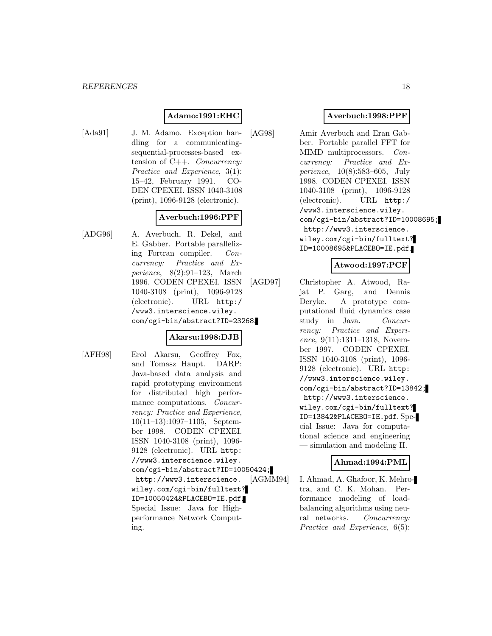# **Adamo:1991:EHC**

[Ada91] J. M. Adamo. Exception handling for a communicatingsequential-processes-based extension of C++. Concurrency: Practice and Experience, 3(1): 15–42, February 1991. CO-DEN CPEXEI. ISSN 1040-3108 (print), 1096-9128 (electronic).

# **Averbuch:1996:PPF**

[ADG96] A. Averbuch, R. Dekel, and E. Gabber. Portable parallelizing Fortran compiler. Concurrency: Practice and Experience, 8(2):91–123, March 1996. CODEN CPEXEI. ISSN 1040-3108 (print), 1096-9128 (electronic). URL http:/ /www3.interscience.wiley. com/cgi-bin/abstract?ID=23268.

## **Akarsu:1998:DJB**

- 
- [AFH98] Erol Akarsu, Geoffrey Fox, and Tomasz Haupt. DARP: Java-based data analysis and rapid prototyping environment for distributed high performance computations. Concurrency: Practice and Experience, 10(11–13):1097–1105, September 1998. CODEN CPEXEI. ISSN 1040-3108 (print), 1096- 9128 (electronic). URL http: //www3.interscience.wiley. com/cgi-bin/abstract?ID=10050424; http://www3.interscience. wiley.com/cgi-bin/fulltext? ID=10050424&PLACEBO=IE.pdf. Special Issue: Java for Highperformance Network Computing.

## **Averbuch:1998:PPF**

[AG98] Amir Averbuch and Eran Gabber. Portable parallel FFT for MIMD multiprocessors. Concurrency: Practice and Experience, 10(8):583–605, July 1998. CODEN CPEXEI. ISSN 1040-3108 (print), 1096-9128 (electronic). URL http:/ /www3.interscience.wiley. com/cgi-bin/abstract?ID=10008695; http://www3.interscience. wiley.com/cgi-bin/fulltext? ID=10008695&PLACEBO=IE.pdf.

# **Atwood:1997:PCF**

[AGD97] Christopher A. Atwood, Rajat P. Garg, and Dennis Deryke. A prototype computational fluid dynamics case study in Java. Concurrency: Practice and Experience, 9(11):1311–1318, November 1997. CODEN CPEXEI. ISSN 1040-3108 (print), 1096- 9128 (electronic). URL http: //www3.interscience.wiley. com/cgi-bin/abstract?ID=13842; http://www3.interscience. wiley.com/cgi-bin/fulltext? ID=13842&PLACEBO=IE.pdf. Special Issue: Java for computational science and engineering — simulation and modeling II.

## **Ahmad:1994:PML**

[AGMM94] I. Ahmad, A. Ghafoor, K. Mehrotra, and C. K. Mohan. Performance modeling of loadbalancing algorithms using neural networks. Concurrency: Practice and Experience, 6(5):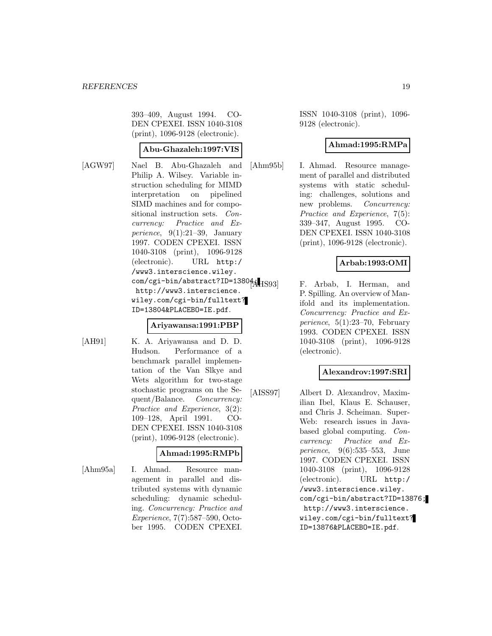393–409, August 1994. CO-DEN CPEXEI. ISSN 1040-3108 (print), 1096-9128 (electronic).

## **Abu-Ghazaleh:1997:VIS**

[AGW97] Nael B. Abu-Ghazaleh and Philip A. Wilsey. Variable instruction scheduling for MIMD interpretation on pipelined SIMD machines and for compositional instruction sets. Concurrency: Practice and Experience,  $9(1):21-39$ , January 1997. CODEN CPEXEI. ISSN 1040-3108 (print), 1096-9128 (electronic). URL http:/ /www3.interscience.wiley. com/cgi-bin/abstract?ID=138044 [1S93] http://www3.interscience. wiley.com/cgi-bin/fulltext? ID=13804&PLACEBO=IE.pdf.

#### **Ariyawansa:1991:PBP**

- 
- [AH91] K. A. Ariyawansa and D. D. Hudson. Performance of a benchmark parallel implementation of the Van Slkye and Wets algorithm for two-stage stochastic programs on the Sequent/Balance. Concurrency: Practice and Experience, 3(2): 109–128, April 1991. CO-DEN CPEXEI. ISSN 1040-3108 (print), 1096-9128 (electronic).

#### **Ahmad:1995:RMPb**

[Ahm95a] I. Ahmad. Resource management in parallel and distributed systems with dynamic scheduling: dynamic scheduling. Concurrency: Practice and Experience, 7(7):587–590, October 1995. CODEN CPEXEI.

ISSN 1040-3108 (print), 1096- 9128 (electronic).

## **Ahmad:1995:RMPa**

[Ahm95b] I. Ahmad. Resource management of parallel and distributed systems with static scheduling: challenges, solutions and new problems. *Concurrency:* Practice and Experience, 7(5): 339–347, August 1995. CO-DEN CPEXEI. ISSN 1040-3108 (print), 1096-9128 (electronic).

# **Arbab:1993:OMI**

F. Arbab, I. Herman, and P. Spilling. An overview of Manifold and its implementation. Concurrency: Practice and Experience, 5(1):23–70, February 1993. CODEN CPEXEI. ISSN 1040-3108 (print), 1096-9128 (electronic).

## **Alexandrov:1997:SRI**

[AISS97] Albert D. Alexandrov, Maximilian Ibel, Klaus E. Schauser, and Chris J. Scheiman. Super-Web: research issues in Javabased global computing. Concurrency: Practice and Experience, 9(6):535–553, June 1997. CODEN CPEXEI. ISSN 1040-3108 (print), 1096-9128 (electronic). URL http:/ /www3.interscience.wiley. com/cgi-bin/abstract?ID=13876; http://www3.interscience. wiley.com/cgi-bin/fulltext? ID=13876&PLACEBO=IE.pdf.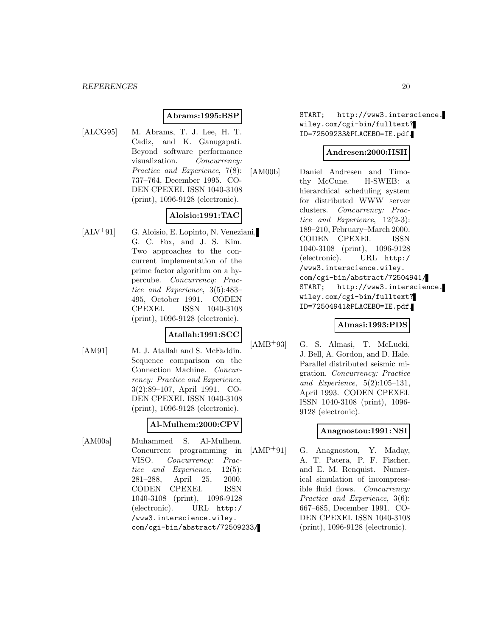#### **Abrams:1995:BSP**

[ALCG95] M. Abrams, T. J. Lee, H. T. Cadiz, and K. Ganugapati. Beyond software performance visualization. Concurrency: Practice and Experience, 7(8): 737–764, December 1995. CO-DEN CPEXEI. ISSN 1040-3108 (print), 1096-9128 (electronic).

# **Aloisio:1991:TAC**

[ALV<sup>+</sup>91] G. Aloisio, E. Lopinto, N. Veneziani, G. C. Fox, and J. S. Kim. Two approaches to the concurrent implementation of the prime factor algorithm on a hypercube. Concurrency: Practice and Experience, 3(5):483– 495, October 1991. CODEN CPEXEI. ISSN 1040-3108 (print), 1096-9128 (electronic).

## **Atallah:1991:SCC**

[AM91] M. J. Atallah and S. McFaddin. Sequence comparison on the Connection Machine. Concurrency: Practice and Experience, 3(2):89–107, April 1991. CO-DEN CPEXEI. ISSN 1040-3108 (print), 1096-9128 (electronic).

## **Al-Mulhem:2000:CPV**

[AM00a] Muhammed S. Al-Mulhem. Concurrent programming in VISO. Concurrency: Practice and Experience, 12(5): 281–288, April 25, 2000. CODEN CPEXEI. ISSN 1040-3108 (print), 1096-9128 (electronic). URL http:/ /www3.interscience.wiley. com/cgi-bin/abstract/72509233/ START; http://www3.interscience. wiley.com/cgi-bin/fulltext? ID=72509233&PLACEBO=IE.pdf.

## **Andresen:2000:HSH**

[AM00b] Daniel Andresen and Timothy McCune. H-SWEB: a hierarchical scheduling system for distributed WWW server clusters. Concurrency: Practice and Experience, 12(2-3): 189–210, February–March 2000. CODEN CPEXEI. ISSN 1040-3108 (print), 1096-9128 (electronic). URL http:/ /www3.interscience.wiley. com/cgi-bin/abstract/72504941/ START; http://www3.interscience. wiley.com/cgi-bin/fulltext? ID=72504941&PLACEBO=IE.pdf.

## **Almasi:1993:PDS**

[AMB<sup>+</sup>93] G. S. Almasi, T. McLucki, J. Bell, A. Gordon, and D. Hale. Parallel distributed seismic migration. Concurrency: Practice and Experience, 5(2):105–131, April 1993. CODEN CPEXEI. ISSN 1040-3108 (print), 1096- 9128 (electronic).

## **Anagnostou:1991:NSI**

[AMP<sup>+</sup>91] G. Anagnostou, Y. Maday, A. T. Patera, P. F. Fischer, and E. M. Renquist. Numerical simulation of incompressible fluid flows. Concurrency: Practice and Experience, 3(6): 667–685, December 1991. CO-DEN CPEXEI. ISSN 1040-3108 (print), 1096-9128 (electronic).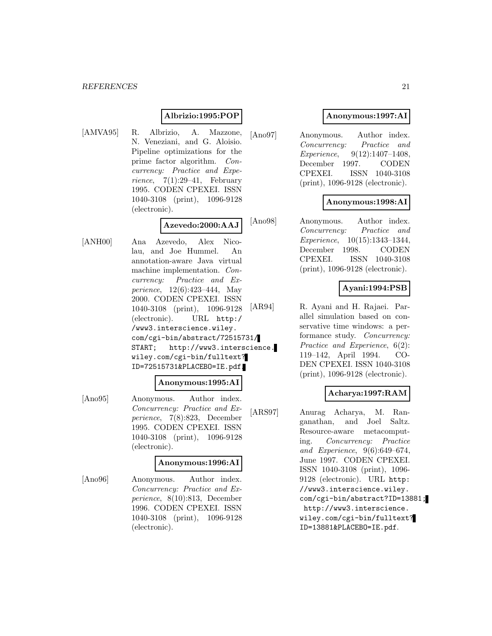## **Albrizio:1995:POP**

[AMVA95] R. Albrizio, A. Mazzone, N. Veneziani, and G. Aloisio. Pipeline optimizations for the prime factor algorithm. Concurrency: Practice and Experience,  $7(1):29-41$ , February 1995. CODEN CPEXEI. ISSN 1040-3108 (print), 1096-9128 (electronic).

#### **Azevedo:2000:AAJ**

[ANH00] Ana Azevedo, Alex Nicolau, and Joe Hummel. An annotation-aware Java virtual machine implementation. Concurrency: Practice and Experience, 12(6):423–444, May 2000. CODEN CPEXEI. ISSN 1040-3108 (print), 1096-9128 (electronic). URL http:/ /www3.interscience.wiley. com/cgi-bin/abstract/72515731/ START; http://www3.interscience. wiley.com/cgi-bin/fulltext? ID=72515731&PLACEBO=IE.pdf.

#### **Anonymous:1995:AI**

[Ano95] Anonymous. Author index. Concurrency: Practice and Experience, 7(8):823, December 1995. CODEN CPEXEI. ISSN 1040-3108 (print), 1096-9128 (electronic).

#### **Anonymous:1996:AI**

[Ano96] Anonymous. Author index. Concurrency: Practice and Experience, 8(10):813, December 1996. CODEN CPEXEI. ISSN 1040-3108 (print), 1096-9128 (electronic).

## **Anonymous:1997:AI**

[Ano97] Anonymous. Author index. Concurrency: Practice and Experience, 9(12):1407–1408, December 1997. CODEN CPEXEI. ISSN 1040-3108 (print), 1096-9128 (electronic).

## **Anonymous:1998:AI**

[Ano98] Anonymous. Author index. Concurrency: Practice and Experience, 10(15):1343–1344, December 1998. CODEN CPEXEI. ISSN 1040-3108 (print), 1096-9128 (electronic).

#### **Ayani:1994:PSB**

[AR94] R. Ayani and H. Rajaei. Parallel simulation based on conservative time windows: a performance study. Concurrency: Practice and Experience, 6(2): 119–142, April 1994. CO-DEN CPEXEI. ISSN 1040-3108 (print), 1096-9128 (electronic).

## **Acharya:1997:RAM**

[ARS97] Anurag Acharya, M. Ranganathan, and Joel Saltz. Resource-aware metacomputing. Concurrency: Practice and Experience, 9(6):649–674, June 1997. CODEN CPEXEI. ISSN 1040-3108 (print), 1096- 9128 (electronic). URL http: //www3.interscience.wiley. com/cgi-bin/abstract?ID=13881; http://www3.interscience. wiley.com/cgi-bin/fulltext? ID=13881&PLACEBO=IE.pdf.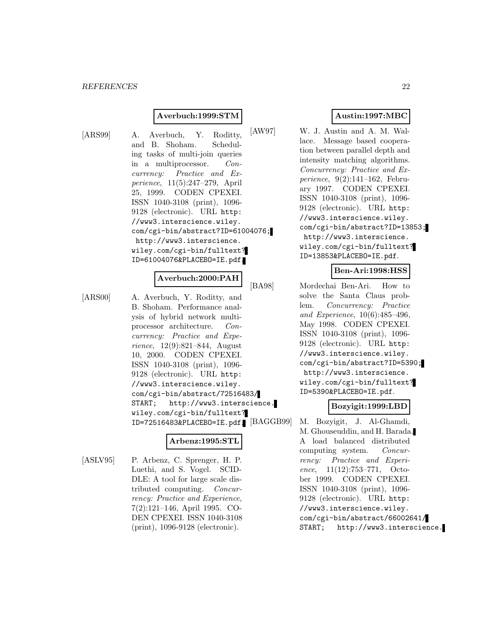## **Averbuch:1999:STM**

[ARS99] A. Averbuch, Y. Roditty, and B. Shoham. Scheduling tasks of multi-join queries in a multiprocessor. Concurrency: Practice and Experience, 11(5):247–279, April 25, 1999. CODEN CPEXEI. ISSN 1040-3108 (print), 1096- 9128 (electronic). URL http: //www3.interscience.wiley. com/cgi-bin/abstract?ID=61004076; http://www3.interscience. wiley.com/cgi-bin/fulltext? ID=61004076&PLACEBO=IE.pdf.

## **Averbuch:2000:PAH**

[ARS00] A. Averbuch, Y. Roditty, and B. Shoham. Performance analysis of hybrid network multiprocessor architecture. Concurrency: Practice and Experience, 12(9):821–844, August 10, 2000. CODEN CPEXEI. ISSN 1040-3108 (print), 1096- 9128 (electronic). URL http: //www3.interscience.wiley. com/cgi-bin/abstract/72516483/ START; http://www3.interscience. wiley.com/cgi-bin/fulltext? ID=72516483&PLACEBO=IE.pdf.

#### **Arbenz:1995:STL**

[ASLV95] P. Arbenz, C. Sprenger, H. P. Luethi, and S. Vogel. SCID-DLE: A tool for large scale distributed computing. Concurrency: Practice and Experience, 7(2):121–146, April 1995. CO-DEN CPEXEI. ISSN 1040-3108 (print), 1096-9128 (electronic).

## **Austin:1997:MBC**

[AW97] W. J. Austin and A. M. Wallace. Message based cooperation between parallel depth and intensity matching algorithms. Concurrency: Practice and Experience, 9(2):141–162, February 1997. CODEN CPEXEI. ISSN 1040-3108 (print), 1096- 9128 (electronic). URL http: //www3.interscience.wiley. com/cgi-bin/abstract?ID=13853; http://www3.interscience. wiley.com/cgi-bin/fulltext? ID=13853&PLACEBO=IE.pdf.

#### **Ben-Ari:1998:HSS**

[BA98] Mordechai Ben-Ari. How to solve the Santa Claus problem. Concurrency: Practice and Experience, 10(6):485–496, May 1998. CODEN CPEXEI. ISSN 1040-3108 (print), 1096- 9128 (electronic). URL http: //www3.interscience.wiley. com/cgi-bin/abstract?ID=5390; http://www3.interscience. wiley.com/cgi-bin/fulltext? ID=5390&PLACEBO=IE.pdf.

#### **Bozyigit:1999:LBD**

M. Bozyigit, J. Al-Ghamdi, M. Ghouseuddin, and H. Barada. A load balanced distributed computing system. Concurrency: Practice and Experience, 11(12):753–771, October 1999. CODEN CPEXEI. ISSN 1040-3108 (print), 1096- 9128 (electronic). URL http: //www3.interscience.wiley. com/cgi-bin/abstract/66002641/ START; http://www3.interscience.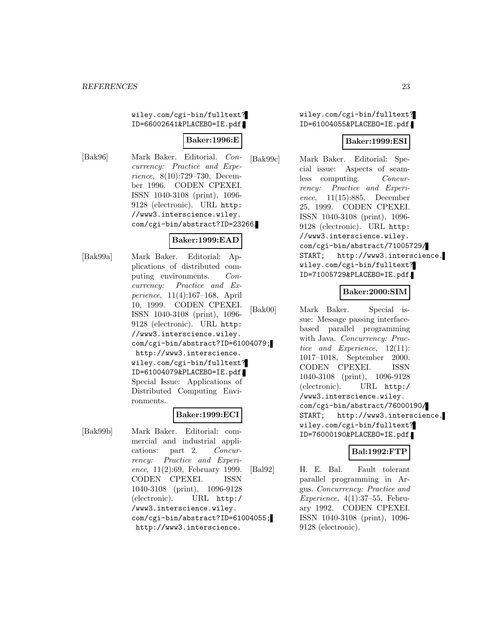wiley.com/cgi-bin/fulltext? ID=66002641&PLACEBO=IE.pdf.

## **Baker:1996:E**

[Bak96] Mark Baker. Editorial. Concurrency: Practice and Experience, 8(10):729–730, December 1996. CODEN CPEXEI. ISSN 1040-3108 (print), 1096- 9128 (electronic). URL http: //www3.interscience.wiley. com/cgi-bin/abstract?ID=23266.

# **Baker:1999:EAD**

[Bak99a] Mark Baker. Editorial: Applications of distributed computing environments. Concurrency: Practice and Experience, 11(4):167–168, April 10, 1999. CODEN CPEXEI. ISSN 1040-3108 (print), 1096- 9128 (electronic). URL http: //www3.interscience.wiley. com/cgi-bin/abstract?ID=61004079; http://www3.interscience. wiley.com/cgi-bin/fulltext? ID=61004079&PLACEBO=IE.pdf. Special Issue: Applications of Distributed Computing Environments.

#### **Baker:1999:ECI**

[Bak99b] Mark Baker. Editorial: commercial and industrial applications: part 2. Concurrency: Practice and Experience, 11(2):69, February 1999. CODEN CPEXEI. ISSN 1040-3108 (print), 1096-9128 (electronic). URL http:/ /www3.interscience.wiley. com/cgi-bin/abstract?ID=61004055; http://www3.interscience.

wiley.com/cgi-bin/fulltext? ID=61004055&PLACEBO=IE.pdf.

#### **Baker:1999:ESI**

[Bak99c] Mark Baker. Editorial: Special issue: Aspects of seamless computing. Concurrency: Practice and Experience, 11(15):885, December 25, 1999. CODEN CPEXEI. ISSN 1040-3108 (print), 1096- 9128 (electronic). URL http: //www3.interscience.wiley. com/cgi-bin/abstract/71005729/ START; http://www3.interscience. wiley.com/cgi-bin/fulltext? ID=71005729&PLACEBO=IE.pdf.

#### **Baker:2000:SIM**

[Bak00] Mark Baker. Special issue: Message passing interfacebased parallel programming with Java. Concurrency: Practice and Experience, 12(11): 1017–1018, September 2000. CODEN CPEXEI. ISSN 1040-3108 (print), 1096-9128 (electronic). URL http:/ /www3.interscience.wiley. com/cgi-bin/abstract/76000190/ START; http://www3.interscience. wiley.com/cgi-bin/fulltext? ID=76000190&PLACEBO=IE.pdf.

#### **Bal:1992:FTP**

[Bal92] H. E. Bal. Fault tolerant parallel programming in Argus. Concurrency: Practice and  $$ ary 1992. CODEN CPEXEI. ISSN 1040-3108 (print), 1096- 9128 (electronic).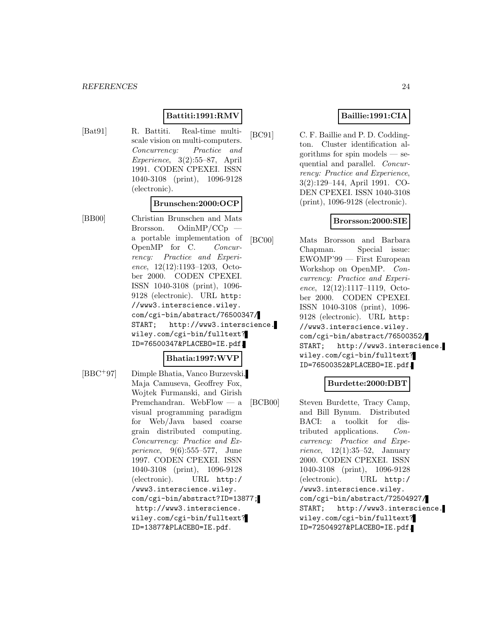#### **Battiti:1991:RMV**

[Bat91] R. Battiti. Real-time multiscale vision on multi-computers. Concurrency: Practice and Experience, 3(2):55–87, April 1991. CODEN CPEXEI. ISSN 1040-3108 (print), 1096-9128 (electronic).

#### **Brunschen:2000:OCP**

[BB00] Christian Brunschen and Mats Brorsson. OdinMP/CCp a portable implementation of OpenMP for C. Concurrency: Practice and Experience, 12(12):1193–1203, October 2000. CODEN CPEXEI. ISSN 1040-3108 (print), 1096- 9128 (electronic). URL http: //www3.interscience.wiley. com/cgi-bin/abstract/76500347/ START; http://www3.interscience. wiley.com/cgi-bin/fulltext? ID=76500347&PLACEBO=IE.pdf.

## **Bhatia:1997:WVP**

[BBC<sup>+</sup>97] Dimple Bhatia, Vanco Burzevski, Maja Camuseva, Geoffrey Fox, Wojtek Furmanski, and Girish Premchandran. WebFlow — a visual programming paradigm for Web/Java based coarse grain distributed computing. Concurrency: Practice and Experience, 9(6):555–577, June 1997. CODEN CPEXEI. ISSN 1040-3108 (print), 1096-9128 (electronic). URL http:/ /www3.interscience.wiley. com/cgi-bin/abstract?ID=13877; http://www3.interscience. wiley.com/cgi-bin/fulltext? ID=13877&PLACEBO=IE.pdf.

# **Baillie:1991:CIA**

[BC91] C. F. Baillie and P. D. Coddington. Cluster identification algorithms for spin models — sequential and parallel. Concurrency: Practice and Experience, 3(2):129–144, April 1991. CO-DEN CPEXEI. ISSN 1040-3108 (print), 1096-9128 (electronic).

## **Brorsson:2000:SIE**

[BC00] Mats Brorsson and Barbara Chapman. Special issue: EWOMP'99 — First European Workshop on OpenMP. Concurrency: Practice and Experience, 12(12):1117–1119, October 2000. CODEN CPEXEI. ISSN 1040-3108 (print), 1096- 9128 (electronic). URL http: //www3.interscience.wiley. com/cgi-bin/abstract/76500352/ START; http://www3.interscience. wiley.com/cgi-bin/fulltext? ID=76500352&PLACEBO=IE.pdf.

#### **Burdette:2000:DBT**

[BCB00] Steven Burdette, Tracy Camp, and Bill Bynum. Distributed BACI: a toolkit for distributed applications. Concurrency: Practice and Experience,  $12(1):35-52$ , January 2000. CODEN CPEXEI. ISSN 1040-3108 (print), 1096-9128 (electronic). URL http:/ /www3.interscience.wiley. com/cgi-bin/abstract/72504927/ START; http://www3.interscience. wiley.com/cgi-bin/fulltext? ID=72504927&PLACEBO=IE.pdf.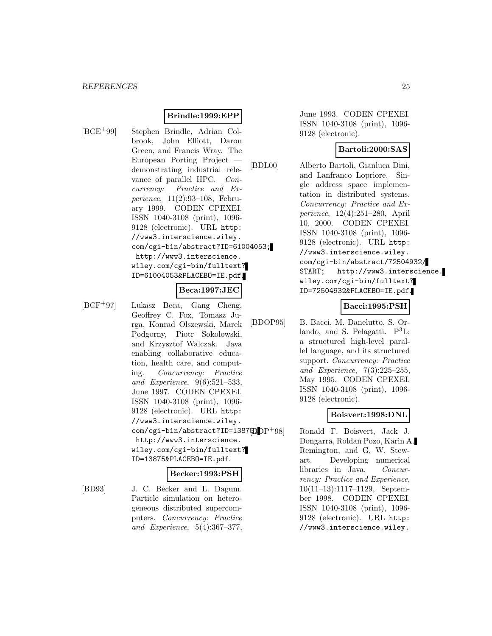# **Brindle:1999:EPP**

[BCE<sup>+</sup>99] Stephen Brindle, Adrian Colbrook, John Elliott, Daron Green, and Francis Wray. The European Porting Project demonstrating industrial relevance of parallel HPC. Concurrency: Practice and Experience, 11(2):93–108, February 1999. CODEN CPEXEI. ISSN 1040-3108 (print), 1096- 9128 (electronic). URL http: //www3.interscience.wiley. com/cgi-bin/abstract?ID=61004053; http://www3.interscience. wiley.com/cgi-bin/fulltext? ID=61004053&PLACEBO=IE.pdf.

#### **Beca:1997:JEC**

[BCF<sup>+</sup>97] Lukasz Beca, Gang Cheng, Geoffrey C. Fox, Tomasz Jurga, Konrad Olszewski, Marek Podgorny, Piotr Sokolowski, and Krzysztof Walczak. Java enabling collaborative education, health care, and computing. Concurrency: Practice and Experience, 9(6):521–533, June 1997. CODEN CPEXEI. ISSN 1040-3108 (print), 1096- 9128 (electronic). URL http: //www3.interscience.wiley. com/cgi-bin/abstract?ID=13875; DP+98] http://www3.interscience. wiley.com/cgi-bin/fulltext? ID=13875&PLACEBO=IE.pdf.

#### **Becker:1993:PSH**

[BD93] J. C. Becker and L. Dagum. Particle simulation on heterogeneous distributed supercomputers. Concurrency: Practice and Experience, 5(4):367–377, June 1993. CODEN CPEXEI. ISSN 1040-3108 (print), 1096- 9128 (electronic).

## **Bartoli:2000:SAS**

[BDL00] Alberto Bartoli, Gianluca Dini, and Lanfranco Lopriore. Single address space implementation in distributed systems. Concurrency: Practice and Experience, 12(4):251–280, April 10, 2000. CODEN CPEXEI. ISSN 1040-3108 (print), 1096- 9128 (electronic). URL http: //www3.interscience.wiley. com/cgi-bin/abstract/72504932/ START; http://www3.interscience. wiley.com/cgi-bin/fulltext? ID=72504932&PLACEBO=IE.pdf.

#### **Bacci:1995:PSH**

[BDOP95] B. Bacci, M. Danelutto, S. Orlando, and S. Pelagatti.  $P^3L$ : a structured high-level parallel language, and its structured support. Concurrency: Practice and Experience, 7(3):225–255, May 1995. CODEN CPEXEI. ISSN 1040-3108 (print), 1096- 9128 (electronic).

#### **Boisvert:1998:DNL**

Ronald F. Boisvert, Jack J. Dongarra, Roldan Pozo, Karin A. Remington, and G. W. Stewart. Developing numerical libraries in Java. Concurrency: Practice and Experience, 10(11–13):1117–1129, September 1998. CODEN CPEXEI. ISSN 1040-3108 (print), 1096- 9128 (electronic). URL http: //www3.interscience.wiley.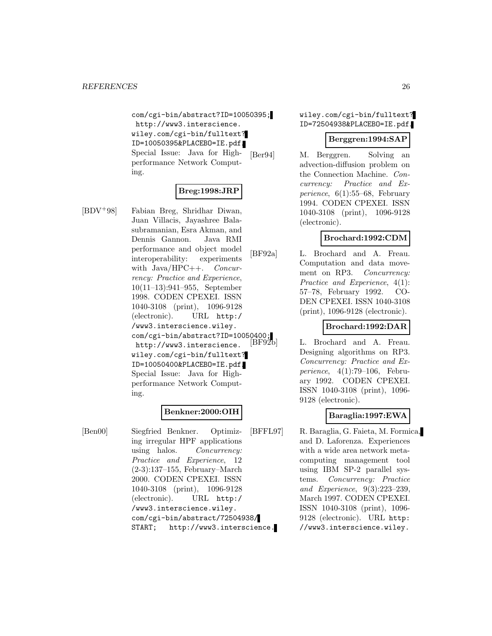com/cgi-bin/abstract?ID=10050395; http://www3.interscience. wiley.com/cgi-bin/fulltext? ID=10050395&PLACEBO=IE.pdf. Special Issue: Java for Highperformance Network Computing.

## **Breg:1998:JRP**

Juan Villacis, Jayashree Balasubramanian, Esra Akman, and Dennis Gannon. Java RMI performance and object model interoperability: experiments with  $Java/HPC++.$  Concurrency: Practice and Experience, 10(11–13):941–955, September 1998. CODEN CPEXEI. ISSN

[BDV<sup>+</sup>98] Fabian Breg, Shridhar Diwan,

1040-3108 (print), 1096-9128 (electronic). URL http:/ /www3.interscience.wiley. com/cgi-bin/abstract?ID=10050400;<br>http://www3.interscience [BF92b] http://www3.interscience. wiley.com/cgi-bin/fulltext? ID=10050400&PLACEBO=IE.pdf. Special Issue: Java for Highperformance Network Computing.

## **Benkner:2000:OIH**

[Ben00] Siegfried Benkner. Optimizing irregular HPF applications using halos. Concurrency: Practice and Experience, 12 (2-3):137–155, February–March 2000. CODEN CPEXEI. ISSN 1040-3108 (print), 1096-9128 (electronic). URL http:/ /www3.interscience.wiley. com/cgi-bin/abstract/72504938/ START; http://www3.interscience. wiley.com/cgi-bin/fulltext? ID=72504938&PLACEBO=IE.pdf.

#### **Berggren:1994:SAP**

[Ber94] M. Berggren. Solving an advection-diffusion problem on the Connection Machine. Concurrency: Practice and Experience,  $6(1):55-68$ , February 1994. CODEN CPEXEI. ISSN 1040-3108 (print), 1096-9128 (electronic).

## **Brochard:1992:CDM**

[BF92a] L. Brochard and A. Freau. Computation and data movement on RP3. Concurrency: Practice and Experience, 4(1): 57–78, February 1992. CO-DEN CPEXEI. ISSN 1040-3108 (print), 1096-9128 (electronic).

## **Brochard:1992:DAR**

L. Brochard and A. Freau. Designing algorithms on RP3. Concurrency: Practice and Experience, 4(1):79–106, February 1992. CODEN CPEXEI. ISSN 1040-3108 (print), 1096- 9128 (electronic).

## **Baraglia:1997:EWA**

[BFFL97] R. Baraglia, G. Faieta, M. Formica, and D. Laforenza. Experiences with a wide area network metacomputing management tool using IBM SP-2 parallel systems. Concurrency: Practice and Experience, 9(3):223–239, March 1997. CODEN CPEXEI. ISSN 1040-3108 (print), 1096- 9128 (electronic). URL http: //www3.interscience.wiley.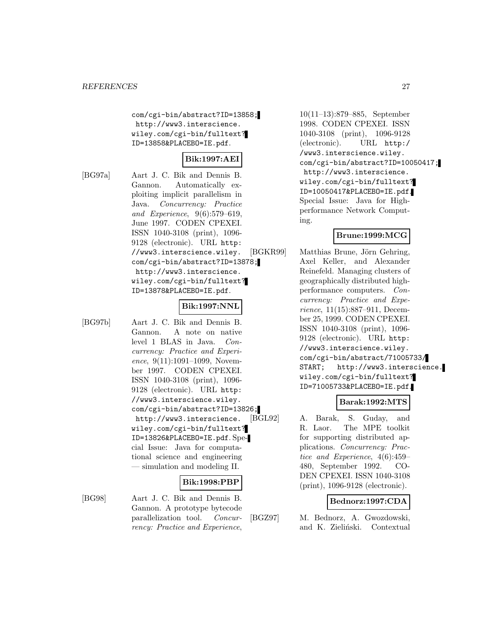com/cgi-bin/abstract?ID=13858; http://www3.interscience. wiley.com/cgi-bin/fulltext? ID=13858&PLACEBO=IE.pdf.

# **Bik:1997:AEI**

[BG97a] Aart J. C. Bik and Dennis B. Gannon. Automatically exploiting implicit parallelism in Java. Concurrency: Practice and Experience, 9(6):579–619, June 1997. CODEN CPEXEI. ISSN 1040-3108 (print), 1096- 9128 (electronic). URL http: //www3.interscience.wiley. com/cgi-bin/abstract?ID=13878; http://www3.interscience. wiley.com/cgi-bin/fulltext? ID=13878&PLACEBO=IE.pdf.

#### **Bik:1997:NNL**

[BG97b] Aart J. C. Bik and Dennis B. Gannon. A note on native level 1 BLAS in Java. Concurrency: Practice and Experience, 9(11):1091-1099, November 1997. CODEN CPEXEI. ISSN 1040-3108 (print), 1096- 9128 (electronic). URL http: //www3.interscience.wiley. com/cgi-bin/abstract?ID=13826; http://www3.interscience. wiley.com/cgi-bin/fulltext? ID=13826&PLACEBO=IE.pdf. Special Issue: Java for computational science and engineering — simulation and modeling II.

# **Bik:1998:PBP**

[BG98] Aart J. C. Bik and Dennis B. Gannon. A prototype bytecode parallelization tool. Concurrency: Practice and Experience,

10(11–13):879–885, September 1998. CODEN CPEXEI. ISSN 1040-3108 (print), 1096-9128 (electronic). URL http:/ /www3.interscience.wiley. com/cgi-bin/abstract?ID=10050417; http://www3.interscience. wiley.com/cgi-bin/fulltext? ID=10050417&PLACEBO=IE.pdf. Special Issue: Java for Highperformance Network Computing.

## **Brune:1999:MCG**

[BGKR99] Matthias Brune, Jörn Gehring, Axel Keller, and Alexander Reinefeld. Managing clusters of geographically distributed highperformance computers. Concurrency: Practice and Experience, 11(15):887–911, December 25, 1999. CODEN CPEXEI. ISSN 1040-3108 (print), 1096- 9128 (electronic). URL http: //www3.interscience.wiley. com/cgi-bin/abstract/71005733/ START; http://www3.interscience. wiley.com/cgi-bin/fulltext? ID=71005733&PLACEBO=IE.pdf.

## **Barak:1992:MTS**

[BGL92] A. Barak, S. Guday, and R. Laor. The MPE toolkit for supporting distributed applications. Concurrency: Practice and Experience, 4(6):459– 480, September 1992. CO-DEN CPEXEI. ISSN 1040-3108 (print), 1096-9128 (electronic).

#### **Bednorz:1997:CDA**

[BGZ97] M. Bednorz, A. Gwozdowski, and K. Zieliński. Contextual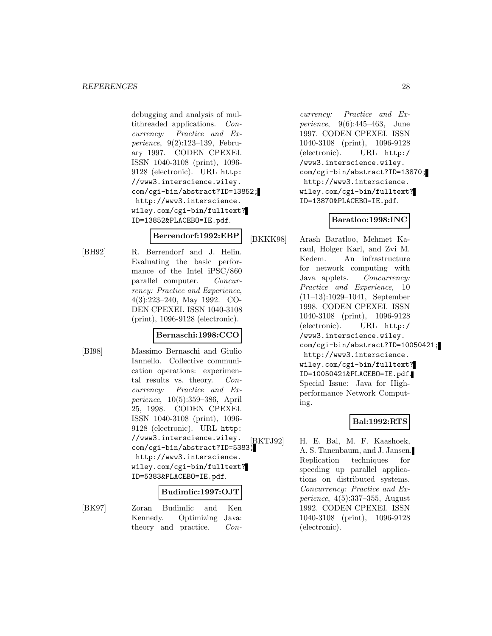debugging and analysis of multithreaded applications. Concurrency: Practice and Experience, 9(2):123–139, February 1997. CODEN CPEXEI. ISSN 1040-3108 (print), 1096- 9128 (electronic). URL http: //www3.interscience.wiley. com/cgi-bin/abstract?ID=13852; http://www3.interscience. wiley.com/cgi-bin/fulltext? ID=13852&PLACEBO=IE.pdf.

## **Berrendorf:1992:EBP**

[BH92] R. Berrendorf and J. Helin. Evaluating the basic performance of the Intel iPSC/860 parallel computer. Concurrency: Practice and Experience, 4(3):223–240, May 1992. CO-DEN CPEXEI. ISSN 1040-3108 (print), 1096-9128 (electronic).

#### **Bernaschi:1998:CCO**

[BI98] Massimo Bernaschi and Giulio Iannello. Collective communication operations: experimental results vs. theory. Concurrency: Practice and Experience, 10(5):359–386, April 25, 1998. CODEN CPEXEI. ISSN 1040-3108 (print), 1096- 9128 (electronic). URL http: //www3.interscience.wiley. com/cgi-bin/abstract?ID=5383; http://www3.interscience. wiley.com/cgi-bin/fulltext? ID=5383&PLACEBO=IE.pdf.

#### **Budimlic:1997:OJT**

[BK97] Zoran Budimlic and Ken Kennedy. Optimizing Java: theory and practice. Con-

currency: Practice and Experience, 9(6):445–463, June 1997. CODEN CPEXEI. ISSN 1040-3108 (print), 1096-9128 (electronic). URL http:/ /www3.interscience.wiley. com/cgi-bin/abstract?ID=13870; http://www3.interscience. wiley.com/cgi-bin/fulltext? ID=13870&PLACEBO=IE.pdf.

# **Baratloo:1998:INC**

[BKKK98] Arash Baratloo, Mehmet Karaul, Holger Karl, and Zvi M. Kedem. An infrastructure for network computing with Java applets. Concurrency: Practice and Experience, 10 (11–13):1029–1041, September 1998. CODEN CPEXEI. ISSN 1040-3108 (print), 1096-9128 (electronic). URL http:/ /www3.interscience.wiley. com/cgi-bin/abstract?ID=10050421; http://www3.interscience. wiley.com/cgi-bin/fulltext? ID=10050421&PLACEBO=IE.pdf. Special Issue: Java for Highperformance Network Computing.

# **Bal:1992:RTS**

[BKTJ92] H. E. Bal, M. F. Kaashoek, A. S. Tanenbaum, and J. Jansen. Replication techniques for speeding up parallel applications on distributed systems. Concurrency: Practice and Experience, 4(5):337–355, August 1992. CODEN CPEXEI. ISSN 1040-3108 (print), 1096-9128 (electronic).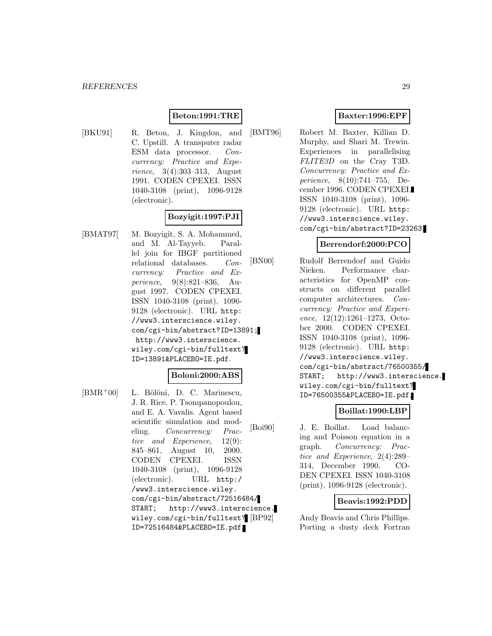# **Beton:1991:TRE**

[BKU91] R. Beton, J. Kingdon, and C. Upstill. A transputer radar ESM data processor. Concurrency: Practice and Experience, 3(4):303–313, August 1991. CODEN CPEXEI. ISSN 1040-3108 (print), 1096-9128 (electronic).

# **Bozyigit:1997:PJI**

[BMAT97] M. Bozyigit, S. A. Mohammed, and M. Al-Tayyeb. Parallel join for IBGF partitioned relational databases. Concurrency: Practice and Experience, 9(8):821–836, August 1997. CODEN CPEXEI. ISSN 1040-3108 (print), 1096- 9128 (electronic). URL http: //www3.interscience.wiley. com/cgi-bin/abstract?ID=13891; http://www3.interscience. wiley.com/cgi-bin/fulltext? ID=13891&PLACEBO=IE.pdf.

#### **Boloni:2000:ABS**

[BMR<sup>+</sup>00] L. Bölöni, D. C. Marinescu, J. R. Rice, P. Tsompanopoulou, and E. A. Vavalis. Agent based scientific simulation and modeling. Concurrency: Practice and Experience, 12(9): 845–861, August 10, 2000. CODEN CPEXEI. ISSN 1040-3108 (print), 1096-9128 (electronic). URL http:/ /www3.interscience.wiley. com/cgi-bin/abstract/72516484/ START; http://www3.interscience. wiley.com/cgi-bin/fulltext? ID=72516484&PLACEBO=IE.pdf.

## **Baxter:1996:EPF**

[BMT96] Robert M. Baxter, Killian D. Murphy, and Shari M. Trewin. Experiences in parallelising FLITE3D on the Cray T3D. Concurrency: Practice and Experience, 8(10):741–755, December 1996. CODEN CPEXEI. ISSN 1040-3108 (print), 1096- 9128 (electronic). URL http: //www3.interscience.wiley. com/cgi-bin/abstract?ID=23263.

#### **Berrendorf:2000:PCO**

[BN00] Rudolf Berrendorf and Guido Nieken. Performance characteristics for OpenMP constructs on different parallel computer architectures. Concurrency: Practice and Experience, 12(12):1261–1273, October 2000. CODEN CPEXEI. ISSN 1040-3108 (print), 1096- 9128 (electronic). URL http: //www3.interscience.wiley. com/cgi-bin/abstract/76500355/ START; http://www3.interscience. wiley.com/cgi-bin/fulltext? ID=76500355&PLACEBO=IE.pdf.

#### **Boillat:1990:LBP**

[Boi90] J. E. Boillat. Load balancing and Poisson equation in a graph. Concurrency: Practice and Experience, 2(4):289– 314, December 1990. CO-DEN CPEXEI. ISSN 1040-3108 (print), 1096-9128 (electronic).

#### **Beavis:1992:PDD**

Andy Beavis and Chris Phillips. Porting a dusty deck Fortran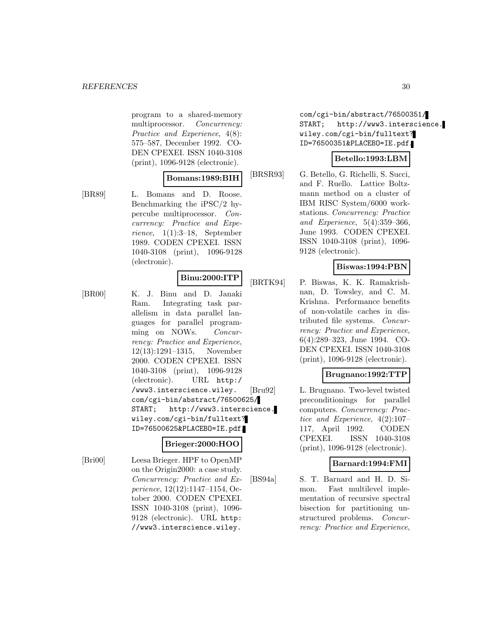program to a shared-memory multiprocessor. Concurrency: Practice and Experience, 4(8): 575–587, December 1992. CO-DEN CPEXEI. ISSN 1040-3108 (print), 1096-9128 (electronic).

1040-3108 (print), 1096-9128

#### **Bomans:1989:BIH**

[BR89] L. Bomans and D. Roose. Benchmarking the iPSC/2 hypercube multiprocessor. Concurrency: Practice and Experience, 1(1):3–18, September 1989. CODEN CPEXEI. ISSN

(electronic).

# **Binu:2000:ITP**

[BR00] K. J. Binu and D. Janaki Ram. Integrating task parallelism in data parallel languages for parallel programming on NOWs. Concurrency: Practice and Experience, 12(13):1291–1315, November 2000. CODEN CPEXEI. ISSN 1040-3108 (print), 1096-9128 (electronic). URL http:/ /www3.interscience.wiley. com/cgi-bin/abstract/76500625/ START; http://www3.interscience. wiley.com/cgi-bin/fulltext? ID=76500625&PLACEBO=IE.pdf.

## **Brieger:2000:HOO**

[Bri00] Leesa Brieger. HPF to OpenMP on the Origin2000: a case study. Concurrency: Practice and Experience, 12(12):1147–1154, October 2000. CODEN CPEXEI. ISSN 1040-3108 (print), 1096- 9128 (electronic). URL http: //www3.interscience.wiley.

com/cgi-bin/abstract/76500351/ START; http://www3.interscience. wiley.com/cgi-bin/fulltext? ID=76500351&PLACEBO=IE.pdf.

## **Betello:1993:LBM**

[BRSR93] G. Betello, G. Richelli, S. Succi, and F. Ruello. Lattice Boltzmann method on a cluster of IBM RISC System/6000 workstations. Concurrency: Practice and Experience, 5(4):359–366, June 1993. CODEN CPEXEI. ISSN 1040-3108 (print), 1096- 9128 (electronic).

## **Biswas:1994:PBN**

[BRTK94] P. Biswas, K. K. Ramakrishnan, D. Towsley, and C. M. Krishna. Performance benefits of non-volatile caches in distributed file systems. Concurrency: Practice and Experience, 6(4):289–323, June 1994. CO-DEN CPEXEI. ISSN 1040-3108 (print), 1096-9128 (electronic).

# **Brugnano:1992:TTP**

[Bru92] L. Brugnano. Two-level twisted preconditionings for parallel computers. Concurrency: Practice and Experience, 4(2):107– 117, April 1992. CODEN CPEXEI. ISSN 1040-3108 (print), 1096-9128 (electronic).

## **Barnard:1994:FMI**

[BS94a] S. T. Barnard and H. D. Simon. Fast multilevel implementation of recursive spectral bisection for partitioning unstructured problems. Concurrency: Practice and Experience,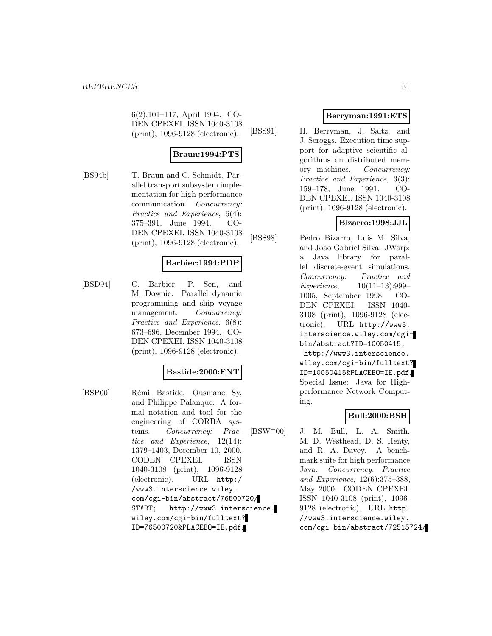6(2):101–117, April 1994. CO-DEN CPEXEI. ISSN 1040-3108 (print), 1096-9128 (electronic).

# **Braun:1994:PTS**

[BS94b] T. Braun and C. Schmidt. Parallel transport subsystem implementation for high-performance communication. Concurrency: Practice and Experience, 6(4): 375–391, June 1994. CO-DEN CPEXEI. ISSN 1040-3108 (print), 1096-9128 (electronic).

#### **Barbier:1994:PDP**

[BSD94] C. Barbier, P. Sen, and M. Downie. Parallel dynamic programming and ship voyage management. Concurrency: Practice and Experience, 6(8): 673–696, December 1994. CO-DEN CPEXEI. ISSN 1040-3108 (print), 1096-9128 (electronic).

#### **Bastide:2000:FNT**

[BSP00] Rémi Bastide, Ousmane Sy, and Philippe Palanque. A formal notation and tool for the engineering of CORBA systems. Concurrency: Practice and Experience, 12(14): 1379–1403, December 10, 2000. CODEN CPEXEI. ISSN 1040-3108 (print), 1096-9128 (electronic). URL http:/ /www3.interscience.wiley. com/cgi-bin/abstract/76500720/ START; http://www3.interscience. wiley.com/cgi-bin/fulltext? ID=76500720&PLACEBO=IE.pdf.

## **Berryman:1991:ETS**

[BSS91] H. Berryman, J. Saltz, and J. Scroggs. Execution time support for adaptive scientific algorithms on distributed memory machines. Concurrency: Practice and Experience, 3(3): 159–178, June 1991. CO-DEN CPEXEI. ISSN 1040-3108 (print), 1096-9128 (electronic).

## **Bizarro:1998:JJL**

[BSS98] Pedro Bizarro, Luís M. Silva, and Jo˜ao Gabriel Silva. JWarp: a Java library for parallel discrete-event simulations. Concurrency: Practice and Experience, 10(11–13):999– 1005, September 1998. CO-DEN CPEXEI. ISSN 1040- 3108 (print), 1096-9128 (electronic). URL http://www3. interscience.wiley.com/cgibin/abstract?ID=10050415; http://www3.interscience. wiley.com/cgi-bin/fulltext? ID=10050415&PLACEBO=IE.pdf. Special Issue: Java for Highperformance Network Computing.

#### **Bull:2000:BSH**

 $[BSW^+00]$  J. M. Bull, L. A. Smith, M. D. Westhead, D. S. Henty, and R. A. Davey. A benchmark suite for high performance Java. Concurrency: Practice and Experience, 12(6):375–388, May 2000. CODEN CPEXEI. ISSN 1040-3108 (print), 1096- 9128 (electronic). URL http: //www3.interscience.wiley. com/cgi-bin/abstract/72515724/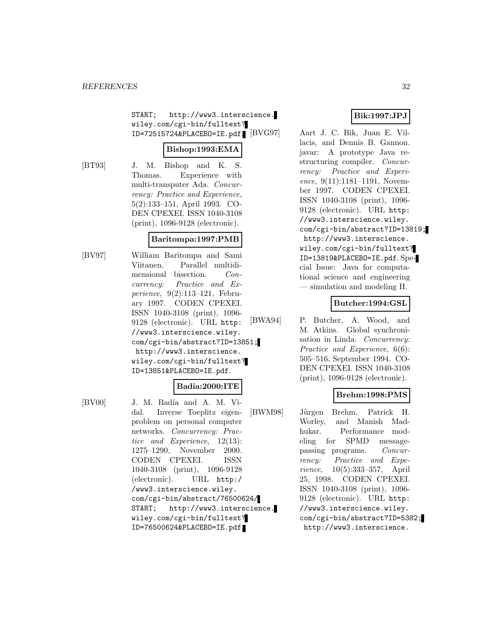START; http://www3.interscience. wiley.com/cgi-bin/fulltext?  $ID=72515724\&PLACEBO=IE.pdf$   $[BVG97]$ 

#### **Bishop:1993:EMA**

[BT93] J. M. Bishop and K. S. Thomas. Experience with multi-transputer Ada. Concurrency: Practice and Experience, 5(2):133–151, April 1993. CO-DEN CPEXEI. ISSN 1040-3108 (print), 1096-9128 (electronic).

#### **Baritompa:1997:PMB**

[BV97] William Baritompa and Sami Viitanen. Parallel multidimensional bisection. Concurrency: Practice and Experience, 9(2):113–121, February 1997. CODEN CPEXEI. ISSN 1040-3108 (print), 1096- 9128 (electronic). URL http: //www3.interscience.wiley. com/cgi-bin/abstract?ID=13851; http://www3.interscience. wiley.com/cgi-bin/fulltext? ID=13851&PLACEBO=IE.pdf.

## **Badia:2000:ITE**

[BV00] J. M. Badía and A. M. Vidal. Inverse Toeplitz eigenproblem on personal computer networks. Concurrency: Practice and Experience, 12(13): 1275–1290, November 2000. CODEN CPEXEI. ISSN 1040-3108 (print), 1096-9128 (electronic). URL http:/ /www3.interscience.wiley. com/cgi-bin/abstract/76500624/ START; http://www3.interscience. wiley.com/cgi-bin/fulltext? ID=76500624&PLACEBO=IE.pdf.

# **Bik:1997:JPJ**

Aart J. C. Bik, Juan E. Villacis, and Dennis B. Gannon. javar: A prototype Java restructuring compiler. Concurrency: Practice and Experience, 9(11):1181–1191, November 1997. CODEN CPEXEI. ISSN 1040-3108 (print), 1096- 9128 (electronic). URL http: //www3.interscience.wiley. com/cgi-bin/abstract?ID=13819; http://www3.interscience. wiley.com/cgi-bin/fulltext? ID=13819&PLACEBO=IE.pdf. Special Issue: Java for computational science and engineering — simulation and modeling II.

## **Butcher:1994:GSL**

[BWA94] P. Butcher, A. Wood, and M. Atkins. Global synchronisation in Linda. Concurrency: Practice and Experience, 6(6): 505–516, September 1994. CO-DEN CPEXEI. ISSN 1040-3108 (print), 1096-9128 (electronic).

## **Brehm:1998:PMS**

[BWM98] Jürgen Brehm, Patrick H. Worley, and Manish Madhukar. Performance modeling for SPMD messagepassing programs. Concurrency: Practice and Experience, 10(5):333–357, April 25, 1998. CODEN CPEXEI. ISSN 1040-3108 (print), 1096- 9128 (electronic). URL http: //www3.interscience.wiley. com/cgi-bin/abstract?ID=5382; http://www3.interscience.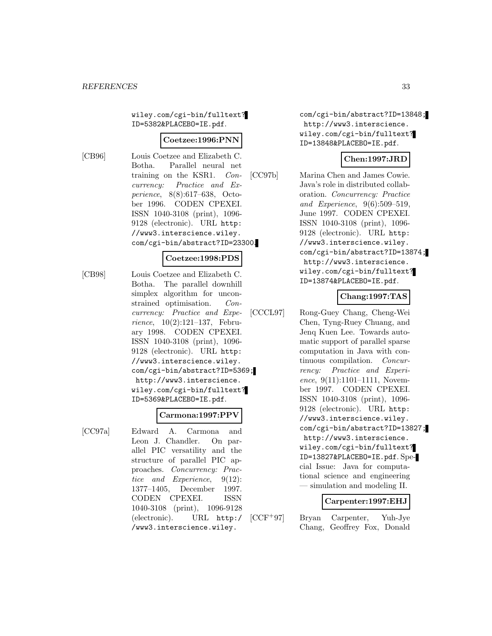wiley.com/cgi-bin/fulltext? ID=5382&PLACEBO=IE.pdf.

#### **Coetzee:1996:PNN**

[CB96] Louis Coetzee and Elizabeth C. Botha. Parallel neural net training on the KSR1. Concurrency: Practice and Experience, 8(8):617–638, October 1996. CODEN CPEXEI. ISSN 1040-3108 (print), 1096- 9128 (electronic). URL http: //www3.interscience.wiley. com/cgi-bin/abstract?ID=23300.

#### **Coetzee:1998:PDS**

[CB98] Louis Coetzee and Elizabeth C. Botha. The parallel downhill simplex algorithm for unconstrained optimisation. Concurrency: Practice and Experience, 10(2):121–137, February 1998. CODEN CPEXEI. ISSN 1040-3108 (print), 1096- 9128 (electronic). URL http: //www3.interscience.wiley. com/cgi-bin/abstract?ID=5369; http://www3.interscience. wiley.com/cgi-bin/fulltext? ID=5369&PLACEBO=IE.pdf.

#### **Carmona:1997:PPV**

[CC97a] Edward A. Carmona and Leon J. Chandler. On parallel PIC versatility and the structure of parallel PIC approaches. Concurrency: Practice and Experience, 9(12): 1377–1405, December 1997. CODEN CPEXEI. ISSN 1040-3108 (print), 1096-9128 (electronic). URL http:/ /www3.interscience.wiley.

com/cgi-bin/abstract?ID=13848; http://www3.interscience. wiley.com/cgi-bin/fulltext? ID=13848&PLACEBO=IE.pdf.

## **Chen:1997:JRD**

[CC97b] Marina Chen and James Cowie. Java's role in distributed collaboration. Concurrency: Practice and Experience, 9(6):509–519, June 1997. CODEN CPEXEI. ISSN 1040-3108 (print), 1096- 9128 (electronic). URL http: //www3.interscience.wiley. com/cgi-bin/abstract?ID=13874; http://www3.interscience. wiley.com/cgi-bin/fulltext? ID=13874&PLACEBO=IE.pdf.

#### **Chang:1997:TAS**

[CCCL97] Rong-Guey Chang, Cheng-Wei Chen, Tyng-Ruey Chuang, and Jenq Kuen Lee. Towards automatic support of parallel sparse computation in Java with continuous compilation. Concurrency: Practice and Experience, 9(11):1101-1111, November 1997. CODEN CPEXEI. ISSN 1040-3108 (print), 1096- 9128 (electronic). URL http: //www3.interscience.wiley. com/cgi-bin/abstract?ID=13827; http://www3.interscience. wiley.com/cgi-bin/fulltext? ID=13827&PLACEBO=IE.pdf. Special Issue: Java for computational science and engineering — simulation and modeling II.

#### **Carpenter:1997:EHJ**

[CCF<sup>+</sup>97] Bryan Carpenter, Yuh-Jye Chang, Geoffrey Fox, Donald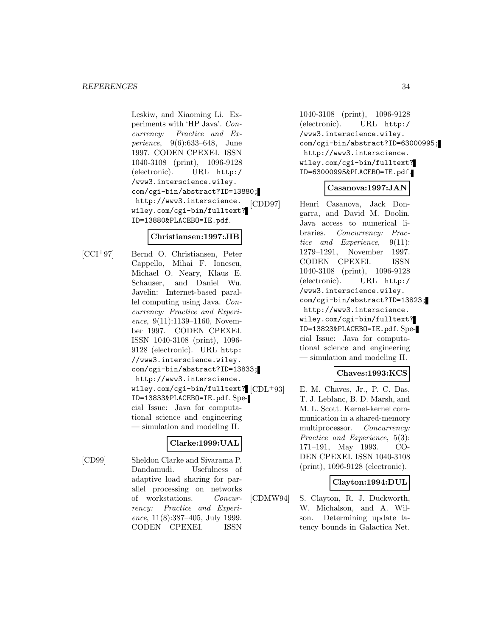Leskiw, and Xiaoming Li. Experiments with 'HP Java'. Concurrency: Practice and Experience, 9(6):633–648, June 1997. CODEN CPEXEI. ISSN 1040-3108 (print), 1096-9128 (electronic). URL http:/ /www3.interscience.wiley. com/cgi-bin/abstract?ID=13880; http://www3.interscience. wiley.com/cgi-bin/fulltext? ID=13880&PLACEBO=IE.pdf.

#### **Christiansen:1997:JIB**

[CCI<sup>+</sup>97] Bernd O. Christiansen, Peter Cappello, Mihai F. Ionescu, Michael O. Neary, Klaus E. Schauser, and Daniel Wu. Javelin: Internet-based parallel computing using Java. Concurrency: Practice and Experience, 9(11):1139–1160, November 1997. CODEN CPEXEI. ISSN 1040-3108 (print), 1096- 9128 (electronic). URL http: //www3.interscience.wiley. com/cgi-bin/abstract?ID=13833; http://www3.interscience. wiley.com/cgi-bin/fulltext? [CDL+93] ID=13833&PLACEBO=IE.pdf. Special Issue: Java for computational science and engineering — simulation and modeling II.

# **Clarke:1999:UAL**

[CD99] Sheldon Clarke and Sivarama P. Dandamudi. Usefulness of adaptive load sharing for parallel processing on networks of workstations. Concurrency: Practice and Experience, 11(8):387–405, July 1999. CODEN CPEXEI. ISSN

1040-3108 (print), 1096-9128 (electronic). URL http:/ /www3.interscience.wiley. com/cgi-bin/abstract?ID=63000995; http://www3.interscience. wiley.com/cgi-bin/fulltext? ID=63000995&PLACEBO=IE.pdf.

## **Casanova:1997:JAN**

[CDD97] Henri Casanova, Jack Dongarra, and David M. Doolin. Java access to numerical libraries. Concurrency: Practice and Experience, 9(11): 1279–1291, November 1997. CODEN CPEXEI. ISSN 1040-3108 (print), 1096-9128 (electronic). URL http:/ /www3.interscience.wiley. com/cgi-bin/abstract?ID=13823; http://www3.interscience. wiley.com/cgi-bin/fulltext? ID=13823&PLACEBO=IE.pdf. Special Issue: Java for computational science and engineering — simulation and modeling II.

# **Chaves:1993:KCS**

E. M. Chaves, Jr., P. C. Das, T. J. Leblanc, B. D. Marsh, and M. L. Scott. Kernel-kernel communication in a shared-memory multiprocessor. Concurrency: Practice and Experience, 5(3): 171–191, May 1993. CO-DEN CPEXEI. ISSN 1040-3108 (print), 1096-9128 (electronic).

## **Clayton:1994:DUL**

[CDMW94] S. Clayton, R. J. Duckworth, W. Michalson, and A. Wilson. Determining update latency bounds in Galactica Net.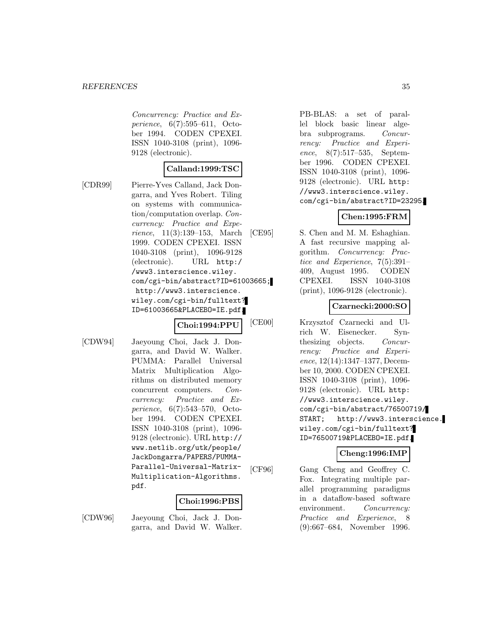Concurrency: Practice and Experience, 6(7):595–611, October 1994. CODEN CPEXEI. ISSN 1040-3108 (print), 1096- 9128 (electronic).

## **Calland:1999:TSC**

[CDR99] Pierre-Yves Calland, Jack Dongarra, and Yves Robert. Tiling on systems with communication/computation overlap. Concurrency: Practice and Experience, 11(3):139–153, March 1999. CODEN CPEXEI. ISSN 1040-3108 (print), 1096-9128 (electronic). URL http:/ /www3.interscience.wiley. com/cgi-bin/abstract?ID=61003665; http://www3.interscience. wiley.com/cgi-bin/fulltext? ID=61003665&PLACEBO=IE.pdf.

**Choi:1994:PPU**

[CDW94] Jaeyoung Choi, Jack J. Dongarra, and David W. Walker. PUMMA: Parallel Universal Matrix Multiplication Algorithms on distributed memory concurrent computers. Concurrency: Practice and Experience, 6(7):543–570, October 1994. CODEN CPEXEI. ISSN 1040-3108 (print), 1096- 9128 (electronic). URL http:// www.netlib.org/utk/people/ JackDongarra/PAPERS/PUMMA-Parallel-Universal-Matrix-Multiplication-Algorithms. pdf.

## **Choi:1996:PBS**

[CDW96] Jaeyoung Choi, Jack J. Dongarra, and David W. Walker. PB-BLAS: a set of parallel block basic linear algebra subprograms. Concurrency: Practice and Experience, 8(7):517–535, September 1996. CODEN CPEXEI. ISSN 1040-3108 (print), 1096- 9128 (electronic). URL http: //www3.interscience.wiley. com/cgi-bin/abstract?ID=23295.

## **Chen:1995:FRM**

[CE95] S. Chen and M. M. Eshaghian. A fast recursive mapping algorithm. Concurrency: Practice and Experience, 7(5):391– 409, August 1995. CODEN CPEXEI. ISSN 1040-3108 (print), 1096-9128 (electronic).

## **Czarnecki:2000:SO**

[CE00] Krzysztof Czarnecki and Ulrich W. Eisenecker. Synthesizing objects. Concurrency: Practice and Experience, 12(14):1347–1377, December 10, 2000. CODEN CPEXEI. ISSN 1040-3108 (print), 1096- 9128 (electronic). URL http: //www3.interscience.wiley. com/cgi-bin/abstract/76500719/ START; http://www3.interscience. wiley.com/cgi-bin/fulltext? ID=76500719&PLACEBO=IE.pdf.

## **Cheng:1996:IMP**

[CF96] Gang Cheng and Geoffrey C. Fox. Integrating multiple parallel programming paradigms in a dataflow-based software environment. Concurrency: Practice and Experience, 8 (9):667–684, November 1996.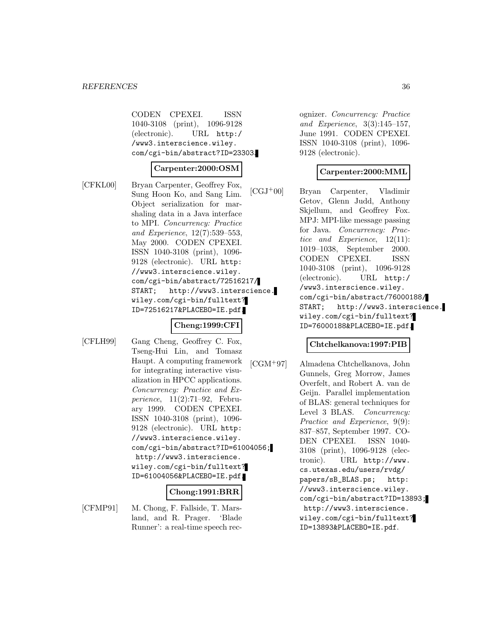CODEN CPEXEI. ISSN 1040-3108 (print), 1096-9128 (electronic). URL http:/ /www3.interscience.wiley. com/cgi-bin/abstract?ID=23303.

#### **Carpenter:2000:OSM**

[CFKL00] Bryan Carpenter, Geoffrey Fox, Sung Hoon Ko, and Sang Lim. Object serialization for marshaling data in a Java interface to MPI. Concurrency: Practice and Experience, 12(7):539–553, May 2000. CODEN CPEXEI. ISSN 1040-3108 (print), 1096- 9128 (electronic). URL http: //www3.interscience.wiley. com/cgi-bin/abstract/72516217/ START; http://www3.interscience. wiley.com/cgi-bin/fulltext? ID=72516217&PLACEBO=IE.pdf.

## **Cheng:1999:CFI**

[CFLH99] Gang Cheng, Geoffrey C. Fox, Tseng-Hui Lin, and Tomasz Haupt. A computing framework for integrating interactive visualization in HPCC applications. Concurrency: Practice and Experience, 11(2):71–92, February 1999. CODEN CPEXEI. ISSN 1040-3108 (print), 1096- 9128 (electronic). URL http: //www3.interscience.wiley. com/cgi-bin/abstract?ID=61004056; http://www3.interscience. wiley.com/cgi-bin/fulltext? ID=61004056&PLACEBO=IE.pdf.

#### **Chong:1991:BRR**

[CFMP91] M. Chong, F. Fallside, T. Marsland, and R. Prager. 'Blade Runner': a real-time speech recognizer. Concurrency: Practice and Experience, 3(3):145–157, June 1991. CODEN CPEXEI. ISSN 1040-3108 (print), 1096- 9128 (electronic).

#### **Carpenter:2000:MML**

[CGJ<sup>+</sup>00] Bryan Carpenter, Vladimir Getov, Glenn Judd, Anthony Skjellum, and Geoffrey Fox. MPJ: MPI-like message passing for Java. Concurrency: Practice and Experience, 12(11): 1019–1038, September 2000. CODEN CPEXEI. ISSN 1040-3108 (print), 1096-9128 (electronic). URL http:/ /www3.interscience.wiley. com/cgi-bin/abstract/76000188/ START; http://www3.interscience. wiley.com/cgi-bin/fulltext? ID=76000188&PLACEBO=IE.pdf.

#### **Chtchelkanova:1997:PIB**

[CGM<sup>+</sup>97] Almadena Chtchelkanova, John Gunnels, Greg Morrow, James Overfelt, and Robert A. van de Geijn. Parallel implementation of BLAS: general techniques for Level 3 BLAS. Concurrency: Practice and Experience, 9(9): 837–857, September 1997. CO-DEN CPEXEI. ISSN 1040- 3108 (print), 1096-9128 (electronic). URL http://www. cs.utexas.edu/users/rvdg/ papers/sB\_BLAS.ps; http: //www3.interscience.wiley. com/cgi-bin/abstract?ID=13893; http://www3.interscience. wiley.com/cgi-bin/fulltext? ID=13893&PLACEBO=IE.pdf.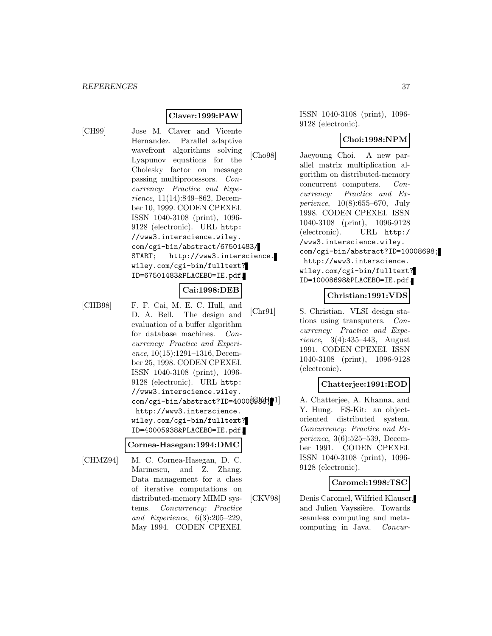## **Claver:1999:PAW**

[CH99] Jose M. Claver and Vicente Hernandez. Parallel adaptive wavefront algorithms solving Lyapunov equations for the Cholesky factor on message passing multiprocessors. Concurrency: Practice and Experience, 11(14):849–862, December 10, 1999. CODEN CPEXEI. ISSN 1040-3108 (print), 1096- 9128 (electronic). URL http: //www3.interscience.wiley. com/cgi-bin/abstract/67501483/ START; http://www3.interscience. wiley.com/cgi-bin/fulltext? ID=67501483&PLACEBO=IE.pdf.

## **Cai:1998:DEB**

[CHB98] F. F. Cai, M. E. C. Hull, and D. A. Bell. The design and evaluation of a buffer algorithm for database machines. Concurrency: Practice and Experience, 10(15):1291–1316, December 25, 1998. CODEN CPEXEI. ISSN 1040-3108 (print), 1096- 9128 (electronic). URL http: //www3.interscience.wiley. com/cgi-bin/abstract?ID=40005933; http://www3.interscience. wiley.com/cgi-bin/fulltext? ID=40005938&PLACEBO=IE.pdf.

#### **Cornea-Hasegan:1994:DMC**

[CHMZ94] M. C. Cornea-Hasegan, D. C. Marinescu, and Z. Zhang. Data management for a class of iterative computations on distributed-memory MIMD systems. Concurrency: Practice and Experience, 6(3):205–229, May 1994. CODEN CPEXEI.

ISSN 1040-3108 (print), 1096- 9128 (electronic).

#### **Choi:1998:NPM**

[Cho98] Jaeyoung Choi. A new parallel matrix multiplication algorithm on distributed-memory concurrent computers. Concurrency: Practice and Experience, 10(8):655–670, July 1998. CODEN CPEXEI. ISSN 1040-3108 (print), 1096-9128 (electronic). URL http:/ /www3.interscience.wiley. com/cgi-bin/abstract?ID=10008698; http://www3.interscience. wiley.com/cgi-bin/fulltext? ID=10008698&PLACEBO=IE.pdf.

#### **Christian:1991:VDS**

[Chr91] S. Christian. VLSI design stations using transputers. Concurrency: Practice and Experience, 3(4):435–443, August 1991. CODEN CPEXEI. ISSN 1040-3108 (print), 1096-9128 (electronic).

#### **Chatterjee:1991:EOD**

A. Chatterjee, A. Khanna, and Y. Hung. ES-Kit: an objectoriented distributed system. Concurrency: Practice and Experience, 3(6):525–539, December 1991. CODEN CPEXEI. ISSN 1040-3108 (print), 1096- 9128 (electronic).

#### **Caromel:1998:TSC**

[CKV98] Denis Caromel, Wilfried Klauser, and Julien Vayssière. Towards seamless computing and metacomputing in Java. Concur-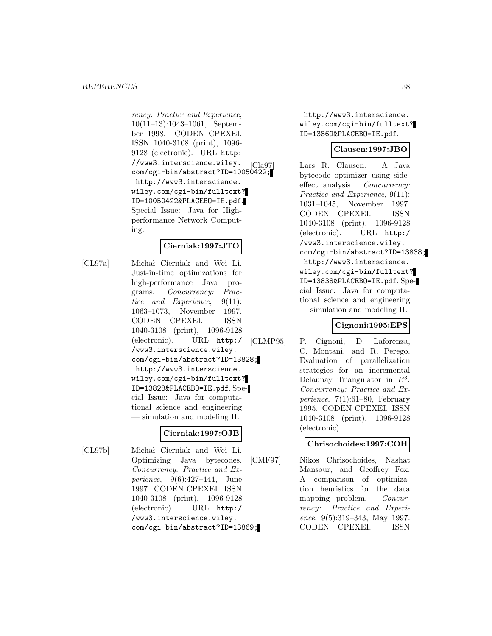rency: Practice and Experience, 10(11–13):1043–1061, September 1998. CODEN CPEXEI. ISSN 1040-3108 (print), 1096- 9128 (electronic). URL http: //www3.interscience.wiley. com/cgi-bin/abstract?ID=10050422; http://www3.interscience. wiley.com/cgi-bin/fulltext? ID=10050422&PLACEBO=IE.pdf. Special Issue: Java for Highperformance Network Computing.

## **Cierniak:1997:JTO**

[CL97a] Michał Cierniak and Wei Li. Just-in-time optimizations for high-performance Java programs. Concurrency: Practice and Experience, 9(11): 1063–1073, November 1997. CODEN CPEXEI. ISSN 1040-3108 (print), 1096-9128 (electronic). URL http:/ /www3.interscience.wiley. com/cgi-bin/abstract?ID=13828; http://www3.interscience. wiley.com/cgi-bin/fulltext? ID=13828&PLACEBO=IE.pdf. Special Issue: Java for computational science and engineering — simulation and modeling II.

## **Cierniak:1997:OJB**

[CL97b] Michał Cierniak and Wei Li. Optimizing Java bytecodes. Concurrency: Practice and Experience, 9(6):427–444, June 1997. CODEN CPEXEI. ISSN 1040-3108 (print), 1096-9128 (electronic). URL http:/ /www3.interscience.wiley. com/cgi-bin/abstract?ID=13869;

http://www3.interscience. wiley.com/cgi-bin/fulltext? ID=13869&PLACEBO=IE.pdf.

## **Clausen:1997:JBO**

[Cla97] Lars R. Clausen. A Java bytecode optimizer using sideeffect analysis. Concurrency: Practice and Experience, 9(11): 1031–1045, November 1997. CODEN CPEXEI. ISSN 1040-3108 (print), 1096-9128 (electronic). URL http:/ /www3.interscience.wiley. com/cgi-bin/abstract?ID=13838; http://www3.interscience. wiley.com/cgi-bin/fulltext? ID=13838&PLACEBO=IE.pdf. Special Issue: Java for computational science and engineering — simulation and modeling II.

# **Cignoni:1995:EPS**

[CLMP95] P. Cignoni, D. Laforenza, C. Montani, and R. Perego. Evaluation of parallelization strategies for an incremental Delaunay Triangulator in  $E^3$ . Concurrency: Practice and Experience,  $7(1):61-80$ , February 1995. CODEN CPEXEI. ISSN 1040-3108 (print), 1096-9128 (electronic).

# **Chrisochoides:1997:COH**

[CMF97] Nikos Chrisochoides, Nashat Mansour, and Geoffrey Fox. A comparison of optimization heuristics for the data mapping problem. Concurrency: Practice and Experience, 9(5):319–343, May 1997. CODEN CPEXEI. ISSN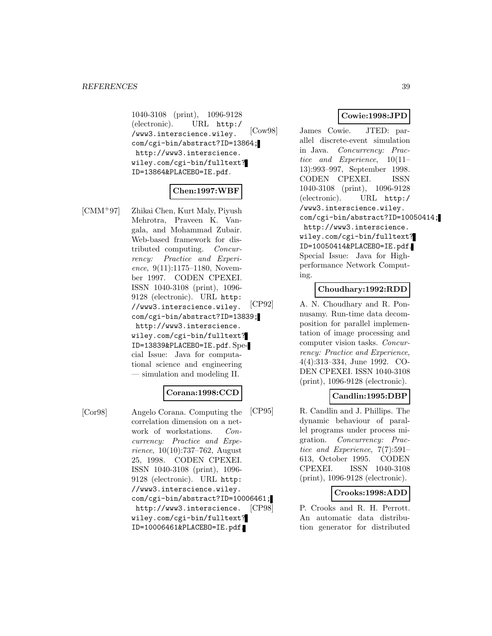1040-3108 (print), 1096-9128 (electronic). URL http:/ /www3.interscience.wiley. com/cgi-bin/abstract?ID=13864; http://www3.interscience. wiley.com/cgi-bin/fulltext? ID=13864&PLACEBO=IE.pdf.

## **Chen:1997:WBF**

[CMM<sup>+</sup>97] Zhikai Chen, Kurt Maly, Piyush Mehrotra, Praveen K. Vangala, and Mohammad Zubair. Web-based framework for distributed computing. Concurrency: Practice and Experience, 9(11):1175–1180, November 1997. CODEN CPEXEI. ISSN 1040-3108 (print), 1096- 9128 (electronic). URL http: //www3.interscience.wiley. com/cgi-bin/abstract?ID=13839; http://www3.interscience. wiley.com/cgi-bin/fulltext? ID=13839&PLACEBO=IE.pdf. Special Issue: Java for computational science and engineering — simulation and modeling II.

#### **Corana:1998:CCD**

[Cor98] Angelo Corana. Computing the correlation dimension on a network of workstations. Concurrency: Practice and Experience, 10(10):737–762, August 25, 1998. CODEN CPEXEI. ISSN 1040-3108 (print), 1096- 9128 (electronic). URL http: //www3.interscience.wiley. com/cgi-bin/abstract?ID=10006461; http://www3.interscience. wiley.com/cgi-bin/fulltext? ID=10006461&PLACEBO=IE.pdf.

## **Cowie:1998:JPD**

[Cow98] James Cowie. JTED: parallel discrete-event simulation in Java. Concurrency: Practice and Experience, 10(11– 13):993–997, September 1998. CODEN CPEXEI. ISSN 1040-3108 (print), 1096-9128 (electronic). URL http:/ /www3.interscience.wiley. com/cgi-bin/abstract?ID=10050414; http://www3.interscience. wiley.com/cgi-bin/fulltext? ID=10050414&PLACEBO=IE.pdf. Special Issue: Java for Highperformance Network Computing.

## **Choudhary:1992:RDD**

[CP92] A. N. Choudhary and R. Ponnusamy. Run-time data decomposition for parallel implementation of image processing and computer vision tasks. Concurrency: Practice and Experience, 4(4):313–334, June 1992. CO-DEN CPEXEI. ISSN 1040-3108 (print), 1096-9128 (electronic).

## **Candlin:1995:DBP**

[CP95] R. Candlin and J. Phillips. The dynamic behaviour of parallel programs under process migration. Concurrency: Practice and Experience, 7(7):591– 613, October 1995. CODEN CPEXEI. ISSN 1040-3108 (print), 1096-9128 (electronic).

## **Crooks:1998:ADD**

[CP98] P. Crooks and R. H. Perrott. An automatic data distribution generator for distributed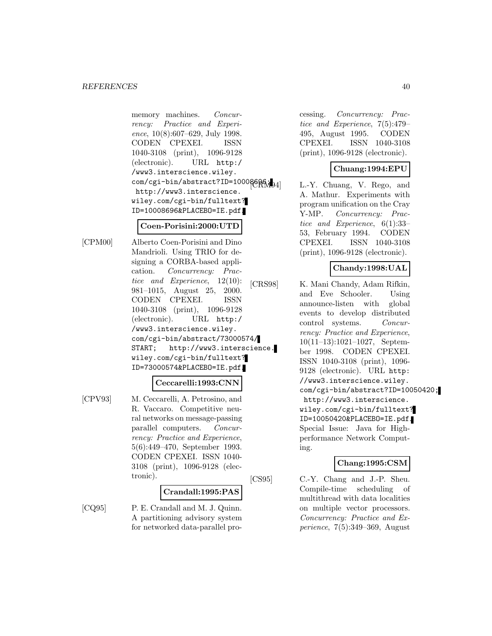memory machines. Concurrency: Practice and Experience, 10(8):607–629, July 1998. CODEN CPEXEI. ISSN 1040-3108 (print), 1096-9128 (electronic). URL http:/ /www3.interscience.wiley. com/cgi-bin/abstract?ID=10008686; http://www3.interscience. wiley.com/cgi-bin/fulltext? ID=10008696&PLACEBO=IE.pdf.

#### **Coen-Porisini:2000:UTD**

[CPM00] Alberto Coen-Porisini and Dino Mandrioli. Using TRIO for designing a CORBA-based application. Concurrency: Practice and Experience, 12(10): 981–1015, August 25, 2000. CODEN CPEXEI. ISSN 1040-3108 (print), 1096-9128 (electronic). URL http:/ /www3.interscience.wiley. com/cgi-bin/abstract/73000574/ START; http://www3.interscience. wiley.com/cgi-bin/fulltext? ID=73000574&PLACEBO=IE.pdf.

#### **Ceccarelli:1993:CNN**

[CPV93] M. Ceccarelli, A. Petrosino, and R. Vaccaro. Competitive neural networks on message-passing parallel computers. Concurrency: Practice and Experience, 5(6):449–470, September 1993. CODEN CPEXEI. ISSN 1040- 3108 (print), 1096-9128 (electronic).

#### **Crandall:1995:PAS**

[CQ95] P. E. Crandall and M. J. Quinn. A partitioning advisory system for networked data-parallel processing. Concurrency: Practice and Experience, 7(5):479– 495, August 1995. CODEN CPEXEI. ISSN 1040-3108 (print), 1096-9128 (electronic).

## **Chuang:1994:EPU**

L.-Y. Chuang, V. Rego, and A. Mathur. Experiments with program unification on the Cray Y-MP. Concurrency: Practice and Experience, 6(1):33– 53, February 1994. CODEN CPEXEI. ISSN 1040-3108 (print), 1096-9128 (electronic).

# **Chandy:1998:UAL**

[CRS98] K. Mani Chandy, Adam Rifkin, and Eve Schooler. Using announce-listen with global events to develop distributed control systems. Concurrency: Practice and Experience, 10(11–13):1021–1027, September 1998. CODEN CPEXEI. ISSN 1040-3108 (print), 1096- 9128 (electronic). URL http: //www3.interscience.wiley. com/cgi-bin/abstract?ID=10050420; http://www3.interscience. wiley.com/cgi-bin/fulltext? ID=10050420&PLACEBO=IE.pdf. Special Issue: Java for Highperformance Network Computing.

## **Chang:1995:CSM**

[CS95] C.-Y. Chang and J.-P. Sheu. Compile-time scheduling of multithread with data localities on multiple vector processors. Concurrency: Practice and Experience, 7(5):349–369, August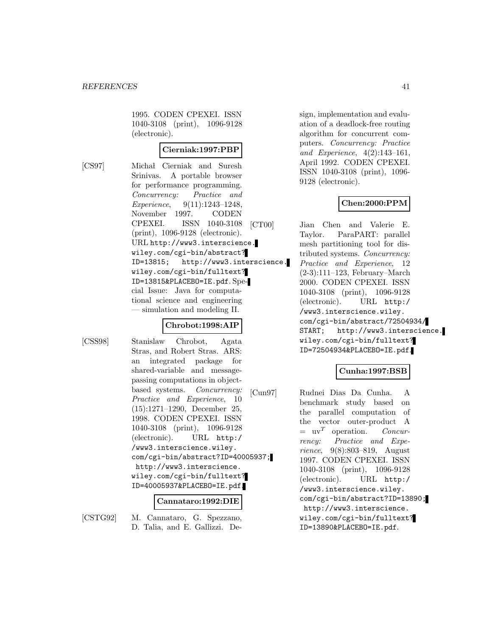1995. CODEN CPEXEI. ISSN 1040-3108 (print), 1096-9128 (electronic).

#### **Cierniak:1997:PBP**

[CS97] Michał Cierniak and Suresh Srinivas. A portable browser for performance programming. Concurrency: Practice and Experience, 9(11):1243–1248, November 1997. CODEN CPEXEI. ISSN 1040-3108 (print), 1096-9128 (electronic). URL http://www3.interscience. wiley.com/cgi-bin/abstract? ID=13815; http://www3.interscience. wiley.com/cgi-bin/fulltext? ID=13815&PLACEBO=IE.pdf. Special Issue: Java for computational science and engineering — simulation and modeling II.

#### **Chrobot:1998:AIP**

[CSS98] Stanislaw Chrobot, Agata Stras, and Robert Stras. ARS: an integrated package for shared-variable and messagepassing computations in objectbased systems. Concurrency: Practice and Experience, 10 (15):1271–1290, December 25, 1998. CODEN CPEXEI. ISSN 1040-3108 (print), 1096-9128 (electronic). URL http:/ /www3.interscience.wiley. com/cgi-bin/abstract?ID=40005937; http://www3.interscience. wiley.com/cgi-bin/fulltext? ID=40005937&PLACEBO=IE.pdf.

#### **Cannataro:1992:DIE**

[CSTG92] M. Cannataro, G. Spezzano, D. Talia, and E. Gallizzi. Design, implementation and evaluation of a deadlock-free routing algorithm for concurrent computers. Concurrency: Practice and Experience, 4(2):143–161, April 1992. CODEN CPEXEI. ISSN 1040-3108 (print), 1096- 9128 (electronic).

## **Chen:2000:PPM**

[CT00] Jian Chen and Valerie E. Taylor. ParaPART: parallel mesh partitioning tool for distributed systems. Concurrency: Practice and Experience, 12 (2-3):111–123, February–March 2000. CODEN CPEXEI. ISSN 1040-3108 (print), 1096-9128 (electronic). URL http:/ /www3.interscience.wiley. com/cgi-bin/abstract/72504934/ START; http://www3.interscience. wiley.com/cgi-bin/fulltext? ID=72504934&PLACEBO=IE.pdf.

## **Cunha:1997:BSB**

[Cun97] Rudnei Dias Da Cunha. A benchmark study based on the parallel computation of the vector outer-product A  $=$  uv<sup>T</sup> operation. Concurrency: Practice and Experience, 9(8):803–819, August 1997. CODEN CPEXEI. ISSN 1040-3108 (print), 1096-9128 (electronic). URL http:/ /www3.interscience.wiley. com/cgi-bin/abstract?ID=13890; http://www3.interscience. wiley.com/cgi-bin/fulltext? ID=13890&PLACEBO=IE.pdf.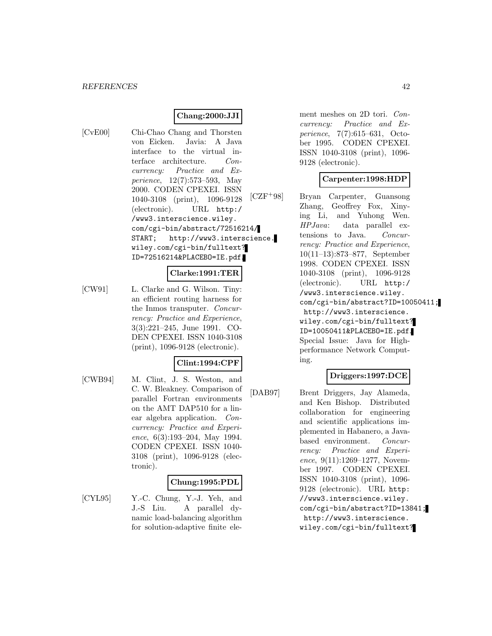# **Chang:2000:JJI**

[CvE00] Chi-Chao Chang and Thorsten von Eicken. Javia: A Java interface to the virtual interface architecture. Concurrency: Practice and Experience, 12(7):573–593, May 2000. CODEN CPEXEI. ISSN 1040-3108 (print), 1096-9128 (electronic). URL http:/ /www3.interscience.wiley. com/cgi-bin/abstract/72516214/ START; http://www3.interscience. wiley.com/cgi-bin/fulltext? ID=72516214&PLACEBO=IE.pdf.

#### **Clarke:1991:TER**

[CW91] L. Clarke and G. Wilson. Tiny: an efficient routing harness for the Inmos transputer. Concurrency: Practice and Experience, 3(3):221–245, June 1991. CO-DEN CPEXEI. ISSN 1040-3108 (print), 1096-9128 (electronic).

## **Clint:1994:CPF**

[CWB94] M. Clint, J. S. Weston, and C. W. Bleakney. Comparison of parallel Fortran environments on the AMT DAP510 for a linear algebra application. Concurrency: Practice and Experience, 6(3):193–204, May 1994. CODEN CPEXEI. ISSN 1040- 3108 (print), 1096-9128 (electronic).

#### **Chung:1995:PDL**

[CYL95] Y.-C. Chung, Y.-J. Yeh, and J.-S Liu. A parallel dynamic load-balancing algorithm for solution-adaptive finite element meshes on 2D tori. Concurrency: Practice and Experience, 7(7):615–631, October 1995. CODEN CPEXEI. ISSN 1040-3108 (print), 1096- 9128 (electronic).

#### **Carpenter:1998:HDP**

[CZF<sup>+</sup>98] Bryan Carpenter, Guansong Zhang, Geoffrey Fox, Xinying Li, and Yuhong Wen. HPJava: data parallel extensions to Java. Concurrency: Practice and Experience, 10(11–13):873–877, September 1998. CODEN CPEXEI. ISSN 1040-3108 (print), 1096-9128 (electronic). URL http:/ /www3.interscience.wiley. com/cgi-bin/abstract?ID=10050411; http://www3.interscience. wiley.com/cgi-bin/fulltext? ID=10050411&PLACEBO=IE.pdf. Special Issue: Java for Highperformance Network Computing.

#### **Driggers:1997:DCE**

[DAB97] Brent Driggers, Jay Alameda, and Ken Bishop. Distributed collaboration for engineering and scientific applications implemented in Habanero, a Javabased environment. Concurrency: Practice and Experience, 9(11):1269–1277, November 1997. CODEN CPEXEI. ISSN 1040-3108 (print), 1096- 9128 (electronic). URL http: //www3.interscience.wiley. com/cgi-bin/abstract?ID=13841; http://www3.interscience. wiley.com/cgi-bin/fulltext?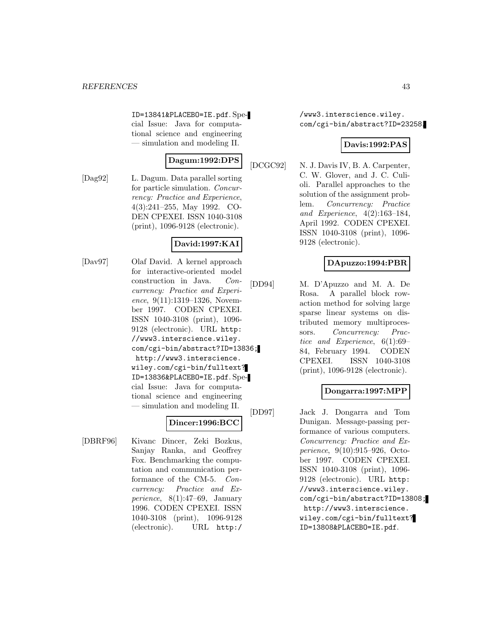ID=13841&PLACEBO=IE.pdf. Special Issue: Java for computational science and engineering — simulation and modeling II.

# **Dagum:1992:DPS**

[Dag92] L. Dagum. Data parallel sorting for particle simulation. Concurrency: Practice and Experience, 4(3):241–255, May 1992. CO-DEN CPEXEI. ISSN 1040-3108 (print), 1096-9128 (electronic).

## **David:1997:KAI**

[Dav97] Olaf David. A kernel approach for interactive-oriented model construction in Java. Concurrency: Practice and Experience, 9(11):1319-1326, November 1997. CODEN CPEXEI. ISSN 1040-3108 (print), 1096- 9128 (electronic). URL http: //www3.interscience.wiley. com/cgi-bin/abstract?ID=13836; http://www3.interscience. wiley.com/cgi-bin/fulltext? ID=13836&PLACEBO=IE.pdf. Special Issue: Java for computational science and engineering — simulation and modeling II.

# **Dincer:1996:BCC**

[DBRF96] Kivanc Dincer, Zeki Bozkus, Sanjay Ranka, and Geoffrey Fox. Benchmarking the computation and communication performance of the CM-5. Concurrency: Practice and Experience, 8(1):47–69, January 1996. CODEN CPEXEI. ISSN 1040-3108 (print), 1096-9128 (electronic). URL http:/

/www3.interscience.wiley. com/cgi-bin/abstract?ID=23258.

## **Davis:1992:PAS**

[DCGC92] N. J. Davis IV, B. A. Carpenter, C. W. Glover, and J. C. Culioli. Parallel approaches to the solution of the assignment problem. Concurrency: Practice and Experience, 4(2):163–184, April 1992. CODEN CPEXEI. ISSN 1040-3108 (print), 1096- 9128 (electronic).

# **DApuzzo:1994:PBR**

[DD94] M. D'Apuzzo and M. A. De Rosa. A parallel block rowaction method for solving large sparse linear systems on distributed memory multiprocessors. Concurrency: Practice and Experience, 6(1):69– 84, February 1994. CODEN CPEXEI. ISSN 1040-3108 (print), 1096-9128 (electronic).

# **Dongarra:1997:MPP**

[DD97] Jack J. Dongarra and Tom Dunigan. Message-passing performance of various computers. Concurrency: Practice and Experience, 9(10):915–926, October 1997. CODEN CPEXEI. ISSN 1040-3108 (print), 1096- 9128 (electronic). URL http: //www3.interscience.wiley. com/cgi-bin/abstract?ID=13808; http://www3.interscience. wiley.com/cgi-bin/fulltext? ID=13808&PLACEBO=IE.pdf.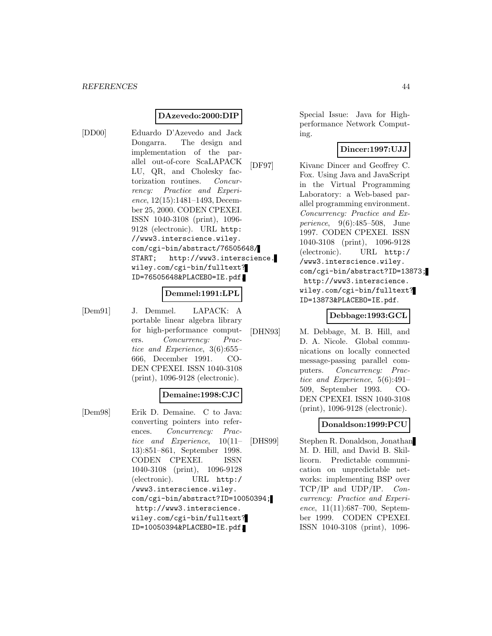## **DAzevedo:2000:DIP**

[DD00] Eduardo D'Azevedo and Jack Dongarra. The design and implementation of the parallel out-of-core ScaLAPACK LU, QR, and Cholesky factorization routines. Concurrency: Practice and Experience, 12(15):1481–1493, December 25, 2000. CODEN CPEXEI. ISSN 1040-3108 (print), 1096- 9128 (electronic). URL http: //www3.interscience.wiley. com/cgi-bin/abstract/76505648/ START; http://www3.interscience. wiley.com/cgi-bin/fulltext? ID=76505648&PLACEBO=IE.pdf.

#### **Demmel:1991:LPL**

[Dem91] J. Demmel. LAPACK: A portable linear algebra library for high-performance computers. Concurrency: Practice and Experience, 3(6):655– 666, December 1991. CO-DEN CPEXEI. ISSN 1040-3108 (print), 1096-9128 (electronic).

#### **Demaine:1998:CJC**

[Dem98] Erik D. Demaine. C to Java: converting pointers into references. Concurrency: Practice and Experience, 10(11– 13):851–861, September 1998. CODEN CPEXEI. ISSN 1040-3108 (print), 1096-9128 (electronic). URL http:/ /www3.interscience.wiley. com/cgi-bin/abstract?ID=10050394; http://www3.interscience. wiley.com/cgi-bin/fulltext? ID=10050394&PLACEBO=IE.pdf.

Special Issue: Java for Highperformance Network Computing.

#### **Dincer:1997:UJJ**

[DF97] Kivanc Dincer and Geoffrey C. Fox. Using Java and JavaScript in the Virtual Programming Laboratory: a Web-based parallel programming environment. Concurrency: Practice and Experience, 9(6):485–508, June 1997. CODEN CPEXEI. ISSN 1040-3108 (print), 1096-9128 (electronic). URL http:/ /www3.interscience.wiley. com/cgi-bin/abstract?ID=13873; http://www3.interscience. wiley.com/cgi-bin/fulltext? ID=13873&PLACEBO=IE.pdf.

#### **Debbage:1993:GCL**

[DHN93] M. Debbage, M. B. Hill, and D. A. Nicole. Global communications on locally connected message-passing parallel computers. Concurrency: Practice and Experience, 5(6):491– 509, September 1993. CO-DEN CPEXEI. ISSN 1040-3108 (print), 1096-9128 (electronic).

## **Donaldson:1999:PCU**

[DHS99] Stephen R. Donaldson, Jonathan M. D. Hill, and David B. Skillicorn. Predictable communication on unpredictable networks: implementing BSP over TCP/IP and UDP/IP. Concurrency: Practice and Experience, 11(11):687–700, September 1999. CODEN CPEXEI. ISSN 1040-3108 (print), 1096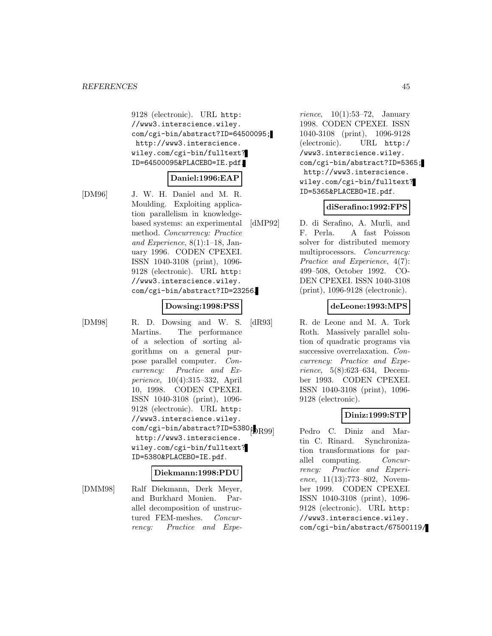9128 (electronic). URL http: //www3.interscience.wiley. com/cgi-bin/abstract?ID=64500095; http://www3.interscience. wiley.com/cgi-bin/fulltext? ID=64500095&PLACEBO=IE.pdf.

#### **Daniel:1996:EAP**

[DM96] J. W. H. Daniel and M. R. Moulding. Exploiting application parallelism in knowledgebased systems: an experimental method. Concurrency: Practice and Experience, 8(1):1–18, January 1996. CODEN CPEXEI. ISSN 1040-3108 (print), 1096- 9128 (electronic). URL http: //www3.interscience.wiley. com/cgi-bin/abstract?ID=23256.

#### **Dowsing:1998:PSS**

[DM98] R. D. Dowsing and W. S. Martins. The performance of a selection of sorting algorithms on a general purpose parallel computer. Concurrency: Practice and Experience, 10(4):315–332, April 10, 1998. CODEN CPEXEI. ISSN 1040-3108 (print), 1096- 9128 (electronic). URL http: //www3.interscience.wiley. com/cgi-bin/abstract?ID=5380 $\beta$ <sub>DR99</sub> http://www3.interscience. wiley.com/cgi-bin/fulltext? ID=5380&PLACEBO=IE.pdf.

#### **Diekmann:1998:PDU**

[DMM98] Ralf Diekmann, Derk Meyer, and Burkhard Monien. Parallel decomposition of unstructured FEM-meshes. Concurrency: Practice and Expe-

rience,  $10(1):53-72$ , January 1998. CODEN CPEXEI. ISSN 1040-3108 (print), 1096-9128 (electronic). URL http:/ /www3.interscience.wiley. com/cgi-bin/abstract?ID=5365; http://www3.interscience. wiley.com/cgi-bin/fulltext? ID=5365&PLACEBO=IE.pdf.

#### **diSerafino:1992:FPS**

[dMP92] D. di Serafino, A. Murli, and F. Perla. A fast Poisson solver for distributed memory multiprocessors. Concurrency: Practice and Experience, 4(7): 499–508, October 1992. CO-DEN CPEXEI. ISSN 1040-3108 (print), 1096-9128 (electronic).

#### **deLeone:1993:MPS**

[dR93] R. de Leone and M. A. Tork Roth. Massively parallel solution of quadratic programs via successive overrelaxation. Concurrency: Practice and Experience, 5(8):623–634, December 1993. CODEN CPEXEI. ISSN 1040-3108 (print), 1096- 9128 (electronic).

## **Diniz:1999:STP**

Pedro C. Diniz and Martin C. Rinard. Synchronization transformations for parallel computing. Concurrency: Practice and Experience, 11(13):773–802, November 1999. CODEN CPEXEI. ISSN 1040-3108 (print), 1096- 9128 (electronic). URL http: //www3.interscience.wiley. com/cgi-bin/abstract/67500119/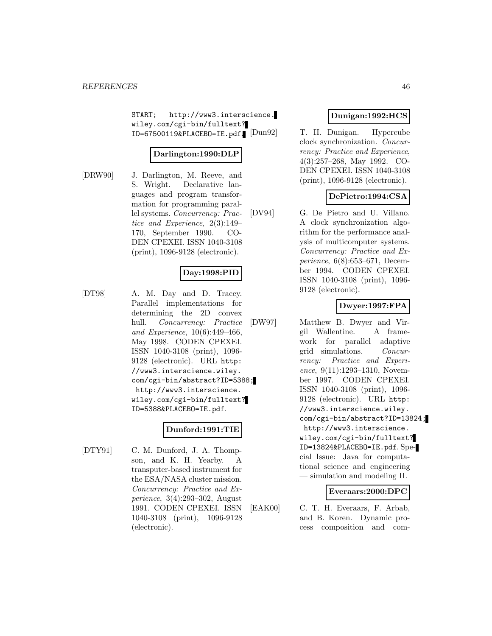START; http://www3.interscience. wiley.com/cgi-bin/fulltext? ID=67500119&PLACEBO=IE.pdf.

## **Darlington:1990:DLP**

[DRW90] J. Darlington, M. Reeve, and S. Wright. Declarative languages and program transformation for programming parallel systems. Concurrency: Practice and Experience, 2(3):149– 170, September 1990. CO-DEN CPEXEI. ISSN 1040-3108 (print), 1096-9128 (electronic).

# **Day:1998:PID**

[DT98] A. M. Day and D. Tracey. Parallel implementations for determining the 2D convex hull. Concurrency: Practice and Experience, 10(6):449–466, May 1998. CODEN CPEXEI. ISSN 1040-3108 (print), 1096- 9128 (electronic). URL http: //www3.interscience.wiley. com/cgi-bin/abstract?ID=5388; http://www3.interscience. wiley.com/cgi-bin/fulltext? ID=5388&PLACEBO=IE.pdf.

## **Dunford:1991:TIE**

[DTY91] C. M. Dunford, J. A. Thompson, and K. H. Yearby. A transputer-based instrument for the ESA/NASA cluster mission. Concurrency: Practice and Experience, 3(4):293–302, August 1991. CODEN CPEXEI. ISSN 1040-3108 (print), 1096-9128 (electronic).

# **Dunigan:1992:HCS**

T. H. Dunigan. Hypercube clock synchronization. Concurrency: Practice and Experience, 4(3):257–268, May 1992. CO-DEN CPEXEI. ISSN 1040-3108 (print), 1096-9128 (electronic).

## **DePietro:1994:CSA**

[DV94] G. De Pietro and U. Villano. A clock synchronization algorithm for the performance analysis of multicomputer systems. Concurrency: Practice and Experience, 6(8):653–671, December 1994. CODEN CPEXEI. ISSN 1040-3108 (print), 1096- 9128 (electronic).

## **Dwyer:1997:FPA**

[DW97] Matthew B. Dwyer and Virgil Wallentine. A framework for parallel adaptive grid simulations. Concurrency: Practice and Experience, 9(11):1293–1310, November 1997. CODEN CPEXEI. ISSN 1040-3108 (print), 1096- 9128 (electronic). URL http: //www3.interscience.wiley. com/cgi-bin/abstract?ID=13824; http://www3.interscience. wiley.com/cgi-bin/fulltext? ID=13824&PLACEBO=IE.pdf. Special Issue: Java for computational science and engineering — simulation and modeling II.

#### **Everaars:2000:DPC**

[EAK00] C. T. H. Everaars, F. Arbab, and B. Koren. Dynamic process composition and com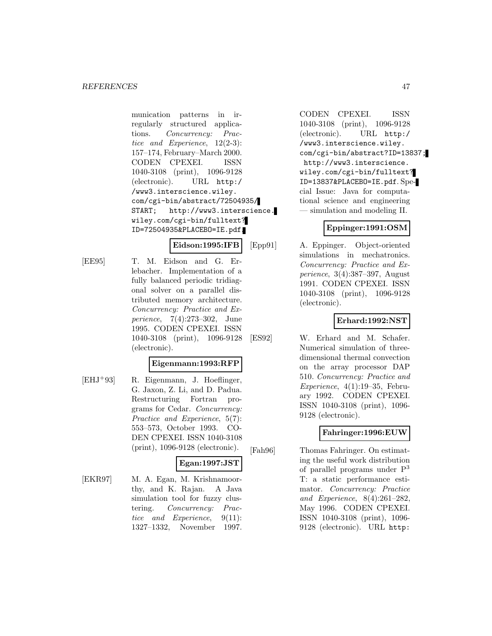munication patterns in irregularly structured applications. Concurrency: Practice and Experience, 12(2-3): 157–174, February–March 2000. CODEN CPEXEI. ISSN 1040-3108 (print), 1096-9128 (electronic). URL http:/ /www3.interscience.wiley. com/cgi-bin/abstract/72504935/ START; http://www3.interscience. wiley.com/cgi-bin/fulltext? ID=72504935&PLACEBO=IE.pdf.

**Eidson:1995:IFB**

[EE95] T. M. Eidson and G. Er-

lebacher. Implementation of a fully balanced periodic tridiagonal solver on a parallel distributed memory architecture. Concurrency: Practice and Experience, 7(4):273–302, June 1995. CODEN CPEXEI. ISSN 1040-3108 (print), 1096-9128 (electronic).

## **Eigenmann:1993:RFP**

[EHJ<sup>+</sup>93] R. Eigenmann, J. Hoeflinger, G. Jaxon, Z. Li, and D. Padua. Restructuring Fortran programs for Cedar. Concurrency: Practice and Experience, 5(7): 553–573, October 1993. CO-DEN CPEXEI. ISSN 1040-3108 (print), 1096-9128 (electronic).

## **Egan:1997:JST**

[EKR97] M. A. Egan, M. Krishnamoorthy, and K. Rajan. A Java simulation tool for fuzzy clustering. Concurrency: Practice and Experience, 9(11): 1327–1332, November 1997.

CODEN CPEXEI. ISSN 1040-3108 (print), 1096-9128 (electronic). URL http:/ /www3.interscience.wiley. com/cgi-bin/abstract?ID=13837; http://www3.interscience. wiley.com/cgi-bin/fulltext? ID=13837&PLACEBO=IE.pdf. Special Issue: Java for computational science and engineering — simulation and modeling II.

# **Eppinger:1991:OSM**

[Epp91] A. Eppinger. Object-oriented simulations in mechatronics. Concurrency: Practice and Experience, 3(4):387–397, August 1991. CODEN CPEXEI. ISSN 1040-3108 (print), 1096-9128 (electronic).

# **Erhard:1992:NST**

[ES92] W. Erhard and M. Schafer. Numerical simulation of threedimensional thermal convection on the array processor DAP 510. Concurrency: Practice and Experience,  $4(1):19-35$ , February 1992. CODEN CPEXEI. ISSN 1040-3108 (print), 1096- 9128 (electronic).

# **Fahringer:1996:EUW**

[Fah96] Thomas Fahringer. On estimating the useful work distribution of parallel programs under P<sup>3</sup> T: a static performance estimator. Concurrency: Practice and Experience, 8(4):261–282, May 1996. CODEN CPEXEI. ISSN 1040-3108 (print), 1096- 9128 (electronic). URL http: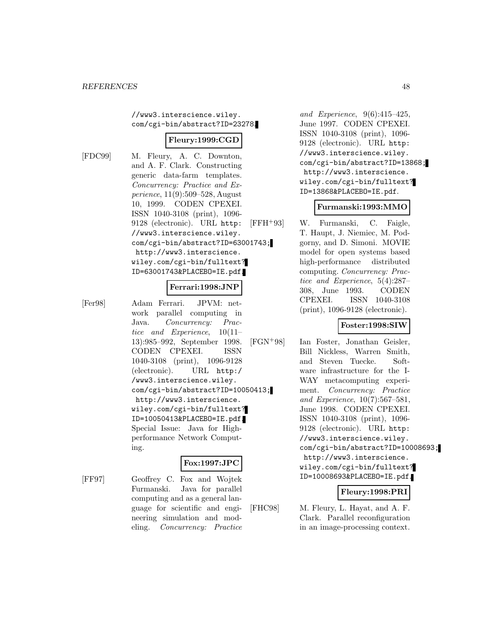//www3.interscience.wiley. com/cgi-bin/abstract?ID=23278.

## **Fleury:1999:CGD**

[FDC99] M. Fleury, A. C. Downton, and A. F. Clark. Constructing generic data-farm templates. Concurrency: Practice and Experience, 11(9):509–528, August 10, 1999. CODEN CPEXEI. ISSN 1040-3108 (print), 1096- 9128 (electronic). URL http: //www3.interscience.wiley. com/cgi-bin/abstract?ID=63001743; http://www3.interscience. wiley.com/cgi-bin/fulltext? ID=63001743&PLACEBO=IE.pdf.

#### **Ferrari:1998:JNP**

[Fer98] Adam Ferrari. JPVM: network parallel computing in Java. Concurrency: Practice and Experience, 10(11– 13):985–992, September 1998. CODEN CPEXEI. ISSN 1040-3108 (print), 1096-9128 (electronic). URL http:/ /www3.interscience.wiley. com/cgi-bin/abstract?ID=10050413; http://www3.interscience. wiley.com/cgi-bin/fulltext? ID=10050413&PLACEBO=IE.pdf. Special Issue: Java for Highperformance Network Computing.

## **Fox:1997:JPC**

[FF97] Geoffrey C. Fox and Wojtek Furmanski. Java for parallel computing and as a general language for scientific and engineering simulation and modeling. Concurrency: Practice

and Experience, 9(6):415–425, June 1997. CODEN CPEXEI. ISSN 1040-3108 (print), 1096- 9128 (electronic). URL http: //www3.interscience.wiley. com/cgi-bin/abstract?ID=13868; http://www3.interscience. wiley.com/cgi-bin/fulltext? ID=13868&PLACEBO=IE.pdf.

#### **Furmanski:1993:MMO**

[FFH<sup>+</sup>93] W. Furmanski, C. Faigle, T. Haupt, J. Niemiec, M. Podgorny, and D. Simoni. MOVIE model for open systems based high-performance distributed computing. Concurrency: Practice and Experience, 5(4):287– 308, June 1993. CODEN CPEXEI. ISSN 1040-3108 (print), 1096-9128 (electronic).

## **Foster:1998:SIW**

[FGN<sup>+</sup>98] Ian Foster, Jonathan Geisler, Bill Nickless, Warren Smith, and Steven Tuecke. Software infrastructure for the I-WAY metacomputing experiment. Concurrency: Practice and Experience, 10(7):567–581, June 1998. CODEN CPEXEI. ISSN 1040-3108 (print), 1096- 9128 (electronic). URL http: //www3.interscience.wiley. com/cgi-bin/abstract?ID=10008693; http://www3.interscience. wiley.com/cgi-bin/fulltext? ID=10008693&PLACEBO=IE.pdf.

## **Fleury:1998:PRI**

[FHC98] M. Fleury, L. Hayat, and A. F. Clark. Parallel reconfiguration in an image-processing context.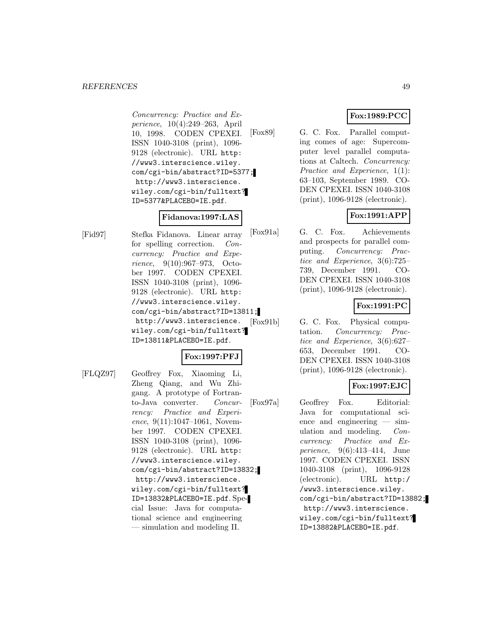#### *REFERENCES* 49

Concurrency: Practice and Experience, 10(4):249–263, April 10, 1998. CODEN CPEXEI. ISSN 1040-3108 (print), 1096- 9128 (electronic). URL http: //www3.interscience.wiley. com/cgi-bin/abstract?ID=5377; http://www3.interscience. wiley.com/cgi-bin/fulltext? ID=5377&PLACEBO=IE.pdf.

## **Fidanova:1997:LAS**

[Fid97] Stefka Fidanova. Linear array for spelling correction. Concurrency: Practice and Experience, 9(10):967–973, October 1997. CODEN CPEXEI. ISSN 1040-3108 (print), 1096- 9128 (electronic). URL http: //www3.interscience.wiley. com/cgi-bin/abstract?ID=13811; http://www3.interscience. wiley.com/cgi-bin/fulltext? ID=13811&PLACEBO=IE.pdf.

## **Fox:1997:PFJ**

[FLQZ97] Geoffrey Fox, Xiaoming Li, Zheng Qiang, and Wu Zhigang. A prototype of Fortranto-Java converter. Concurrency: Practice and Experience,  $9(11):1047-1061$ , November 1997. CODEN CPEXEI. ISSN 1040-3108 (print), 1096- 9128 (electronic). URL http: //www3.interscience.wiley. com/cgi-bin/abstract?ID=13832; http://www3.interscience. wiley.com/cgi-bin/fulltext? ID=13832&PLACEBO=IE.pdf. Special Issue: Java for computational science and engineering — simulation and modeling II.

## **Fox:1989:PCC**

[Fox89] G. C. Fox. Parallel computing comes of age: Supercomputer level parallel computations at Caltech. Concurrency: Practice and Experience, 1(1): 63–103, September 1989. CO-DEN CPEXEI. ISSN 1040-3108 (print), 1096-9128 (electronic).

# **Fox:1991:APP**

[Fox91a] G. C. Fox. Achievements and prospects for parallel computing. Concurrency: Practice and Experience, 3(6):725– 739, December 1991. CO-DEN CPEXEI. ISSN 1040-3108 (print), 1096-9128 (electronic).

# **Fox:1991:PC**

[Fox91b] G. C. Fox. Physical computation. Concurrency: Practice and Experience, 3(6):627– 653, December 1991. CO-DEN CPEXEI. ISSN 1040-3108 (print), 1096-9128 (electronic).

## **Fox:1997:EJC**

[Fox97a] Geoffrey Fox. Editorial: Java for computational science and engineering — simulation and modeling. Concurrency: Practice and Experience, 9(6):413–414, June 1997. CODEN CPEXEI. ISSN 1040-3108 (print), 1096-9128 (electronic). URL http:/ /www3.interscience.wiley. com/cgi-bin/abstract?ID=13882; http://www3.interscience. wiley.com/cgi-bin/fulltext? ID=13882&PLACEBO=IE.pdf.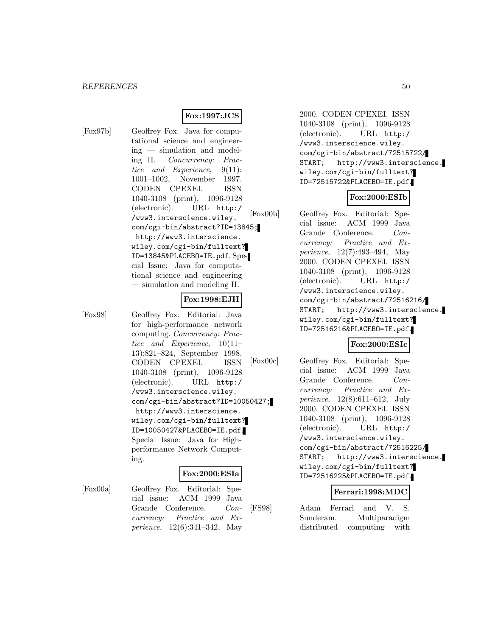## **Fox:1997:JCS**

[Fox97b] Geoffrey Fox. Java for computational science and engineering — simulation and modeling II. Concurrency: Practice and Experience, 9(11): 1001–1002, November 1997. CODEN CPEXEI. ISSN 1040-3108 (print), 1096-9128 (electronic). URL http:/ /www3.interscience.wiley. com/cgi-bin/abstract?ID=13845; http://www3.interscience. wiley.com/cgi-bin/fulltext? ID=13845&PLACEBO=IE.pdf. Special Issue: Java for computational science and engineering — simulation and modeling II.

## **Fox:1998:EJH**

[Fox98] Geoffrey Fox. Editorial: Java for high-performance network computing. Concurrency: Practice and Experience, 10(11– 13):821–824, September 1998. CODEN CPEXEI. ISSN 1040-3108 (print), 1096-9128 (electronic). URL http:/ /www3.interscience.wiley. com/cgi-bin/abstract?ID=10050427; http://www3.interscience. wiley.com/cgi-bin/fulltext? ID=10050427&PLACEBO=IE.pdf. Special Issue: Java for Highperformance Network Computing.

## **Fox:2000:ESIa**

[Fox00a] Geoffrey Fox. Editorial: Special issue: ACM 1999 Java Grande Conference. Concurrency: Practice and Experience, 12(6):341–342, May

2000. CODEN CPEXEI. ISSN 1040-3108 (print), 1096-9128 (electronic). URL http:/ /www3.interscience.wiley. com/cgi-bin/abstract/72515722/ START; http://www3.interscience. wiley.com/cgi-bin/fulltext? ID=72515722&PLACEBO=IE.pdf.

## **Fox:2000:ESIb**

[Fox00b] Geoffrey Fox. Editorial: Special issue: ACM 1999 Java Grande Conference. Concurrency: Practice and Experience, 12(7):493–494, May 2000. CODEN CPEXEI. ISSN 1040-3108 (print), 1096-9128 (electronic). URL http:/ /www3.interscience.wiley. com/cgi-bin/abstract/72516216/ START; http://www3.interscience. wiley.com/cgi-bin/fulltext? ID=72516216&PLACEBO=IE.pdf.

## **Fox:2000:ESIc**

[Fox00c] Geoffrey Fox. Editorial: Special issue: ACM 1999 Java Grande Conference. Concurrency: Practice and Experience, 12(8):611–612, July 2000. CODEN CPEXEI. ISSN 1040-3108 (print), 1096-9128 (electronic). URL http:/ /www3.interscience.wiley. com/cgi-bin/abstract/72516225/ START; http://www3.interscience. wiley.com/cgi-bin/fulltext? ID=72516225&PLACEBO=IE.pdf.

#### **Ferrari:1998:MDC**

[FS98] Adam Ferrari and V. S. Sunderam. Multiparadigm distributed computing with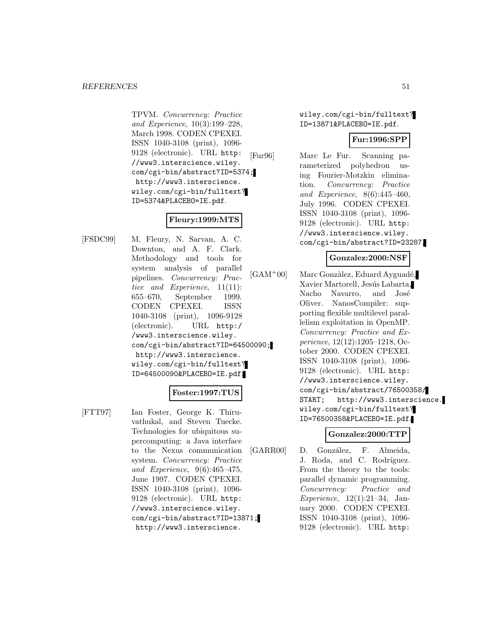TPVM. Concurrency: Practice and Experience, 10(3):199–228, March 1998. CODEN CPEXEI. ISSN 1040-3108 (print), 1096- 9128 (electronic). URL http: //www3.interscience.wiley. com/cgi-bin/abstract?ID=5374; http://www3.interscience. wiley.com/cgi-bin/fulltext? ID=5374&PLACEBO=IE.pdf.

# **Fleury:1999:MTS**

[FSDC99] M. Fleury, N. Sarvan, A. C. Downton, and A. F. Clark. Methodology and tools for system analysis of parallel pipelines. Concurrency: Practice and Experience, 11(11): 655–670, September 1999. CODEN CPEXEI. ISSN 1040-3108 (print), 1096-9128 (electronic). URL http:/ /www3.interscience.wiley. com/cgi-bin/abstract?ID=64500090; http://www3.interscience. wiley.com/cgi-bin/fulltext? ID=64500090&PLACEBO=IE.pdf.

## **Foster:1997:TUS**

[FTT97] Ian Foster, George K. Thiruvathukal, and Steven Tuecke. Technologies for ubiquitous supercomputing: a Java interface to the Nexus communication system. Concurrency: Practice and Experience, 9(6):465–475, June 1997. CODEN CPEXEI. ISSN 1040-3108 (print), 1096- 9128 (electronic). URL http: //www3.interscience.wiley. com/cgi-bin/abstract?ID=13871; http://www3.interscience.

wiley.com/cgi-bin/fulltext? ID=13871&PLACEBO=IE.pdf.

#### **Fur:1996:SPP**

[Fur96] Marc Le Fur. Scanning parameterized polyhedron using Fourier-Motzkin elimination. Concurrency: Practice and Experience, 8(6):445–460, July 1996. CODEN CPEXEI. ISSN 1040-3108 (print), 1096- 9128 (electronic). URL http: //www3.interscience.wiley. com/cgi-bin/abstract?ID=23287.

#### **Gonzalez:2000:NSF**

 $[GAM<sup>+</sup>00]$  Marc Gonzàlez, Eduard Ayguadé, Xavier Martorell, Jesús Labarta, Nacho Navarro, and José Oliver. NanosCompiler: supporting flexible multilevel parallelism exploitation in OpenMP. Concurrency: Practice and Experience, 12(12):1205–1218, October 2000. CODEN CPEXEI. ISSN 1040-3108 (print), 1096- 9128 (electronic). URL http: //www3.interscience.wiley. com/cgi-bin/abstract/76500358/ START; http://www3.interscience. wiley.com/cgi-bin/fulltext? ID=76500358&PLACEBO=IE.pdf.

## **Gonzalez:2000:TTP**

[GARR00] D. González, F. Almeida, J. Roda, and C. Rodríguez. From the theory to the tools: parallel dynamic programming. Concurrency: Practice and Experience, 12(1):21–34, January 2000. CODEN CPEXEI. ISSN 1040-3108 (print), 1096- 9128 (electronic). URL http: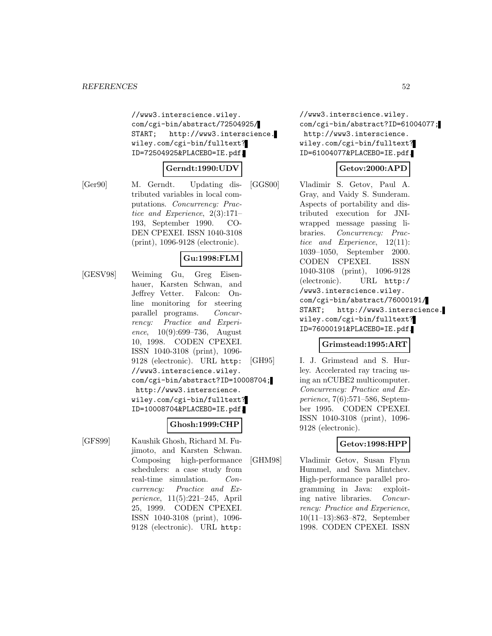//www3.interscience.wiley. com/cgi-bin/abstract/72504925/ START; http://www3.interscience. wiley.com/cgi-bin/fulltext? ID=72504925&PLACEBO=IE.pdf.

#### **Gerndt:1990:UDV**

[Ger90] M. Gerndt. Updating distributed variables in local computations. Concurrency: Practice and Experience, 2(3):171– 193, September 1990. CO-DEN CPEXEI. ISSN 1040-3108 (print), 1096-9128 (electronic).

## **Gu:1998:FLM**

[GESV98] Weiming Gu, Greg Eisenhauer, Karsten Schwan, and Jeffrey Vetter. Falcon: Online monitoring for steering parallel programs. Concurrency: Practice and Experience,  $10(9):699-736$ , August 10, 1998. CODEN CPEXEI. ISSN 1040-3108 (print), 1096- 9128 (electronic). URL http: //www3.interscience.wiley. com/cgi-bin/abstract?ID=10008704; http://www3.interscience. wiley.com/cgi-bin/fulltext? ID=10008704&PLACEBO=IE.pdf.

## **Ghosh:1999:CHP**

[GFS99] Kaushik Ghosh, Richard M. Fujimoto, and Karsten Schwan. Composing high-performance schedulers: a case study from real-time simulation. Concurrency: Practice and Experience, 11(5):221–245, April 25, 1999. CODEN CPEXEI. ISSN 1040-3108 (print), 1096- 9128 (electronic). URL http:

//www3.interscience.wiley. com/cgi-bin/abstract?ID=61004077; http://www3.interscience. wiley.com/cgi-bin/fulltext? ID=61004077&PLACEBO=IE.pdf.

## **Getov:2000:APD**

[GGS00] Vladimir S. Getov, Paul A. Gray, and Vaidy S. Sunderam. Aspects of portability and distributed execution for JNIwrapped message passing libraries. Concurrency: Practice and Experience, 12(11): 1039–1050, September 2000. CODEN CPEXEI. ISSN 1040-3108 (print), 1096-9128 (electronic). URL http:/ /www3.interscience.wiley. com/cgi-bin/abstract/76000191/ START; http://www3.interscience. wiley.com/cgi-bin/fulltext? ID=76000191&PLACEBO=IE.pdf.

#### **Grimstead:1995:ART**

[GH95] I. J. Grimstead and S. Hurley. Accelerated ray tracing using an nCUBE2 multicomputer. Concurrency: Practice and Experience, 7(6):571–586, September 1995. CODEN CPEXEI. ISSN 1040-3108 (print), 1096- 9128 (electronic).

## **Getov:1998:HPP**

[GHM98] Vladimir Getov, Susan Flynn Hummel, and Sava Mintchev. High-performance parallel programming in Java: exploiting native libraries. Concurrency: Practice and Experience, 10(11–13):863–872, September 1998. CODEN CPEXEI. ISSN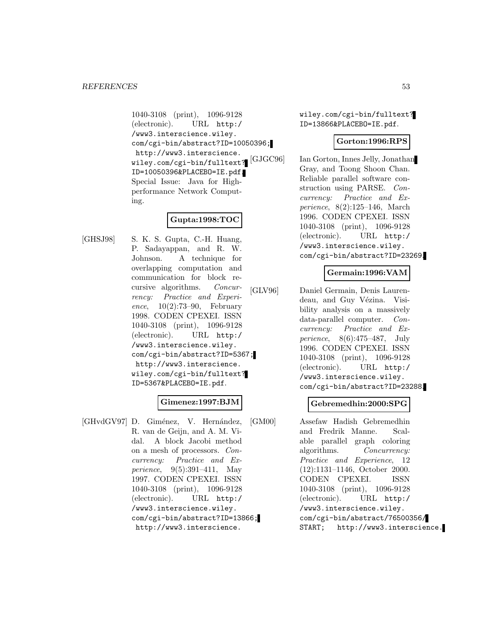1040-3108 (print), 1096-9128 (electronic). URL http:/ /www3.interscience.wiley. com/cgi-bin/abstract?ID=10050396; http://www3.interscience. wiley.com/cgi-bin/fulltext? ID=10050396&PLACEBO=IE.pdf. Special Issue: Java for Highperformance Network Computing.

# **Gupta:1998:TOC**

[GHSJ98] S. K. S. Gupta, C.-H. Huang, P. Sadayappan, and R. W. Johnson. A technique for overlapping computation and communication for block recursive algorithms. Concurrency: Practice and Experience,  $10(2):73-90$ , February 1998. CODEN CPEXEI. ISSN 1040-3108 (print), 1096-9128 (electronic). URL http:/ /www3.interscience.wiley. com/cgi-bin/abstract?ID=5367; http://www3.interscience. wiley.com/cgi-bin/fulltext? ID=5367&PLACEBO=IE.pdf.

# **Gimenez:1997:BJM**

[GHvdGV97] D. Giménez, V. Hernández, R. van de Geijn, and A. M. Vidal. A block Jacobi method on a mesh of processors. Concurrency: Practice and Experience, 9(5):391–411, May 1997. CODEN CPEXEI. ISSN 1040-3108 (print), 1096-9128 (electronic). URL http:/ /www3.interscience.wiley. com/cgi-bin/abstract?ID=13866; http://www3.interscience.

wiley.com/cgi-bin/fulltext? ID=13866&PLACEBO=IE.pdf.

## **Gorton:1996:RPS**

Ian Gorton, Innes Jelly, Jonathan Gray, and Toong Shoon Chan. Reliable parallel software construction using PARSE. Concurrency: Practice and Experience, 8(2):125–146, March 1996. CODEN CPEXEI. ISSN 1040-3108 (print), 1096-9128 (electronic). URL http:/ /www3.interscience.wiley. com/cgi-bin/abstract?ID=23269.

## **Germain:1996:VAM**

[GLV96] Daniel Germain, Denis Laurendeau, and Guy Vézina. Visibility analysis on a massively data-parallel computer. Concurrency: Practice and Experience, 8(6):475–487, July 1996. CODEN CPEXEI. ISSN 1040-3108 (print), 1096-9128 (electronic). URL http:/ /www3.interscience.wiley. com/cgi-bin/abstract?ID=23288.

## **Gebremedhin:2000:SPG**

[GM00] Assefaw Hadish Gebremedhin and Fredrik Manne. Scalable parallel graph coloring algorithms. Concurrency: Practice and Experience, 12 (12):1131–1146, October 2000. CODEN CPEXEI. ISSN 1040-3108 (print), 1096-9128 (electronic). URL http:/ /www3.interscience.wiley. com/cgi-bin/abstract/76500356/ START; http://www3.interscience.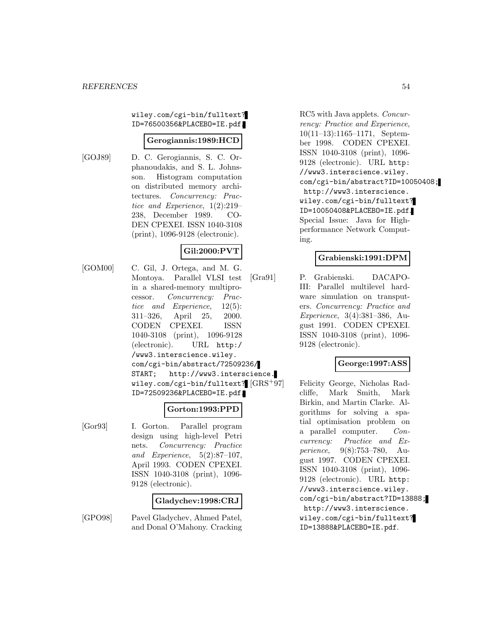wiley.com/cgi-bin/fulltext? ID=76500356&PLACEBO=IE.pdf.

#### **Gerogiannis:1989:HCD**

[GOJ89] D. C. Gerogiannis, S. C. Orphanoudakis, and S. L. Johnsson. Histogram computation on distributed memory architectures. Concurrency: Practice and Experience, 1(2):219– 238, December 1989. CO-DEN CPEXEI. ISSN 1040-3108 (print), 1096-9128 (electronic).

# **Gil:2000:PVT**

[GOM00] C. Gil, J. Ortega, and M. G. Montoya. Parallel VLSI test in a shared-memory multiprocessor. Concurrency: Practice and Experience, 12(5): 311–326, April 25, 2000. CODEN CPEXEI. ISSN 1040-3108 (print), 1096-9128 (electronic). URL http:/ /www3.interscience.wiley. com/cgi-bin/abstract/72509236/ START; http://www3.interscience. wiley.com/cgi-bin/fulltext?  $\left[GRS^{+}97\right]$ ID=72509236&PLACEBO=IE.pdf.

## **Gorton:1993:PPD**

[Gor93] I. Gorton. Parallel program design using high-level Petri nets. Concurrency: Practice and Experience, 5(2):87–107, April 1993. CODEN CPEXEI. ISSN 1040-3108 (print), 1096- 9128 (electronic).

#### **Gladychev:1998:CRJ**

[GPO98] Pavel Gladychev, Ahmed Patel, and Donal O'Mahony. Cracking RC5 with Java applets. Concurrency: Practice and Experience, 10(11–13):1165–1171, September 1998. CODEN CPEXEI. ISSN 1040-3108 (print), 1096- 9128 (electronic). URL http: //www3.interscience.wiley. com/cgi-bin/abstract?ID=10050408; http://www3.interscience. wiley.com/cgi-bin/fulltext? ID=10050408&PLACEBO=IE.pdf. Special Issue: Java for Highperformance Network Computing.

## **Grabienski:1991:DPM**

[Gra91] P. Grabienski. DACAPO-III: Parallel multilevel hardware simulation on transputers. Concurrency: Practice and Experience, 3(4):381–386, August 1991. CODEN CPEXEI. ISSN 1040-3108 (print), 1096- 9128 (electronic).

#### **George:1997:ASS**

Felicity George, Nicholas Radcliffe, Mark Smith, Mark Birkin, and Martin Clarke. Algorithms for solving a spatial optimisation problem on a parallel computer. Concurrency: Practice and Experience, 9(8):753–780, August 1997. CODEN CPEXEI. ISSN 1040-3108 (print), 1096- 9128 (electronic). URL http: //www3.interscience.wiley. com/cgi-bin/abstract?ID=13888; http://www3.interscience. wiley.com/cgi-bin/fulltext? ID=13888&PLACEBO=IE.pdf.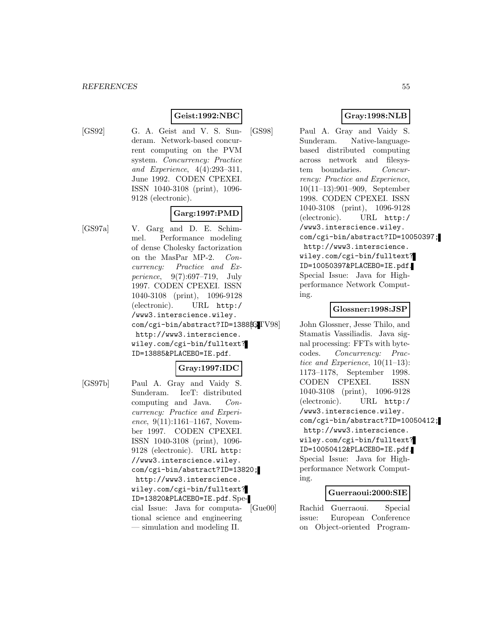## **Geist:1992:NBC**

- 
- [GS92] G. A. Geist and V. S. Sunderam. Network-based concurrent computing on the PVM system. Concurrency: Practice and Experience, 4(4):293–311, June 1992. CODEN CPEXEI. ISSN 1040-3108 (print), 1096- 9128 (electronic).

## **Garg:1997:PMD**

[GS97a] V. Garg and D. E. Schimmel. Performance modeling of dense Cholesky factorization on the MasPar MP-2. Concurrency: Practice and Experience, 9(7):697–719, July 1997. CODEN CPEXEI. ISSN 1040-3108 (print), 1096-9128 (electronic). URL http:/ /www3.interscience.wiley. com/cgi-bin/abstract?ID=1388fGTV98 http://www3.interscience. wiley.com/cgi-bin/fulltext? ID=13885&PLACEBO=IE.pdf.

## **Gray:1997:IDC**

[GS97b] Paul A. Gray and Vaidy S. Sunderam. IceT: distributed computing and Java. Concurrency: Practice and Experience,  $9(11):1161-1167$ , November 1997. CODEN CPEXEI. ISSN 1040-3108 (print), 1096- 9128 (electronic). URL http: //www3.interscience.wiley. com/cgi-bin/abstract?ID=13820; http://www3.interscience. wiley.com/cgi-bin/fulltext? ID=13820&PLACEBO=IE.pdf. Special Issue: Java for computational science and engineering — simulation and modeling II.

## **Gray:1998:NLB**

[GS98] Paul A. Gray and Vaidy S. Sunderam. Native-languagebased distributed computing across network and filesystem boundaries. Concurrency: Practice and Experience, 10(11–13):901–909, September 1998. CODEN CPEXEI. ISSN 1040-3108 (print), 1096-9128 (electronic). URL http:/ /www3.interscience.wiley. com/cgi-bin/abstract?ID=10050397; http://www3.interscience. wiley.com/cgi-bin/fulltext? ID=10050397&PLACEBO=IE.pdf. Special Issue: Java for Highperformance Network Computing.

## **Glossner:1998:JSP**

John Glossner, Jesse Thilo, and Stamatis Vassiliadis. Java signal processing: FFTs with bytecodes. Concurrency: Practice and Experience, 10(11–13): 1173–1178, September 1998. CODEN CPEXEI. ISSN 1040-3108 (print), 1096-9128 (electronic). URL http:/ /www3.interscience.wiley. com/cgi-bin/abstract?ID=10050412; http://www3.interscience. wiley.com/cgi-bin/fulltext? ID=10050412&PLACEBO=IE.pdf. Special Issue: Java for Highperformance Network Computing.

#### **Guerraoui:2000:SIE**

[Gue00] Rachid Guerraoui. Special issue: European Conference on Object-oriented Program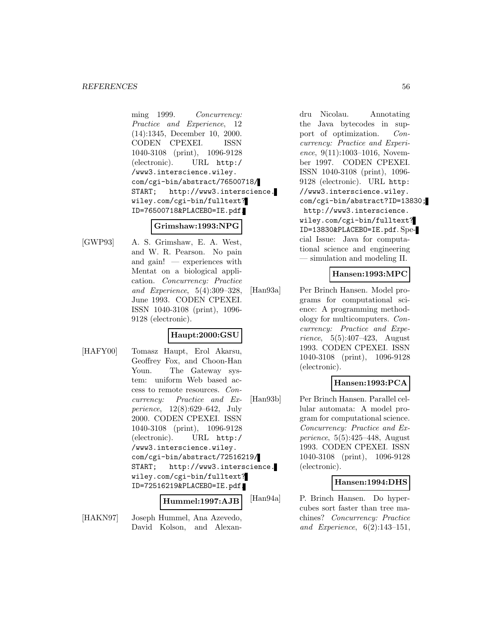ming 1999. Concurrency: Practice and Experience, 12 (14):1345, December 10, 2000. CODEN CPEXEI. ISSN 1040-3108 (print), 1096-9128 (electronic). URL http:/ /www3.interscience.wiley. com/cgi-bin/abstract/76500718/ START; http://www3.interscience. wiley.com/cgi-bin/fulltext? ID=76500718&PLACEBO=IE.pdf.

#### **Grimshaw:1993:NPG**

[GWP93] A. S. Grimshaw, E. A. West, and W. R. Pearson. No pain and gain! — experiences with Mentat on a biological application. Concurrency: Practice and Experience, 5(4):309–328, June 1993. CODEN CPEXEI. ISSN 1040-3108 (print), 1096- 9128 (electronic).

## **Haupt:2000:GSU**

[HAFY00] Tomasz Haupt, Erol Akarsu, Geoffrey Fox, and Choon-Han Youn. The Gateway system: uniform Web based access to remote resources. Concurrency: Practice and Experience, 12(8):629–642, July 2000. CODEN CPEXEI. ISSN 1040-3108 (print), 1096-9128 (electronic). URL http:/ /www3.interscience.wiley. com/cgi-bin/abstract/72516219/ START; http://www3.interscience. wiley.com/cgi-bin/fulltext? ID=72516219&PLACEBO=IE.pdf.

**Hummel:1997:AJB**

[HAKN97] Joseph Hummel, Ana Azevedo, David Kolson, and Alexandru Nicolau. Annotating the Java bytecodes in support of optimization. Concurrency: Practice and Experience, 9(11):1003-1016, November 1997. CODEN CPEXEI. ISSN 1040-3108 (print), 1096- 9128 (electronic). URL http: //www3.interscience.wiley. com/cgi-bin/abstract?ID=13830; http://www3.interscience. wiley.com/cgi-bin/fulltext? ID=13830&PLACEBO=IE.pdf. Special Issue: Java for computational science and engineering — simulation and modeling II.

## **Hansen:1993:MPC**

[Han93a] Per Brinch Hansen. Model programs for computational science: A programming methodology for multicomputers. Concurrency: Practice and Experience, 5(5):407–423, August 1993. CODEN CPEXEI. ISSN 1040-3108 (print), 1096-9128 (electronic).

# **Hansen:1993:PCA**

[Han93b] Per Brinch Hansen. Parallel cellular automata: A model program for computational science. Concurrency: Practice and Experience, 5(5):425–448, August 1993. CODEN CPEXEI. ISSN 1040-3108 (print), 1096-9128 (electronic).

## **Hansen:1994:DHS**

[Han94a] P. Brinch Hansen. Do hypercubes sort faster than tree machines? Concurrency: Practice and Experience, 6(2):143–151,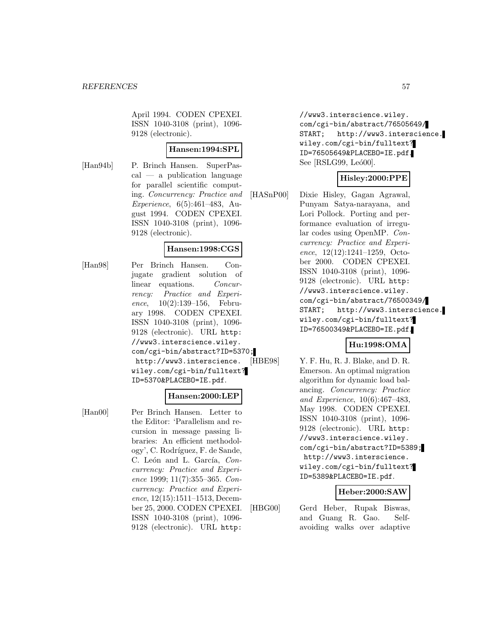April 1994. CODEN CPEXEI. ISSN 1040-3108 (print), 1096- 9128 (electronic).

#### **Hansen:1994:SPL**

[Han94b] P. Brinch Hansen. SuperPas $cal - a$  publication language for parallel scientific computing. Concurrency: Practice and Experience, 6(5):461–483, August 1994. CODEN CPEXEI. ISSN 1040-3108 (print), 1096- 9128 (electronic).

## **Hansen:1998:CGS**

[Han98] Per Brinch Hansen. Conjugate gradient solution of linear equations. Concurrency: Practice and Experience, 10(2):139–156, February 1998. CODEN CPEXEI. ISSN 1040-3108 (print), 1096- 9128 (electronic). URL http: //www3.interscience.wiley. com/cgi-bin/abstract?ID=5370; http://www3.interscience. wiley.com/cgi-bin/fulltext? ID=5370&PLACEBO=IE.pdf.

#### **Hansen:2000:LEP**

[Han00] Per Brinch Hansen. Letter to the Editor: 'Parallelism and recursion in message passing libraries: An efficient methodology', C. Rodríguez, F. de Sande, C. León and L. García, Concurrency: Practice and Experience 1999; 11(7):355–365. Concurrency: Practice and Experience, 12(15):1511–1513, December 25, 2000. CODEN CPEXEI. ISSN 1040-3108 (print), 1096- 9128 (electronic). URL http:

//www3.interscience.wiley. com/cgi-bin/abstract/76505649/ START; http://www3.interscience. wiley.com/cgi-bin/fulltext? ID=76505649&PLACEBO=IE.pdf. See [RSLG99, Leó00].

## **Hisley:2000:PPE**

[HASnP00] Dixie Hisley, Gagan Agrawal, Punyam Satya-narayana, and Lori Pollock. Porting and performance evaluation of irregular codes using OpenMP. Concurrency: Practice and Experience, 12(12):1241–1259, October 2000. CODEN CPEXEI. ISSN 1040-3108 (print), 1096- 9128 (electronic). URL http: //www3.interscience.wiley. com/cgi-bin/abstract/76500349/ START; http://www3.interscience. wiley.com/cgi-bin/fulltext? ID=76500349&PLACEBO=IE.pdf.

## **Hu:1998:OMA**

[HBE98] Y. F. Hu, R. J. Blake, and D. R. Emerson. An optimal migration algorithm for dynamic load balancing. Concurrency: Practice and Experience, 10(6):467–483, May 1998. CODEN CPEXEI. ISSN 1040-3108 (print), 1096- 9128 (electronic). URL http: //www3.interscience.wiley. com/cgi-bin/abstract?ID=5389; http://www3.interscience. wiley.com/cgi-bin/fulltext? ID=5389&PLACEBO=IE.pdf.

#### **Heber:2000:SAW**

[HBG00] Gerd Heber, Rupak Biswas, and Guang R. Gao. Selfavoiding walks over adaptive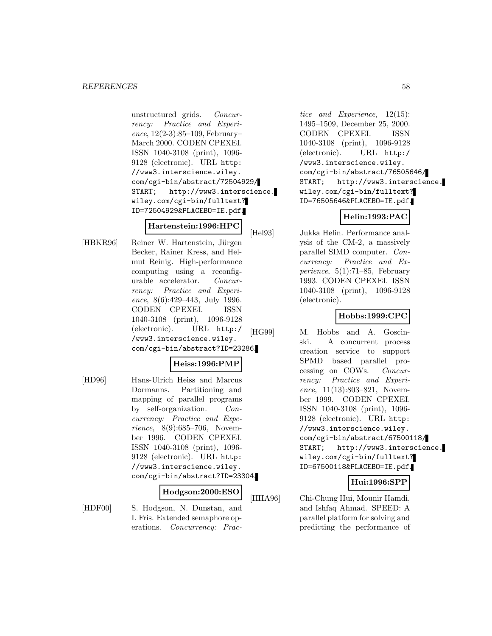unstructured grids. Concurrency: Practice and Experience, 12(2-3):85–109, February– March 2000. CODEN CPEXEI. ISSN 1040-3108 (print), 1096- 9128 (electronic). URL http: //www3.interscience.wiley. com/cgi-bin/abstract/72504929/ START; http://www3.interscience. wiley.com/cgi-bin/fulltext? ID=72504929&PLACEBO=IE.pdf.

## **Hartenstein:1996:HPC**

[HBKR96] Reiner W. Hartenstein, Jürgen Becker, Rainer Kress, and Helmut Reinig. High-performance computing using a reconfigurable accelerator. Concurrency: Practice and Experience, 8(6):429–443, July 1996. CODEN CPEXEI. ISSN 1040-3108 (print), 1096-9128 (electronic). URL http:/ /www3.interscience.wiley. com/cgi-bin/abstract?ID=23286.

## **Heiss:1996:PMP**

[HD96] Hans-Ulrich Heiss and Marcus Dormanns. Partitioning and mapping of parallel programs by self-organization. Concurrency: Practice and Experience, 8(9):685–706, November 1996. CODEN CPEXEI. ISSN 1040-3108 (print), 1096- 9128 (electronic). URL http: //www3.interscience.wiley. com/cgi-bin/abstract?ID=23304.

#### **Hodgson:2000:ESO**

[HDF00] S. Hodgson, N. Dunstan, and I. Fris. Extended semaphore operations. Concurrency: Prac-

tice and Experience, 12(15): 1495–1509, December 25, 2000. CODEN CPEXEI. ISSN 1040-3108 (print), 1096-9128 (electronic). URL http:/ /www3.interscience.wiley. com/cgi-bin/abstract/76505646/ START; http://www3.interscience. wiley.com/cgi-bin/fulltext? ID=76505646&PLACEBO=IE.pdf.

## **Helin:1993:PAC**

[Hel93] Jukka Helin. Performance analysis of the CM-2, a massively parallel SIMD computer. Concurrency: Practice and Experience,  $5(1):71-85$ , February 1993. CODEN CPEXEI. ISSN 1040-3108 (print), 1096-9128 (electronic).

#### **Hobbs:1999:CPC**

[HG99] M. Hobbs and A. Goscinski. A concurrent process creation service to support SPMD based parallel processing on COWs. Concurrency: Practice and Experience, 11(13):803–821, November 1999. CODEN CPEXEI. ISSN 1040-3108 (print), 1096- 9128 (electronic). URL http: //www3.interscience.wiley. com/cgi-bin/abstract/67500118/ START; http://www3.interscience. wiley.com/cgi-bin/fulltext? ID=67500118&PLACEBO=IE.pdf.

## **Hui:1996:SPP**

[HHA96] Chi-Chung Hui, Mounir Hamdi, and Ishfaq Ahmad. SPEED: A parallel platform for solving and predicting the performance of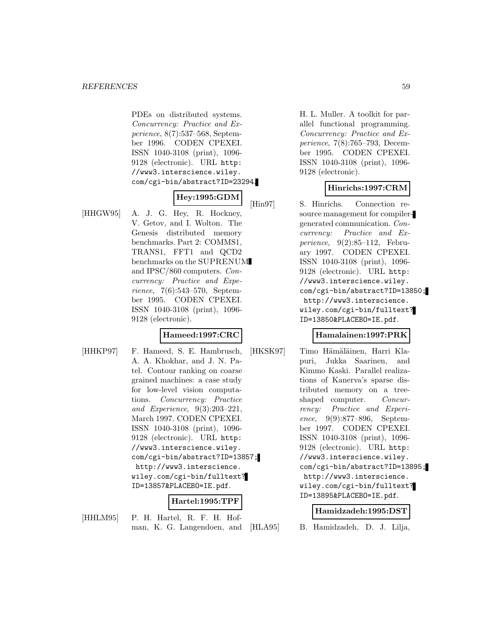PDEs on distributed systems. Concurrency: Practice and Experience, 8(7):537–568, September 1996. CODEN CPEXEI. ISSN 1040-3108 (print), 1096- 9128 (electronic). URL http: //www3.interscience.wiley. com/cgi-bin/abstract?ID=23294.

# **Hey:1995:GDM**

[HHGW95] A. J. G. Hey, R. Hockney, V. Getov, and I. Wolton. The Genesis distributed memory benchmarks. Part 2: COMMS1, TRANS1, FFT1 and QCD2 benchmarks on the SUPRENUM and IPSC/860 computers. Concurrency: Practice and Experience, 7(6):543–570, September 1995. CODEN CPEXEI. ISSN 1040-3108 (print), 1096- 9128 (electronic).

## **Hameed:1997:CRC**

[HHKP97] F. Hameed, S. E. Hambrusch, A. A. Khokhar, and J. N. Patel. Contour ranking on coarse grained machines: a case study for low-level vision computations. Concurrency: Practice and Experience, 9(3):203–221, March 1997. CODEN CPEXEI. ISSN 1040-3108 (print), 1096- 9128 (electronic). URL http: //www3.interscience.wiley. com/cgi-bin/abstract?ID=13857; http://www3.interscience. wiley.com/cgi-bin/fulltext? ID=13857&PLACEBO=IE.pdf.

# **Hartel:1995:TPF**

[HHLM95] P. H. Hartel, R. F. H. Hofman, K. G. Langendoen, and H. L. Muller. A toolkit for parallel functional programming. Concurrency: Practice and Experience, 7(8):765–793, December 1995. CODEN CPEXEI. ISSN 1040-3108 (print), 1096- 9128 (electronic).

# **Hinrichs:1997:CRM**

[Hin97] S. Hinrichs. Connection resource management for compilergenerated communication. Concurrency: Practice and Experience, 9(2):85–112, February 1997. CODEN CPEXEI. ISSN 1040-3108 (print), 1096- 9128 (electronic). URL http: //www3.interscience.wiley. com/cgi-bin/abstract?ID=13850; http://www3.interscience. wiley.com/cgi-bin/fulltext? ID=13850&PLACEBO=IE.pdf.

## **Hamalainen:1997:PRK**

[HKSK97] Timo Hämäläinen, Harri Klapuri, Jukka Saarinen, and Kimmo Kaski. Parallel realizations of Kanerva's sparse distributed memory on a treeshaped computer. *Concur*rency: Practice and Experience, 9(9):877–896, September 1997. CODEN CPEXEI. ISSN 1040-3108 (print), 1096- 9128 (electronic). URL http: //www3.interscience.wiley. com/cgi-bin/abstract?ID=13895; http://www3.interscience. wiley.com/cgi-bin/fulltext? ID=13895&PLACEBO=IE.pdf.

# **Hamidzadeh:1995:DST**

[HLA95] B. Hamidzadeh, D. J. Lilja,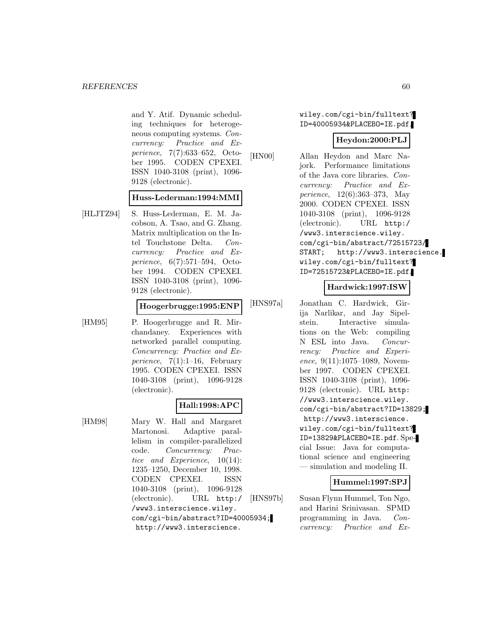and Y. Atif. Dynamic scheduling techniques for heterogeneous computing systems. Concurrency: Practice and Experience, 7(7):633–652, October 1995. CODEN CPEXEI. ISSN 1040-3108 (print), 1096- 9128 (electronic).

#### **Huss-Lederman:1994:MMI**

[HLJTZ94] S. Huss-Lederman, E. M. Jacobson, A. Tsao, and G. Zhang. Matrix multiplication on the Intel Touchstone Delta. Concurrency: Practice and Experience, 6(7):571–594, October 1994. CODEN CPEXEI. ISSN 1040-3108 (print), 1096- 9128 (electronic).

#### **Hoogerbrugge:1995:ENP**

[HM95] P. Hoogerbrugge and R. Mirchandaney. Experiences with networked parallel computing. Concurrency: Practice and Experience,  $7(1):1-16$ , February 1995. CODEN CPEXEI. ISSN 1040-3108 (print), 1096-9128 (electronic).

## **Hall:1998:APC**

[HM98] Mary W. Hall and Margaret Martonosi. Adaptive parallelism in compiler-parallelized code. Concurrency: Practice and Experience, 10(14): 1235–1250, December 10, 1998. CODEN CPEXEI. ISSN 1040-3108 (print), 1096-9128 (electronic). URL http:/ /www3.interscience.wiley. com/cgi-bin/abstract?ID=40005934; http://www3.interscience.

wiley.com/cgi-bin/fulltext? ID=40005934&PLACEBO=IE.pdf.

#### **Heydon:2000:PLJ**

[HN00] Allan Heydon and Marc Najork. Performance limitations of the Java core libraries. Concurrency: Practice and Experience, 12(6):363–373, May 2000. CODEN CPEXEI. ISSN 1040-3108 (print), 1096-9128 (electronic). URL http:/ /www3.interscience.wiley. com/cgi-bin/abstract/72515723/ START; http://www3.interscience. wiley.com/cgi-bin/fulltext? ID=72515723&PLACEBO=IE.pdf.

#### **Hardwick:1997:ISW**

[HNS97a] Jonathan C. Hardwick, Girija Narlikar, and Jay Sipelstein. Interactive simulations on the Web: compiling N ESL into Java. Concurrency: Practice and Experience, 9(11):1075-1089, November 1997. CODEN CPEXEI. ISSN 1040-3108 (print), 1096- 9128 (electronic). URL http: //www3.interscience.wiley. com/cgi-bin/abstract?ID=13829; http://www3.interscience. wiley.com/cgi-bin/fulltext? ID=13829&PLACEBO=IE.pdf. Special Issue: Java for computational science and engineering — simulation and modeling II.

## **Hummel:1997:SPJ**

[HNS97b] Susan Flynn Hummel, Ton Ngo, and Harini Srinivasan. SPMD programming in Java. Concurrency: Practice and Ex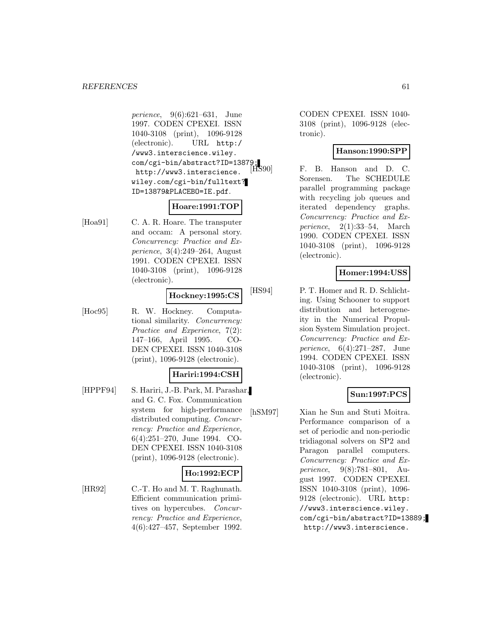perience, 9(6):621–631, June 1997. CODEN CPEXEI. ISSN 1040-3108 (print), 1096-9128 (electronic). URL http:/ /www3.interscience.wiley. com/cgi-bin/abstract?ID=13879;<br>http://www.interacionee [HS90] http://www3.interscience. wiley.com/cgi-bin/fulltext? ID=13879&PLACEBO=IE.pdf.

# **Hoare:1991:TOP**

[Hoa91] C. A. R. Hoare. The transputer and occam: A personal story. Concurrency: Practice and Experience, 3(4):249–264, August 1991. CODEN CPEXEI. ISSN 1040-3108 (print), 1096-9128 (electronic).

### **Hockney:1995:CS**

[Hoc95] R. W. Hockney. Computational similarity. Concurrency: Practice and Experience, 7(2): 147–166, April 1995. CO-DEN CPEXEI. ISSN 1040-3108 (print), 1096-9128 (electronic).

## **Hariri:1994:CSH**

[HPPF94] S. Hariri, J.-B. Park, M. Parashar, and G. C. Fox. Communication system for high-performance distributed computing. Concurrency: Practice and Experience, 6(4):251–270, June 1994. CO-DEN CPEXEI. ISSN 1040-3108 (print), 1096-9128 (electronic).

# **Ho:1992:ECP**

[HR92] C.-T. Ho and M. T. Raghunath. Efficient communication primitives on hypercubes. Concurrency: Practice and Experience, 4(6):427–457, September 1992. CODEN CPEXEI. ISSN 1040- 3108 (print), 1096-9128 (electronic).

# **Hanson:1990:SPP**

F. B. Hanson and D. C. Sorensen. The SCHEDULE parallel programming package with recycling job queues and iterated dependency graphs. Concurrency: Practice and Experience, 2(1):33–54, March 1990. CODEN CPEXEI. ISSN 1040-3108 (print), 1096-9128 (electronic).

## **Homer:1994:USS**

[HS94] P. T. Homer and R. D. Schlichting. Using Schooner to support distribution and heterogeneity in the Numerical Propulsion System Simulation project. Concurrency: Practice and Experience, 6(4):271–287, June 1994. CODEN CPEXEI. ISSN 1040-3108 (print), 1096-9128 (electronic).

## **Sun:1997:PCS**

[hSM97] Xian he Sun and Stuti Moitra. Performance comparison of a set of periodic and non-periodic tridiagonal solvers on SP2 and Paragon parallel computers. Concurrency: Practice and Experience, 9(8):781–801, August 1997. CODEN CPEXEI. ISSN 1040-3108 (print), 1096- 9128 (electronic). URL http: //www3.interscience.wiley. com/cgi-bin/abstract?ID=13889; http://www3.interscience.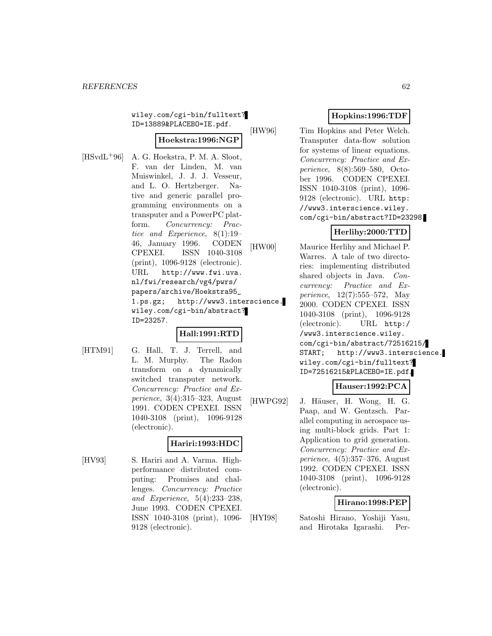wiley.com/cgi-bin/fulltext? ID=13889&PLACEBO=IE.pdf.

# **Hoekstra:1996:NGP**

 $[HSvdL+96]$  A. G. Hoekstra, P. M. A. Sloot, F. van der Linden, M. van Muiswinkel, J. J. J. Vesseur, and L. O. Hertzberger. Native and generic parallel programming environments on a transputer and a PowerPC platform. Concurrency: Practice and Experience, 8(1):19– 46, January 1996. CODEN CPEXEI. ISSN 1040-3108 (print), 1096-9128 (electronic). URL http://www.fwi.uva. nl/fwi/research/vg4/pwrs/ papers/archive/Hoekstra95\_ 1.ps.gz; http://www3.interscience. wiley.com/cgi-bin/abstract? ID=23257.

# **Hall:1991:RTD**

[HTM91] G. Hall, T. J. Terrell, and L. M. Murphy. The Radon transform on a dynamically switched transputer network. Concurrency: Practice and Experience, 3(4):315–323, August 1991. CODEN CPEXEI. ISSN 1040-3108 (print), 1096-9128 (electronic).

# **Hariri:1993:HDC**

[HV93] S. Hariri and A. Varma. Highperformance distributed computing: Promises and challenges. Concurrency: Practice and Experience, 5(4):233–238, June 1993. CODEN CPEXEI. ISSN 1040-3108 (print), 1096- 9128 (electronic).

# **Hopkins:1996:TDF**

[HW96] Tim Hopkins and Peter Welch. Transputer data-flow solution for systems of linear equations. Concurrency: Practice and Experience, 8(8):569–580, October 1996. CODEN CPEXEI. ISSN 1040-3108 (print), 1096- 9128 (electronic). URL http: //www3.interscience.wiley. com/cgi-bin/abstract?ID=23298.

# **Herlihy:2000:TTD**

[HW00] Maurice Herlihy and Michael P. Warres. A tale of two directories: implementing distributed shared objects in Java. Concurrency: Practice and Experience, 12(7):555–572, May 2000. CODEN CPEXEI. ISSN 1040-3108 (print), 1096-9128 (electronic). URL http:/ /www3.interscience.wiley. com/cgi-bin/abstract/72516215/ START; http://www3.interscience. wiley.com/cgi-bin/fulltext? ID=72516215&PLACEBO=IE.pdf.

# **Hauser:1992:PCA**

[HWPG92] J. Häuser, H. Wong, H. G. Paap, and W. Gentzsch. Parallel computing in aerospace using multi-block grids. Part 1: Application to grid generation. Concurrency: Practice and Experience, 4(5):357–376, August 1992. CODEN CPEXEI. ISSN 1040-3108 (print), 1096-9128 (electronic).

# **Hirano:1998:PEP**

[HYI98] Satoshi Hirano, Yoshiji Yasu, and Hirotaka Igarashi. Per-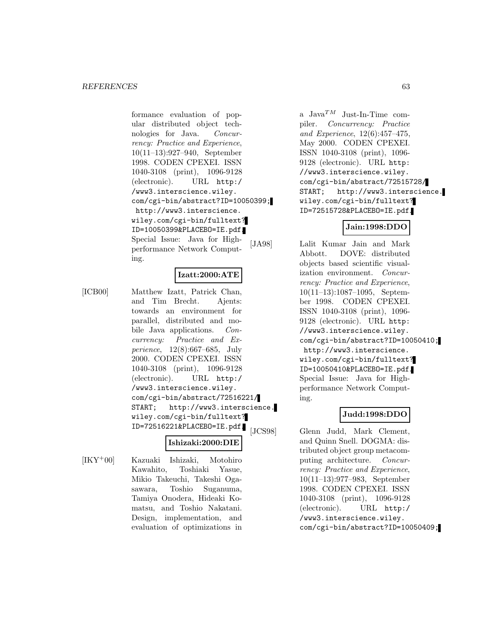formance evaluation of popular distributed object technologies for Java. Concurrency: Practice and Experience, 10(11–13):927–940, September 1998. CODEN CPEXEI. ISSN 1040-3108 (print), 1096-9128 (electronic). URL http:/ /www3.interscience.wiley. com/cgi-bin/abstract?ID=10050399; http://www3.interscience. wiley.com/cgi-bin/fulltext? ID=10050399&PLACEBO=IE.pdf. Special Issue: Java for Highperformance Network Computing.

## **Izatt:2000:ATE**

[ICB00] Matthew Izatt, Patrick Chan, and Tim Brecht. Ajents: towards an environment for parallel, distributed and mobile Java applications. Concurrency: Practice and Experience, 12(8):667–685, July 2000. CODEN CPEXEI. ISSN 1040-3108 (print), 1096-9128 (electronic). URL http:/ /www3.interscience.wiley. com/cgi-bin/abstract/72516221/ START; http://www3.interscience. wiley.com/cgi-bin/fulltext? ID=72516221&PLACEBO=IE.pdf.

# **Ishizaki:2000:DIE**

[IKY<sup>+</sup>00] Kazuaki Ishizaki, Motohiro Kawahito, Toshiaki Yasue, Mikio Takeuchi, Takeshi Ogasawara, Toshio Suganuma, Tamiya Onodera, Hideaki Komatsu, and Toshio Nakatani. Design, implementation, and evaluation of optimizations in a Java $^{TM}$  Just-In-Time compiler. Concurrency: Practice and Experience, 12(6):457–475, May 2000. CODEN CPEXEI. ISSN 1040-3108 (print), 1096- 9128 (electronic). URL http: //www3.interscience.wiley. com/cgi-bin/abstract/72515728/ START; http://www3.interscience. wiley.com/cgi-bin/fulltext? ID=72515728&PLACEBO=IE.pdf.

# **Jain:1998:DDO**

[JA98] Lalit Kumar Jain and Mark Abbott. DOVE: distributed objects based scientific visualization environment. Concurrency: Practice and Experience, 10(11–13):1087–1095, September 1998. CODEN CPEXEI. ISSN 1040-3108 (print), 1096- 9128 (electronic). URL http: //www3.interscience.wiley. com/cgi-bin/abstract?ID=10050410; http://www3.interscience. wiley.com/cgi-bin/fulltext? ID=10050410&PLACEBO=IE.pdf. Special Issue: Java for Highperformance Network Computing.

## **Judd:1998:DDO**

[JCS98] Glenn Judd, Mark Clement, and Quinn Snell. DOGMA: distributed object group metacomputing architecture. Concurrency: Practice and Experience, 10(11–13):977–983, September 1998. CODEN CPEXEI. ISSN 1040-3108 (print), 1096-9128 (electronic). URL http:/ /www3.interscience.wiley. com/cgi-bin/abstract?ID=10050409;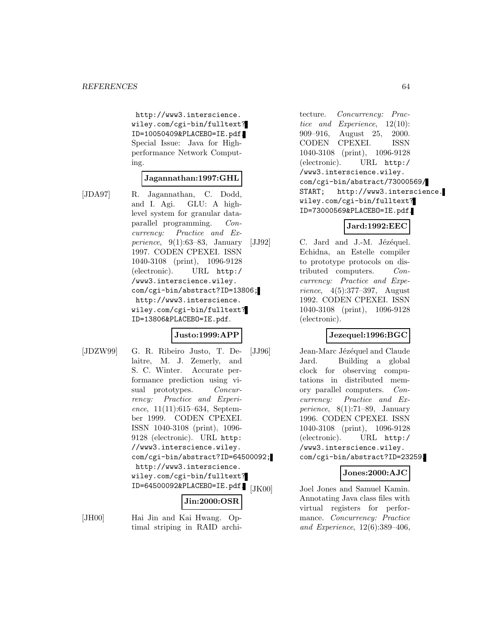http://www3.interscience. wiley.com/cgi-bin/fulltext? ID=10050409&PLACEBO=IE.pdf. Special Issue: Java for Highperformance Network Computing.

#### **Jagannathan:1997:GHL**

- 
- [JDA97] R. Jagannathan, C. Dodd, and I. Agi. GLU: A highlevel system for granular dataparallel programming. Concurrency: Practice and Experience, 9(1):63–83, January 1997. CODEN CPEXEI. ISSN 1040-3108 (print), 1096-9128 (electronic). URL http:/ /www3.interscience.wiley. com/cgi-bin/abstract?ID=13806; http://www3.interscience. wiley.com/cgi-bin/fulltext? ID=13806&PLACEBO=IE.pdf.

## **Justo:1999:APP**

[JDZW99] G. R. Ribeiro Justo, T. Delaitre, M. J. Zemerly, and S. C. Winter. Accurate performance prediction using visual prototypes. Concurrency: Practice and Experience,  $11(11):615-634$ , September 1999. CODEN CPEXEI. ISSN 1040-3108 (print), 1096- 9128 (electronic). URL http: //www3.interscience.wiley. com/cgi-bin/abstract?ID=64500092; http://www3.interscience. wiley.com/cgi-bin/fulltext? ID=64500092&PLACEBO=IE.pdf.

# **Jin:2000:OSR**

[JH00] Hai Jin and Kai Hwang. Optimal striping in RAID archi-

tecture. Concurrency: Practice and Experience, 12(10): 909–916, August 25, 2000. CODEN CPEXEI. ISSN 1040-3108 (print), 1096-9128 (electronic). URL http:/ /www3.interscience.wiley. com/cgi-bin/abstract/73000569/ START; http://www3.interscience. wiley.com/cgi-bin/fulltext? ID=73000569&PLACEBO=IE.pdf.

#### **Jard:1992:EEC**

 $[JJ92]$  C. Jard and J.-M. Jézéquel. Echidna, an Estelle compiler to prototype protocols on distributed computers. Concurrency: Practice and Experience, 4(5):377–397, August 1992. CODEN CPEXEI. ISSN 1040-3108 (print), 1096-9128 (electronic).

## **Jezequel:1996:BGC**

[JJ96] Jean-Marc Jézéquel and Claude Jard. Building a global clock for observing computations in distributed memory parallel computers. Concurrency: Practice and Experience, 8(1):71–89, January 1996. CODEN CPEXEI. ISSN 1040-3108 (print), 1096-9128 (electronic). URL http:/ /www3.interscience.wiley. com/cgi-bin/abstract?ID=23259.

## **Jones:2000:AJC**

Joel Jones and Samuel Kamin. Annotating Java class files with virtual registers for performance. Concurrency: Practice and Experience, 12(6):389–406,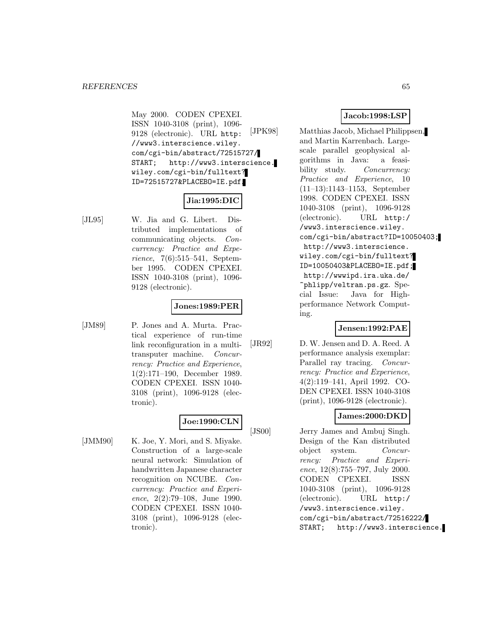May 2000. CODEN CPEXEI. ISSN 1040-3108 (print), 1096- 9128 (electronic). URL http: //www3.interscience.wiley. com/cgi-bin/abstract/72515727/ START; http://www3.interscience. wiley.com/cgi-bin/fulltext? ID=72515727&PLACEBO=IE.pdf.

#### **Jia:1995:DIC**

[JL95] W. Jia and G. Libert. Distributed implementations of communicating objects. Concurrency: Practice and Experience, 7(6):515–541, September 1995. CODEN CPEXEI. ISSN 1040-3108 (print), 1096- 9128 (electronic).

# **Jones:1989:PER**

[JM89] P. Jones and A. Murta. Practical experience of run-time link reconfiguration in a multitransputer machine. Concurrency: Practice and Experience, 1(2):171–190, December 1989. CODEN CPEXEI. ISSN 1040- 3108 (print), 1096-9128 (electronic).

# **Joe:1990:CLN**

[JMM90] K. Joe, Y. Mori, and S. Miyake. Construction of a large-scale neural network: Simulation of handwritten Japanese character recognition on NCUBE. Concurrency: Practice and Experience, 2(2):79–108, June 1990. CODEN CPEXEI. ISSN 1040- 3108 (print), 1096-9128 (electronic).

## **Jacob:1998:LSP**

[JPK98] Matthias Jacob, Michael Philippsen, and Martin Karrenbach. Largescale parallel geophysical algorithms in Java: a feasibility study. Concurrency: Practice and Experience, 10 (11–13):1143–1153, September 1998. CODEN CPEXEI. ISSN 1040-3108 (print), 1096-9128 (electronic). URL http:/ /www3.interscience.wiley. com/cgi-bin/abstract?ID=10050403; http://www3.interscience. wiley.com/cgi-bin/fulltext? ID=10050403&PLACEBO=IE.pdf; http://wwwipd.ira.uka.de/ ~phlipp/veltran.ps.gz. Special Issue: Java for Highperformance Network Computing.

## **Jensen:1992:PAE**

[JR92] D. W. Jensen and D. A. Reed. A performance analysis exemplar: Parallel ray tracing. Concurrency: Practice and Experience, 4(2):119–141, April 1992. CO-DEN CPEXEI. ISSN 1040-3108 (print), 1096-9128 (electronic).

## **James:2000:DKD**

[JS00] Jerry James and Ambuj Singh. Design of the Kan distributed object system. Concurrency: Practice and Experience, 12(8):755–797, July 2000. CODEN CPEXEI. ISSN 1040-3108 (print), 1096-9128 (electronic). URL http:/ /www3.interscience.wiley. com/cgi-bin/abstract/72516222/ START; http://www3.interscience.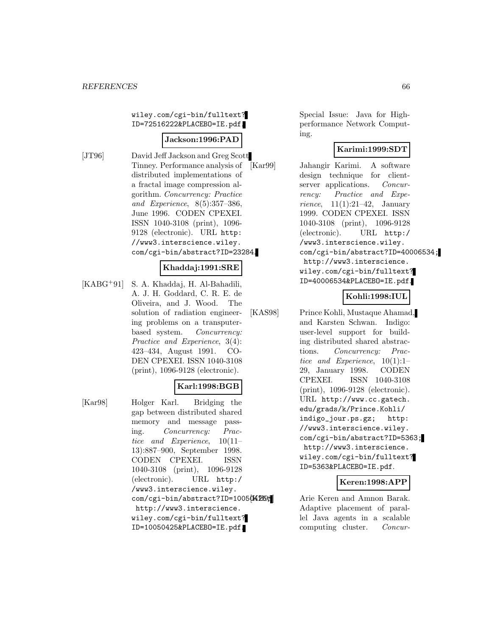wiley.com/cgi-bin/fulltext? ID=72516222&PLACEBO=IE.pdf.

#### **Jackson:1996:PAD**

[JT96] David Jeff Jackson and Greg Scott Tinney. Performance analysis of distributed implementations of a fractal image compression algorithm. Concurrency: Practice and Experience, 8(5):357–386, June 1996. CODEN CPEXEI. ISSN 1040-3108 (print), 1096- 9128 (electronic). URL http: //www3.interscience.wiley. com/cgi-bin/abstract?ID=23284.

#### **Khaddaj:1991:SRE**

[KABG<sup>+</sup>91] S. A. Khaddaj, H. Al-Bahadili, A. J. H. Goddard, C. R. E. de Oliveira, and J. Wood. The solution of radiation engineering problems on a transputerbased system. *Concurrency:* Practice and Experience, 3(4): 423–434, August 1991. CO-DEN CPEXEI. ISSN 1040-3108 (print), 1096-9128 (electronic).

# **Karl:1998:BGB**

[Kar98] Holger Karl. Bridging the gap between distributed shared memory and message passing. Concurrency: Practice and Experience, 10(11– 13):887–900, September 1998. CODEN CPEXEI. ISSN 1040-3108 (print), 1096-9128 (electronic). URL http:/ /www3.interscience.wiley. com/cgi-bin/abstract?ID=100504259; http://www3.interscience. wiley.com/cgi-bin/fulltext? ID=10050425&PLACEBO=IE.pdf.

Special Issue: Java for Highperformance Network Computing.

## **Karimi:1999:SDT**

[Kar99] Jahangir Karimi. A software design technique for clientserver applications. *Concur*rency: Practice and Experience,  $11(1):21-42$ , January 1999. CODEN CPEXEI. ISSN 1040-3108 (print), 1096-9128 (electronic). URL http:/ /www3.interscience.wiley. com/cgi-bin/abstract?ID=40006534; http://www3.interscience. wiley.com/cgi-bin/fulltext? ID=40006534&PLACEBO=IE.pdf.

## **Kohli:1998:IUL**

[KAS98] Prince Kohli, Mustaque Ahamad, and Karsten Schwan. Indigo: user-level support for building distributed shared abstractions. Concurrency: Practice and Experience, 10(1):1– 29, January 1998. CODEN CPEXEI. ISSN 1040-3108 (print), 1096-9128 (electronic). URL http://www.cc.gatech. edu/grads/k/Prince.Kohli/ indigo\_jour.ps.gz; http: //www3.interscience.wiley. com/cgi-bin/abstract?ID=5363; http://www3.interscience. wiley.com/cgi-bin/fulltext? ID=5363&PLACEBO=IE.pdf.

#### **Keren:1998:APP**

Arie Keren and Amnon Barak. Adaptive placement of parallel Java agents in a scalable computing cluster. Concur-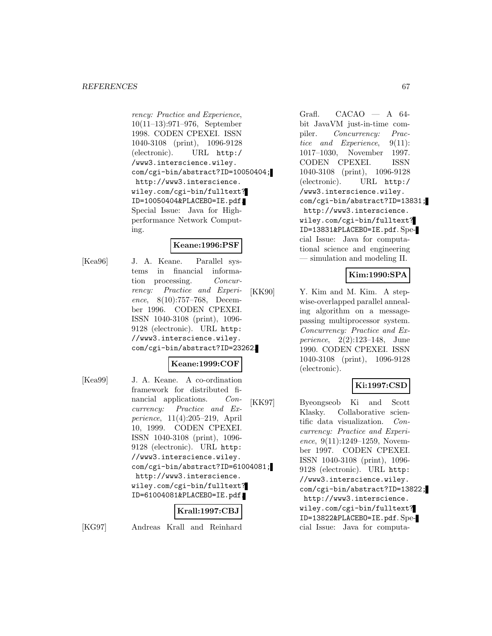#### *REFERENCES* 67

rency: Practice and Experience, 10(11–13):971–976, September 1998. CODEN CPEXEI. ISSN 1040-3108 (print), 1096-9128 (electronic). URL http:/ /www3.interscience.wiley. com/cgi-bin/abstract?ID=10050404; http://www3.interscience. wiley.com/cgi-bin/fulltext? ID=10050404&PLACEBO=IE.pdf. Special Issue: Java for Highperformance Network Computing.

#### **Keane:1996:PSF**

[Kea96] J. A. Keane. Parallel systems in financial information processing. Concurrency: Practice and Experience, 8(10):757–768, December 1996. CODEN CPEXEI. ISSN 1040-3108 (print), 1096- 9128 (electronic). URL http: //www3.interscience.wiley. com/cgi-bin/abstract?ID=23262.

#### **Keane:1999:COF**

[Kea99] J. A. Keane. A co-ordination framework for distributed financial applications. Concurrency: Practice and Experience, 11(4):205–219, April 10, 1999. CODEN CPEXEI. ISSN 1040-3108 (print), 1096- 9128 (electronic). URL http: //www3.interscience.wiley. com/cgi-bin/abstract?ID=61004081; http://www3.interscience. wiley.com/cgi-bin/fulltext? ID=61004081&PLACEBO=IE.pdf.

# **Krall:1997:CBJ**

[KG97] Andreas Krall and Reinhard

Grafl. CACAO — A 64 bit JavaVM just-in-time compiler. Concurrency: Practice and Experience, 9(11): 1017–1030, November 1997. CODEN CPEXEI. ISSN 1040-3108 (print), 1096-9128 (electronic). URL http:/ /www3.interscience.wiley. com/cgi-bin/abstract?ID=13831; http://www3.interscience. wiley.com/cgi-bin/fulltext? ID=13831&PLACEBO=IE.pdf. Special Issue: Java for computational science and engineering — simulation and modeling II.

## **Kim:1990:SPA**

[KK90] Y. Kim and M. Kim. A stepwise-overlapped parallel annealing algorithm on a messagepassing multiprocessor system. Concurrency: Practice and Experience, 2(2):123–148, June 1990. CODEN CPEXEI. ISSN 1040-3108 (print), 1096-9128 (electronic).

## **Ki:1997:CSD**

[KK97] Byeongseob Ki and Scott Klasky. Collaborative scientific data visualization. Concurrency: Practice and Experience, 9(11):1249–1259, November 1997. CODEN CPEXEI. ISSN 1040-3108 (print), 1096- 9128 (electronic). URL http: //www3.interscience.wiley. com/cgi-bin/abstract?ID=13822; http://www3.interscience. wiley.com/cgi-bin/fulltext? ID=13822&PLACEBO=IE.pdf. Special Issue: Java for computa-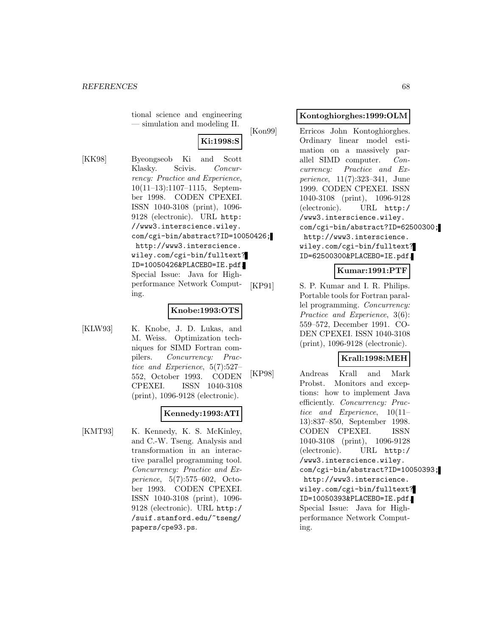tional science and engineering — simulation and modeling II.

# **Ki:1998:S**

[KK98] Byeongseob Ki and Scott Klasky. Scivis. Concurrency: Practice and Experience, 10(11–13):1107–1115, September 1998. CODEN CPEXEI. ISSN 1040-3108 (print), 1096- 9128 (electronic). URL http: //www3.interscience.wiley. com/cgi-bin/abstract?ID=10050426; http://www3.interscience. wiley.com/cgi-bin/fulltext? ID=10050426&PLACEBO=IE.pdf. Special Issue: Java for Highperformance Network Computing.

## **Knobe:1993:OTS**

[KLW93] K. Knobe, J. D. Lukas, and M. Weiss. Optimization techniques for SIMD Fortran compilers. Concurrency: Practice and Experience, 5(7):527– 552, October 1993. CODEN CPEXEI. ISSN 1040-3108 (print), 1096-9128 (electronic).

## **Kennedy:1993:ATI**

[KMT93] K. Kennedy, K. S. McKinley, and C.-W. Tseng. Analysis and transformation in an interactive parallel programming tool. Concurrency: Practice and Experience, 5(7):575–602, October 1993. CODEN CPEXEI. ISSN 1040-3108 (print), 1096- 9128 (electronic). URL http:/ /suif.stanford.edu/~tseng/ papers/cpe93.ps.

#### **Kontoghiorghes:1999:OLM**

[Kon99] Erricos John Kontoghiorghes. Ordinary linear model estimation on a massively parallel SIMD computer. Concurrency: Practice and Experience, 11(7):323–341, June 1999. CODEN CPEXEI. ISSN 1040-3108 (print), 1096-9128 (electronic). URL http:/ /www3.interscience.wiley. com/cgi-bin/abstract?ID=62500300; http://www3.interscience. wiley.com/cgi-bin/fulltext? ID=62500300&PLACEBO=IE.pdf.

#### **Kumar:1991:PTF**

[KP91] S. P. Kumar and I. R. Philips. Portable tools for Fortran parallel programming. Concurrency: Practice and Experience, 3(6): 559–572, December 1991. CO-DEN CPEXEI. ISSN 1040-3108 (print), 1096-9128 (electronic).

#### **Krall:1998:MEH**

[KP98] Andreas Krall and Mark Probst. Monitors and exceptions: how to implement Java efficiently. Concurrency: Practice and Experience, 10(11– 13):837–850, September 1998. CODEN CPEXEI. ISSN 1040-3108 (print), 1096-9128 (electronic). URL http:/ /www3.interscience.wiley. com/cgi-bin/abstract?ID=10050393; http://www3.interscience. wiley.com/cgi-bin/fulltext? ID=10050393&PLACEBO=IE.pdf. Special Issue: Java for Highperformance Network Computing.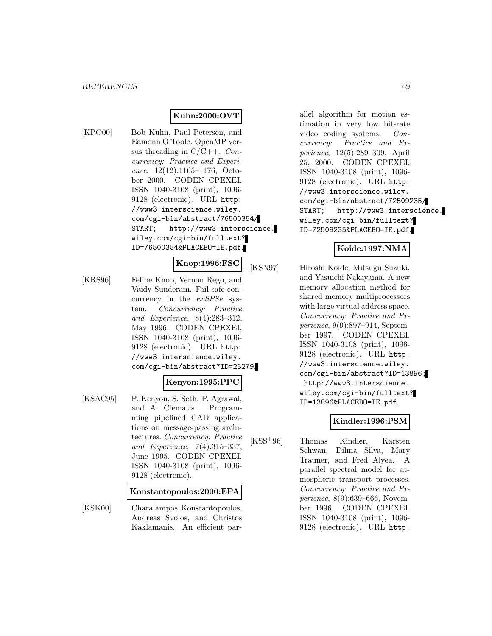## **Kuhn:2000:OVT**

[KPO00] Bob Kuhn, Paul Petersen, and Eamonn O'Toole. OpenMP versus threading in  $C/C++$ . Concurrency: Practice and Experience, 12(12):1165–1176, October 2000. CODEN CPEXEI. ISSN 1040-3108 (print), 1096- 9128 (electronic). URL http: //www3.interscience.wiley. com/cgi-bin/abstract/76500354/ START; http://www3.interscience. wiley.com/cgi-bin/fulltext? ID=76500354&PLACEBO=IE.pdf.

**Knop:1996:FSC**

[KRS96] Felipe Knop, Vernon Rego, and Vaidy Sunderam. Fail-safe concurrency in the EcliPSe system. Concurrency: Practice and Experience, 8(4):283–312, May 1996. CODEN CPEXEI. ISSN 1040-3108 (print), 1096- 9128 (electronic). URL http: //www3.interscience.wiley. com/cgi-bin/abstract?ID=23279.

#### **Kenyon:1995:PPC**

[KSAC95] P. Kenyon, S. Seth, P. Agrawal, and A. Clematis. Programming pipelined CAD applications on message-passing architectures. Concurrency: Practice and Experience, 7(4):315–337, June 1995. CODEN CPEXEI. ISSN 1040-3108 (print), 1096- 9128 (electronic).

#### **Konstantopoulos:2000:EPA**

[KSK00] Charalampos Konstantopoulos, Andreas Svolos, and Christos Kaklamanis. An efficient parallel algorithm for motion estimation in very low bit-rate video coding systems. Concurrency: Practice and Experience, 12(5):289–309, April 25, 2000. CODEN CPEXEI. ISSN 1040-3108 (print), 1096- 9128 (electronic). URL http: //www3.interscience.wiley. com/cgi-bin/abstract/72509235/ START; http://www3.interscience. wiley.com/cgi-bin/fulltext? ID=72509235&PLACEBO=IE.pdf.

#### **Koide:1997:NMA**

[KSN97] Hiroshi Koide, Mitsugu Suzuki, and Yasuichi Nakayama. A new memory allocation method for shared memory multiprocessors with large virtual address space. Concurrency: Practice and Experience, 9(9):897–914, September 1997. CODEN CPEXEI. ISSN 1040-3108 (print), 1096- 9128 (electronic). URL http: //www3.interscience.wiley. com/cgi-bin/abstract?ID=13896; http://www3.interscience. wiley.com/cgi-bin/fulltext? ID=13896&PLACEBO=IE.pdf.

## **Kindler:1996:PSM**

[KSS<sup>+</sup>96] Thomas Kindler, Karsten Schwan, Dilma Silva, Mary Trauner, and Fred Alyea. A parallel spectral model for atmospheric transport processes. Concurrency: Practice and Experience, 8(9):639–666, November 1996. CODEN CPEXEI. ISSN 1040-3108 (print), 1096- 9128 (electronic). URL http: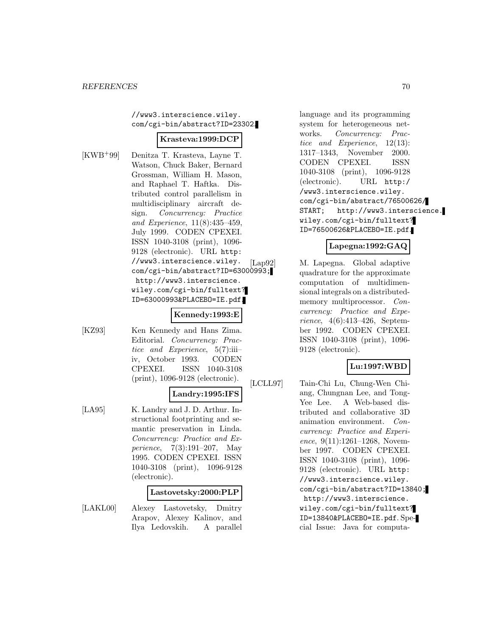//www3.interscience.wiley. com/cgi-bin/abstract?ID=23302.

#### **Krasteva:1999:DCP**

[KWB<sup>+</sup>99] Denitza T. Krasteva, Layne T. Watson, Chuck Baker, Bernard Grossman, William H. Mason, and Raphael T. Haftka. Distributed control parallelism in multidisciplinary aircraft design. Concurrency: Practice and Experience, 11(8):435–459, July 1999. CODEN CPEXEI. ISSN 1040-3108 (print), 1096- 9128 (electronic). URL http: //www3.interscience.wiley. com/cgi-bin/abstract?ID=63000993; http://www3.interscience. wiley.com/cgi-bin/fulltext? ID=63000993&PLACEBO=IE.pdf.

#### **Kennedy:1993:E**

[KZ93] Ken Kennedy and Hans Zima. Editorial. Concurrency: Practice and Experience,  $5(7)$ :iiiiv, October 1993. CODEN CPEXEI. ISSN 1040-3108 (print), 1096-9128 (electronic).

## **Landry:1995:IFS**

[LA95] K. Landry and J. D. Arthur. Instructional footprinting and semantic preservation in Linda. Concurrency: Practice and Experience, 7(3):191–207, May 1995. CODEN CPEXEI. ISSN 1040-3108 (print), 1096-9128 (electronic).

#### **Lastovetsky:2000:PLP**

[LAKL00] Alexey Lastovetsky, Dmitry Arapov, Alexey Kalinov, and Ilya Ledovskih. A parallel

language and its programming system for heterogeneous networks. Concurrency: Practice and Experience, 12(13): 1317–1343, November 2000. CODEN CPEXEI. ISSN 1040-3108 (print), 1096-9128 (electronic). URL http:/ /www3.interscience.wiley. com/cgi-bin/abstract/76500626/ START; http://www3.interscience. wiley.com/cgi-bin/fulltext? ID=76500626&PLACEBO=IE.pdf.

#### **Lapegna:1992:GAQ**

[Lap92] M. Lapegna. Global adaptive quadrature for the approximate computation of multidimensional integrals on a distributedmemory multiprocessor. Concurrency: Practice and Experience, 4(6):413–426, September 1992. CODEN CPEXEI. ISSN 1040-3108 (print), 1096- 9128 (electronic).

## **Lu:1997:WBD**

[LCLL97] Tain-Chi Lu, Chung-Wen Chiang, Chungnan Lee, and Tong-Yee Lee. A Web-based distributed and collaborative 3D animation environment. Concurrency: Practice and Experience, 9(11):1261–1268, November 1997. CODEN CPEXEI. ISSN 1040-3108 (print), 1096- 9128 (electronic). URL http: //www3.interscience.wiley. com/cgi-bin/abstract?ID=13840; http://www3.interscience. wiley.com/cgi-bin/fulltext? ID=13840&PLACEBO=IE.pdf. Special Issue: Java for computa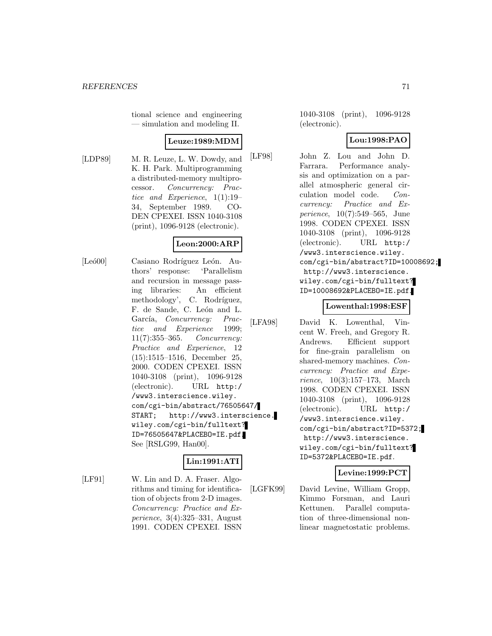tional science and engineering — simulation and modeling II.

# **Leuze:1989:MDM**

[LDP89] M. R. Leuze, L. W. Dowdy, and K. H. Park. Multiprogramming a distributed-memory multiprocessor. Concurrency: Practice and Experience, 1(1):19– 34, September 1989. CO-DEN CPEXEI. ISSN 1040-3108 (print), 1096-9128 (electronic).

## **Leon:2000:ARP**

[Leó00] Casiano Rodríguez León. Authors' response: 'Parallelism and recursion in message passing libraries: An efficient methodology', C. Rodríguez, F. de Sande, C. León and L. García, Concurrency: Practice and Experience 1999; 11(7):355–365. Concurrency: Practice and Experience, 12 (15):1515–1516, December 25, 2000. CODEN CPEXEI. ISSN 1040-3108 (print), 1096-9128 (electronic). URL http:/ /www3.interscience.wiley. com/cgi-bin/abstract/76505647/ START; http://www3.interscience. wiley.com/cgi-bin/fulltext? ID=76505647&PLACEBO=IE.pdf. See [RSLG99, Han00].

# **Lin:1991:ATI**

[LF91] W. Lin and D. A. Fraser. Algorithms and timing for identification of objects from 2-D images. Concurrency: Practice and Experience, 3(4):325–331, August 1991. CODEN CPEXEI. ISSN

1040-3108 (print), 1096-9128 (electronic).

## **Lou:1998:PAO**

[LF98] John Z. Lou and John D. Farrara. Performance analysis and optimization on a parallel atmospheric general circulation model code. Concurrency: Practice and Experience, 10(7):549–565, June 1998. CODEN CPEXEI. ISSN 1040-3108 (print), 1096-9128 (electronic). URL http:/ /www3.interscience.wiley. com/cgi-bin/abstract?ID=10008692; http://www3.interscience. wiley.com/cgi-bin/fulltext? ID=10008692&PLACEBO=IE.pdf.

## **Lowenthal:1998:ESF**

[LFA98] David K. Lowenthal, Vincent W. Freeh, and Gregory R. Andrews. Efficient support for fine-grain parallelism on shared-memory machines. Concurrency: Practice and Experience, 10(3):157–173, March 1998. CODEN CPEXEI. ISSN 1040-3108 (print), 1096-9128 (electronic). URL http:/ /www3.interscience.wiley. com/cgi-bin/abstract?ID=5372; http://www3.interscience. wiley.com/cgi-bin/fulltext? ID=5372&PLACEBO=IE.pdf.

## **Levine:1999:PCT**

[LGFK99] David Levine, William Gropp, Kimmo Forsman, and Lauri Kettunen. Parallel computation of three-dimensional nonlinear magnetostatic problems.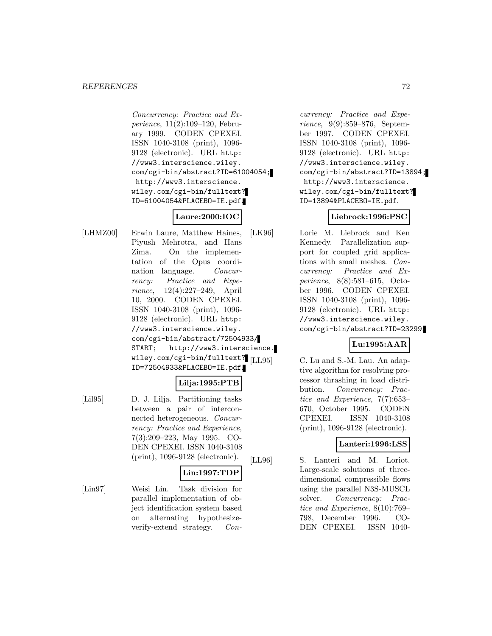#### *REFERENCES* 72

Concurrency: Practice and Experience, 11(2):109–120, February 1999. CODEN CPEXEI. ISSN 1040-3108 (print), 1096- 9128 (electronic). URL http: //www3.interscience.wiley. com/cgi-bin/abstract?ID=61004054; http://www3.interscience. wiley.com/cgi-bin/fulltext? ID=61004054&PLACEBO=IE.pdf.

# **Laure:2000:IOC**

[LHMZ00] Erwin Laure, Matthew Haines, Piyush Mehrotra, and Hans Zima. On the implementation of the Opus coordination language. Concurrency: Practice and Experience, 12(4):227–249, April 10, 2000. CODEN CPEXEI. ISSN 1040-3108 (print), 1096- 9128 (electronic). URL http: //www3.interscience.wiley. com/cgi-bin/abstract/72504933/ START; http://www3.interscience. wiley.com/cgi-bin/fulltext? [LL95] ID=72504933&PLACEBO=IE.pdf.

# **Lilja:1995:PTB**

[Lil95] D. J. Lilja. Partitioning tasks between a pair of interconnected heterogeneous. Concurrency: Practice and Experience, 7(3):209–223, May 1995. CO-DEN CPEXEI. ISSN 1040-3108 (print), 1096-9128 (electronic).

# **Lin:1997:TDP**

[Lin97] Weisi Lin. Task division for parallel implementation of object identification system based on alternating hypothesizeverify-extend strategy. Con-

currency: Practice and Experience, 9(9):859–876, September 1997. CODEN CPEXEI. ISSN 1040-3108 (print), 1096- 9128 (electronic). URL http: //www3.interscience.wiley. com/cgi-bin/abstract?ID=13894; http://www3.interscience. wiley.com/cgi-bin/fulltext? ID=13894&PLACEBO=IE.pdf.

## **Liebrock:1996:PSC**

[LK96] Lorie M. Liebrock and Ken Kennedy. Parallelization support for coupled grid applications with small meshes. Concurrency: Practice and Experience, 8(8):581–615, October 1996. CODEN CPEXEI. ISSN 1040-3108 (print), 1096- 9128 (electronic). URL http: //www3.interscience.wiley. com/cgi-bin/abstract?ID=23299.

## **Lu:1995:AAR**

C. Lu and S.-M. Lau. An adaptive algorithm for resolving processor thrashing in load distribution. Concurrency: Practice and Experience, 7(7):653– 670, October 1995. CODEN CPEXEI. ISSN 1040-3108 (print), 1096-9128 (electronic).

## **Lanteri:1996:LSS**

[LL96] S. Lanteri and M. Loriot. Large-scale solutions of threedimensional compressible flows using the parallel N3S-MUSCL solver. Concurrency: Practice and Experience, 8(10):769– 798, December 1996. CO-DEN CPEXEI. ISSN 1040-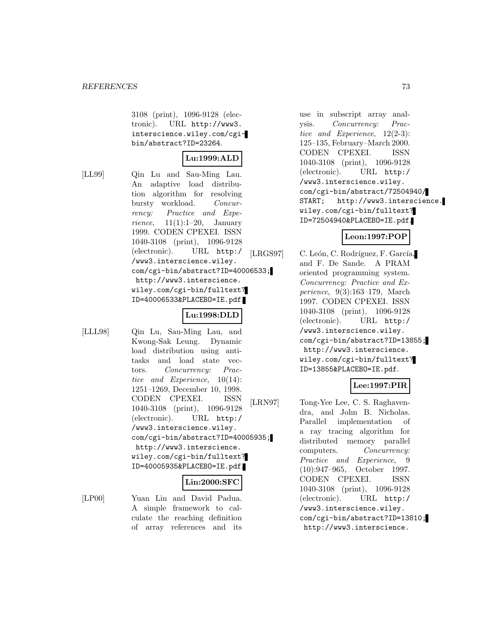3108 (print), 1096-9128 (electronic). URL http://www3. interscience.wiley.com/cgibin/abstract?ID=23264.

## **Lu:1999:ALD**

[LL99] Qin Lu and Sau-Ming Lau. An adaptive load distribution algorithm for resolving bursty workload. Concurrency: Practice and Experience,  $11(1):1-20$ , January 1999. CODEN CPEXEI. ISSN 1040-3108 (print), 1096-9128 (electronic). URL http:/ /www3.interscience.wiley. com/cgi-bin/abstract?ID=40006533; http://www3.interscience. wiley.com/cgi-bin/fulltext? ID=40006533&PLACEBO=IE.pdf.

#### **Lu:1998:DLD**

[LLL98] Qin Lu, Sau-Ming Lau, and Kwong-Sak Leung. Dynamic load distribution using antitasks and load state vectors. Concurrency: Practice and Experience, 10(14): 1251–1269, December 10, 1998. CODEN CPEXEI. ISSN 1040-3108 (print), 1096-9128 (electronic). URL http:/ /www3.interscience.wiley. com/cgi-bin/abstract?ID=40005935; http://www3.interscience. wiley.com/cgi-bin/fulltext? ID=40005935&PLACEBO=IE.pdf.

## **Lin:2000:SFC**

[LP00] Yuan Lin and David Padua. A simple framework to calculate the reaching definition of array references and its

use in subscript array analysis. Concurrency: Practice and Experience, 12(2-3): 125–135, February–March 2000. CODEN CPEXEI. ISSN 1040-3108 (print), 1096-9128 (electronic). URL http:/ /www3.interscience.wiley. com/cgi-bin/abstract/72504940/ START; http://www3.interscience. wiley.com/cgi-bin/fulltext? ID=72504940&PLACEBO=IE.pdf.

## **Leon:1997:POP**

[LRGS97] C. León, C. Rodríguez, F. García, and F. De Sande. A PRAM oriented programming system. Concurrency: Practice and Experience, 9(3):163–179, March 1997. CODEN CPEXEI. ISSN 1040-3108 (print), 1096-9128 (electronic). URL http:/ /www3.interscience.wiley. com/cgi-bin/abstract?ID=13855; http://www3.interscience. wiley.com/cgi-bin/fulltext? ID=13855&PLACEBO=IE.pdf.

## **Lee:1997:PIR**

[LRN97] Tong-Yee Lee, C. S. Raghavendra, and John B. Nicholas. Parallel implementation of a ray tracing algorithm for distributed memory parallel computers. Concurrency: Practice and Experience, 9 (10):947–965, October 1997. CODEN CPEXEI. ISSN 1040-3108 (print), 1096-9128 (electronic). URL http:/ /www3.interscience.wiley. com/cgi-bin/abstract?ID=13810; http://www3.interscience.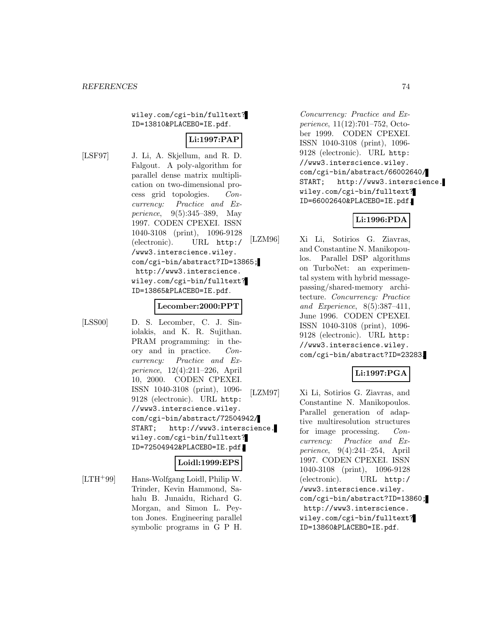wiley.com/cgi-bin/fulltext? ID=13810&PLACEBO=IE.pdf.

# **Li:1997:PAP**

[LSF97] J. Li, A. Skjellum, and R. D. Falgout. A poly-algorithm for parallel dense matrix multiplication on two-dimensional process grid topologies. Concurrency: Practice and Experience, 9(5):345–389, May 1997. CODEN CPEXEI. ISSN 1040-3108 (print), 1096-9128 (electronic). URL http:/ /www3.interscience.wiley. com/cgi-bin/abstract?ID=13865; http://www3.interscience. wiley.com/cgi-bin/fulltext? ID=13865&PLACEBO=IE.pdf.

#### **Lecomber:2000:PPT**

[LSS00] D. S. Lecomber, C. J. Siniolakis, and K. R. Sujithan. PRAM programming: in theory and in practice. Concurrency: Practice and Experience, 12(4):211–226, April 10, 2000. CODEN CPEXEI. ISSN 1040-3108 (print), 1096- 9128 (electronic). URL http: //www3.interscience.wiley. com/cgi-bin/abstract/72504942/ START; http://www3.interscience. wiley.com/cgi-bin/fulltext? ID=72504942&PLACEBO=IE.pdf.

# **Loidl:1999:EPS**

[LTH<sup>+</sup>99] Hans-Wolfgang Loidl, Philip W. Trinder, Kevin Hammond, Sahalu B. Junaidu, Richard G. Morgan, and Simon L. Peyton Jones. Engineering parallel symbolic programs in G P H.

Concurrency: Practice and Experience, 11(12):701–752, October 1999. CODEN CPEXEI. ISSN 1040-3108 (print), 1096- 9128 (electronic). URL http: //www3.interscience.wiley. com/cgi-bin/abstract/66002640/ START; http://www3.interscience. wiley.com/cgi-bin/fulltext? ID=66002640&PLACEBO=IE.pdf.

## **Li:1996:PDA**

[LZM96] Xi Li, Sotirios G. Ziavras, and Constantine N. Manikopoulos. Parallel DSP algorithms on TurboNet: an experimental system with hybrid messagepassing/shared-memory architecture. Concurrency: Practice and Experience, 8(5):387–411, June 1996. CODEN CPEXEI. ISSN 1040-3108 (print), 1096- 9128 (electronic). URL http: //www3.interscience.wiley. com/cgi-bin/abstract?ID=23283.

## **Li:1997:PGA**

[LZM97] Xi Li, Sotirios G. Ziavras, and Constantine N. Manikopoulos. Parallel generation of adaptive multiresolution structures for image processing. Concurrency: Practice and Experience, 9(4):241–254, April 1997. CODEN CPEXEI. ISSN 1040-3108 (print), 1096-9128 (electronic). URL http:/ /www3.interscience.wiley. com/cgi-bin/abstract?ID=13860; http://www3.interscience. wiley.com/cgi-bin/fulltext? ID=13860&PLACEBO=IE.pdf.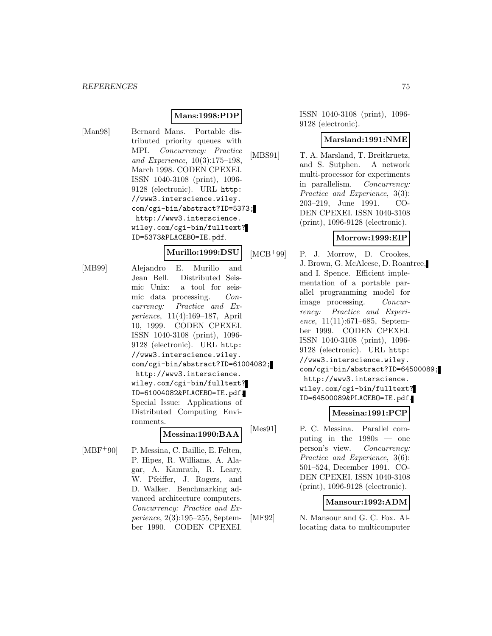## **Mans:1998:PDP**

[Man98] Bernard Mans. Portable distributed priority queues with MPI. Concurrency: Practice and Experience, 10(3):175–198, March 1998. CODEN CPEXEI. ISSN 1040-3108 (print), 1096- 9128 (electronic). URL http: //www3.interscience.wiley. com/cgi-bin/abstract?ID=5373; http://www3.interscience. wiley.com/cgi-bin/fulltext? ID=5373&PLACEBO=IE.pdf.

**Murillo:1999:DSU**

[MB99] Alejandro E. Murillo and Jean Bell. Distributed Seismic Unix: a tool for seismic data processing. Concurrency: Practice and Experience, 11(4):169–187, April 10, 1999. CODEN CPEXEI. ISSN 1040-3108 (print), 1096- 9128 (electronic). URL http: //www3.interscience.wiley. com/cgi-bin/abstract?ID=61004082; http://www3.interscience. wiley.com/cgi-bin/fulltext? ID=61004082&PLACEBO=IE.pdf. Special Issue: Applications of Distributed Computing Environments.

#### **Messina:1990:BAA**

[MBF<sup>+90]</sup> P. Messina, C. Baillie, E. Felten, P. Hipes, R. Williams, A. Alagar, A. Kamrath, R. Leary, W. Pfeiffer, J. Rogers, and D. Walker. Benchmarking advanced architecture computers. Concurrency: Practice and Experience, 2(3):195–255, September 1990. CODEN CPEXEI.

ISSN 1040-3108 (print), 1096- 9128 (electronic).

### **Marsland:1991:NME**

[MBS91] T. A. Marsland, T. Breitkruetz, and S. Sutphen. A network multi-processor for experiments in parallelism. Concurrency: Practice and Experience, 3(3): 203–219, June 1991. CO-DEN CPEXEI. ISSN 1040-3108 (print), 1096-9128 (electronic).

## **Morrow:1999:EIP**

[MCB<sup>+</sup>99] P. J. Morrow, D. Crookes, J. Brown, G. McAleese, D. Roantree, and I. Spence. Efficient implementation of a portable parallel programming model for image processing. Concurrency: Practice and Experience, 11(11):671–685, September 1999. CODEN CPEXEI. ISSN 1040-3108 (print), 1096- 9128 (electronic). URL http: //www3.interscience.wiley. com/cgi-bin/abstract?ID=64500089; http://www3.interscience. wiley.com/cgi-bin/fulltext? ID=64500089&PLACEBO=IE.pdf.

## **Messina:1991:PCP**

[Mes91] P. C. Messina. Parallel computing in the  $1980s$  — one person's view. Concurrency: Practice and Experience, 3(6): 501–524, December 1991. CO-DEN CPEXEI. ISSN 1040-3108 (print), 1096-9128 (electronic).

#### **Mansour:1992:ADM**

[MF92] N. Mansour and G. C. Fox. Allocating data to multicomputer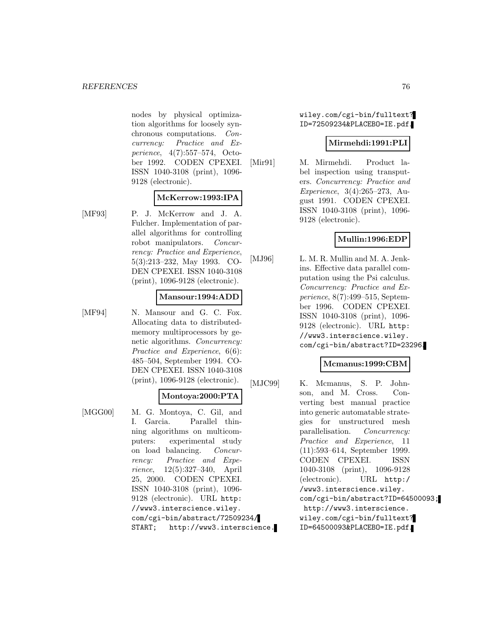nodes by physical optimization algorithms for loosely synchronous computations. Concurrency: Practice and Experience, 4(7):557–574, October 1992. CODEN CPEXEI. ISSN 1040-3108 (print), 1096- 9128 (electronic).

### **McKerrow:1993:IPA**

[MF93] P. J. McKerrow and J. A. Fulcher. Implementation of parallel algorithms for controlling robot manipulators. Concurrency: Practice and Experience, 5(3):213–232, May 1993. CO-DEN CPEXEI. ISSN 1040-3108 (print), 1096-9128 (electronic).

## **Mansour:1994:ADD**

[MF94] N. Mansour and G. C. Fox. Allocating data to distributedmemory multiprocessors by genetic algorithms. Concurrency: Practice and Experience, 6(6): 485–504, September 1994. CO-DEN CPEXEI. ISSN 1040-3108 (print), 1096-9128 (electronic).

#### **Montoya:2000:PTA**

[MGG00] M. G. Montoya, C. Gil, and I. Garcia. Parallel thinning algorithms on multicomputers: experimental study on load balancing. Concurrency: Practice and Experience, 12(5):327–340, April 25, 2000. CODEN CPEXEI. ISSN 1040-3108 (print), 1096- 9128 (electronic). URL http: //www3.interscience.wiley. com/cgi-bin/abstract/72509234/ START; http://www3.interscience. wiley.com/cgi-bin/fulltext? ID=72509234&PLACEBO=IE.pdf.

#### **Mirmehdi:1991:PLI**

[Mir91] M. Mirmehdi. Product label inspection using transputers. Concurrency: Practice and Experience, 3(4):265–273, August 1991. CODEN CPEXEI. ISSN 1040-3108 (print), 1096- 9128 (electronic).

## **Mullin:1996:EDP**

[MJ96] L. M. R. Mullin and M. A. Jenkins. Effective data parallel computation using the Psi calculus. Concurrency: Practice and Experience, 8(7):499–515, September 1996. CODEN CPEXEI. ISSN 1040-3108 (print), 1096- 9128 (electronic). URL http: //www3.interscience.wiley. com/cgi-bin/abstract?ID=23296.

## **Mcmanus:1999:CBM**

[MJC99] K. Mcmanus, S. P. Johnson, and M. Cross. Converting best manual practice into generic automatable strategies for unstructured mesh parallelisation. Concurrency: Practice and Experience, 11 (11):593–614, September 1999. CODEN CPEXEI. ISSN 1040-3108 (print), 1096-9128 (electronic). URL http:/ /www3.interscience.wiley. com/cgi-bin/abstract?ID=64500093; http://www3.interscience. wiley.com/cgi-bin/fulltext? ID=64500093&PLACEBO=IE.pdf.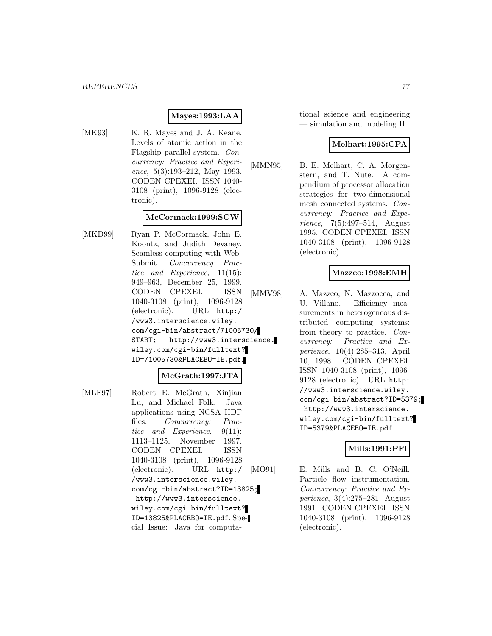## **Mayes:1993:LAA**

[MK93] K. R. Mayes and J. A. Keane. Levels of atomic action in the Flagship parallel system. Concurrency: Practice and Experience, 5(3):193–212, May 1993. CODEN CPEXEI. ISSN 1040- 3108 (print), 1096-9128 (electronic).

#### **McCormack:1999:SCW**

[MKD99] Ryan P. McCormack, John E. Koontz, and Judith Devaney. Seamless computing with Web-Submit. Concurrency: Practice and Experience, 11(15): 949–963, December 25, 1999. CODEN CPEXEI. ISSN 1040-3108 (print), 1096-9128 (electronic). URL http:/ /www3.interscience.wiley. com/cgi-bin/abstract/71005730/ START; http://www3.interscience. wiley.com/cgi-bin/fulltext? ID=71005730&PLACEBO=IE.pdf.

#### **McGrath:1997:JTA**

[MLF97] Robert E. McGrath, Xinjian Lu, and Michael Folk. Java applications using NCSA HDF files. Concurrency: Practice and Experience, 9(11): 1113–1125, November 1997. CODEN CPEXEI. ISSN 1040-3108 (print), 1096-9128 (electronic). URL http:/ /www3.interscience.wiley. com/cgi-bin/abstract?ID=13825; http://www3.interscience. wiley.com/cgi-bin/fulltext? ID=13825&PLACEBO=IE.pdf. Special Issue: Java for computational science and engineering — simulation and modeling II.

### **Melhart:1995:CPA**

[MMN95] B. E. Melhart, C. A. Morgenstern, and T. Nute. A compendium of processor allocation strategies for two-dimensional mesh connected systems. Concurrency: Practice and Experience, 7(5):497–514, August 1995. CODEN CPEXEI. ISSN 1040-3108 (print), 1096-9128 (electronic).

### **Mazzeo:1998:EMH**

[MMV98] A. Mazzeo, N. Mazzocca, and U. Villano. Efficiency measurements in heterogeneous distributed computing systems: from theory to practice. Concurrency: Practice and Experience, 10(4):285–313, April 10, 1998. CODEN CPEXEI. ISSN 1040-3108 (print), 1096- 9128 (electronic). URL http: //www3.interscience.wiley. com/cgi-bin/abstract?ID=5379; http://www3.interscience. wiley.com/cgi-bin/fulltext? ID=5379&PLACEBO=IE.pdf.

#### **Mills:1991:PFI**

[MO91] E. Mills and B. C. O'Neill. Particle flow instrumentation. Concurrency: Practice and Experience, 3(4):275–281, August 1991. CODEN CPEXEI. ISSN 1040-3108 (print), 1096-9128 (electronic).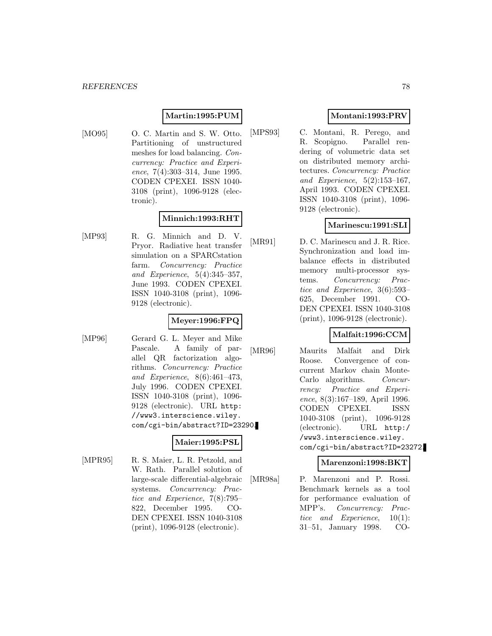## **Martin:1995:PUM**

[MO95] O. C. Martin and S. W. Otto. Partitioning of unstructured meshes for load balancing. Concurrency: Practice and Experience, 7(4):303-314, June 1995. CODEN CPEXEI. ISSN 1040- 3108 (print), 1096-9128 (electronic).

## **Minnich:1993:RHT**

[MP93] R. G. Minnich and D. V. Pryor. Radiative heat transfer simulation on a SPARCstation farm. Concurrency: Practice and Experience, 5(4):345–357, June 1993. CODEN CPEXEI. ISSN 1040-3108 (print), 1096- 9128 (electronic).

## **Meyer:1996:FPQ**

[MP96] Gerard G. L. Meyer and Mike Pascale. A family of parallel QR factorization algorithms. Concurrency: Practice and Experience, 8(6):461–473, July 1996. CODEN CPEXEI. ISSN 1040-3108 (print), 1096- 9128 (electronic). URL http: //www3.interscience.wiley. com/cgi-bin/abstract?ID=23290.

#### **Maier:1995:PSL**

[MPR95] R. S. Maier, L. R. Petzold, and W. Rath. Parallel solution of large-scale differential-algebraic systems. Concurrency: Practice and Experience, 7(8):795– 822, December 1995. CO-DEN CPEXEI. ISSN 1040-3108 (print), 1096-9128 (electronic).

## **Montani:1993:PRV**

[MPS93] C. Montani, R. Perego, and R. Scopigno. Parallel rendering of volumetric data set on distributed memory architectures. Concurrency: Practice and Experience, 5(2):153–167, April 1993. CODEN CPEXEI. ISSN 1040-3108 (print), 1096- 9128 (electronic).

## **Marinescu:1991:SLI**

[MR91] D. C. Marinescu and J. R. Rice. Synchronization and load imbalance effects in distributed memory multi-processor systems. Concurrency: Practice and Experience, 3(6):593– 625, December 1991. CO-DEN CPEXEI. ISSN 1040-3108 (print), 1096-9128 (electronic).

## **Malfait:1996:CCM**

[MR96] Maurits Malfait and Dirk Roose. Convergence of concurrent Markov chain Monte-Carlo algorithms. Concurrency: Practice and Experience, 8(3):167–189, April 1996. CODEN CPEXEI. ISSN 1040-3108 (print), 1096-9128 (electronic). URL http:/ /www3.interscience.wiley. com/cgi-bin/abstract?ID=23272.

#### **Marenzoni:1998:BKT**

[MR98a] P. Marenzoni and P. Rossi. Benchmark kernels as a tool for performance evaluation of MPP's. Concurrency: Practice and Experience, 10(1): 31–51, January 1998. CO-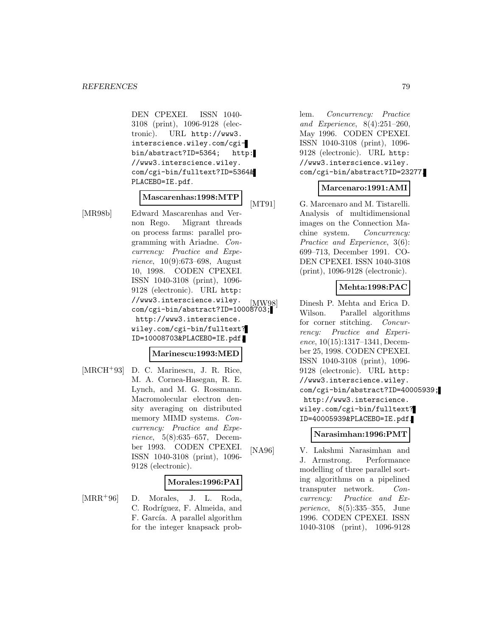DEN CPEXEI. ISSN 1040- 3108 (print), 1096-9128 (electronic). URL http://www3. interscience.wiley.com/cgibin/abstract?ID=5364; http: //www3.interscience.wiley. com/cgi-bin/fulltext?ID=5364& PLACEBO=IE.pdf.

## **Mascarenhas:1998:MTP**

[MR98b] Edward Mascarenhas and Vernon Rego. Migrant threads on process farms: parallel programming with Ariadne. Concurrency: Practice and Experience, 10(9):673–698, August 10, 1998. CODEN CPEXEI. ISSN 1040-3108 (print), 1096- 9128 (electronic). URL http: //www3.interscience.wiley. %//www3.interscience.wiiey. [MW98]<br>com/cgi-bin/abstract?ID=10008703; http://www3.interscience. wiley.com/cgi-bin/fulltext? ID=10008703&PLACEBO=IE.pdf.

## **Marinescu:1993:MED**

[MRCH<sup>+</sup>93] D. C. Marinescu, J. R. Rice, M. A. Cornea-Hasegan, R. E. Lynch, and M. G. Rossmann. Macromolecular electron density averaging on distributed memory MIMD systems. Concurrency: Practice and Experience, 5(8):635–657, December 1993. CODEN CPEXEI. ISSN 1040-3108 (print), 1096- 9128 (electronic).

#### **Morales:1996:PAI**

[MRR<sup>+</sup>96] D. Morales, J. L. Roda, C. Rodríguez, F. Almeida, and F. García. A parallel algorithm for the integer knapsack prob-

lem. Concurrency: Practice and Experience, 8(4):251–260, May 1996. CODEN CPEXEI. ISSN 1040-3108 (print), 1096- 9128 (electronic). URL http: //www3.interscience.wiley. com/cgi-bin/abstract?ID=23277.

## **Marcenaro:1991:AMI**

[MT91] G. Marcenaro and M. Tistarelli. Analysis of multidimensional images on the Connection Machine system. Concurrency: Practice and Experience, 3(6): 699–713, December 1991. CO-DEN CPEXEI. ISSN 1040-3108 (print), 1096-9128 (electronic).

## **Mehta:1998:PAC**

Dinesh P. Mehta and Erica D. Wilson. Parallel algorithms for corner stitching. Concurrency: Practice and Experience, 10(15):1317–1341, December 25, 1998. CODEN CPEXEI. ISSN 1040-3108 (print), 1096- 9128 (electronic). URL http: //www3.interscience.wiley. com/cgi-bin/abstract?ID=40005939; http://www3.interscience. wiley.com/cgi-bin/fulltext? ID=40005939&PLACEBO=IE.pdf.

#### **Narasimhan:1996:PMT**

[NA96] V. Lakshmi Narasimhan and J. Armstrong. Performance modelling of three parallel sorting algorithms on a pipelined transputer network. Concurrency: Practice and Experience, 8(5):335–355, June 1996. CODEN CPEXEI. ISSN 1040-3108 (print), 1096-9128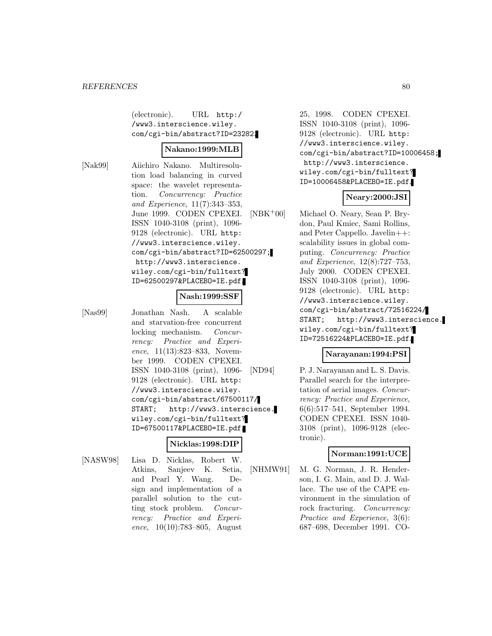(electronic). URL http:/ /www3.interscience.wiley. com/cgi-bin/abstract?ID=23282.

#### **Nakano:1999:MLB**

[Nak99] Aiichiro Nakano. Multiresolution load balancing in curved space: the wavelet representation. Concurrency: Practice and Experience, 11(7):343–353, June 1999. CODEN CPEXEI. ISSN 1040-3108 (print), 1096- 9128 (electronic). URL http: //www3.interscience.wiley. com/cgi-bin/abstract?ID=62500297; http://www3.interscience. wiley.com/cgi-bin/fulltext? ID=62500297&PLACEBO=IE.pdf.

### **Nash:1999:SSF**

[Nas99] Jonathan Nash. A scalable and starvation-free concurrent locking mechanism. Concurrency: Practice and Experience, 11(13):823–833, November 1999. CODEN CPEXEI. ISSN 1040-3108 (print), 1096- 9128 (electronic). URL http: //www3.interscience.wiley. com/cgi-bin/abstract/67500117/ START; http://www3.interscience. wiley.com/cgi-bin/fulltext? ID=67500117&PLACEBO=IE.pdf.

## **Nicklas:1998:DIP**

[NASW98] Lisa D. Nicklas, Robert W. Atkins, Sanjeev K. Setia, and Pearl Y. Wang. Design and implementation of a parallel solution to the cutting stock problem. Concurrency: Practice and Experience,  $10(10):783-805$ , August

25, 1998. CODEN CPEXEI. ISSN 1040-3108 (print), 1096- 9128 (electronic). URL http: //www3.interscience.wiley. com/cgi-bin/abstract?ID=10006458; http://www3.interscience. wiley.com/cgi-bin/fulltext? ID=10006458&PLACEBO=IE.pdf.

## **Neary:2000:JSI**

[NBK<sup>+</sup>00] Michael O. Neary, Sean P. Brydon, Paul Kmiec, Sami Rollins, and Peter Cappello. Javelin++: scalability issues in global computing. Concurrency: Practice and Experience, 12(8):727–753, July 2000. CODEN CPEXEI. ISSN 1040-3108 (print), 1096- 9128 (electronic). URL http: //www3.interscience.wiley. com/cgi-bin/abstract/72516224/ START; http://www3.interscience. wiley.com/cgi-bin/fulltext? ID=72516224&PLACEBO=IE.pdf.

## **Narayanan:1994:PSI**

[ND94] P. J. Narayanan and L. S. Davis. Parallel search for the interpretation of aerial images. Concurrency: Practice and Experience, 6(6):517–541, September 1994. CODEN CPEXEI. ISSN 1040- 3108 (print), 1096-9128 (electronic).

## **Norman:1991:UCE**

[NHMW91] M. G. Norman, J. R. Henderson, I. G. Main, and D. J. Wallace. The use of the CAPE environment in the simulation of rock fracturing. Concurrency: Practice and Experience, 3(6): 687–698, December 1991. CO-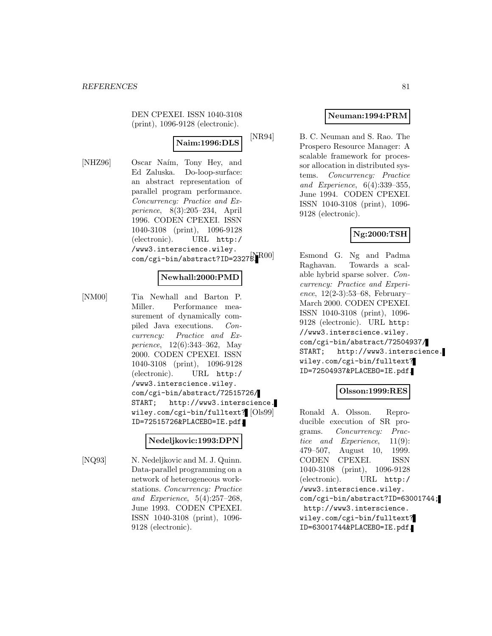DEN CPEXEI. ISSN 1040-3108 (print), 1096-9128 (electronic).

## **Naim:1996:DLS**

[NHZ96] Oscar Naím, Tony Hey, and Ed Zaluska. Do-loop-surface: an abstract representation of parallel program performance. Concurrency: Practice and Experience, 8(3):205–234, April 1996. CODEN CPEXEI. ISSN 1040-3108 (print), 1096-9128 (electronic). URL http:/ /www3.interscience.wiley.  $\verb|com/cgi-bin/abstract?ID=2327^{N~[N$00]}$ 

## **Newhall:2000:PMD**

[NM00] Tia Newhall and Barton P. Miller. Performance measurement of dynamically compiled Java executions. Concurrency: Practice and Experience, 12(6):343–362, May 2000. CODEN CPEXEI. ISSN 1040-3108 (print), 1096-9128 (electronic). URL http:/ /www3.interscience.wiley. com/cgi-bin/abstract/72515726/ START; http://www3.interscience. wiley.com/cgi-bin/fulltext? [Ols99] ID=72515726&PLACEBO=IE.pdf.

#### **Nedeljkovic:1993:DPN**

[NQ93] N. Nedeljkovic and M. J. Quinn. Data-parallel programming on a network of heterogeneous workstations. Concurrency: Practice and Experience, 5(4):257–268, June 1993. CODEN CPEXEI. ISSN 1040-3108 (print), 1096- 9128 (electronic).

## **Neuman:1994:PRM**

[NR94] B. C. Neuman and S. Rao. The Prospero Resource Manager: A scalable framework for processor allocation in distributed systems. Concurrency: Practice and Experience, 6(4):339–355, June 1994. CODEN CPEXEI. ISSN 1040-3108 (print), 1096- 9128 (electronic).

## **Ng:2000:TSH**

Esmond G. Ng and Padma Raghavan. Towards a scalable hybrid sparse solver. Concurrency: Practice and Experience,  $12(2-3):53-68$ , February March 2000. CODEN CPEXEI. ISSN 1040-3108 (print), 1096- 9128 (electronic). URL http: //www3.interscience.wiley. com/cgi-bin/abstract/72504937/ START; http://www3.interscience. wiley.com/cgi-bin/fulltext? ID=72504937&PLACEBO=IE.pdf.

## **Olsson:1999:RES**

Ronald A. Olsson. Reproducible execution of SR programs. Concurrency: Practice and Experience, 11(9): 479–507, August 10, 1999. CODEN CPEXEI. ISSN 1040-3108 (print), 1096-9128 (electronic). URL http:/ /www3.interscience.wiley. com/cgi-bin/abstract?ID=63001744; http://www3.interscience. wiley.com/cgi-bin/fulltext? ID=63001744&PLACEBO=IE.pdf.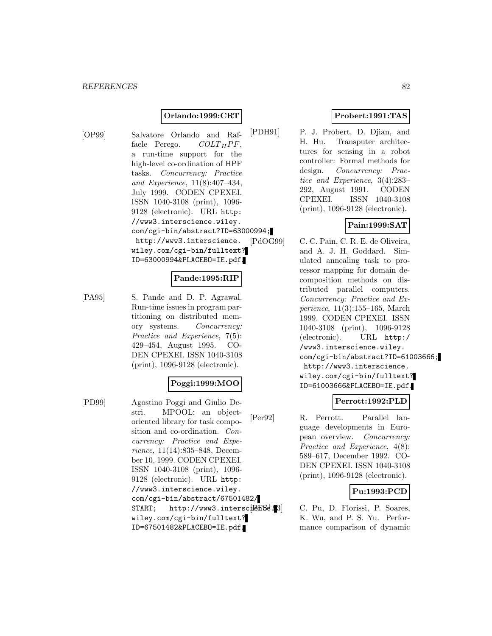## **Orlando:1999:CRT**

[OP99] Salvatore Orlando and Raffaele Perego.  $COLT_HPF$ , a run-time support for the high-level co-ordination of HPF tasks. Concurrency: Practice and Experience, 11(8):407–434, July 1999. CODEN CPEXEI. ISSN 1040-3108 (print), 1096- 9128 (electronic). URL http: //www3.interscience.wiley. com/cgi-bin/abstract?ID=63000994; http://www3.interscience. wiley.com/cgi-bin/fulltext? ID=63000994&PLACEBO=IE.pdf.

## **Pande:1995:RIP**

[PA95] S. Pande and D. P. Agrawal. Run-time issues in program partitioning on distributed memory systems. Concurrency: Practice and Experience, 7(5): 429–454, August 1995. CO-DEN CPEXEI. ISSN 1040-3108 (print), 1096-9128 (electronic).

## **Poggi:1999:MOO**

[PD99] Agostino Poggi and Giulio Destri. MPOOL: an objectoriented library for task composition and co-ordination. Concurrency: Practice and Experience, 11(14):835–848, December 10, 1999. CODEN CPEXEI. ISSN 1040-3108 (print), 1096- 9128 (electronic). URL http: //www3.interscience.wiley. com/cgi-bin/abstract/67501482/  $START$ ; http://www3.intersc $E[BFSE]$ wiley.com/cgi-bin/fulltext? ID=67501482&PLACEBO=IE.pdf.

## **Probert:1991:TAS**

[PDH91] P. J. Probert, D. Djian, and H. Hu. Transputer architectures for sensing in a robot controller: Formal methods for design. *Concurrency: Prac*tice and Experience, 3(4):283– 292, August 1991. CODEN CPEXEI. ISSN 1040-3108 (print), 1096-9128 (electronic).

# **Pain:1999:SAT**

[PdOG99] C. C. Pain, C. R. E. de Oliveira, and A. J. H. Goddard. Simulated annealing task to processor mapping for domain decomposition methods on distributed parallel computers. Concurrency: Practice and Experience, 11(3):155–165, March 1999. CODEN CPEXEI. ISSN 1040-3108 (print), 1096-9128 (electronic). URL http:/ /www3.interscience.wiley. com/cgi-bin/abstract?ID=61003666; http://www3.interscience. wiley.com/cgi-bin/fulltext? ID=61003666&PLACEBO=IE.pdf.

## **Perrott:1992:PLD**

[Per92] R. Perrott. Parallel language developments in European overview. Concurrency: Practice and Experience, 4(8): 589–617, December 1992. CO-DEN CPEXEI. ISSN 1040-3108 (print), 1096-9128 (electronic).

## **Pu:1993:PCD**

C. Pu, D. Florissi, P. Soares, K. Wu, and P. S. Yu. Performance comparison of dynamic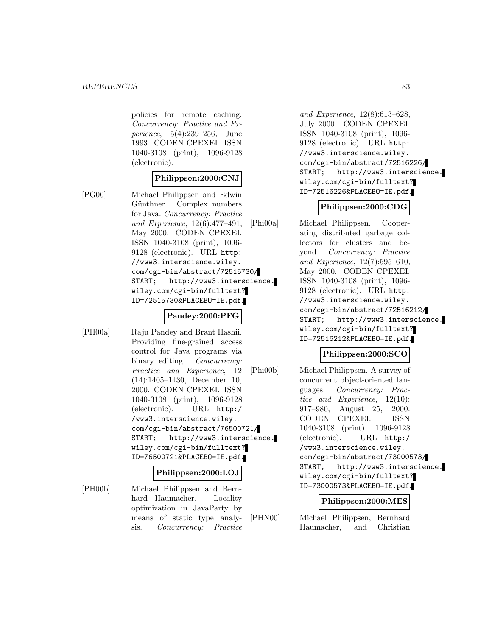policies for remote caching. Concurrency: Practice and Experience, 5(4):239–256, June 1993. CODEN CPEXEI. ISSN 1040-3108 (print), 1096-9128 (electronic).

### **Philippsen:2000:CNJ**

[PG00] Michael Philippsen and Edwin Günthner. Complex numbers for Java. Concurrency: Practice and Experience, 12(6):477–491, May 2000. CODEN CPEXEI. ISSN 1040-3108 (print), 1096- 9128 (electronic). URL http: //www3.interscience.wiley. com/cgi-bin/abstract/72515730/ START; http://www3.interscience. wiley.com/cgi-bin/fulltext? ID=72515730&PLACEBO=IE.pdf.

#### **Pandey:2000:PFG**

[PH00a] Raju Pandey and Brant Hashii. Providing fine-grained access control for Java programs via binary editing. *Concurrency:* Practice and Experience, 12 (14):1405–1430, December 10, 2000. CODEN CPEXEI. ISSN 1040-3108 (print), 1096-9128 (electronic). URL http:/ /www3.interscience.wiley. com/cgi-bin/abstract/76500721/ START; http://www3.interscience. wiley.com/cgi-bin/fulltext? ID=76500721&PLACEBO=IE.pdf.

#### **Philippsen:2000:LOJ**

[PH00b] Michael Philippsen and Bernhard Haumacher. Locality optimization in JavaParty by means of static type analysis. Concurrency: Practice

and Experience, 12(8):613–628, July 2000. CODEN CPEXEI. ISSN 1040-3108 (print), 1096- 9128 (electronic). URL http: //www3.interscience.wiley. com/cgi-bin/abstract/72516226/ START; http://www3.interscience. wiley.com/cgi-bin/fulltext? ID=72516226&PLACEBO=IE.pdf.

## **Philippsen:2000:CDG**

[Phi00a] Michael Philippsen. Cooperating distributed garbage collectors for clusters and beyond. Concurrency: Practice and Experience, 12(7):595–610, May 2000. CODEN CPEXEI. ISSN 1040-3108 (print), 1096- 9128 (electronic). URL http: //www3.interscience.wiley. com/cgi-bin/abstract/72516212/ START; http://www3.interscience. wiley.com/cgi-bin/fulltext? ID=72516212&PLACEBO=IE.pdf.

## **Philippsen:2000:SCO**

[Phi00b] Michael Philippsen. A survey of concurrent object-oriented languages. Concurrency: Practice and Experience, 12(10): 917–980, August 25, 2000. CODEN CPEXEI. ISSN 1040-3108 (print), 1096-9128 (electronic). URL http:/ /www3.interscience.wiley. com/cgi-bin/abstract/73000573/ START; http://www3.interscience. wiley.com/cgi-bin/fulltext? ID=73000573&PLACEBO=IE.pdf.

#### **Philippsen:2000:MES**

[PHN00] Michael Philippsen, Bernhard Haumacher, and Christian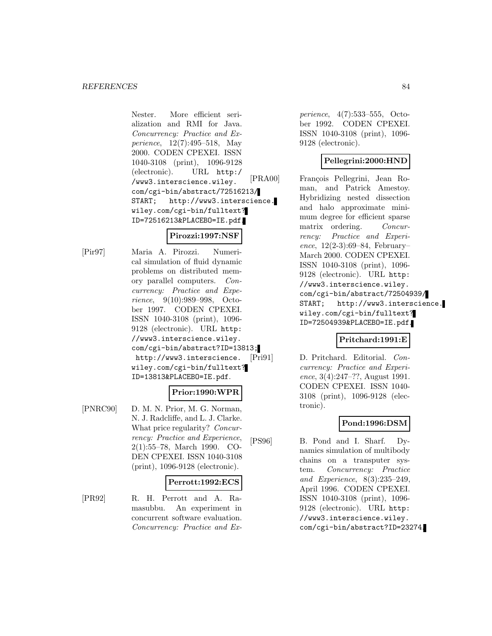Nester. More efficient serialization and RMI for Java. Concurrency: Practice and Experience, 12(7):495–518, May 2000. CODEN CPEXEI. ISSN 1040-3108 (print), 1096-9128 (electronic). URL http:/ /www3.interscience.wiley. com/cgi-bin/abstract/72516213/ START; http://www3.interscience. wiley.com/cgi-bin/fulltext? ID=72516213&PLACEBO=IE.pdf.

## **Pirozzi:1997:NSF**

[Pir97] Maria A. Pirozzi. Numerical simulation of fluid dynamic problems on distributed memory parallel computers. Concurrency: Practice and Experience, 9(10):989–998, October 1997. CODEN CPEXEI. ISSN 1040-3108 (print), 1096- 9128 (electronic). URL http: //www3.interscience.wiley. com/cgi-bin/abstract?ID=13813; http://www3.interscience. wiley.com/cgi-bin/fulltext? ID=13813&PLACEBO=IE.pdf.

## **Prior:1990:WPR**

[PNRC90] D. M. N. Prior, M. G. Norman, N. J. Radcliffe, and L. J. Clarke. What price regularity? Concurrency: Practice and Experience, 2(1):55–78, March 1990. CO-DEN CPEXEI. ISSN 1040-3108 (print), 1096-9128 (electronic).

## **Perrott:1992:ECS**

[PR92] R. H. Perrott and A. Ramasubbu. An experiment in concurrent software evaluation. Concurrency: Practice and Ex-

perience, 4(7):533–555, October 1992. CODEN CPEXEI. ISSN 1040-3108 (print), 1096- 9128 (electronic).

## **Pellegrini:2000:HND**

[PRA00] François Pellegrini, Jean Roman, and Patrick Amestoy. Hybridizing nested dissection and halo approximate minimum degree for efficient sparse matrix ordering. Concurrency: Practice and Experience,  $12(2-3):69-84$ , February– March 2000. CODEN CPEXEI. ISSN 1040-3108 (print), 1096- 9128 (electronic). URL http: //www3.interscience.wiley. com/cgi-bin/abstract/72504939/ START; http://www3.interscience. wiley.com/cgi-bin/fulltext? ID=72504939&PLACEBO=IE.pdf.

## **Pritchard:1991:E**

[Pri91] D. Pritchard. Editorial. Concurrency: Practice and Experience, 3(4):247–??, August 1991. CODEN CPEXEI. ISSN 1040- 3108 (print), 1096-9128 (electronic).

## **Pond:1996:DSM**

[PS96] B. Pond and I. Sharf. Dynamics simulation of multibody chains on a transputer system. Concurrency: Practice and Experience, 8(3):235–249, April 1996. CODEN CPEXEI. ISSN 1040-3108 (print), 1096- 9128 (electronic). URL http: //www3.interscience.wiley. com/cgi-bin/abstract?ID=23274.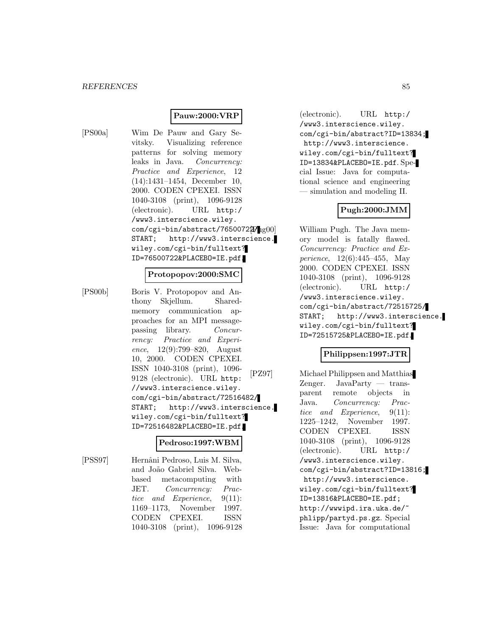## **Pauw:2000:VRP**

[PS00a] Wim De Pauw and Gary Sevitsky. Visualizing reference patterns for solving memory leaks in Java. Concurrency: Practice and Experience, 12 (14):1431–1454, December 10, 2000. CODEN CPEXEI. ISSN 1040-3108 (print), 1096-9128 (electronic). URL http:/ /www3.interscience.wiley. com/cgi-bin/abstract/76500722/<sub>1g00</sub>] START; http://www3.interscience. wiley.com/cgi-bin/fulltext? ID=76500722&PLACEBO=IE.pdf.

#### **Protopopov:2000:SMC**

[PS00b] Boris V. Protopopov and Anthony Skjellum. Sharedmemory communication approaches for an MPI messagepassing library. Concurrency: Practice and Experience, 12(9):799–820, August 10, 2000. CODEN CPEXEI. ISSN 1040-3108 (print), 1096- 9128 (electronic). URL http: //www3.interscience.wiley. com/cgi-bin/abstract/72516482/ START; http://www3.interscience. wiley.com/cgi-bin/fulltext? ID=72516482&PLACEBO=IE.pdf.

#### **Pedroso:1997:WBM**

[PSS97] Hernâni Pedroso, Luis M. Silva, and Jo˜ao Gabriel Silva. Webbased metacomputing with JET. Concurrency: Practice and Experience, 9(11): 1169–1173, November 1997. CODEN CPEXEI. ISSN 1040-3108 (print), 1096-9128

(electronic). URL http:/ /www3.interscience.wiley. com/cgi-bin/abstract?ID=13834; http://www3.interscience. wiley.com/cgi-bin/fulltext? ID=13834&PLACEBO=IE.pdf. Special Issue: Java for computational science and engineering — simulation and modeling II.

### **Pugh:2000:JMM**

William Pugh. The Java memory model is fatally flawed. Concurrency: Practice and Experience, 12(6):445–455, May 2000. CODEN CPEXEI. ISSN 1040-3108 (print), 1096-9128 (electronic). URL http:/ /www3.interscience.wiley. com/cgi-bin/abstract/72515725/ START; http://www3.interscience. wiley.com/cgi-bin/fulltext? ID=72515725&PLACEBO=IE.pdf.

## **Philippsen:1997:JTR**

[PZ97] Michael Philippsen and Matthias Zenger. JavaParty — transparent remote objects in Java. Concurrency: Practice and Experience, 9(11): 1225–1242, November 1997. CODEN CPEXEI. ISSN 1040-3108 (print), 1096-9128 (electronic). URL http:/ /www3.interscience.wiley. com/cgi-bin/abstract?ID=13816; http://www3.interscience. wiley.com/cgi-bin/fulltext? ID=13816&PLACEBO=IE.pdf; http://wwwipd.ira.uka.de/~ phlipp/partyd.ps.gz. Special Issue: Java for computational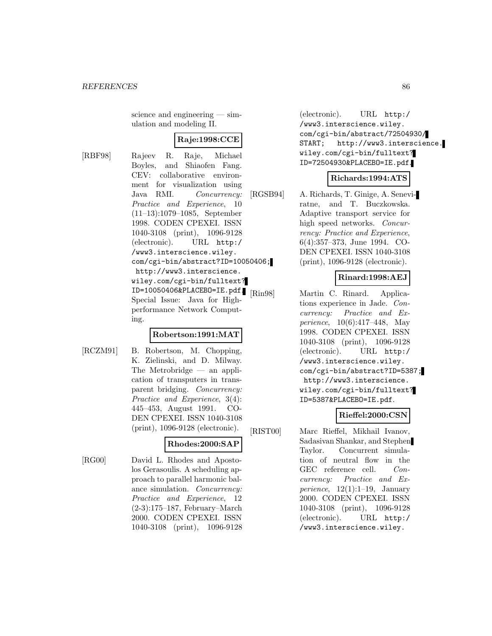science and engineering — simulation and modeling II.

## **Raje:1998:CCE**

[RBF98] Rajeev R. Raje, Michael Boyles, and Shiaofen Fang. CEV: collaborative environment for visualization using Java RMI. Concurrency: Practice and Experience, 10 (11–13):1079–1085, September 1998. CODEN CPEXEI. ISSN 1040-3108 (print), 1096-9128 (electronic). URL http:/ /www3.interscience.wiley. com/cgi-bin/abstract?ID=10050406; http://www3.interscience. wiley.com/cgi-bin/fulltext?  $ID=10050406\&PLACEBO=IE.pdf.$   $Rin98$ Special Issue: Java for Highperformance Network Computing.

### **Robertson:1991:MAT**

[RCZM91] B. Robertson, M. Chopping, K. Zielinski, and D. Milway. The Metrobridge — an application of transputers in transparent bridging. Concurrency: Practice and Experience, 3(4): 445–453, August 1991. CO-DEN CPEXEI. ISSN 1040-3108 (print), 1096-9128 (electronic).

## **Rhodes:2000:SAP**

[RG00] David L. Rhodes and Apostolos Gerasoulis. A scheduling approach to parallel harmonic balance simulation. Concurrency: Practice and Experience, 12 (2-3):175–187, February–March 2000. CODEN CPEXEI. ISSN 1040-3108 (print), 1096-9128

(electronic). URL http:/ /www3.interscience.wiley. com/cgi-bin/abstract/72504930/ START; http://www3.interscience. wiley.com/cgi-bin/fulltext? ID=72504930&PLACEBO=IE.pdf.

#### **Richards:1994:ATS**

[RGSB94] A. Richards, T. Ginige, A. Seneviratne, and T. Buczkowska. Adaptive transport service for high speed networks. Concurrency: Practice and Experience, 6(4):357–373, June 1994. CO-DEN CPEXEI. ISSN 1040-3108 (print), 1096-9128 (electronic).

## **Rinard:1998:AEJ**

Martin C. Rinard. Applications experience in Jade. Concurrency: Practice and Experience, 10(6):417–448, May 1998. CODEN CPEXEI. ISSN 1040-3108 (print), 1096-9128 (electronic). URL http:/ /www3.interscience.wiley. com/cgi-bin/abstract?ID=5387; http://www3.interscience. wiley.com/cgi-bin/fulltext? ID=5387&PLACEBO=IE.pdf.

#### **Rieffel:2000:CSN**

[RIST00] Marc Rieffel, Mikhail Ivanov, Sadasivan Shankar, and Stephen Taylor. Concurrent simulation of neutral flow in the GEC reference cell. Concurrency: Practice and Experience,  $12(1):1-19$ , January 2000. CODEN CPEXEI. ISSN 1040-3108 (print), 1096-9128 (electronic). URL http:/ /www3.interscience.wiley.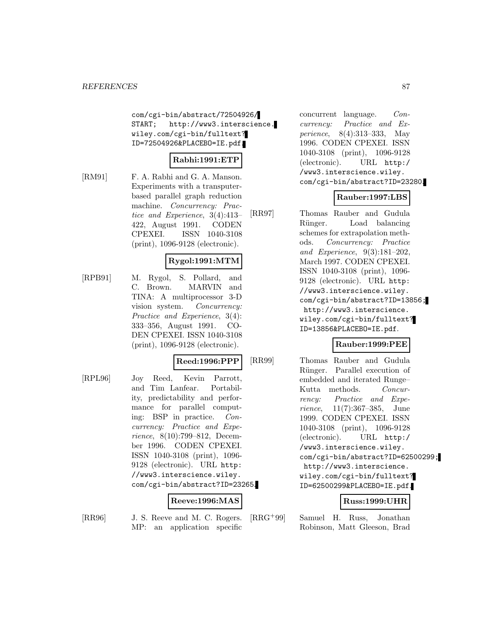com/cgi-bin/abstract/72504926/ START; http://www3.interscience. wiley.com/cgi-bin/fulltext? ID=72504926&PLACEBO=IE.pdf.

## **Rabhi:1991:ETP**

[RM91] F. A. Rabhi and G. A. Manson. Experiments with a transputerbased parallel graph reduction machine. Concurrency: Practice and Experience, 3(4):413– 422, August 1991. CODEN CPEXEI. ISSN 1040-3108 (print), 1096-9128 (electronic).

## **Rygol:1991:MTM**

[RPB91] M. Rygol, S. Pollard, and C. Brown. MARVIN and TINA: A multiprocessor 3-D vision system. Concurrency: Practice and Experience, 3(4): 333–356, August 1991. CO-DEN CPEXEI. ISSN 1040-3108 (print), 1096-9128 (electronic).

#### **Reed:1996:PPP**

[RPL96] Joy Reed, Kevin Parrott, and Tim Lanfear. Portability, predictability and performance for parallel computing: BSP in practice. Concurrency: Practice and Experience, 8(10):799–812, December 1996. CODEN CPEXEI. ISSN 1040-3108 (print), 1096- 9128 (electronic). URL http: //www3.interscience.wiley. com/cgi-bin/abstract?ID=23265.

## **Reeve:1996:MAS**

[RR96] J. S. Reeve and M. C. Rogers. MP: an application specific

concurrent language. Concurrency: Practice and Experience, 8(4):313–333, May 1996. CODEN CPEXEI. ISSN 1040-3108 (print), 1096-9128 (electronic). URL http:/ /www3.interscience.wiley. com/cgi-bin/abstract?ID=23280.

## **Rauber:1997:LBS**

[RR97] Thomas Rauber and Gudula Rünger. Load balancing schemes for extrapolation methods. Concurrency: Practice and Experience, 9(3):181–202, March 1997. CODEN CPEXEI. ISSN 1040-3108 (print), 1096- 9128 (electronic). URL http: //www3.interscience.wiley. com/cgi-bin/abstract?ID=13856; http://www3.interscience. wiley.com/cgi-bin/fulltext? ID=13856&PLACEBO=IE.pdf.

## **Rauber:1999:PEE**

[RR99] Thomas Rauber and Gudula Rünger. Parallel execution of embedded and iterated Runge– Kutta methods. Concurrency: Practice and Experience, 11(7):367–385, June 1999. CODEN CPEXEI. ISSN 1040-3108 (print), 1096-9128 (electronic). URL http:/ /www3.interscience.wiley. com/cgi-bin/abstract?ID=62500299; http://www3.interscience. wiley.com/cgi-bin/fulltext? ID=62500299&PLACEBO=IE.pdf.

#### **Russ:1999:UHR**

[RRG<sup>+</sup>99] Samuel H. Russ, Jonathan Robinson, Matt Gleeson, Brad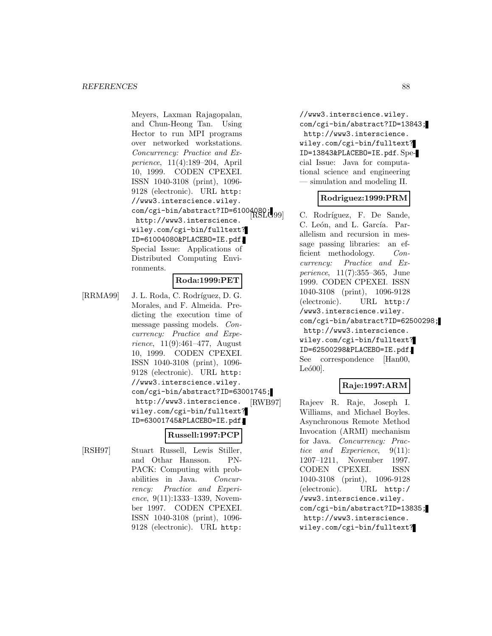Meyers, Laxman Rajagopalan, and Chun-Heong Tan. Using Hector to run MPI programs over networked workstations. Concurrency: Practice and Experience, 11(4):189–204, April 10, 1999. CODEN CPEXEI. ISSN 1040-3108 (print), 1096- 9128 (electronic). URL http: //www3.interscience.wiley. com/cgi-bin/abstract?ID=61004080; http://www3.interscience. wiley.com/cgi-bin/fulltext? ID=61004080&PLACEBO=IE.pdf. Special Issue: Applications of Distributed Computing Environments.

## **Roda:1999:PET**

[RRMA99] J. L. Roda, C. Rodríguez, D. G. Morales, and F. Almeida. Predicting the execution time of message passing models. Concurrency: Practice and Experience, 11(9):461–477, August 10, 1999. CODEN CPEXEI. ISSN 1040-3108 (print), 1096- 9128 (electronic). URL http: //www3.interscience.wiley. com/cgi-bin/abstract?ID=63001745; http://www3.interscience. wiley.com/cgi-bin/fulltext? ID=63001745&PLACEBO=IE.pdf.

## **Russell:1997:PCP**

[RSH97] Stuart Russell, Lewis Stiller, and Othar Hansson. PN-PACK: Computing with probabilities in Java. Concurrency: Practice and Experience, 9(11):1333-1339, November 1997. CODEN CPEXEI. ISSN 1040-3108 (print), 1096- 9128 (electronic). URL http:

//www3.interscience.wiley. com/cgi-bin/abstract?ID=13843; http://www3.interscience. wiley.com/cgi-bin/fulltext? ID=13843&PLACEBO=IE.pdf. Special Issue: Java for computational science and engineering — simulation and modeling II.

## **Rodriguez:1999:PRM**

C. Rodríguez, F. De Sande, C. León, and L. García. Parallelism and recursion in message passing libraries: an efficient methodology. Concurrency: Practice and Experience, 11(7):355–365, June 1999. CODEN CPEXEI. ISSN 1040-3108 (print), 1096-9128 (electronic). URL http:/ /www3.interscience.wiley. com/cgi-bin/abstract?ID=62500298; http://www3.interscience. wiley.com/cgi-bin/fulltext? ID=62500298&PLACEBO=IE.pdf. See correspondence [Han00,  $Leó00$ ].

## **Raje:1997:ARM**

[RWB97] Rajeev R. Raje, Joseph I. Williams, and Michael Boyles. Asynchronous Remote Method Invocation (ARMI) mechanism for Java. Concurrency: Practice and Experience, 9(11): 1207–1211, November 1997. CODEN CPEXEI. ISSN 1040-3108 (print), 1096-9128 (electronic). URL http:/ /www3.interscience.wiley. com/cgi-bin/abstract?ID=13835; http://www3.interscience. wiley.com/cgi-bin/fulltext?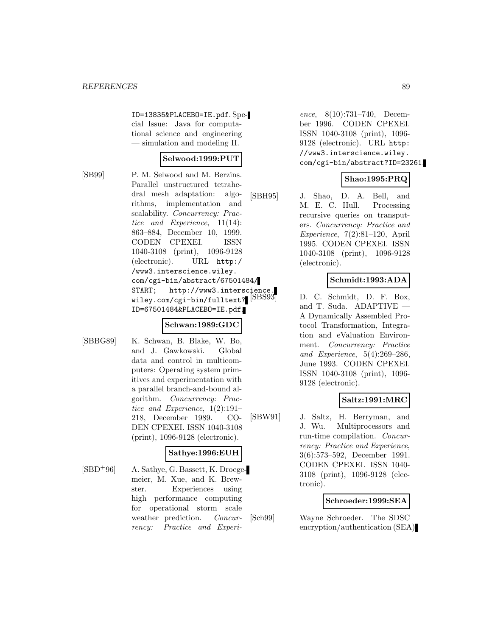ID=13835&PLACEBO=IE.pdf. Special Issue: Java for computational science and engineering — simulation and modeling II.

## **Selwood:1999:PUT**

[SB99] P. M. Selwood and M. Berzins. Parallel unstructured tetrahedral mesh adaptation: algorithms, implementation and scalability. Concurrency: Practice and Experience, 11(14): 863–884, December 10, 1999. CODEN CPEXEI. ISSN 1040-3108 (print), 1096-9128 (electronic). URL http:/ /www3.interscience.wiley. com/cgi-bin/abstract/67501484/ START; http://www3.interscience. wiley.com/cgi-bin/fulltext? [SBS93] ID=67501484&PLACEBO=IE.pdf.

## **Schwan:1989:GDC**

[SBBG89] K. Schwan, B. Blake, W. Bo, and J. Gawkowski. Global data and control in multicomputers: Operating system primitives and experimentation with a parallel branch-and-bound algorithm. Concurrency: Practice and Experience, 1(2):191– 218, December 1989. CO-DEN CPEXEI. ISSN 1040-3108 (print), 1096-9128 (electronic).

## **Sathye:1996:EUH**

 $[SBD+96]$  A. Sathye, G. Bassett, K. Droegemeier, M. Xue, and K. Brewster. Experiences using high performance computing for operational storm scale weather prediction. Concurrency: Practice and Experi-

ence, 8(10):731–740, December 1996. CODEN CPEXEI. ISSN 1040-3108 (print), 1096- 9128 (electronic). URL http: //www3.interscience.wiley. com/cgi-bin/abstract?ID=23261.

## **Shao:1995:PRQ**

[SBH95] J. Shao, D. A. Bell, and M. E. C. Hull. Processing recursive queries on transputers. Concurrency: Practice and Experience, 7(2):81–120, April 1995. CODEN CPEXEI. ISSN 1040-3108 (print), 1096-9128 (electronic).

### **Schmidt:1993:ADA**

D. C. Schmidt, D. F. Box, and T. Suda. ADAPTIVE — A Dynamically Assembled Protocol Transformation, Integration and eValuation Environment. Concurrency: Practice and Experience, 5(4):269–286, June 1993. CODEN CPEXEI. ISSN 1040-3108 (print), 1096- 9128 (electronic).

## **Saltz:1991:MRC**

[SBW91] J. Saltz, H. Berryman, and J. Wu. Multiprocessors and run-time compilation. Concurrency: Practice and Experience, 3(6):573–592, December 1991. CODEN CPEXEI. ISSN 1040- 3108 (print), 1096-9128 (electronic).

## **Schroeder:1999:SEA**

[Sch99] Wayne Schroeder. The SDSC encryption/authentication (SEA)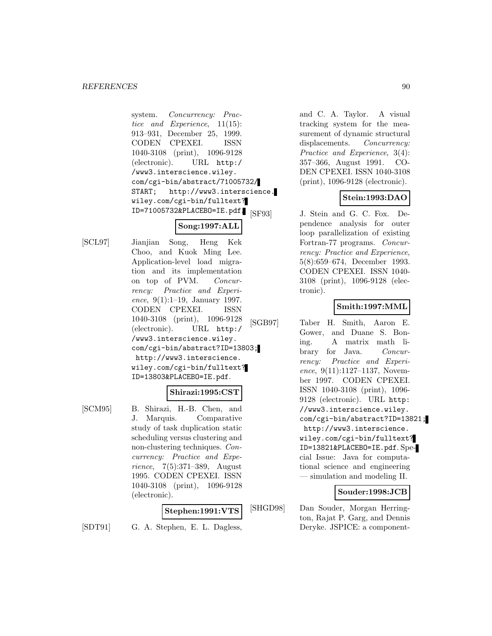system. Concurrency: Practice and Experience, 11(15): 913–931, December 25, 1999. CODEN CPEXEI. ISSN 1040-3108 (print), 1096-9128 (electronic). URL http:/ /www3.interscience.wiley. com/cgi-bin/abstract/71005732/ START; http://www3.interscience. wiley.com/cgi-bin/fulltext? ID=71005732&PLACEBO=IE.pdf.

# **Song:1997:ALL**

[SCL97] Jianjian Song, Heng Kek Choo, and Kuok Ming Lee. Application-level load migration and its implementation on top of PVM. Concurrency: Practice and Experience, 9(1):1–19, January 1997. CODEN CPEXEI. ISSN 1040-3108 (print), 1096-9128 (electronic). URL http:/ /www3.interscience.wiley. com/cgi-bin/abstract?ID=13803; http://www3.interscience. wiley.com/cgi-bin/fulltext? ID=13803&PLACEBO=IE.pdf.

## **Shirazi:1995:CST**

[SCM95] B. Shirazi, H.-B. Chen, and J. Marquis. Comparative study of task duplication static scheduling versus clustering and non-clustering techniques. Concurrency: Practice and Experience, 7(5):371–389, August 1995. CODEN CPEXEI. ISSN 1040-3108 (print), 1096-9128 (electronic).

## **Stephen:1991:VTS**

[SDT91] G. A. Stephen, E. L. Dagless,

and C. A. Taylor. A visual tracking system for the measurement of dynamic structural displacements. *Concurrency:* Practice and Experience, 3(4): 357–366, August 1991. CO-DEN CPEXEI. ISSN 1040-3108 (print), 1096-9128 (electronic).

## **Stein:1993:DAO**

[SF93] J. Stein and G. C. Fox. Dependence analysis for outer loop parallelization of existing Fortran-77 programs. Concurrency: Practice and Experience, 5(8):659–674, December 1993. CODEN CPEXEI. ISSN 1040- 3108 (print), 1096-9128 (electronic).

## **Smith:1997:MML**

[SGB97] Taber H. Smith, Aaron E. Gower, and Duane S. Boning. A matrix math library for Java. Concurrency: Practice and Experience, 9(11):1127-1137, November 1997. CODEN CPEXEI. ISSN 1040-3108 (print), 1096- 9128 (electronic). URL http: //www3.interscience.wiley. com/cgi-bin/abstract?ID=13821; http://www3.interscience. wiley.com/cgi-bin/fulltext? ID=13821&PLACEBO=IE.pdf. Special Issue: Java for computational science and engineering — simulation and modeling II.

## **Souder:1998:JCB**

[SHGD98] Dan Souder, Morgan Herrington, Rajat P. Garg, and Dennis Deryke. JSPICE: a component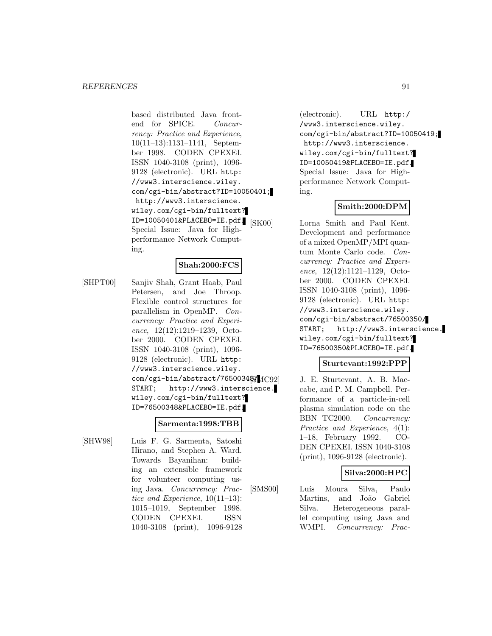based distributed Java frontend for SPICE. Concurrency: Practice and Experience, 10(11–13):1131–1141, September 1998. CODEN CPEXEI. ISSN 1040-3108 (print), 1096- 9128 (electronic). URL http: //www3.interscience.wiley. com/cgi-bin/abstract?ID=10050401; http://www3.interscience. wiley.com/cgi-bin/fulltext? ID=10050401&PLACEBO=IE.pdf. Special Issue: Java for Highperformance Network Computing.

## **Shah:2000:FCS**

[SHPT00] Sanjiv Shah, Grant Haab, Paul Petersen, and Joe Throop. Flexible control structures for parallelism in OpenMP. Concurrency: Practice and Experience, 12(12):1219–1239, October 2000. CODEN CPEXEI. ISSN 1040-3108 (print), 1096- 9128 (electronic). URL http: //www3.interscience.wiley. com/cgi-bin/abstract/765003488/1C92 START; http://www3.interscience. wiley.com/cgi-bin/fulltext? ID=76500348&PLACEBO=IE.pdf.

## **Sarmenta:1998:TBB**

[SHW98] Luis F. G. Sarmenta, Satoshi Hirano, and Stephen A. Ward. Towards Bayanihan: building an extensible framework for volunteer computing using Java. Concurrency: Practice and Experience, 10(11–13): 1015–1019, September 1998. CODEN CPEXEI. ISSN 1040-3108 (print), 1096-9128

(electronic). URL http:/ /www3.interscience.wiley. com/cgi-bin/abstract?ID=10050419; http://www3.interscience. wiley.com/cgi-bin/fulltext? ID=10050419&PLACEBO=IE.pdf. Special Issue: Java for Highperformance Network Computing.

## **Smith:2000:DPM**

[SK00] Lorna Smith and Paul Kent. Development and performance of a mixed OpenMP/MPI quantum Monte Carlo code. Concurrency: Practice and Experience, 12(12):1121–1129, October 2000. CODEN CPEXEI. ISSN 1040-3108 (print), 1096- 9128 (electronic). URL http: //www3.interscience.wiley. com/cgi-bin/abstract/76500350/ START; http://www3.interscience. wiley.com/cgi-bin/fulltext? ID=76500350&PLACEBO=IE.pdf.

#### **Sturtevant:1992:PPP**

J. E. Sturtevant, A. B. Maccabe, and P. M. Campbell. Performance of a particle-in-cell plasma simulation code on the BBN TC2000. Concurrency: Practice and Experience, 4(1): 1–18, February 1992. CO-DEN CPEXEI. ISSN 1040-3108 (print), 1096-9128 (electronic).

## **Silva:2000:HPC**

[SMS00] Luís Moura Silva, Paulo Martins, and João Gabriel Silva. Heterogeneous parallel computing using Java and WMPI. Concurrency: Prac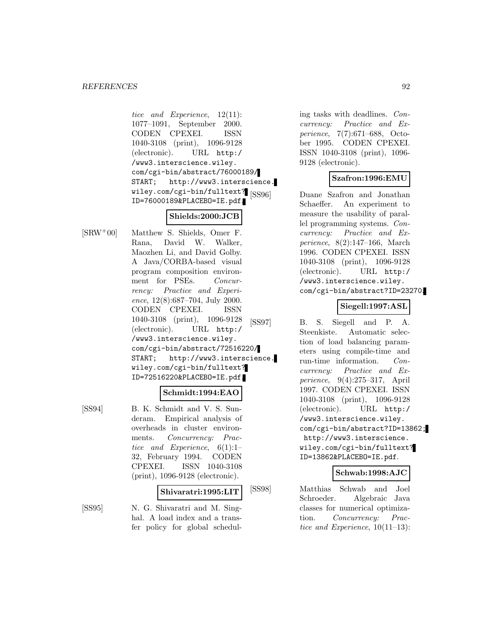tice and Experience, 12(11): 1077–1091, September 2000. CODEN CPEXEI. ISSN 1040-3108 (print), 1096-9128 (electronic). URL http:/ /www3.interscience.wiley. com/cgi-bin/abstract/76000189/ START; http://www3.interscience. wiley.com/cgi-bin/fulltext? [SS96] ID=76000189&PLACEBO=IE.pdf.

# **Shields:2000:JCB**

[SRW<sup>+</sup>00] Matthew S. Shields, Omer F. Rana, David W. Walker, Maozhen Li, and David Golby. A Java/CORBA-based visual program composition environment for PSEs. Concurrency: Practice and Experience, 12(8):687–704, July 2000. CODEN CPEXEI. ISSN 1040-3108 (print), 1096-9128 (electronic). URL http:/ /www3.interscience.wiley. com/cgi-bin/abstract/72516220/ START; http://www3.interscience. wiley.com/cgi-bin/fulltext? ID=72516220&PLACEBO=IE.pdf.

#### **Schmidt:1994:EAO**

[SS94] B. K. Schmidt and V. S. Sunderam. Empirical analysis of overheads in cluster environments. Concurrency: Practice and Experience, 6(1):1– 32, February 1994. CODEN CPEXEI. ISSN 1040-3108 (print), 1096-9128 (electronic).

#### **Shivaratri:1995:LIT**

[SS95] N. G. Shivaratri and M. Singhal. A load index and a transfer policy for global scheduling tasks with deadlines. Concurrency: Practice and Experience, 7(7):671–688, October 1995. CODEN CPEXEI. ISSN 1040-3108 (print), 1096- 9128 (electronic).

## **Szafron:1996:EMU**

Duane Szafron and Jonathan Schaeffer. An experiment to measure the usability of parallel programming systems. Concurrency: Practice and Experience, 8(2):147–166, March 1996. CODEN CPEXEI. ISSN 1040-3108 (print), 1096-9128 (electronic). URL http:/ /www3.interscience.wiley. com/cgi-bin/abstract?ID=23270.

### **Siegell:1997:ASL**

[SS97] B. S. Siegell and P. A. Steenkiste. Automatic selection of load balancing parameters using compile-time and run-time information. Concurrency: Practice and Experience, 9(4):275–317, April 1997. CODEN CPEXEI. ISSN 1040-3108 (print), 1096-9128 (electronic). URL http:/ /www3.interscience.wiley. com/cgi-bin/abstract?ID=13862; http://www3.interscience. wiley.com/cgi-bin/fulltext? ID=13862&PLACEBO=IE.pdf.

## **Schwab:1998:AJC**

[SS98] Matthias Schwab and Joel Schroeder. Algebraic Java classes for numerical optimization. Concurrency: Practice and Experience, 10(11–13):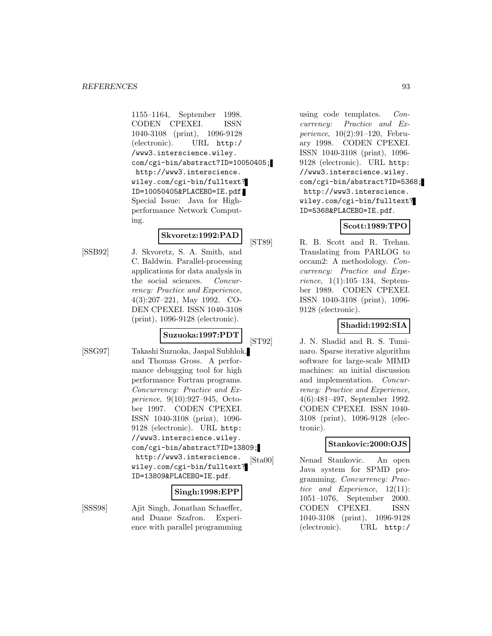1155–1164, September 1998. CODEN CPEXEI. ISSN 1040-3108 (print), 1096-9128 (electronic). URL http:/ /www3.interscience.wiley. com/cgi-bin/abstract?ID=10050405; http://www3.interscience. wiley.com/cgi-bin/fulltext? ID=10050405&PLACEBO=IE.pdf. Special Issue: Java for Highperformance Network Computing.

### **Skvoretz:1992:PAD**

[SSB92] J. Skvoretz, S. A. Smith, and C. Baldwin. Parallel-processing applications for data analysis in the social sciences. Concurrency: Practice and Experience, 4(3):207–221, May 1992. CO-DEN CPEXEI. ISSN 1040-3108 (print), 1096-9128 (electronic).

## **Suzuoka:1997:PDT**

- 
- [SSG97] Takashi Suzuoka, Jaspal Subhlok, and Thomas Gross. A performance debugging tool for high performance Fortran programs. Concurrency: Practice and Experience, 9(10):927–945, October 1997. CODEN CPEXEI. ISSN 1040-3108 (print), 1096- 9128 (electronic). URL http: //www3.interscience.wiley. com/cgi-bin/abstract?ID=13809; http://www3.interscience. wiley.com/cgi-bin/fulltext? ID=13809&PLACEBO=IE.pdf.

## **Singh:1998:EPP**

[SSS98] Ajit Singh, Jonathan Schaeffer, and Duane Szafron. Experience with parallel programming

using code templates. Concurrency: Practice and Experience, 10(2):91–120, February 1998. CODEN CPEXEI. ISSN 1040-3108 (print), 1096- 9128 (electronic). URL http: //www3.interscience.wiley. com/cgi-bin/abstract?ID=5368; http://www3.interscience. wiley.com/cgi-bin/fulltext? ID=5368&PLACEBO=IE.pdf.

## **Scott:1989:TPO**

[ST89] R. B. Scott and R. Trehan. Translating from PARLOG to occam2: A methodology. Concurrency: Practice and Experience, 1(1):105–134, September 1989. CODEN CPEXEI. ISSN 1040-3108 (print), 1096- 9128 (electronic).

## **Shadid:1992:SIA**

[ST92] J. N. Shadid and R. S. Tuminaro. Sparse iterative algorithm software for large-scale MIMD machines: an initial discussion and implementation. Concurrency: Practice and Experience, 4(6):481–497, September 1992. CODEN CPEXEI. ISSN 1040- 3108 (print), 1096-9128 (electronic).

## **Stankovic:2000:OJS**

[Sta00] Nenad Stankovic. An open Java system for SPMD programming. Concurrency: Practice and Experience, 12(11): 1051–1076, September 2000. CODEN CPEXEI. ISSN 1040-3108 (print), 1096-9128 (electronic). URL http:/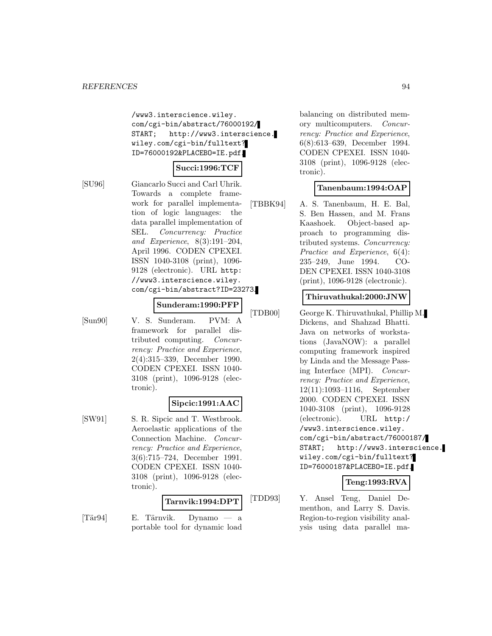/www3.interscience.wiley. com/cgi-bin/abstract/76000192/ START; http://www3.interscience. wiley.com/cgi-bin/fulltext? ID=76000192&PLACEBO=IE.pdf.

## **Succi:1996:TCF**

[SU96] Giancarlo Succi and Carl Uhrik. Towards a complete framework for parallel implementation of logic languages: the data parallel implementation of SEL. Concurrency: Practice and Experience, 8(3):191–204, April 1996. CODEN CPEXEI. ISSN 1040-3108 (print), 1096- 9128 (electronic). URL http: //www3.interscience.wiley. com/cgi-bin/abstract?ID=23273.

#### **Sunderam:1990:PFP**

[Sun90] V. S. Sunderam. PVM: A framework for parallel distributed computing. Concurrency: Practice and Experience, 2(4):315–339, December 1990. CODEN CPEXEI. ISSN 1040- 3108 (print), 1096-9128 (electronic).

#### **Sipcic:1991:AAC**

[SW91] S. R. Sipcic and T. Westbrook. Aeroelastic applications of the Connection Machine. Concurrency: Practice and Experience, 3(6):715–724, December 1991. CODEN CPEXEI. ISSN 1040- 3108 (print), 1096-9128 (electronic).

#### **Tarnvik:1994:DPT**

 $[T\ddot{a}r94]$  E. Tärnvik. Dynamo — a portable tool for dynamic load

balancing on distributed memory multicomputers. Concurrency: Practice and Experience, 6(8):613–639, December 1994. CODEN CPEXEI. ISSN 1040- 3108 (print), 1096-9128 (electronic).

## **Tanenbaum:1994:OAP**

[TBBK94] A. S. Tanenbaum, H. E. Bal, S. Ben Hassen, and M. Frans Kaashoek. Object-based approach to programming distributed systems. Concurrency: Practice and Experience, 6(4): 235–249, June 1994. CO-DEN CPEXEI. ISSN 1040-3108 (print), 1096-9128 (electronic).

### **Thiruvathukal:2000:JNW**

[TDB00] George K. Thiruvathukal, Phillip M. Dickens, and Shahzad Bhatti. Java on networks of workstations (JavaNOW): a parallel computing framework inspired by Linda and the Message Passing Interface (MPI). Concurrency: Practice and Experience, 12(11):1093–1116, September 2000. CODEN CPEXEI. ISSN 1040-3108 (print), 1096-9128 (electronic). URL http:/ /www3.interscience.wiley. com/cgi-bin/abstract/76000187/ START; http://www3.interscience. wiley.com/cgi-bin/fulltext? ID=76000187&PLACEBO=IE.pdf.

### **Teng:1993:RVA**

[TDD93] Y. Ansel Teng, Daniel Dementhon, and Larry S. Davis. Region-to-region visibility analysis using data parallel ma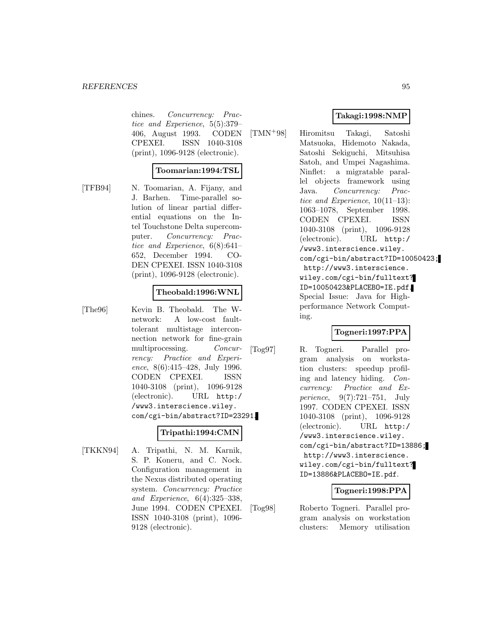chines. Concurrency: Practice and Experience, 5(5):379– 406, August 1993. CODEN CPEXEI. ISSN 1040-3108 (print), 1096-9128 (electronic).

#### **Toomarian:1994:TSL**

[TFB94] N. Toomarian, A. Fijany, and J. Barhen. Time-parallel solution of linear partial differential equations on the Intel Touchstone Delta supercomputer. Concurrency: Practice and Experience, 6(8):641– 652, December 1994. CO-DEN CPEXEI. ISSN 1040-3108 (print), 1096-9128 (electronic).

#### **Theobald:1996:WNL**

[The96] Kevin B. Theobald. The Wnetwork: A low-cost faulttolerant multistage interconnection network for fine-grain multiprocessing. Concurrency: Practice and Experience, 8(6):415–428, July 1996. CODEN CPEXEI. ISSN 1040-3108 (print), 1096-9128 (electronic). URL http:/ /www3.interscience.wiley. com/cgi-bin/abstract?ID=23291.

## **Tripathi:1994:CMN**

[TKKN94] A. Tripathi, N. M. Karnik, S. P. Koneru, and C. Nock. Configuration management in the Nexus distributed operating system. Concurrency: Practice and Experience, 6(4):325–338, June 1994. CODEN CPEXEI. ISSN 1040-3108 (print), 1096- 9128 (electronic).

## **Takagi:1998:NMP**

[TMN<sup>+</sup>98] Hiromitsu Takagi, Satoshi Matsuoka, Hidemoto Nakada, Satoshi Sekiguchi, Mitsuhisa Satoh, and Umpei Nagashima. Ninflet: a migratable parallel objects framework using Java. Concurrency: Practice and Experience, 10(11–13): 1063–1078, September 1998. CODEN CPEXEI. ISSN 1040-3108 (print), 1096-9128 (electronic). URL http:/ /www3.interscience.wiley. com/cgi-bin/abstract?ID=10050423; http://www3.interscience. wiley.com/cgi-bin/fulltext? ID=10050423&PLACEBO=IE.pdf. Special Issue: Java for Highperformance Network Computing.

## **Togneri:1997:PPA**

[Tog97] R. Togneri. Parallel program analysis on workstation clusters: speedup profiling and latency hiding. Concurrency: Practice and Experience, 9(7):721–751, July 1997. CODEN CPEXEI. ISSN 1040-3108 (print), 1096-9128 (electronic). URL http:/ /www3.interscience.wiley. com/cgi-bin/abstract?ID=13886; http://www3.interscience. wiley.com/cgi-bin/fulltext? ID=13886&PLACEBO=IE.pdf.

## **Togneri:1998:PPA**

[Tog98] Roberto Togneri. Parallel program analysis on workstation clusters: Memory utilisation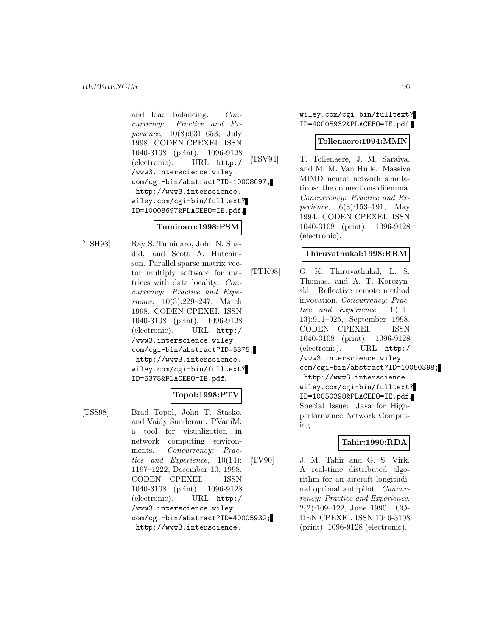and load balancing. Concurrency: Practice and Experience, 10(8):631–653, July 1998. CODEN CPEXEI. ISSN 1040-3108 (print), 1096-9128 (electronic). URL http:/ /www3.interscience.wiley. com/cgi-bin/abstract?ID=10008697; http://www3.interscience. wiley.com/cgi-bin/fulltext? ID=10008697&PLACEBO=IE.pdf.

#### **Tuminaro:1998:PSM**

[TSH98] Ray S. Tuminaro, John N. Shadid, and Scott A. Hutchinson. Parallel sparse matrix vector multiply software for matrices with data locality. Concurrency: Practice and Experience, 10(3):229–247, March 1998. CODEN CPEXEI. ISSN 1040-3108 (print), 1096-9128 (electronic). URL http:/ /www3.interscience.wiley. com/cgi-bin/abstract?ID=5375; http://www3.interscience. wiley.com/cgi-bin/fulltext? ID=5375&PLACEBO=IE.pdf.

## **Topol:1998:PTV**

[TSS98] Brad Topol, John T. Stasko, and Vaidy Sunderam. PVaniM: a tool for visualization in network computing environments. Concurrency: Practice and Experience, 10(14): 1197–1222, December 10, 1998. CODEN CPEXEI. ISSN 1040-3108 (print), 1096-9128 (electronic). URL http:/ /www3.interscience.wiley. com/cgi-bin/abstract?ID=40005932; http://www3.interscience.

wiley.com/cgi-bin/fulltext? ID=40005932&PLACEBO=IE.pdf.

### **Tollenaere:1994:MMN**

[TSV94] T. Tollenaere, J. M. Saraiva, and M. M. Van Hulle. Massive MIMD neural network simulations: the connections dilemma. Concurrency: Practice and Experience, 6(3):153–191, May 1994. CODEN CPEXEI. ISSN 1040-3108 (print), 1096-9128 (electronic).

## **Thiruvathukal:1998:RRM**

[TTK98] G. K. Thiruvathukal, L. S. Thomas, and A. T. Korczynski. Reflective remote method invocation. Concurrency: Practice and Experience, 10(11– 13):911–925, September 1998. CODEN CPEXEI. ISSN 1040-3108 (print), 1096-9128 (electronic). URL http:/ /www3.interscience.wiley. com/cgi-bin/abstract?ID=10050398; http://www3.interscience. wiley.com/cgi-bin/fulltext? ID=10050398&PLACEBO=IE.pdf. Special Issue: Java for Highperformance Network Computing.

## **Tahir:1990:RDA**

[TV90] J. M. Tahir and G. S. Virk. A real-time distributed algorithm for an aircraft longitudinal optimal autopilot. Concurrency: Practice and Experience, 2(2):109–122, June 1990. CO-DEN CPEXEI. ISSN 1040-3108 (print), 1096-9128 (electronic).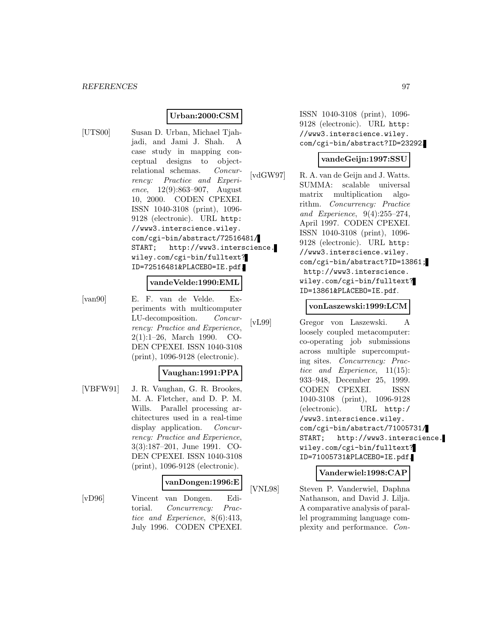## **Urban:2000:CSM**

[UTS00] Susan D. Urban, Michael Tjahjadi, and Jami J. Shah. A case study in mapping conceptual designs to objectrelational schemas. Concurrency: Practice and Experience, 12(9):863–907, August 10, 2000. CODEN CPEXEI. ISSN 1040-3108 (print), 1096- 9128 (electronic). URL http: //www3.interscience.wiley. com/cgi-bin/abstract/72516481/ START; http://www3.interscience. wiley.com/cgi-bin/fulltext? ID=72516481&PLACEBO=IE.pdf.

#### **vandeVelde:1990:EML**

[van90] E. F. van de Velde. Experiments with multicomputer LU-decomposition. Concurrency: Practice and Experience, 2(1):1–26, March 1990. CO-DEN CPEXEI. ISSN 1040-3108 (print), 1096-9128 (electronic).

## **Vaughan:1991:PPA**

[VBFW91] J. R. Vaughan, G. R. Brookes, M. A. Fletcher, and D. P. M. Wills. Parallel processing architectures used in a real-time display application. *Concur*rency: Practice and Experience, 3(3):187–201, June 1991. CO-DEN CPEXEI. ISSN 1040-3108 (print), 1096-9128 (electronic).

#### **vanDongen:1996:E**

[vD96] Vincent van Dongen. Editorial. Concurrency: Practice and Experience, 8(6):413, July 1996. CODEN CPEXEI.

ISSN 1040-3108 (print), 1096- 9128 (electronic). URL http: //www3.interscience.wiley. com/cgi-bin/abstract?ID=23292.

#### **vandeGeijn:1997:SSU**

[vdGW97] R. A. van de Geijn and J. Watts. SUMMA: scalable universal matrix multiplication algorithm. Concurrency: Practice and Experience, 9(4):255–274, April 1997. CODEN CPEXEI. ISSN 1040-3108 (print), 1096- 9128 (electronic). URL http: //www3.interscience.wiley. com/cgi-bin/abstract?ID=13861; http://www3.interscience. wiley.com/cgi-bin/fulltext? ID=13861&PLACEBO=IE.pdf.

#### **vonLaszewski:1999:LCM**

[vL99] Gregor von Laszewski. A loosely coupled metacomputer: co-operating job submissions across multiple supercomputing sites. Concurrency: Practice and Experience, 11(15): 933–948, December 25, 1999. CODEN CPEXEI. ISSN 1040-3108 (print), 1096-9128 (electronic). URL http:/ /www3.interscience.wiley. com/cgi-bin/abstract/71005731/ START; http://www3.interscience. wiley.com/cgi-bin/fulltext? ID=71005731&PLACEBO=IE.pdf.

## **Vanderwiel:1998:CAP**

[VNL98] Steven P. Vanderwiel, Daphna Nathanson, and David J. Lilja. A comparative analysis of parallel programming language complexity and performance. Con-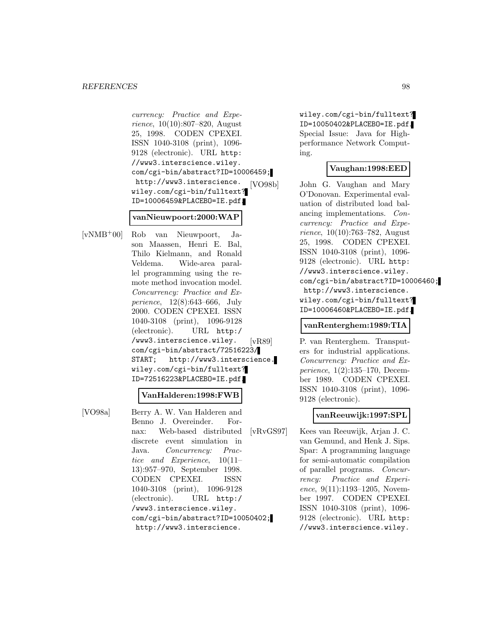currency: Practice and Experience, 10(10):807–820, August 25, 1998. CODEN CPEXEI. ISSN 1040-3108 (print), 1096- 9128 (electronic). URL http: //www3.interscience.wiley. com/cgi-bin/abstract?ID=10006459; http://www3.interscience. wiley.com/cgi-bin/fulltext? ID=10006459&PLACEBO=IE.pdf.

#### **vanNieuwpoort:2000:WAP**

[vNMB<sup>+</sup>00] Rob van Nieuwpoort, Jason Maassen, Henri E. Bal, Thilo Kielmann, and Ronald Veldema. Wide-area parallel programming using the remote method invocation model. Concurrency: Practice and Experience, 12(8):643–666, July 2000. CODEN CPEXEI. ISSN 1040-3108 (print), 1096-9128 (electronic). URL http:/ /www3.interscience.wiley. com/cgi-bin/abstract/72516223/ START; http://www3.interscience. wiley.com/cgi-bin/fulltext? ID=72516223&PLACEBO=IE.pdf.

## **VanHalderen:1998:FWB**

[VO98a] Berry A. W. Van Halderen and Benno J. Overeinder. Fornax: Web-based distributed discrete event simulation in Java. Concurrency: Practice and Experience, 10(11– 13):957–970, September 1998. CODEN CPEXEI. ISSN 1040-3108 (print), 1096-9128 (electronic). URL http:/ /www3.interscience.wiley. com/cgi-bin/abstract?ID=10050402; http://www3.interscience.

wiley.com/cgi-bin/fulltext? ID=10050402&PLACEBO=IE.pdf. Special Issue: Java for Highperformance Network Computing.

## **Vaughan:1998:EED**

[VO98b] John G. Vaughan and Mary O'Donovan. Experimental evaluation of distributed load balancing implementations. Concurrency: Practice and Expe*rience*,  $10(10):763-782$ , August 25, 1998. CODEN CPEXEI. ISSN 1040-3108 (print), 1096- 9128 (electronic). URL http: //www3.interscience.wiley. com/cgi-bin/abstract?ID=10006460; http://www3.interscience. wiley.com/cgi-bin/fulltext? ID=10006460&PLACEBO=IE.pdf.

#### **vanRenterghem:1989:TIA**

[vR89] P. van Renterghem. Transputers for industrial applications. Concurrency: Practice and Experience, 1(2):135–170, December 1989. CODEN CPEXEI. ISSN 1040-3108 (print), 1096- 9128 (electronic).

## **vanReeuwijk:1997:SPL**

[vRvGS97] Kees van Reeuwijk, Arjan J. C. van Gemund, and Henk J. Sips. Spar: A programming language for semi-automatic compilation of parallel programs. Concurrency: Practice and Experience, 9(11):1193-1205, November 1997. CODEN CPEXEI. ISSN 1040-3108 (print), 1096- 9128 (electronic). URL http: //www3.interscience.wiley.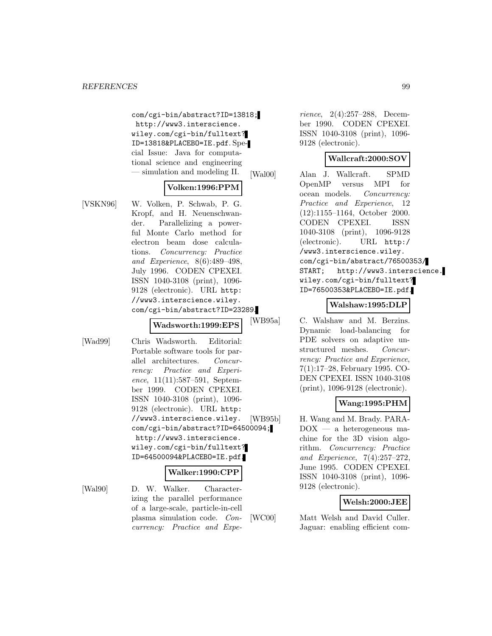com/cgi-bin/abstract?ID=13818; http://www3.interscience. wiley.com/cgi-bin/fulltext? ID=13818&PLACEBO=IE.pdf. Special Issue: Java for computational science and engineering — simulation and modeling II.

## **Volken:1996:PPM**

[VSKN96] W. Volken, P. Schwab, P. G. Kropf, and H. Neuenschwander. Parallelizing a powerful Monte Carlo method for electron beam dose calculations. Concurrency: Practice and Experience, 8(6):489–498, July 1996. CODEN CPEXEI. ISSN 1040-3108 (print), 1096- 9128 (electronic). URL http: //www3.interscience.wiley. com/cgi-bin/abstract?ID=23289.

#### **Wadsworth:1999:EPS**

[Wad99] Chris Wadsworth. Editorial: Portable software tools for parallel architectures. Concurrency: Practice and Experience, 11(11):587–591, September 1999. CODEN CPEXEI. ISSN 1040-3108 (print), 1096- 9128 (electronic). URL http: //www3.interscience.wiley. com/cgi-bin/abstract?ID=64500094; http://www3.interscience. wiley.com/cgi-bin/fulltext? ID=64500094&PLACEBO=IE.pdf.

## **Walker:1990:CPP**

[Wal90] D. W. Walker. Characterizing the parallel performance of a large-scale, particle-in-cell plasma simulation code. Concurrency: Practice and Expe-

rience, 2(4):257–288, December 1990. CODEN CPEXEI. ISSN 1040-3108 (print), 1096- 9128 (electronic).

## **Wallcraft:2000:SOV**

[Wal00] Alan J. Wallcraft. SPMD OpenMP versus MPI for ocean models. Concurrency: Practice and Experience, 12 (12):1155–1164, October 2000. CODEN CPEXEI. ISSN 1040-3108 (print), 1096-9128 (electronic). URL http:/ /www3.interscience.wiley. com/cgi-bin/abstract/76500353/ START; http://www3.interscience. wiley.com/cgi-bin/fulltext? ID=76500353&PLACEBO=IE.pdf.

## **Walshaw:1995:DLP**

[WB95a] C. Walshaw and M. Berzins. Dynamic load-balancing for PDE solvers on adaptive unstructured meshes. Concurrency: Practice and Experience, 7(1):17–28, February 1995. CO-DEN CPEXEI. ISSN 1040-3108 (print), 1096-9128 (electronic).

## **Wang:1995:PHM**

[WB95b] H. Wang and M. Brady. PARA-DOX — a heterogeneous machine for the 3D vision algorithm. Concurrency: Practice and Experience, 7(4):257–272, June 1995. CODEN CPEXEI. ISSN 1040-3108 (print), 1096- 9128 (electronic).

## **Welsh:2000:JEE**

[WC00] Matt Welsh and David Culler. Jaguar: enabling efficient com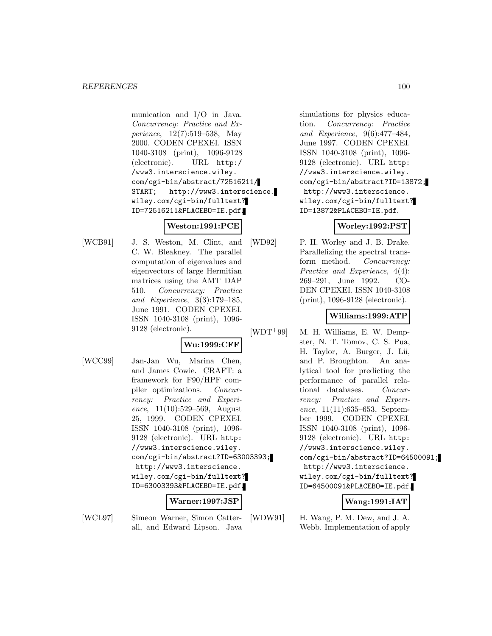munication and I/O in Java. Concurrency: Practice and Experience, 12(7):519–538, May 2000. CODEN CPEXEI. ISSN 1040-3108 (print), 1096-9128 (electronic). URL http:/ /www3.interscience.wiley. com/cgi-bin/abstract/72516211/ START; http://www3.interscience. wiley.com/cgi-bin/fulltext? ID=72516211&PLACEBO=IE.pdf.

## **Weston:1991:PCE**

[WCB91] J. S. Weston, M. Clint, and C. W. Bleakney. The parallel computation of eigenvalues and eigenvectors of large Hermitian matrices using the AMT DAP 510. Concurrency: Practice and Experience, 3(3):179–185, June 1991. CODEN CPEXEI. ISSN 1040-3108 (print), 1096- 9128 (electronic).

## **Wu:1999:CFF**

[WCC99] Jan-Jan Wu, Marina Chen, and James Cowie. CRAFT: a framework for F90/HPF compiler optimizations. Concurrency: Practice and Experience, 11(10):529–569, August 25, 1999. CODEN CPEXEI. ISSN 1040-3108 (print), 1096- 9128 (electronic). URL http: //www3.interscience.wiley. com/cgi-bin/abstract?ID=63003393; http://www3.interscience. wiley.com/cgi-bin/fulltext? ID=63003393&PLACEBO=IE.pdf.

## **Warner:1997:JSP**

[WCL97] Simeon Warner, Simon Catterall, and Edward Lipson. Java simulations for physics education. Concurrency: Practice and Experience, 9(6):477–484, June 1997. CODEN CPEXEI. ISSN 1040-3108 (print), 1096- 9128 (electronic). URL http: //www3.interscience.wiley. com/cgi-bin/abstract?ID=13872; http://www3.interscience. wiley.com/cgi-bin/fulltext? ID=13872&PLACEBO=IE.pdf.

## **Worley:1992:PST**

[WD92] P. H. Worley and J. B. Drake. Parallelizing the spectral transform method. Concurrency: Practice and Experience, 4(4): 269–291, June 1992. CO-DEN CPEXEI. ISSN 1040-3108 (print), 1096-9128 (electronic).

## **Williams:1999:ATP**

[WDT<sup>+</sup>99] M. H. Williams, E. W. Dempster, N. T. Tomov, C. S. Pua, H. Taylor, A. Burger, J. Lü, and P. Broughton. An analytical tool for predicting the performance of parallel relational databases. Concurrency: Practice and Experience, 11(11):635–653, September 1999. CODEN CPEXEI. ISSN 1040-3108 (print), 1096- 9128 (electronic). URL http: //www3.interscience.wiley. com/cgi-bin/abstract?ID=64500091; http://www3.interscience. wiley.com/cgi-bin/fulltext? ID=64500091&PLACEBO=IE.pdf.

## **Wang:1991:IAT**

[WDW91] H. Wang, P. M. Dew, and J. A. Webb. Implementation of apply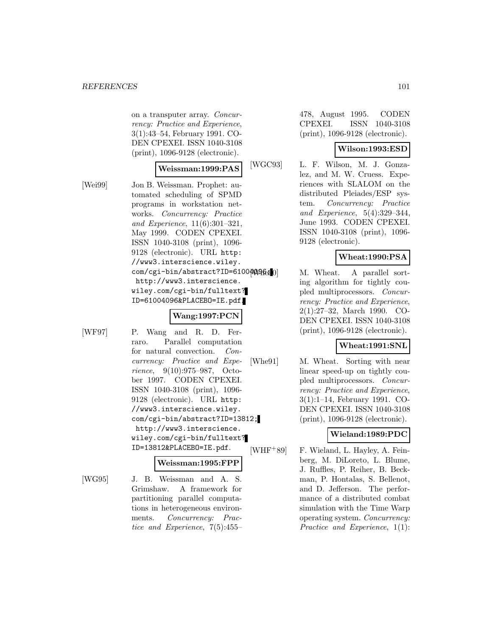on a transputer array. Concurrency: Practice and Experience, 3(1):43–54, February 1991. CO-DEN CPEXEI. ISSN 1040-3108 (print), 1096-9128 (electronic).

#### **Weissman:1999:PAS**

[Wei99] Jon B. Weissman. Prophet: automated scheduling of SPMD programs in workstation networks. Concurrency: Practice and Experience, 11(6):301–321, May 1999. CODEN CPEXEI. ISSN 1040-3108 (print), 1096- 9128 (electronic). URL http: //www3.interscience.wiley. com/cgi-bin/abstract?ID=61004096; http://www3.interscience. wiley.com/cgi-bin/fulltext? ID=61004096&PLACEBO=IE.pdf.

## **Wang:1997:PCN**

[WF97] P. Wang and R. D. Ferraro. Parallel computation for natural convection. Concurrency: Practice and Experience, 9(10):975–987, October 1997. CODEN CPEXEI. ISSN 1040-3108 (print), 1096- 9128 (electronic). URL http: //www3.interscience.wiley. com/cgi-bin/abstract?ID=13812; http://www3.interscience. wiley.com/cgi-bin/fulltext? ID=13812&PLACEBO=IE.pdf.

#### **Weissman:1995:FPP**

[WG95] J. B. Weissman and A. S. Grimshaw. A framework for partitioning parallel computations in heterogeneous environments. Concurrency: Practice and Experience, 7(5):455–

478, August 1995. CODEN CPEXEI. ISSN 1040-3108 (print), 1096-9128 (electronic).

## **Wilson:1993:ESD**

[WGC93] L. F. Wilson, M. J. Gonzalez, and M. W. Cruess. Experiences with SLALOM on the distributed Pleiades/ESP system. Concurrency: Practice and Experience, 5(4):329–344, June 1993. CODEN CPEXEI. ISSN 1040-3108 (print), 1096- 9128 (electronic).

## **Wheat:1990:PSA**

M. Wheat. A parallel sorting algorithm for tightly coupled multiprocessors. Concurrency: Practice and Experience, 2(1):27–32, March 1990. CO-DEN CPEXEI. ISSN 1040-3108 (print), 1096-9128 (electronic).

## **Wheat:1991:SNL**

[Whe91] M. Wheat. Sorting with near linear speed-up on tightly coupled multiprocessors. Concurrency: Practice and Experience, 3(1):1–14, February 1991. CO-DEN CPEXEI. ISSN 1040-3108 (print), 1096-9128 (electronic).

## **Wieland:1989:PDC**

[WHF<sup>+</sup>89] F. Wieland, L. Hayley, A. Feinberg, M. DiLoreto, L. Blume, J. Ruffles, P. Reiher, B. Beckman, P. Hontalas, S. Bellenot, and D. Jefferson. The performance of a distributed combat simulation with the Time Warp operating system. Concurrency: Practice and Experience, 1(1):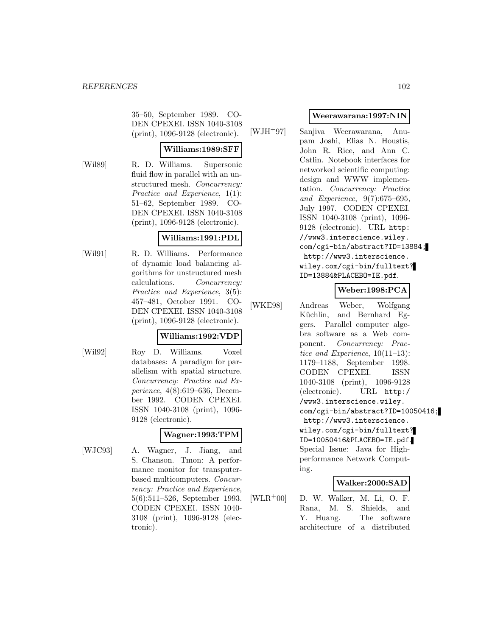35–50, September 1989. CO-DEN CPEXEI. ISSN 1040-3108 (print), 1096-9128 (electronic).

### **Williams:1989:SFF**

[Wil89] R. D. Williams. Supersonic fluid flow in parallel with an unstructured mesh. Concurrency: Practice and Experience, 1(1): 51–62, September 1989. CO-DEN CPEXEI. ISSN 1040-3108 (print), 1096-9128 (electronic).

## **Williams:1991:PDL**

[Wil91] R. D. Williams. Performance of dynamic load balancing algorithms for unstructured mesh calculations. Concurrency: Practice and Experience, 3(5): 457–481, October 1991. CO-DEN CPEXEI. ISSN 1040-3108 (print), 1096-9128 (electronic).

## **Williams:1992:VDP**

[Wil92] Roy D. Williams. Voxel databases: A paradigm for parallelism with spatial structure. Concurrency: Practice and Experience, 4(8):619–636, December 1992. CODEN CPEXEI. ISSN 1040-3108 (print), 1096- 9128 (electronic).

#### **Wagner:1993:TPM**

[WJC93] A. Wagner, J. Jiang, and S. Chanson. Tmon: A performance monitor for transputerbased multicomputers. Concurrency: Practice and Experience, 5(6):511–526, September 1993. CODEN CPEXEI. ISSN 1040- 3108 (print), 1096-9128 (electronic).

### **Weerawarana:1997:NIN**

[WJH<sup>+</sup>97] Sanjiva Weerawarana, Anupam Joshi, Elias N. Houstis, John R. Rice, and Ann C. Catlin. Notebook interfaces for networked scientific computing: design and WWW implementation. Concurrency: Practice and Experience, 9(7):675–695, July 1997. CODEN CPEXEI. ISSN 1040-3108 (print), 1096- 9128 (electronic). URL http: //www3.interscience.wiley. com/cgi-bin/abstract?ID=13884; http://www3.interscience. wiley.com/cgi-bin/fulltext? ID=13884&PLACEBO=IE.pdf.

## **Weber:1998:PCA**

[WKE98] Andreas Weber, Wolfgang Küchlin, and Bernhard Eggers. Parallel computer algebra software as a Web component. Concurrency: Practice and Experience, 10(11–13): 1179–1188, September 1998. CODEN CPEXEI. ISSN 1040-3108 (print), 1096-9128 (electronic). URL http:/ /www3.interscience.wiley. com/cgi-bin/abstract?ID=10050416; http://www3.interscience. wiley.com/cgi-bin/fulltext? ID=10050416&PLACEBO=IE.pdf. Special Issue: Java for Highperformance Network Computing.

## **Walker:2000:SAD**

 $[WLR^+00]$  D. W. Walker, M. Li, O. F. Rana, M. S. Shields, and Y. Huang. The software architecture of a distributed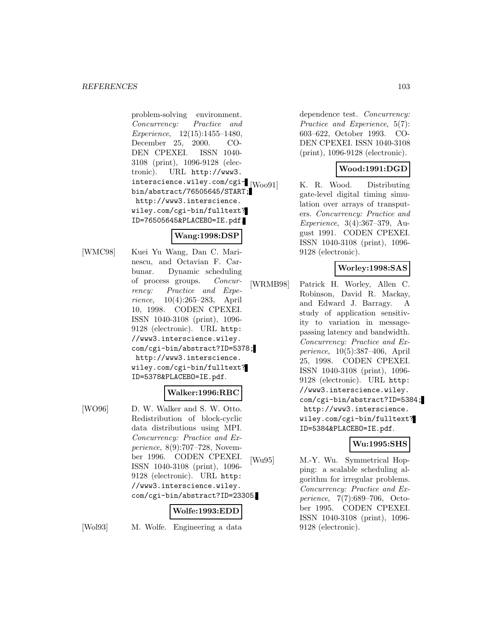problem-solving environment. Concurrency: Practice and Experience, 12(15):1455–1480, December 25, 2000. CO-DEN CPEXEI. ISSN 1040- 3108 (print), 1096-9128 (electronic). URL http://www3. interscience.wiley.com/cgibin/abstract/76505645/START; http://www3.interscience. wiley.com/cgi-bin/fulltext? ID=76505645&PLACEBO=IE.pdf.

## **Wang:1998:DSP**

[WMC98] Kuei Yu Wang, Dan C. Marinescu, and Octavian F. Carbunar. Dynamic scheduling of process groups. Concurrency: Practice and Experience, 10(4):265–283, April 10, 1998. CODEN CPEXEI. ISSN 1040-3108 (print), 1096- 9128 (electronic). URL http: //www3.interscience.wiley. com/cgi-bin/abstract?ID=5378; http://www3.interscience. wiley.com/cgi-bin/fulltext? ID=5378&PLACEBO=IE.pdf.

## **Walker:1996:RBC**

[WO96] D. W. Walker and S. W. Otto. Redistribution of block-cyclic data distributions using MPI. Concurrency: Practice and Experience, 8(9):707–728, November 1996. CODEN CPEXEI. ISSN 1040-3108 (print), 1096- 9128 (electronic). URL http: //www3.interscience.wiley. com/cgi-bin/abstract?ID=23305.

## **Wolfe:1993:EDD**

[Wol93] M. Wolfe. Engineering a data

dependence test. Concurrency: Practice and Experience, 5(7): 603–622, October 1993. CO-DEN CPEXEI. ISSN 1040-3108 (print), 1096-9128 (electronic).

## **Wood:1991:DGD**

[Woo91] K. R. Wood. Distributing gate-level digital timing simulation over arrays of transputers. Concurrency: Practice and Experience, 3(4):367–379, August 1991. CODEN CPEXEI. ISSN 1040-3108 (print), 1096- 9128 (electronic).

## **Worley:1998:SAS**

[WRMB98] Patrick H. Worley, Allen C. Robinson, David R. Mackay, and Edward J. Barragy. A study of application sensitivity to variation in messagepassing latency and bandwidth. Concurrency: Practice and Experience, 10(5):387–406, April 25, 1998. CODEN CPEXEI. ISSN 1040-3108 (print), 1096- 9128 (electronic). URL http: //www3.interscience.wiley. com/cgi-bin/abstract?ID=5384; http://www3.interscience. wiley.com/cgi-bin/fulltext? ID=5384&PLACEBO=IE.pdf.

## **Wu:1995:SHS**

[Wu95] M.-Y. Wu. Symmetrical Hopping: a scalable scheduling algorithm for irregular problems. Concurrency: Practice and Experience, 7(7):689–706, October 1995. CODEN CPEXEI. ISSN 1040-3108 (print), 1096- 9128 (electronic).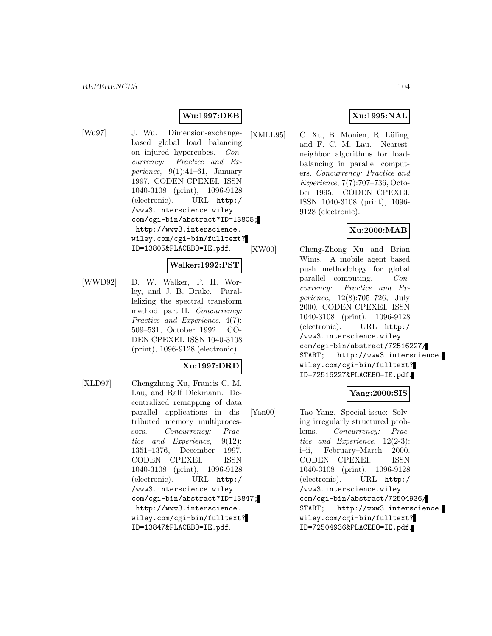## **Wu:1997:DEB**

[Wu97] J. Wu. Dimension-exchangebased global load balancing on injured hypercubes. Concurrency: Practice and Experience,  $9(1):41-61$ , January 1997. CODEN CPEXEI. ISSN 1040-3108 (print), 1096-9128 (electronic). URL http:/ /www3.interscience.wiley. com/cgi-bin/abstract?ID=13805; http://www3.interscience. wiley.com/cgi-bin/fulltext? ID=13805&PLACEBO=IE.pdf.

#### **Walker:1992:PST**

[WWD92] D. W. Walker, P. H. Worley, and J. B. Drake. Parallelizing the spectral transform method. part II. Concurrency: Practice and Experience, 4(7): 509–531, October 1992. CO-DEN CPEXEI. ISSN 1040-3108 (print), 1096-9128 (electronic).

## **Xu:1997:DRD**

[XLD97] Chengzhong Xu, Francis C. M. Lau, and Ralf Diekmann. Decentralized remapping of data parallel applications in distributed memory multiprocessors. Concurrency: Practice and Experience, 9(12): 1351–1376, December 1997. CODEN CPEXEI. ISSN 1040-3108 (print), 1096-9128 (electronic). URL http:/ /www3.interscience.wiley. com/cgi-bin/abstract?ID=13847; http://www3.interscience. wiley.com/cgi-bin/fulltext? ID=13847&PLACEBO=IE.pdf.

## **Xu:1995:NAL**

 $[XMLL95]$  C. Xu, B. Monien, R. Lüling, and F. C. M. Lau. Nearestneighbor algorithms for loadbalancing in parallel computers. Concurrency: Practice and Experience, 7(7):707–736, October 1995. CODEN CPEXEI. ISSN 1040-3108 (print), 1096- 9128 (electronic).

## **Xu:2000:MAB**

[XW00] Cheng-Zhong Xu and Brian Wims. A mobile agent based push methodology for global parallel computing. Concurrency: Practice and Experience, 12(8):705–726, July 2000. CODEN CPEXEI. ISSN 1040-3108 (print), 1096-9128 (electronic). URL http:/ /www3.interscience.wiley. com/cgi-bin/abstract/72516227/ START; http://www3.interscience. wiley.com/cgi-bin/fulltext? ID=72516227&PLACEBO=IE.pdf.

## **Yang:2000:SIS**

[Yan00] Tao Yang. Special issue: Solving irregularly structured problems. Concurrency: Practice and Experience, 12(2-3): i–ii, February–March 2000. CODEN CPEXEI. ISSN 1040-3108 (print), 1096-9128 (electronic). URL http:/ /www3.interscience.wiley. com/cgi-bin/abstract/72504936/ START; http://www3.interscience. wiley.com/cgi-bin/fulltext? ID=72504936&PLACEBO=IE.pdf.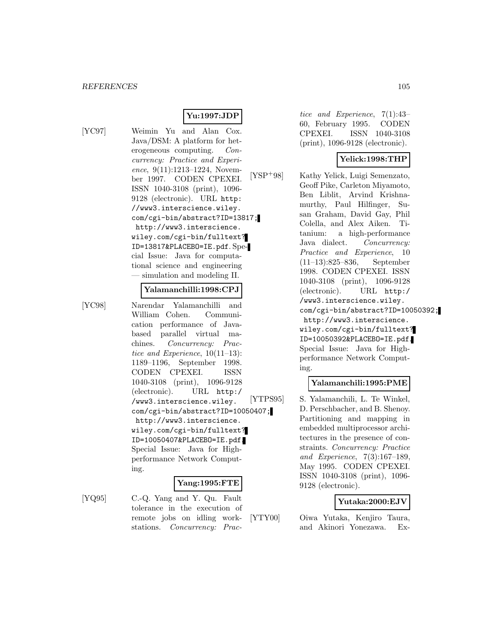## **Yu:1997:JDP**

[YC97] Weimin Yu and Alan Cox. Java/DSM: A platform for heterogeneous computing. Concurrency: Practice and Experience, 9(11):1213-1224, November 1997. CODEN CPEXEI. ISSN 1040-3108 (print), 1096- 9128 (electronic). URL http: //www3.interscience.wiley. com/cgi-bin/abstract?ID=13817; http://www3.interscience. wiley.com/cgi-bin/fulltext? ID=13817&PLACEBO=IE.pdf. Special Issue: Java for computational science and engineering — simulation and modeling II.

#### **Yalamanchilli:1998:CPJ**

[YC98] Narendar Yalamanchilli and William Cohen. Communication performance of Javabased parallel virtual machines. Concurrency: Practice and Experience, 10(11–13): 1189–1196, September 1998. CODEN CPEXEI. ISSN 1040-3108 (print), 1096-9128 (electronic). URL http:/ /www3.interscience.wiley. com/cgi-bin/abstract?ID=10050407; http://www3.interscience. wiley.com/cgi-bin/fulltext? ID=10050407&PLACEBO=IE.pdf. Special Issue: Java for Highperformance Network Computing.

#### **Yang:1995:FTE**

[YQ95] C.-Q. Yang and Y. Qu. Fault tolerance in the execution of remote jobs on idling workstations. Concurrency: Prac-

tice and Experience, 7(1):43– 60, February 1995. CODEN CPEXEI. ISSN 1040-3108 (print), 1096-9128 (electronic).

## **Yelick:1998:THP**

[YSP<sup>+</sup>98] Kathy Yelick, Luigi Semenzato, Geoff Pike, Carleton Miyamoto, Ben Liblit, Arvind Krishnamurthy, Paul Hilfinger, Susan Graham, David Gay, Phil Colella, and Alex Aiken. Titanium: a high-performance Java dialect. Concurrency: Practice and Experience, 10 (11–13):825–836, September 1998. CODEN CPEXEI. ISSN 1040-3108 (print), 1096-9128 (electronic). URL http:/ /www3.interscience.wiley. com/cgi-bin/abstract?ID=10050392; http://www3.interscience. wiley.com/cgi-bin/fulltext? ID=10050392&PLACEBO=IE.pdf. Special Issue: Java for Highperformance Network Computing.

### **Yalamanchili:1995:PME**

[YTPS95] S. Yalamanchili, L. Te Winkel, D. Perschbacher, and B. Shenoy. Partitioning and mapping in embedded multiprocessor architectures in the presence of constraints. Concurrency: Practice and Experience, 7(3):167–189, May 1995. CODEN CPEXEI. ISSN 1040-3108 (print), 1096- 9128 (electronic).

#### **Yutaka:2000:EJV**

[YTY00] Oiwa Yutaka, Kenjiro Taura, and Akinori Yonezawa. Ex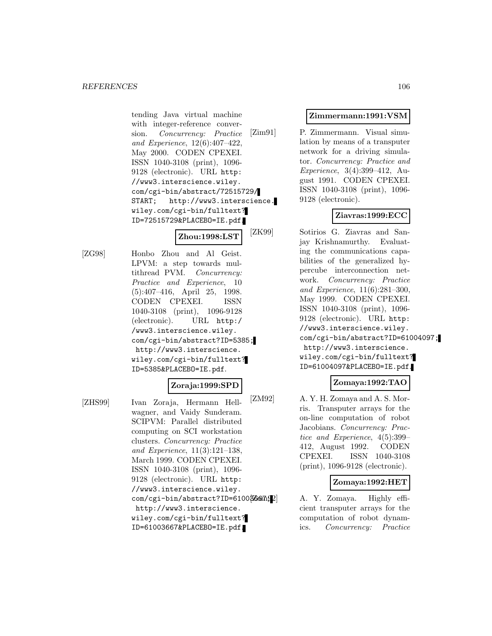tending Java virtual machine with integer-reference conversion. Concurrency: Practice and Experience, 12(6):407–422, May 2000. CODEN CPEXEI. ISSN 1040-3108 (print), 1096- 9128 (electronic). URL http: //www3.interscience.wiley. com/cgi-bin/abstract/72515729/ START; http://www3.interscience. wiley.com/cgi-bin/fulltext? ID=72515729&PLACEBO=IE.pdf.

**Zhou:1998:LST**

[ZG98] Honbo Zhou and Al Geist. LPVM: a step towards multithread PVM. Concurrency: Practice and Experience, 10 (5):407–416, April 25, 1998. CODEN CPEXEI. ISSN 1040-3108 (print), 1096-9128 (electronic). URL http:/ /www3.interscience.wiley. com/cgi-bin/abstract?ID=5385; http://www3.interscience. wiley.com/cgi-bin/fulltext? ID=5385&PLACEBO=IE.pdf.

# **Zoraja:1999:SPD**

[ZHS99] Ivan Zoraja, Hermann Hellwagner, and Vaidy Sunderam. SCIPVM: Parallel distributed computing on SCI workstation clusters. Concurrency: Practice and Experience, 11(3):121–138, March 1999. CODEN CPEXEI. ISSN 1040-3108 (print), 1096- 9128 (electronic). URL http: //www3.interscience.wiley. com/cgi-bin/abstract?ID=61003667.12 http://www3.interscience. wiley.com/cgi-bin/fulltext? ID=61003667&PLACEBO=IE.pdf.

### **Zimmermann:1991:VSM**

[Zim91] P. Zimmermann. Visual simulation by means of a transputer network for a driving simulator. Concurrency: Practice and Experience, 3(4):399–412, August 1991. CODEN CPEXEI. ISSN 1040-3108 (print), 1096- 9128 (electronic).

## **Ziavras:1999:ECC**

[ZK99] Sotirios G. Ziavras and Sanjay Krishnamurthy. Evaluating the communications capabilities of the generalized hypercube interconnection network. Concurrency: Practice and Experience, 11(6):281–300, May 1999. CODEN CPEXEI. ISSN 1040-3108 (print), 1096- 9128 (electronic). URL http: //www3.interscience.wiley. com/cgi-bin/abstract?ID=61004097; http://www3.interscience. wiley.com/cgi-bin/fulltext? ID=61004097&PLACEBO=IE.pdf.

## **Zomaya:1992:TAO**

[ZM92] A. Y. H. Zomaya and A. S. Morris. Transputer arrays for the on-line computation of robot Jacobians. Concurrency: Practice and Experience, 4(5):399– 412, August 1992. CODEN CPEXEI. ISSN 1040-3108 (print), 1096-9128 (electronic).

## **Zomaya:1992:HET**

A. Y. Zomaya. Highly efficient transputer arrays for the computation of robot dynamics. Concurrency: Practice